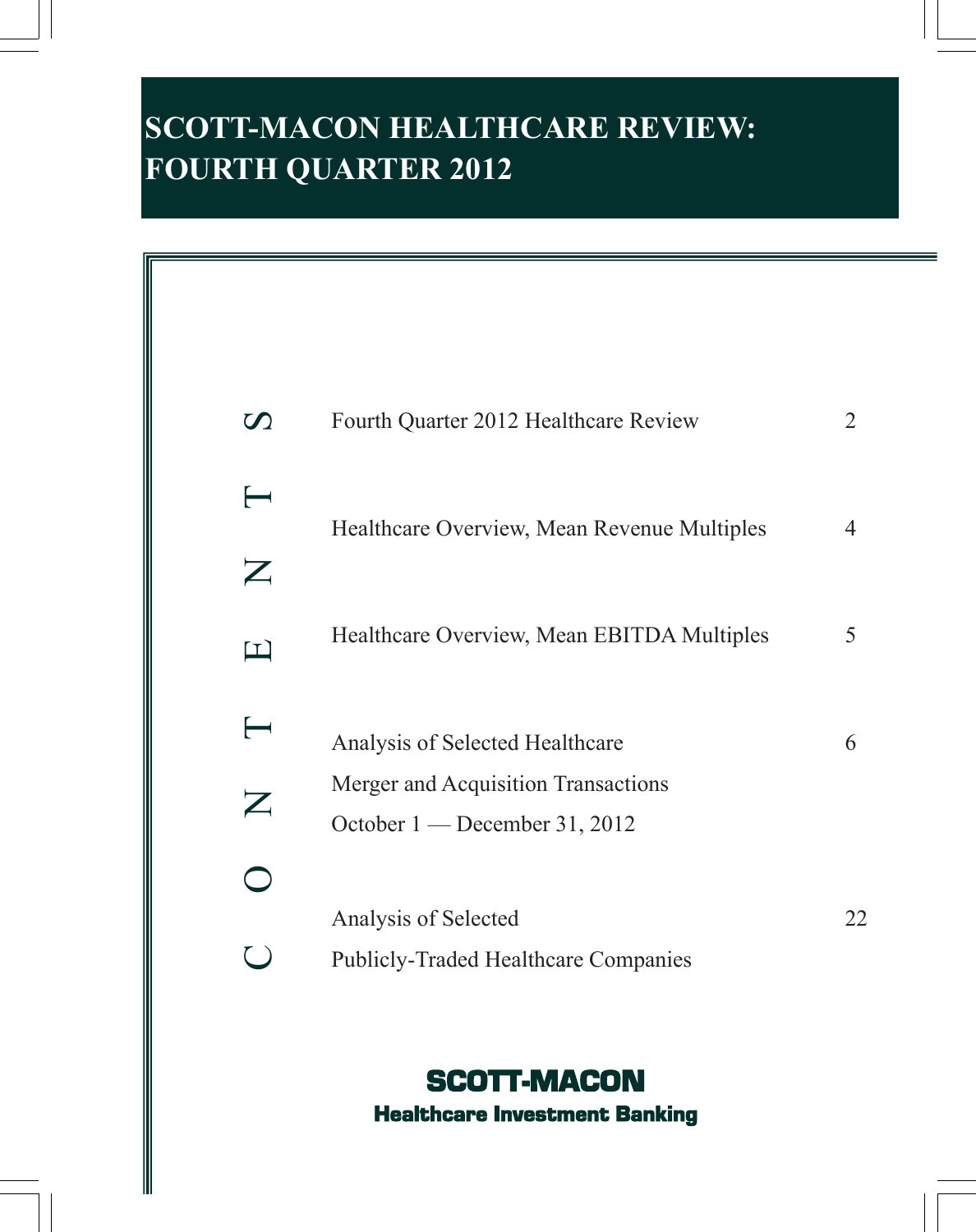# **SCOTT-MACON HEALTHCARE REVIEW: FOURTH QUARTER 2012**

| $\boldsymbol{U}$                              | Fourth Quarter 2012 Healthcare Review                                  | $\overline{2}$ |
|-----------------------------------------------|------------------------------------------------------------------------|----------------|
| $\blacksquare$<br>$\boldsymbol{Z}$            | Healthcare Overview, Mean Revenue Multiples                            | 4              |
| $\Box$                                        | Healthcare Overview, Mean EBITDA Multiples                             | 5              |
| $\longleftarrow$<br>$\boldsymbol{\mathsf{Z}}$ | Analysis of Selected Healthcare<br>Merger and Acquisition Transactions | 6              |
|                                               | October 1 — December 31, 2012                                          |                |
|                                               | Analysis of Selected<br><b>Publicly-Traded Healthcare Companies</b>    | 22             |

# SCOTT-MACON Healthcare Investment Banking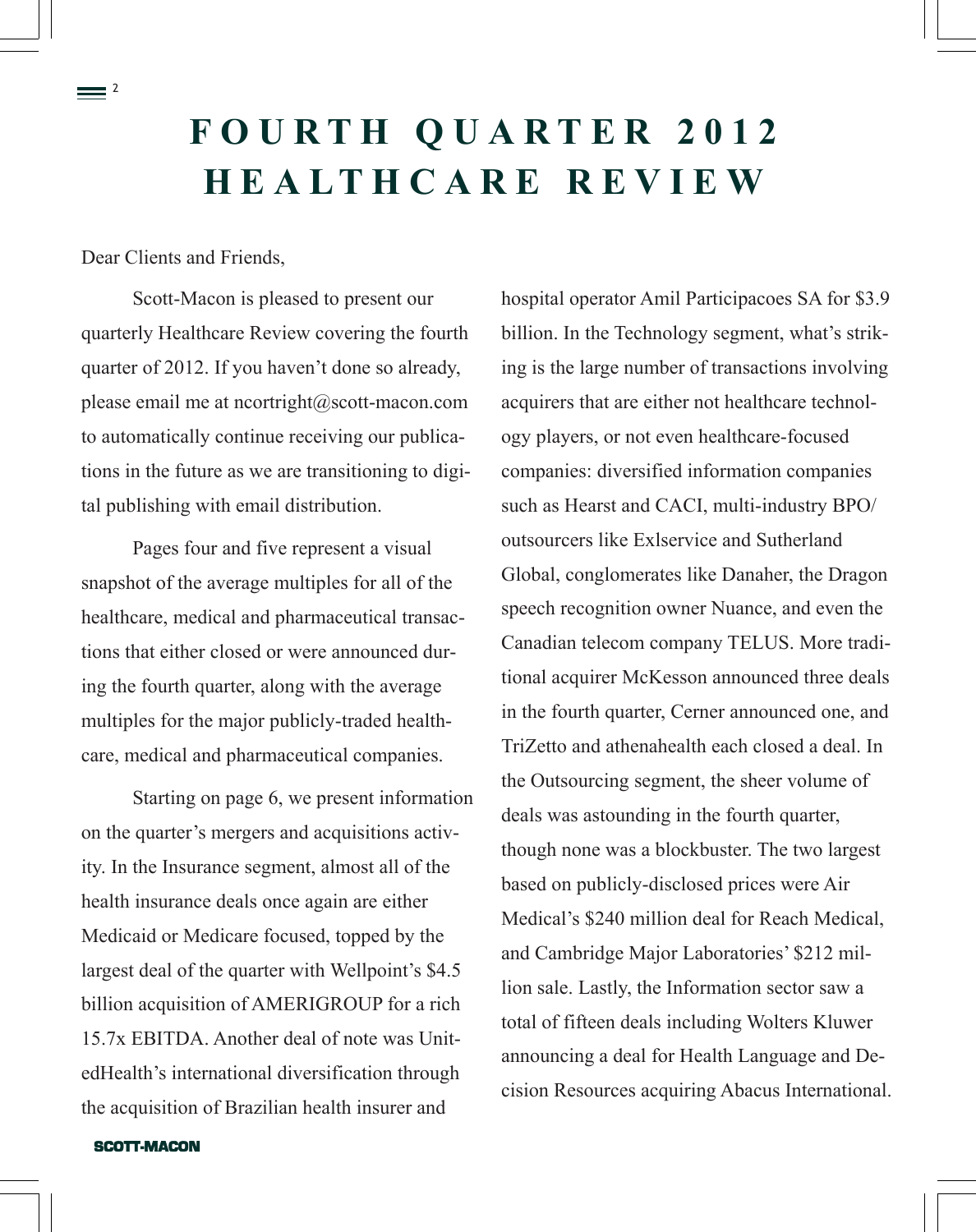# **F O U R T H Q U A R T E R 2 0 1 2 H E A L T H C A R E R E V I E W**

Dear Clients and Friends,

 $=$   $^{2}$ 

Scott-Macon is pleased to present our quarterly Healthcare Review covering the fourth quarter of 2012. If you haven't done so already, please email me at [ncortright@scott-macon.com](mailto:ncortright@scott-macon.com)  to automatically continue receiving our publications in the future as we are transitioning to digital publishing with email distribution.

Pages four and five represent a visual snapshot of the average multiples for all of the healthcare, medical and pharmaceutical transactions that either closed or were announced during the fourth quarter, along with the average multiples for the major publicly-traded healthcare, medical and pharmaceutical companies.

Starting on page 6, we present information on the quarter's mergers and acquisitions activity. In the Insurance segment, almost all of the health insurance deals once again are either Medicaid or Medicare focused, topped by the largest deal of the quarter with Wellpoint's \$4.5 billion acquisition of AMERIGROUP for a rich 15.7x EBITDA. Another deal of note was UnitedHealth's international diversification through the acquisition of Brazilian health insurer and

hospital operator Amil Participacoes SA for \$3.9 billion. In the Technology segment, what's striking is the large number of transactions involving acquirers that are either not healthcare technology players, or not even healthcare-focused companies: diversified information companies such as Hearst and CACI, multi-industry BPO/ outsourcers like Exlservice and Sutherland Global, conglomerates like Danaher, the Dragon speech recognition owner Nuance, and even the Canadian telecom company TELUS. More traditional acquirer McKesson announced three deals in the fourth quarter, Cerner announced one, and TriZetto and athenahealth each closed a deal. In the Outsourcing segment, the sheer volume of deals was astounding in the fourth quarter, though none was a blockbuster. The two largest based on publicly-disclosed prices were Air Medical's \$240 million deal for Reach Medical, and Cambridge Major Laboratories' \$212 million sale. Lastly, the Information sector saw a total of fifteen deals including Wolters Kluwer announcing a deal for Health Language and Decision Resources acquiring Abacus International.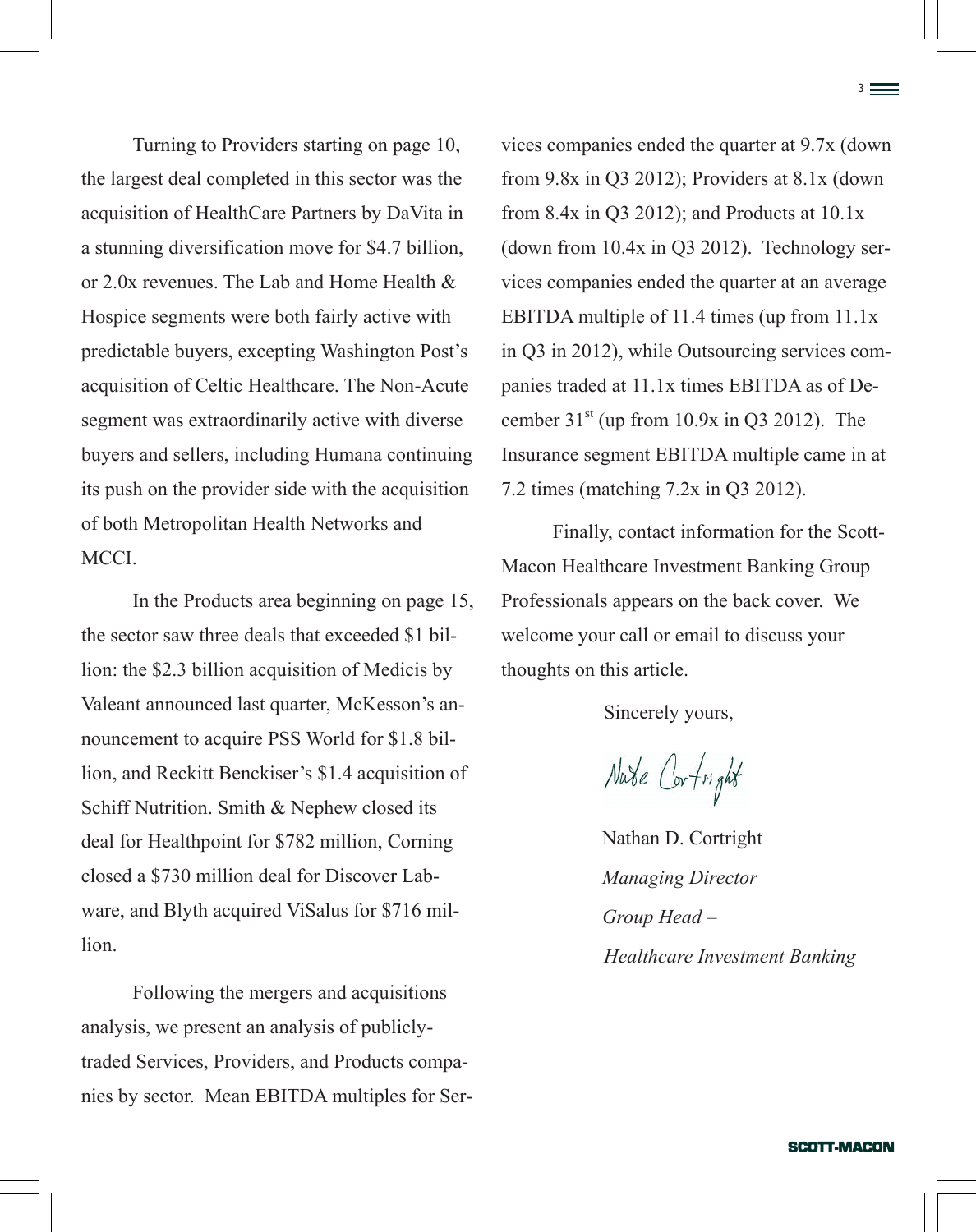Turning to Providers starting on page 10, the largest deal completed in this sector was the acquisition of HealthCare Partners by DaVita in a stunning diversification move for \$4.7 billion, or 2.0x revenues. The Lab and Home Health & Hospice segments were both fairly active with predictable buyers, excepting Washington Post's acquisition of Celtic Healthcare. The Non-Acute segment was extraordinarily active with diverse buyers and sellers, including Humana continuing its push on the provider side with the acquisition of both Metropolitan Health Networks and MCCI.

In the Products area beginning on page 15, the sector saw three deals that exceeded \$1 billion: the \$2.3 billion acquisition of Medicis by Valeant announced last quarter, McKesson's announcement to acquire PSS World for \$1.8 billion, and Reckitt Benckiser's \$1.4 acquisition of Schiff Nutrition. Smith & Nephew closed its deal for Healthpoint for \$782 million, Corning closed a \$730 million deal for Discover Labware, and Blyth acquired ViSalus for \$716 million.

Following the mergers and acquisitions analysis, we present an analysis of publiclytraded Services, Providers, and Products companies by sector. Mean EBITDA multiples for Services companies ended the quarter at 9.7x (down from 9.8x in Q3 2012); Providers at 8.1x (down from 8.4x in Q3 2012); and Products at  $10.1x$ (down from 10.4x in Q3 2012). Technology services companies ended the quarter at an average EBITDA multiple of 11.4 times (up from 11.1x in Q3 in 2012), while Outsourcing services companies traded at 11.1x times EBITDA as of December  $31<sup>st</sup>$  (up from 10.9x in Q3 2012). The Insurance segment EBITDA multiple came in at 7.2 times (matching 7.2x in Q3 2012).

Finally, contact information for the Scott-Macon Healthcare Investment Banking Group Professionals appears on the back cover. We welcome your call or email to discuss your thoughts on this article.

Sincerely yours,

Nate Cortright

Nathan D. Cortright *Managing Director Group Head – Healthcare Investment Banking*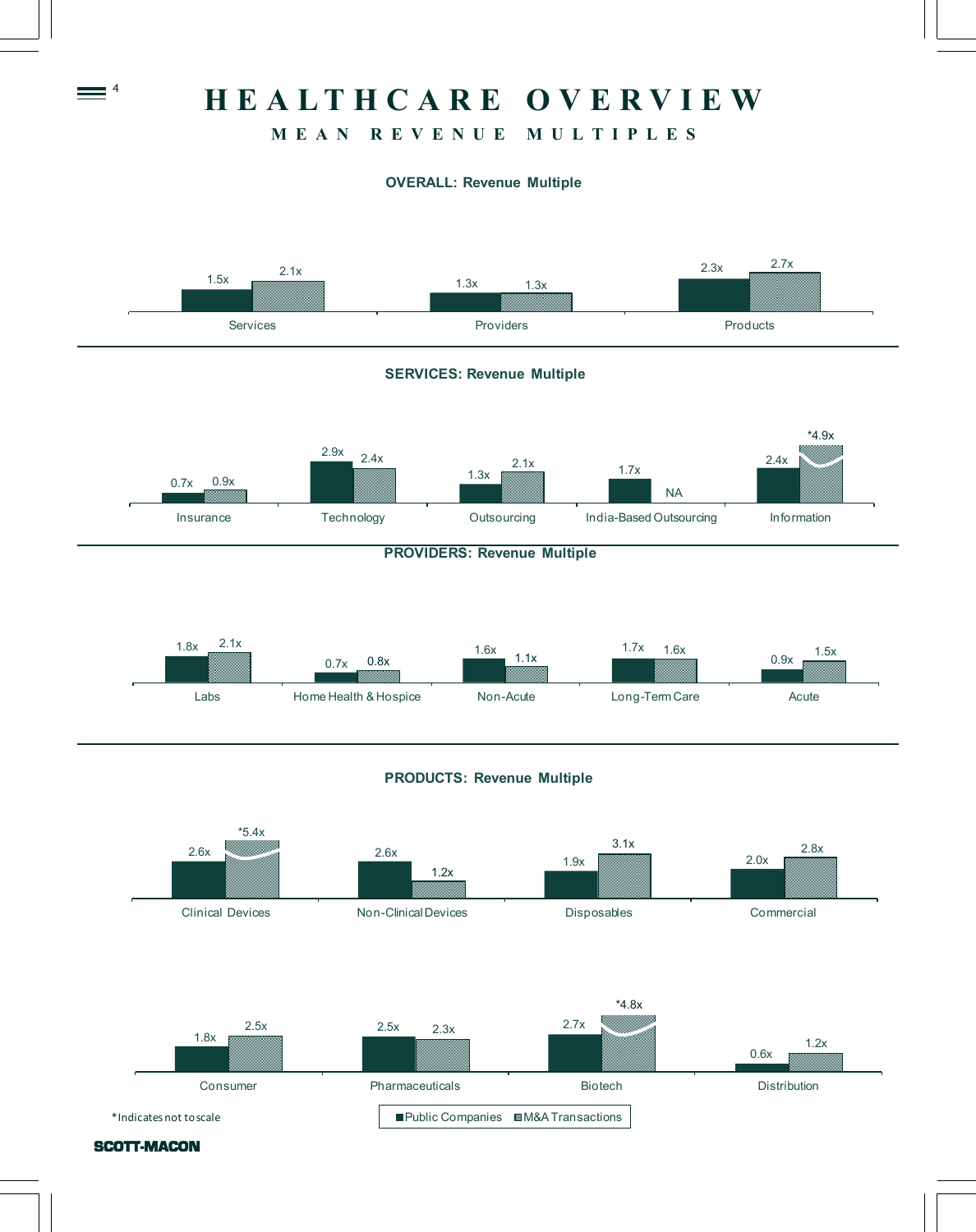# **H E A L T H C A R E O V E R V I E W**

# **M E A N R E V E N U E M U L T I P L E S**

### **OVERALL: Revenue Multiple**



SCOTT-MACON

 $\equiv$   $\frac{4}{1}$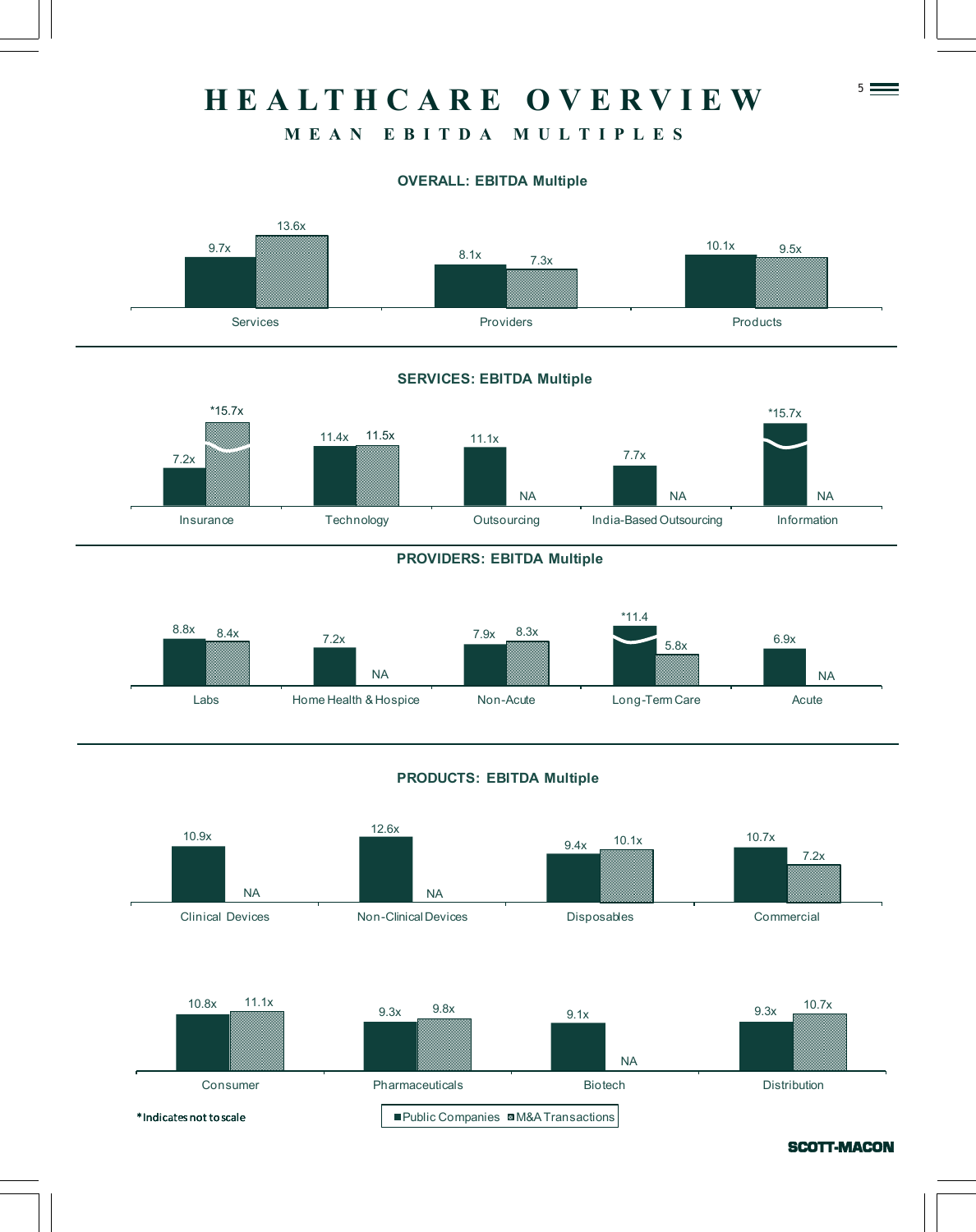# 5 **H E A L T H C A R E O V E R V I E W**

# **M E A N E B I T D A M U L T I P L E S**

### **OVERALL: EBITDA Multiple**



#### **SERVICES: EBITDA Multiple**



#### **PROVIDERS: EBITDA Multiple**



#### **PRODUCTS: EBITDA Multiple**

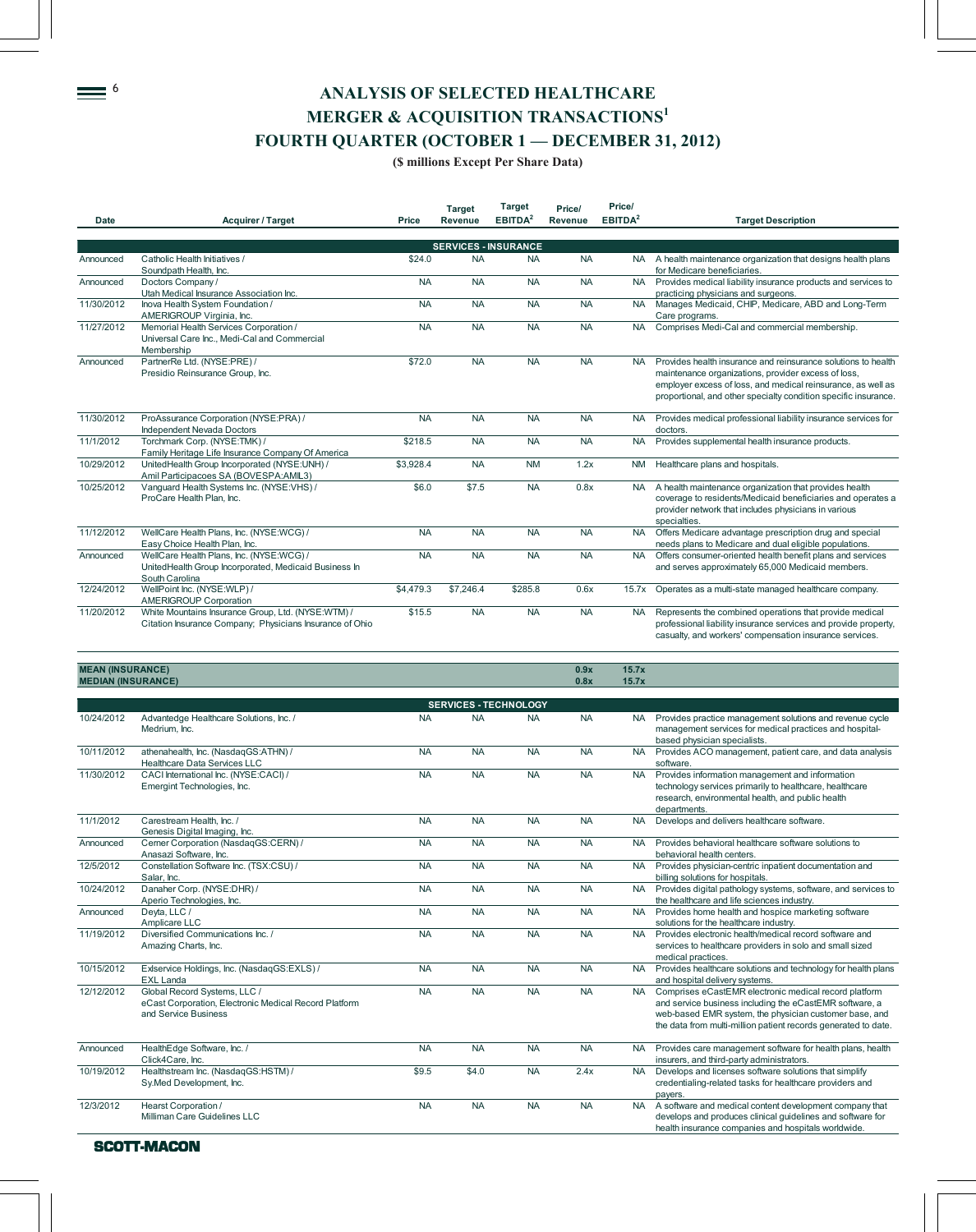# $\equiv$ <sup>6</sup> ANALYSIS OF SELECTED HEALTHCARE **MERGER & ACQUISITION TRANSACTIONS<sup>1</sup> FOURTH QUARTER (OCTOBER 1 — DECEMBER 31, 2012)**

#### **(\$ millions Except Per Share Data)**

|             |                                                                                                                     |           | <b>Target</b>               | <b>Target</b>       | Price/    | Price/              |                                                                                                                                                                                                                                                         |
|-------------|---------------------------------------------------------------------------------------------------------------------|-----------|-----------------------------|---------------------|-----------|---------------------|---------------------------------------------------------------------------------------------------------------------------------------------------------------------------------------------------------------------------------------------------------|
| <b>Date</b> | Acquirer / Target                                                                                                   | Price     | <b>Revenue</b>              | EBITDA <sup>2</sup> | Revenue   | EBITDA <sup>2</sup> | <b>Target Description</b>                                                                                                                                                                                                                               |
|             |                                                                                                                     |           |                             |                     |           |                     |                                                                                                                                                                                                                                                         |
|             |                                                                                                                     |           | <b>SERVICES - INSURANCE</b> |                     |           |                     |                                                                                                                                                                                                                                                         |
| Announced   | Catholic Health Initiatives /<br>Soundpath Health, Inc.                                                             | \$24.0    | <b>NA</b>                   | <b>NA</b>           | <b>NA</b> | <b>NA</b>           | A health maintenance organization that designs health plans<br>for Medicare beneficiaries.                                                                                                                                                              |
| Announced   | Doctors Company /<br>Utah Medical Insurance Association Inc.                                                        | <b>NA</b> | <b>NA</b>                   | <b>NA</b>           | <b>NA</b> | <b>NA</b>           | Provides medical liability insurance products and services to<br>practicing physicians and surgeons.                                                                                                                                                    |
| 11/30/2012  | Inova Health System Foundation /<br>AMERIGROUP Virginia, Inc.                                                       | <b>NA</b> | <b>NA</b>                   | <b>NA</b>           | <b>NA</b> | <b>NA</b>           | Manages Medicaid, CHIP, Medicare, ABD and Long-Term<br>Care programs.                                                                                                                                                                                   |
| 11/27/2012  | Memorial Health Services Corporation /<br>Universal Care Inc., Medi-Cal and Commercial<br>Membership                | <b>NA</b> | <b>NA</b>                   | <b>NA</b>           | <b>NA</b> | <b>NA</b>           | Comprises Medi-Cal and commercial membership.                                                                                                                                                                                                           |
| Announced   | PartnerRe Ltd. (NYSE:PRE) /<br>Presidio Reinsurance Group, Inc.                                                     | \$72.0    | <b>NA</b>                   | <b>NA</b>           | <b>NA</b> | <b>NA</b>           | Provides health insurance and reinsurance solutions to health<br>maintenance organizations, provider excess of loss,<br>employer excess of loss, and medical reinsurance, as well as<br>proportional, and other specialty condition specific insurance. |
| 11/30/2012  | ProAssurance Corporation (NYSE:PRA) /<br>Independent Nevada Doctors                                                 | <b>NA</b> | <b>NA</b>                   | <b>NA</b>           | <b>NA</b> | <b>NA</b>           | Provides medical professional liability insurance services for<br>doctors.                                                                                                                                                                              |
| 11/1/2012   | Torchmark Corp. (NYSE:TMK) /<br>Family Heritage Life Insurance Company Of America                                   | \$218.5   | <b>NA</b>                   | <b>NA</b>           | <b>NA</b> | <b>NA</b>           | Provides supplemental health insurance products.                                                                                                                                                                                                        |
| 10/29/2012  | UnitedHealth Group Incorporated (NYSE:UNH) /<br>Amil Participacoes SA (BOVESPA:AMIL3)                               | \$3,928.4 | <b>NA</b>                   | <b>NM</b>           | 1.2x      | <b>NM</b>           | Healthcare plans and hospitals.                                                                                                                                                                                                                         |
| 10/25/2012  | Vanquard Health Systems Inc. (NYSE:VHS) /<br>ProCare Health Plan, Inc.                                              | \$6.0     | \$7.5                       | <b>NA</b>           | 0.8x      | <b>NA</b>           | A health maintenance organization that provides health<br>coverage to residents/Medicaid beneficiaries and operates a<br>provider network that includes physicians in various<br>specialties.                                                           |
| 11/12/2012  | WellCare Health Plans, Inc. (NYSE:WCG) /<br>Easy Choice Health Plan, Inc.                                           | <b>NA</b> | <b>NA</b>                   | <b>NA</b>           | <b>NA</b> | <b>NA</b>           | Offers Medicare advantage prescription drug and special<br>needs plans to Medicare and dual eligible populations.                                                                                                                                       |
| Announced   | WellCare Health Plans, Inc. (NYSE:WCG) /<br>UnitedHealth Group Incorporated, Medicaid Business In<br>South Carolina | <b>NA</b> | <b>NA</b>                   | <b>NA</b>           | <b>NA</b> | <b>NA</b>           | Offers consumer-oriented health benefit plans and services<br>and serves approximately 65,000 Medicaid members.                                                                                                                                         |
| 12/24/2012  | WellPoint Inc. (NYSE:WLP)/<br><b>AMERIGROUP Corporation</b>                                                         | \$4,479.3 | \$7,246.4                   | \$285.8             | 0.6x      | 15.7x               | Operates as a multi-state managed healthcare company.                                                                                                                                                                                                   |
| 11/20/2012  | White Mountains Insurance Group, Ltd. (NYSE:WTM) /<br>Citation Insurance Company; Physicians Insurance of Ohio      | \$15.5    | <b>NA</b>                   | <b>NA</b>           | <b>NA</b> | <b>NA</b>           | Represents the combined operations that provide medical<br>professional liability insurance services and provide property,<br>casualty, and workers' compensation insurance services.                                                                   |

| <b>MEDIAN (INSURANCE)</b> |                                                                                                               |           |                              |           | 0.8x      | 15.7x     |                                                                                                                                                                                                                                              |
|---------------------------|---------------------------------------------------------------------------------------------------------------|-----------|------------------------------|-----------|-----------|-----------|----------------------------------------------------------------------------------------------------------------------------------------------------------------------------------------------------------------------------------------------|
|                           |                                                                                                               |           |                              |           |           |           |                                                                                                                                                                                                                                              |
|                           |                                                                                                               |           | <b>SERVICES - TECHNOLOGY</b> |           |           |           |                                                                                                                                                                                                                                              |
| 10/24/2012                | Advantedge Healthcare Solutions, Inc. /<br>Medrium, Inc.                                                      | <b>NA</b> | <b>NA</b>                    | <b>NA</b> | <b>NA</b> | <b>NA</b> | Provides practice management solutions and revenue cycle<br>management services for medical practices and hospital-<br>based physician specialists.                                                                                          |
| 10/11/2012                | athenahealth, Inc. (NasdaqGS:ATHN) /<br>Healthcare Data Services LLC                                          | <b>NA</b> | <b>NA</b>                    | <b>NA</b> | <b>NA</b> | <b>NA</b> | Provides ACO management, patient care, and data analysis<br>software.                                                                                                                                                                        |
| 11/30/2012                | CACI International Inc. (NYSE:CACI) /<br>Emergint Technologies, Inc.                                          | <b>NA</b> | <b>NA</b>                    | <b>NA</b> | <b>NA</b> | <b>NA</b> | Provides information management and information<br>technology services primarily to healthcare, healthcare<br>research, environmental health, and public health<br>departments.                                                              |
| 11/1/2012                 | Carestream Health, Inc. /<br>Genesis Digital Imaging, Inc.                                                    | <b>NA</b> | <b>NA</b>                    | <b>NA</b> | <b>NA</b> | <b>NA</b> | Develops and delivers healthcare software.                                                                                                                                                                                                   |
| Announced                 | Cerner Corporation (NasdaqGS:CERN) /<br>Anasazi Software, Inc.                                                | <b>NA</b> | <b>NA</b>                    | <b>NA</b> | <b>NA</b> | <b>NA</b> | Provides behavioral healthcare software solutions to<br>behavioral health centers.                                                                                                                                                           |
| 12/5/2012                 | Constellation Software Inc. (TSX:CSU) /<br>Salar, Inc.                                                        | <b>NA</b> | <b>NA</b>                    | <b>NA</b> | <b>NA</b> |           | NA Provides physician-centric inpatient documentation and<br>billing solutions for hospitals.                                                                                                                                                |
| 10/24/2012                | Danaher Corp. (NYSE:DHR) /<br>Aperio Technologies, Inc.                                                       | <b>NA</b> | <b>NA</b>                    | <b>NA</b> | <b>NA</b> | <b>NA</b> | Provides digital pathology systems, software, and services to<br>the healthcare and life sciences industry.                                                                                                                                  |
| Announced                 | Deyta, LLC /<br>Amplicare LLC                                                                                 | <b>NA</b> | <b>NA</b>                    | <b>NA</b> | <b>NA</b> | <b>NA</b> | Provides home health and hospice marketing software<br>solutions for the healthcare industry.                                                                                                                                                |
| 11/19/2012                | Diversified Communications Inc. /<br>Amazing Charts, Inc.                                                     | <b>NA</b> | <b>NA</b>                    | <b>NA</b> | <b>NA</b> | <b>NA</b> | Provides electronic health/medical record software and<br>services to healthcare providers in solo and small sized<br>medical practices.                                                                                                     |
| 10/15/2012                | Exiservice Holdings, Inc. (NasdaqGS:EXLS) /<br><b>EXL Landa</b>                                               | <b>NA</b> | <b>NA</b>                    | <b>NA</b> | <b>NA</b> | <b>NA</b> | Provides healthcare solutions and technology for health plans<br>and hospital delivery systems.                                                                                                                                              |
| 12/12/2012                | Global Record Systems, LLC /<br>eCast Corporation, Electronic Medical Record Platform<br>and Service Business | <b>NA</b> | <b>NA</b>                    | <b>NA</b> | <b>NA</b> | <b>NA</b> | Comprises eCastEMR electronic medical record platform<br>and service business including the eCastEMR software, a<br>web-based EMR system, the physician customer base, and<br>the data from multi-million patient records generated to date. |
| Announced                 | HealthEdge Software, Inc. /<br>Click4Care, Inc.                                                               | <b>NA</b> | <b>NA</b>                    | <b>NA</b> | <b>NA</b> | <b>NA</b> | Provides care management software for health plans, health<br>insurers, and third-party administrators.                                                                                                                                      |
| 10/19/2012                | Healthstream Inc. (NasdaqGS:HSTM) /<br>Sy.Med Development, Inc.                                               | \$9.5     | \$4.0                        | <b>NA</b> | 2.4x      | <b>NA</b> | Develops and licenses software solutions that simplify<br>credentialing-related tasks for healthcare providers and<br>payers.                                                                                                                |
| 12/3/2012                 | Hearst Corporation /<br>Milliman Care Guidelines LLC                                                          | <b>NA</b> | <b>NA</b>                    | <b>NA</b> | <b>NA</b> | <b>NA</b> | A software and medical content development company that<br>develops and produces clinical quidelines and software for<br>health insurance companies and hospitals worldwide.                                                                 |

**MEAN (INSURANCE) 0.9x 15.7x**

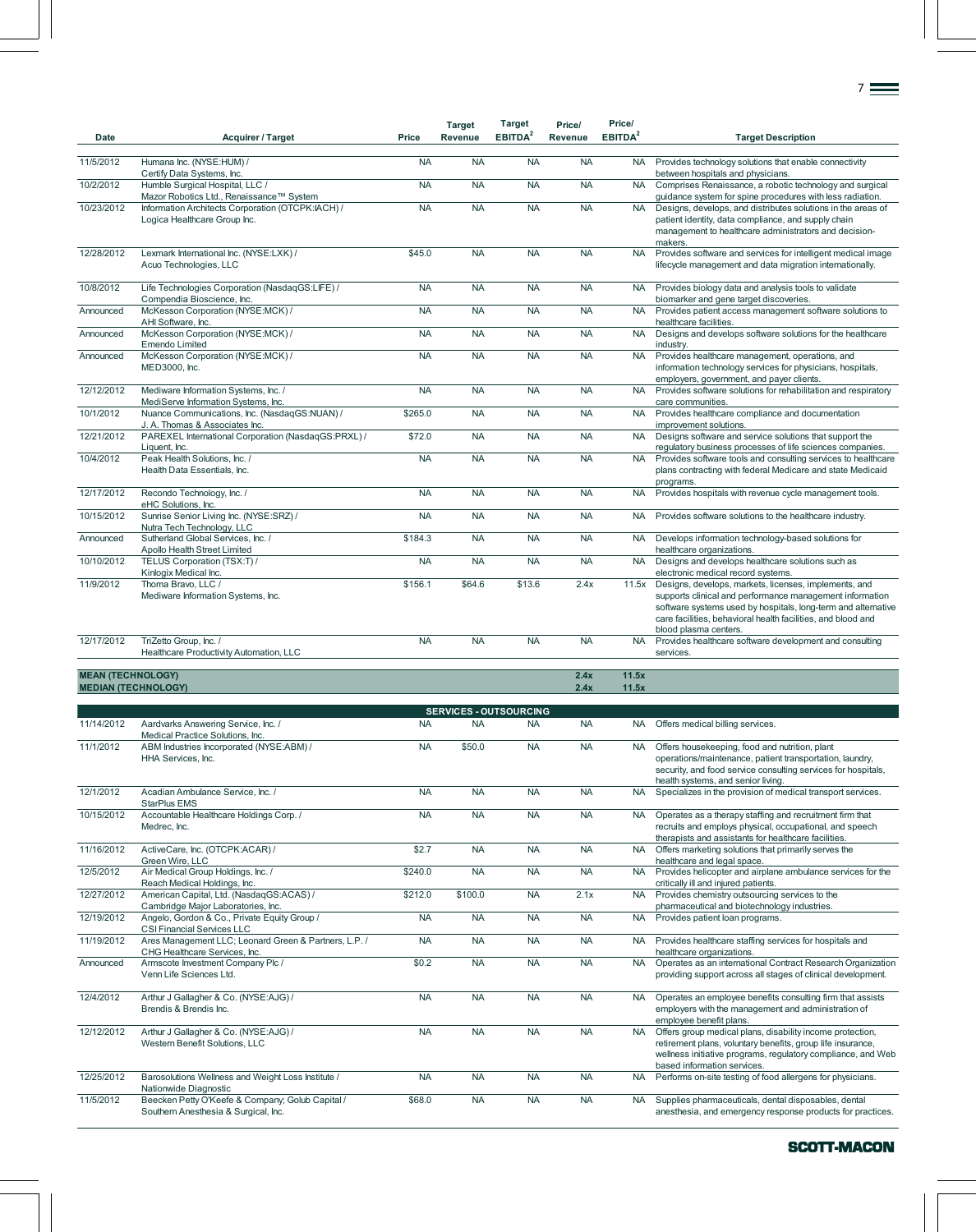|                          |                                                     |           | <b>Target</b>  | <b>Target</b>       | Price/    | Price/              |                                                                                                               |
|--------------------------|-----------------------------------------------------|-----------|----------------|---------------------|-----------|---------------------|---------------------------------------------------------------------------------------------------------------|
| Date                     | <b>Acquirer / Target</b>                            | Price     | <b>Revenue</b> | EBITDA <sup>2</sup> | Revenue   | EBITDA <sup>2</sup> | <b>Target Description</b>                                                                                     |
|                          |                                                     |           |                |                     |           |                     |                                                                                                               |
| 11/5/2012                | Humana Inc. (NYSE:HUM) /                            | <b>NA</b> | <b>NA</b>      | <b>NA</b>           | <b>NA</b> | <b>NA</b>           | Provides technology solutions that enable connectivity                                                        |
|                          | Certify Data Systems, Inc.                          |           |                |                     |           |                     | between hospitals and physicians.                                                                             |
| 10/2/2012                | Humble Surgical Hospital, LLC /                     | <b>NA</b> | <b>NA</b>      | <b>NA</b>           | <b>NA</b> | <b>NA</b>           | Comprises Renaissance, a robotic technology and surgical                                                      |
|                          | Mazor Robotics Ltd., Renaissance™ System            |           |                |                     |           |                     | guidance system for spine procedures with less radiation.                                                     |
| 10/23/2012               | Information Architects Corporation (OTCPK:IACH) /   | <b>NA</b> | <b>NA</b>      | <b>NA</b>           | <b>NA</b> | <b>NA</b>           | Designs, develops, and distributes solutions in the areas of                                                  |
|                          | Logica Healthcare Group Inc.                        |           |                |                     |           |                     | patient identity, data compliance, and supply chain<br>management to healthcare administrators and decision-  |
|                          |                                                     |           |                |                     |           |                     | makers.                                                                                                       |
| 12/28/2012               | Lexmark International Inc. (NYSE:LXK) /             | \$45.0    | <b>NA</b>      | <b>NA</b>           | <b>NA</b> | <b>NA</b>           | Provides software and services for intelligent medical image                                                  |
|                          | Acuo Technologies, LLC                              |           |                |                     |           |                     | lifecycle management and data migration internationally.                                                      |
|                          |                                                     |           |                |                     |           |                     |                                                                                                               |
| 10/8/2012                | Life Technologies Corporation (NasdaqGS:LIFE) /     | <b>NA</b> | <b>NA</b>      | <b>NA</b>           | <b>NA</b> | <b>NA</b>           | Provides biology data and analysis tools to validate                                                          |
|                          | Compendia Bioscience, Inc.                          |           |                |                     |           |                     | biomarker and gene target discoveries.                                                                        |
| Announced                | McKesson Corporation (NYSE:MCK) /                   | <b>NA</b> | <b>NA</b>      | <b>NA</b>           | <b>NA</b> | <b>NA</b>           | Provides patient access management software solutions to                                                      |
|                          | AHI Software, Inc.                                  |           |                |                     |           |                     | healthcare facilities.                                                                                        |
| Announced                | McKesson Corporation (NYSE:MCK) /                   | <b>NA</b> | <b>NA</b>      | <b>NA</b>           | <b>NA</b> | <b>NA</b>           | Designs and develops software solutions for the healthcare                                                    |
|                          | <b>Emendo Limited</b>                               | <b>NA</b> | <b>NA</b>      | <b>NA</b>           |           |                     | industry.                                                                                                     |
| Announced                | McKesson Corporation (NYSE:MCK) /<br>MED3000, Inc.  |           |                |                     | <b>NA</b> | <b>NA</b>           | Provides healthcare management, operations, and<br>information technology services for physicians, hospitals, |
|                          |                                                     |           |                |                     |           |                     | employers, government, and payer clients.                                                                     |
| 12/12/2012               | Mediware Information Systems, Inc. /                | <b>NA</b> | <b>NA</b>      | <b>NA</b>           | <b>NA</b> | <b>NA</b>           | Provides software solutions for rehabilitation and respiratory                                                |
|                          | MediServe Information Systems, Inc.                 |           |                |                     |           |                     | care communities.                                                                                             |
| 10/1/2012                | Nuance Communications, Inc. (NasdaqGS:NUAN) /       | \$265.0   | <b>NA</b>      | <b>NA</b>           | <b>NA</b> | <b>NA</b>           | Provides healthcare compliance and documentation                                                              |
|                          | J. A. Thomas & Associates Inc.                      |           |                |                     |           |                     | improvement solutions.                                                                                        |
| 12/21/2012               | PAREXEL International Corporation (NasdaqGS:PRXL) / | \$72.0    | <b>NA</b>      | <b>NA</b>           | <b>NA</b> | <b>NA</b>           | Designs software and service solutions that support the                                                       |
|                          | Liquent, Inc.                                       |           |                |                     |           |                     | regulatory business processes of life sciences companies.                                                     |
| 10/4/2012                | Peak Health Solutions, Inc. /                       | <b>NA</b> | <b>NA</b>      | <b>NA</b>           | <b>NA</b> | <b>NA</b>           | Provides software tools and consulting services to healthcare                                                 |
|                          | Health Data Essentials, Inc.                        |           |                |                     |           |                     | plans contracting with federal Medicare and state Medicaid                                                    |
| 12/17/2012               | Recondo Technology, Inc. /                          | <b>NA</b> | <b>NA</b>      | <b>NA</b>           | <b>NA</b> | <b>NA</b>           | programs.<br>Provides hospitals with revenue cycle management tools.                                          |
|                          | eHC Solutions, Inc.                                 |           |                |                     |           |                     |                                                                                                               |
| 10/15/2012               | Sunrise Senior Living Inc. (NYSE:SRZ) /             | <b>NA</b> | <b>NA</b>      | <b>NA</b>           | <b>NA</b> | <b>NA</b>           | Provides software solutions to the healthcare industry.                                                       |
|                          | Nutra Tech Technology, LLC                          |           |                |                     |           |                     |                                                                                                               |
| Announced                | Sutherland Global Services, Inc. /                  | \$184.3   | <b>NA</b>      | <b>NA</b>           | <b>NA</b> | <b>NA</b>           | Develops information technology-based solutions for                                                           |
|                          | Apollo Health Street Limited                        |           |                |                     |           |                     | healthcare organizations.                                                                                     |
| 10/10/2012               | TELUS Corporation (TSX:T) /                         | <b>NA</b> | <b>NA</b>      | <b>NA</b>           | <b>NA</b> | <b>NA</b>           | Designs and develops healthcare solutions such as                                                             |
|                          | Kinlogix Medical Inc.                               |           |                |                     |           |                     | electronic medical record systems.                                                                            |
| 11/9/2012                | Thoma Bravo, LLC /                                  | \$156.1   | \$64.6         | \$13.6              | 2.4x      | 11.5x               | Designs, develops, markets, licenses, implements, and                                                         |
|                          | Mediware Information Systems, Inc.                  |           |                |                     |           |                     | supports clinical and performance management information                                                      |
|                          |                                                     |           |                |                     |           |                     | software systems used by hospitals, long-term and alternative                                                 |
|                          |                                                     |           |                |                     |           |                     | care facilities, behavioral health facilities, and blood and<br>blood plasma centers.                         |
| 12/17/2012               | TriZetto Group, Inc. /                              | <b>NA</b> | <b>NA</b>      | <b>NA</b>           | <b>NA</b> | <b>NA</b>           | Provides healthcare software development and consulting                                                       |
|                          | Healthcare Productivity Automation, LLC             |           |                |                     |           |                     | services.                                                                                                     |
|                          |                                                     |           |                |                     |           |                     |                                                                                                               |
| <b>MEAN (TECHNOLOGY)</b> |                                                     |           |                |                     | 2.4x      | 11.5x               |                                                                                                               |
|                          | <b>MEDIAN (TECHNOLOGY)</b>                          |           |                |                     | 2.4x      | 11.5x               |                                                                                                               |

7

| <b>SERVICES - OUTSOURCING</b> |                                                                                          |           |           |           |           |           |                                                                                                                                                                                                                         |  |  |  |
|-------------------------------|------------------------------------------------------------------------------------------|-----------|-----------|-----------|-----------|-----------|-------------------------------------------------------------------------------------------------------------------------------------------------------------------------------------------------------------------------|--|--|--|
| 11/14/2012                    | Aardvarks Answering Service, Inc. /<br>Medical Practice Solutions, Inc.                  | <b>NA</b> | <b>NA</b> | <b>NA</b> | <b>NA</b> | <b>NA</b> | Offers medical billing services.                                                                                                                                                                                        |  |  |  |
| 11/1/2012                     | ABM Industries Incorporated (NYSE:ABM) /<br>HHA Services. Inc.                           | <b>NA</b> | \$50.0    | <b>NA</b> | <b>NA</b> | <b>NA</b> | Offers housekeeping, food and nutrition, plant<br>operations/maintenance, patient transportation, laundry,<br>security, and food service consulting services for hospitals,<br>health systems, and senior living.       |  |  |  |
| 12/1/2012                     | Acadian Ambulance Service, Inc. /<br><b>StarPlus EMS</b>                                 | <b>NA</b> | <b>NA</b> | <b>NA</b> | <b>NA</b> | <b>NA</b> | Specializes in the provision of medical transport services.                                                                                                                                                             |  |  |  |
| 10/15/2012                    | Accountable Healthcare Holdings Corp. /<br>Medrec, Inc.                                  | <b>NA</b> | <b>NA</b> | <b>NA</b> | <b>NA</b> | <b>NA</b> | Operates as a therapy staffing and recruitment firm that<br>recruits and employs physical, occupational, and speech<br>therapists and assistants for healthcare facilities.                                             |  |  |  |
| 11/16/2012                    | ActiveCare, Inc. (OTCPK:ACAR) /<br>Green Wire, LLC                                       | \$2.7     | <b>NA</b> | <b>NA</b> | <b>NA</b> | <b>NA</b> | Offers marketing solutions that primarily serves the<br>healthcare and legal space.                                                                                                                                     |  |  |  |
| 12/5/2012                     | Air Medical Group Holdings, Inc. /<br>Reach Medical Holdings, Inc.                       | \$240.0   | <b>NA</b> | <b>NA</b> | <b>NA</b> | <b>NA</b> | Provides helicopter and airplane ambulance services for the<br>critically ill and injured patients.                                                                                                                     |  |  |  |
| 12/27/2012                    | American Capital, Ltd. (NasdaqGS:ACAS) /<br>Cambridge Major Laboratories, Inc.           | \$212.0   | \$100.0   | <b>NA</b> | 2.1x      | <b>NA</b> | Provides chemistry outsourcing services to the<br>pharmaceutical and biotechnology industries.                                                                                                                          |  |  |  |
| 12/19/2012                    | Angelo, Gordon & Co., Private Equity Group /<br><b>CSI Financial Services LLC</b>        | <b>NA</b> | <b>NA</b> | <b>NA</b> | <b>NA</b> | <b>NA</b> | Provides patient loan programs.                                                                                                                                                                                         |  |  |  |
| 11/19/2012                    | Ares Management LLC; Leonard Green & Partners, L.P. /<br>CHG Healthcare Services, Inc.   | <b>NA</b> | <b>NA</b> | <b>NA</b> | <b>NA</b> | <b>NA</b> | Provides healthcare staffing services for hospitals and<br>healthcare organizations.                                                                                                                                    |  |  |  |
| Announced                     | Armscote Investment Company Plc /<br>Venn Life Sciences Ltd.                             | \$0.2     | <b>NA</b> | <b>NA</b> | <b>NA</b> | <b>NA</b> | Operates as an international Contract Research Organization<br>providing support across all stages of clinical development.                                                                                             |  |  |  |
| 12/4/2012                     | Arthur J Gallagher & Co. (NYSE:AJG) /<br>Brendis & Brendis Inc.                          | <b>NA</b> | <b>NA</b> | <b>NA</b> | <b>NA</b> | <b>NA</b> | Operates an employee benefits consulting firm that assists<br>employers with the management and administration of<br>employee benefit plans.                                                                            |  |  |  |
| 12/12/2012                    | Arthur J Gallagher & Co. (NYSE:AJG) /<br>Western Benefit Solutions, LLC                  | <b>NA</b> | <b>NA</b> | <b>NA</b> | <b>NA</b> | <b>NA</b> | Offers group medical plans, disability income protection,<br>retirement plans, voluntary benefits, group life insurance,<br>wellness initiative programs, regulatory compliance, and Web<br>based information services. |  |  |  |
| 12/25/2012                    | Barosolutions Wellness and Weight Loss Institute /<br>Nationwide Diagnostic              | <b>NA</b> | <b>NA</b> | <b>NA</b> | <b>NA</b> | <b>NA</b> | Performs on-site testing of food allergens for physicians.                                                                                                                                                              |  |  |  |
| 11/5/2012                     | Beecken Petty O'Keefe & Company; Golub Capital /<br>Southern Anesthesia & Surgical, Inc. | \$68.0    | <b>NA</b> | <b>NA</b> | <b>NA</b> | <b>NA</b> | Supplies pharmaceuticals, dental disposables, dental<br>anesthesia, and emergency response products for practices.                                                                                                      |  |  |  |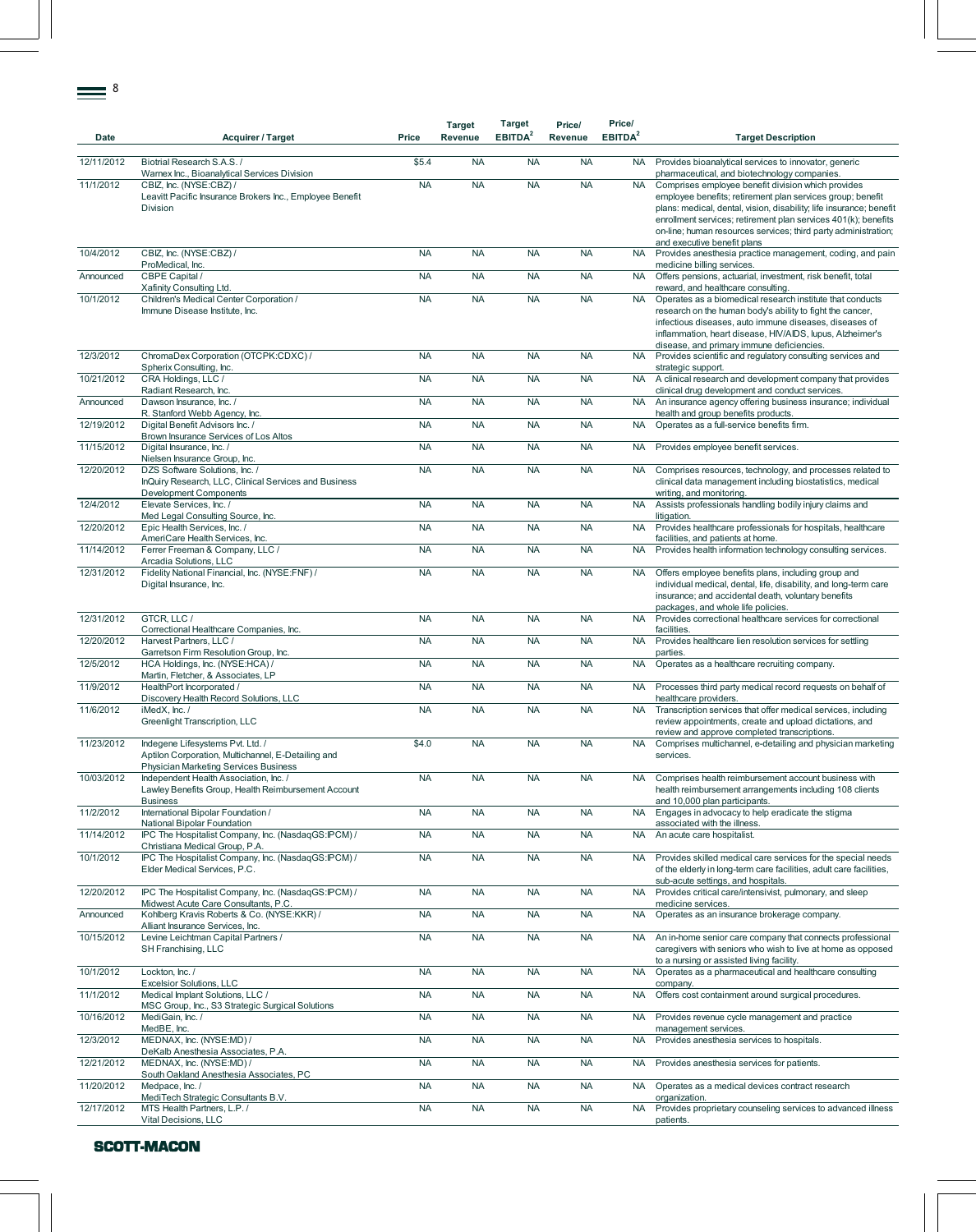| Date       | <b>Acquirer / Target</b>                                                                                                               | Price     | <b>Target</b><br>Revenue | <b>Target</b><br>EBITDA <sup>2</sup> | Price/<br>Revenue | Price/<br>EBITDA <sup>2</sup> | <b>Target Description</b>                                                                                                                                                                                                                                                                                                                                  |
|------------|----------------------------------------------------------------------------------------------------------------------------------------|-----------|--------------------------|--------------------------------------|-------------------|-------------------------------|------------------------------------------------------------------------------------------------------------------------------------------------------------------------------------------------------------------------------------------------------------------------------------------------------------------------------------------------------------|
| 12/11/2012 | Biotrial Research S.A.S./<br>Warnex Inc., Bioanalytical Services Division                                                              | \$5.4     | <b>NA</b>                | <b>NA</b>                            | <b>NA</b>         | NA .                          | Provides bioanalytical services to innovator, generic<br>pharmaceutical, and biotechnology companies.                                                                                                                                                                                                                                                      |
| 11/1/2012  | CBIZ, Inc. (NYSE:CBZ) /<br>Leavitt Pacific Insurance Brokers Inc., Employee Benefit<br>Division                                        | <b>NA</b> | <b>NA</b>                | <b>NA</b>                            | <b>NA</b>         | <b>NA</b>                     | Comprises employee benefit division which provides<br>employee benefits; retirement plan services group; benefit<br>plans: medical, dental, vision, disability; life insurance; benefit<br>enrollment services; retirement plan services 401(k); benefits<br>on-line; human resources services; third party administration;<br>and executive benefit plans |
| 10/4/2012  | CBIZ, Inc. (NYSE:CBZ) /                                                                                                                | <b>NA</b> | <b>NA</b>                | <b>NA</b>                            | <b>NA</b>         | <b>NA</b>                     | Provides anesthesia practice management, coding, and pain                                                                                                                                                                                                                                                                                                  |
| Announced  | ProMedical, Inc.<br>CBPE Capital /                                                                                                     | <b>NA</b> | <b>NA</b>                | <b>NA</b>                            | <b>NA</b>         | <b>NA</b>                     | medicine billing services.<br>Offers pensions, actuarial, investment, risk benefit, total                                                                                                                                                                                                                                                                  |
| 10/1/2012  | Xafinity Consulting Ltd.<br>Children's Medical Center Corporation /                                                                    | <b>NA</b> | <b>NA</b>                | <b>NA</b>                            | <b>NA</b>         | <b>NA</b>                     | reward, and healthcare consulting.<br>Operates as a biomedical research institute that conducts                                                                                                                                                                                                                                                            |
|            | Immune Disease Institute, Inc.                                                                                                         |           |                          |                                      |                   |                               | research on the human body's ability to fight the cancer,<br>infectious diseases, auto immune diseases, diseases of<br>inflammation, heart disease, HIV/AIDS, lupus, Alzheimer's<br>disease, and primary immune deficiencies.                                                                                                                              |
| 12/3/2012  | ChromaDex Corporation (OTCPK:CDXC) /<br>Spherix Consulting, Inc.                                                                       | <b>NA</b> | <b>NA</b>                | <b>NA</b>                            | <b>NA</b>         | <b>NA</b>                     | Provides scientific and regulatory consulting services and<br>strategic support.                                                                                                                                                                                                                                                                           |
| 10/21/2012 | CRA Holdings, LLC /<br>Radiant Research, Inc.                                                                                          | <b>NA</b> | <b>NA</b>                | <b>NA</b>                            | <b>NA</b>         | <b>NA</b>                     | A clinical research and development company that provides<br>clinical drug development and conduct services.                                                                                                                                                                                                                                               |
| Announced  | Dawson Insurance, Inc. /<br>R. Stanford Webb Agency, Inc.                                                                              | <b>NA</b> | <b>NA</b>                | <b>NA</b>                            | <b>NA</b>         | <b>NA</b>                     | An insurance agency offering business insurance; individual<br>health and group benefits products.                                                                                                                                                                                                                                                         |
| 12/19/2012 | Digital Benefit Advisors Inc. /                                                                                                        | <b>NA</b> | <b>NA</b>                | <b>NA</b>                            | <b>NA</b>         | <b>NA</b>                     | Operates as a full-service benefits firm.                                                                                                                                                                                                                                                                                                                  |
| 11/15/2012 | Brown Insurance Services of Los Altos<br>Digital Insurance, Inc. /                                                                     | <b>NA</b> | <b>NA</b>                | <b>NA</b>                            | <b>NA</b>         | <b>NA</b>                     | Provides employee benefit services.                                                                                                                                                                                                                                                                                                                        |
| 12/20/2012 | Nielsen Insurance Group, Inc.<br>DZS Software Solutions. Inc. /<br>InQuiry Research, LLC, Clinical Services and Business               | <b>NA</b> | <b>NA</b>                | <b>NA</b>                            | <b>NA</b>         | <b>NA</b>                     | Comprises resources, technology, and processes related to<br>clinical data management including biostatistics, medical                                                                                                                                                                                                                                     |
| 12/4/2012  | <b>Development Components</b><br>Elevate Services, Inc. /                                                                              | <b>NA</b> | <b>NA</b>                | <b>NA</b>                            | <b>NA</b>         | <b>NA</b>                     | writing, and monitoring.<br>Assists professionals handling bodily injury claims and                                                                                                                                                                                                                                                                        |
|            | Med Legal Consulting Source, Inc.                                                                                                      |           |                          |                                      |                   |                               | litigation.                                                                                                                                                                                                                                                                                                                                                |
| 12/20/2012 | Epic Health Services, Inc. /<br>AmeriCare Health Services, Inc.                                                                        | <b>NA</b> | <b>NA</b>                | <b>NA</b>                            | <b>NA</b>         | <b>NA</b>                     | Provides healthcare professionals for hospitals, healthcare<br>facilities, and patients at home.                                                                                                                                                                                                                                                           |
| 11/14/2012 | Ferrer Freeman & Company, LLC /<br>Arcadia Solutions, LLC                                                                              | <b>NA</b> | <b>NA</b>                | <b>NA</b>                            | <b>NA</b>         | <b>NA</b>                     | Provides health information technology consulting services.                                                                                                                                                                                                                                                                                                |
| 12/31/2012 | Fidelity National Financial, Inc. (NYSE:FNF) /<br>Digital Insurance, Inc.                                                              | <b>NA</b> | <b>NA</b>                | <b>NA</b>                            | <b>NA</b>         | <b>NA</b>                     | Offers employee benefits plans, including group and<br>individual medical, dental, life, disability, and long-term care<br>insurance; and accidental death, voluntary benefits<br>packages, and whole life policies.                                                                                                                                       |
| 12/31/2012 | GTCR, LLC /<br>Correctional Healthcare Companies, Inc.                                                                                 | <b>NA</b> | <b>NA</b>                | <b>NA</b>                            | <b>NA</b>         | <b>NA</b>                     | Provides correctional healthcare services for correctional<br>facilities.                                                                                                                                                                                                                                                                                  |
| 12/20/2012 | Harvest Partners, LLC /                                                                                                                | <b>NA</b> | <b>NA</b>                | <b>NA</b>                            | <b>NA</b>         | <b>NA</b>                     | Provides healthcare lien resolution services for settling                                                                                                                                                                                                                                                                                                  |
| 12/5/2012  | Garretson Firm Resolution Group, Inc.<br>HCA Holdings, Inc. (NYSE:HCA) /                                                               | <b>NA</b> | <b>NA</b>                | <b>NA</b>                            | <b>NA</b>         | <b>NA</b>                     | parties.<br>Operates as a healthcare recruiting company.                                                                                                                                                                                                                                                                                                   |
| 11/9/2012  | Martin, Fletcher, & Associates, LP<br>HealthPort Incorporated /<br>Discovery Health Record Solutions, LLC                              | <b>NA</b> | <b>NA</b>                | <b>NA</b>                            | <b>NA</b>         | <b>NA</b>                     | Processes third party medical record requests on behalf of<br>healthcare providers.                                                                                                                                                                                                                                                                        |
| 11/6/2012  | iMedX, Inc. /<br>Greenlight Transcription, LLC                                                                                         | <b>NA</b> | <b>NA</b>                | <b>NA</b>                            | <b>NA</b>         | <b>NA</b>                     | Transcription services that offer medical services, including<br>review appointments, create and upload dictations, and<br>review and approve completed transcriptions.                                                                                                                                                                                    |
| 11/23/2012 | Indegene Lifesystems Pvt. Ltd. /<br>Aptilon Corporation, Multichannel, E-Detailing and<br><b>Physician Marketing Services Business</b> | \$4.0     | <b>NA</b>                | <b>NA</b>                            | <b>NA</b>         | <b>NA</b>                     | Comprises multichannel, e-detailing and physician marketing<br>services.                                                                                                                                                                                                                                                                                   |
| 10/03/2012 | Independent Health Association, Inc. /<br>Lawley Benefits Group, Health Reimbursement Account<br><b>Business</b>                       | <b>NA</b> | <b>NA</b>                | <b>NA</b>                            | <b>NA</b>         | <b>NA</b>                     | Comprises health reimbursement account business with<br>health reimbursement arrangements including 108 clients<br>and 10,000 plan participants.                                                                                                                                                                                                           |
| 11/2/2012  | International Bipolar Foundation /<br>National Bipolar Foundation                                                                      | <b>NA</b> | <b>NA</b>                | <b>NA</b>                            | <b>NA</b>         | <b>NA</b>                     | Engages in advocacy to help eradicate the stigma<br>associated with the illness.                                                                                                                                                                                                                                                                           |
| 11/14/2012 | IPC The Hospitalist Company, Inc. (NasdaqGS:IPCM) /<br>Christiana Medical Group, P.A.                                                  | <b>NA</b> | <b>NA</b>                | <b>NA</b>                            | <b>NA</b>         | <b>NA</b>                     | An acute care hospitalist.                                                                                                                                                                                                                                                                                                                                 |
| 10/1/2012  | IPC The Hospitalist Company, Inc. (NasdaqGS:IPCM) /<br>Elder Medical Services, P.C.                                                    | <b>NA</b> | <b>NA</b>                | <b>NA</b>                            | <b>NA</b>         | <b>NA</b>                     | Provides skilled medical care services for the special needs<br>of the elderly in long-term care facilities, adult care facilities,<br>sub-acute settings, and hospitals.                                                                                                                                                                                  |
| 12/20/2012 | IPC The Hospitalist Company, Inc. (NasdaqGS:IPCM) /                                                                                    | <b>NA</b> | <b>NA</b>                | <b>NA</b>                            | <b>NA</b>         | <b>NA</b>                     | Provides critical care/intensivist, pulmonary, and sleep                                                                                                                                                                                                                                                                                                   |
| Announced  | Midwest Acute Care Consultants, P.C.<br>Kohlberg Kravis Roberts & Co. (NYSE:KKR) /                                                     | <b>NA</b> | <b>NA</b>                | <b>NA</b>                            | <b>NA</b>         | <b>NA</b>                     | medicine services.<br>Operates as an insurance brokerage company.                                                                                                                                                                                                                                                                                          |
| 10/15/2012 | Alliant Insurance Services, Inc.<br>Levine Leichtman Capital Partners /<br>SH Franchising, LLC                                         | <b>NA</b> | <b>NA</b>                | <b>NA</b>                            | <b>NA</b>         | <b>NA</b>                     | An in-home senior care company that connects professional<br>caregivers with seniors who wish to live at home as opposed                                                                                                                                                                                                                                   |
| 10/1/2012  | Lockton, Inc. /                                                                                                                        | <b>NA</b> | <b>NA</b>                | <b>NA</b>                            | <b>NA</b>         | <b>NA</b>                     | to a nursing or assisted living facility.<br>Operates as a pharmaceutical and healthcare consulting                                                                                                                                                                                                                                                        |
| 11/1/2012  | Excelsior Solutions, LLC<br>Medical Implant Solutions, LLC /                                                                           | <b>NA</b> | <b>NA</b>                | <b>NA</b>                            | <b>NA</b>         | <b>NA</b>                     | company.<br>Offers cost containment around surgical procedures.                                                                                                                                                                                                                                                                                            |
| 10/16/2012 | MSC Group, Inc., S3 Strategic Surgical Solutions<br>MediGain, Inc. /                                                                   | <b>NA</b> | <b>NA</b>                | <b>NA</b>                            | <b>NA</b>         | <b>NA</b>                     | Provides revenue cycle management and practice                                                                                                                                                                                                                                                                                                             |
| 12/3/2012  | MedBE, Inc.<br>MEDNAX, Inc. (NYSE:MD) /                                                                                                | <b>NA</b> | <b>NA</b>                | <b>NA</b>                            | <b>NA</b>         | <b>NA</b>                     | management services.<br>Provides anesthesia services to hospitals.                                                                                                                                                                                                                                                                                         |
| 12/21/2012 | DeKalb Anesthesia Associates, P.A.<br>MEDNAX, Inc. (NYSE:MD) /                                                                         | <b>NA</b> | <b>NA</b>                | <b>NA</b>                            | <b>NA</b>         | <b>NA</b>                     | Provides anesthesia services for patients.                                                                                                                                                                                                                                                                                                                 |
| 11/20/2012 | South Oakland Anesthesia Associates, PC<br>Medpace, Inc. /                                                                             | <b>NA</b> | <b>NA</b>                | <b>NA</b>                            | <b>NA</b>         | <b>NA</b>                     | Operates as a medical devices contract research                                                                                                                                                                                                                                                                                                            |
| 12/17/2012 | MediTech Strategic Consultants B.V.<br>MTS Health Partners, L.P. /                                                                     | <b>NA</b> | <b>NA</b>                | <b>NA</b>                            | <b>NA</b>         | <b>NA</b>                     | organization.<br>Provides proprietary counseling services to advanced illness                                                                                                                                                                                                                                                                              |
|            | Vital Decisions, LLC                                                                                                                   |           |                          |                                      |                   |                               | patients.                                                                                                                                                                                                                                                                                                                                                  |

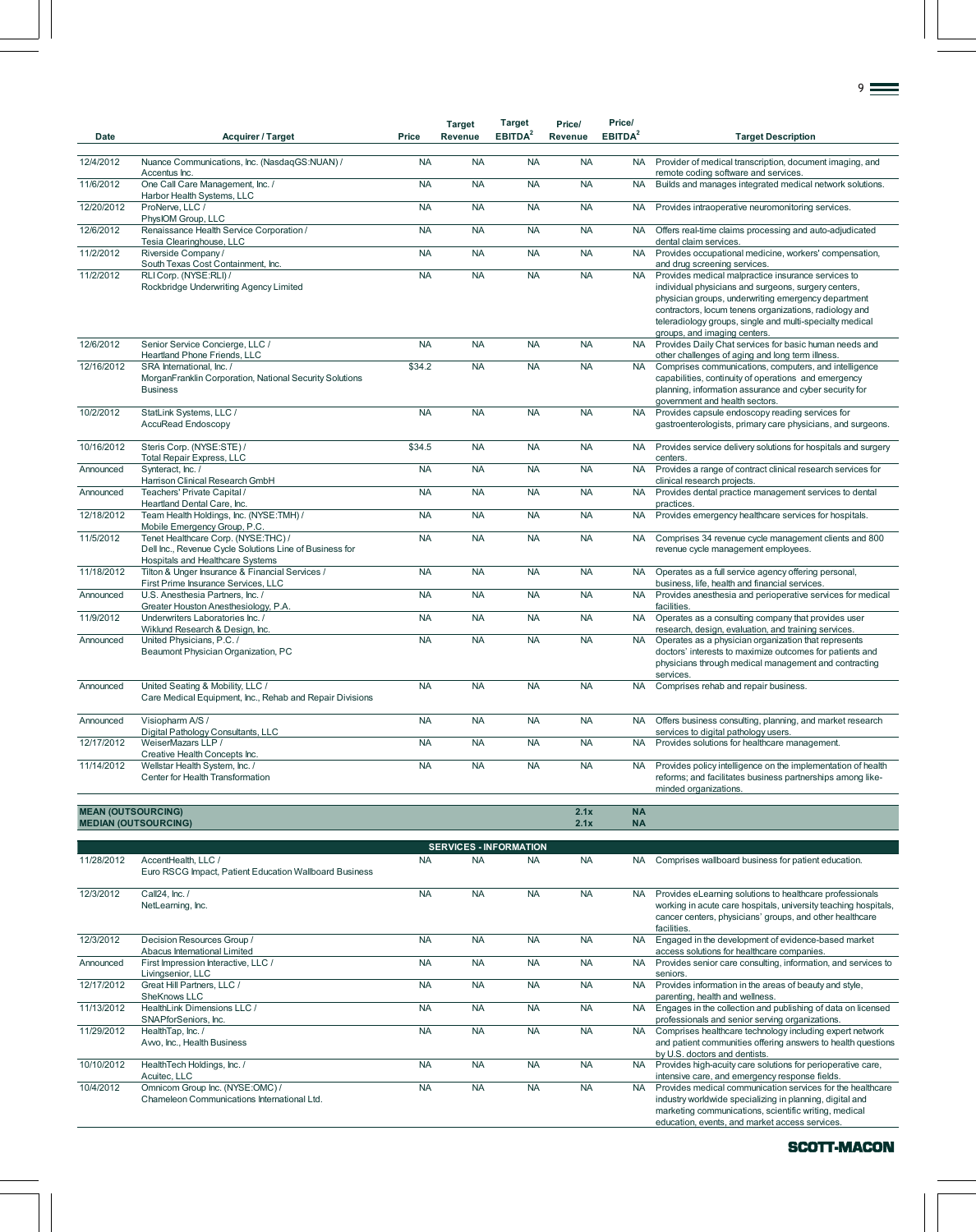| Date                      | <b>Acquirer / Target</b>                                                                                                           | Price     | <b>Target</b><br>Revenue | <b>Target</b><br>EBITDA <sup>2</sup> | Price/<br><b>Revenue</b> | Price/<br>EBITDA <sup>2</sup> | <b>Target Description</b>                                                                                                                                                                                                                                                                                               |
|---------------------------|------------------------------------------------------------------------------------------------------------------------------------|-----------|--------------------------|--------------------------------------|--------------------------|-------------------------------|-------------------------------------------------------------------------------------------------------------------------------------------------------------------------------------------------------------------------------------------------------------------------------------------------------------------------|
| 12/4/2012                 | Nuance Communications, Inc. (NasdaqGS:NUAN) /                                                                                      | <b>NA</b> | <b>NA</b>                | <b>NA</b>                            | <b>NA</b>                | <b>NA</b>                     | Provider of medical transcription, document imaging, and                                                                                                                                                                                                                                                                |
| 11/6/2012                 | Accentus Inc.<br>One Call Care Management, Inc. /<br>Harbor Health Systems, LLC                                                    | <b>NA</b> | <b>NA</b>                | <b>NA</b>                            | <b>NA</b>                | <b>NA</b>                     | remote coding software and services.<br>Builds and manages integrated medical network solutions.                                                                                                                                                                                                                        |
| 12/20/2012                | ProNerve, LLC /<br>PhysIOM Group, LLC                                                                                              | <b>NA</b> | <b>NA</b>                | <b>NA</b>                            | <b>NA</b>                | <b>NA</b>                     | Provides intraoperative neuromonitoring services.                                                                                                                                                                                                                                                                       |
| 12/6/2012                 | Renaissance Health Service Corporation /<br>Tesia Clearinghouse, LLC                                                               | <b>NA</b> | <b>NA</b>                | <b>NA</b>                            | <b>NA</b>                | <b>NA</b>                     | Offers real-time claims processing and auto-adjudicated<br>dental claim services.                                                                                                                                                                                                                                       |
| 11/2/2012                 | Riverside Company/<br>South Texas Cost Containment, Inc.                                                                           | <b>NA</b> | <b>NA</b>                | <b>NA</b>                            | <b>NA</b>                | <b>NA</b>                     | Provides occupational medicine, workers' compensation,<br>and drug screening services.                                                                                                                                                                                                                                  |
| 11/2/2012                 | RLI Corp. (NYSE:RLI) /<br>Rockbridge Underwriting Agency Limited                                                                   | <b>NA</b> | <b>NA</b>                | <b>NA</b>                            | <b>NA</b>                | <b>NA</b>                     | Provides medical malpractice insurance services to<br>individual physicians and surgeons, surgery centers,<br>physician groups, underwriting emergency department<br>contractors, locum tenens organizations, radiology and<br>teleradiology groups, single and multi-specialty medical<br>groups, and imaging centers. |
| 12/6/2012                 | Senior Service Concierge, LLC /<br>Heartland Phone Friends, LLC                                                                    | <b>NA</b> | <b>NA</b>                | <b>NA</b>                            | <b>NA</b>                | <b>NA</b>                     | Provides Daily Chat services for basic human needs and<br>other challenges of aging and long term illness.                                                                                                                                                                                                              |
| 12/16/2012                | SRA International, Inc. /<br>MorganFranklin Corporation, National Security Solutions<br><b>Business</b>                            | \$34.2    | <b>NA</b>                | <b>NA</b>                            | <b>NA</b>                | <b>NA</b>                     | Comprises communications, computers, and intelligence<br>capabilities, continuity of operations and emergency<br>planning, information assurance and cyber security for<br>government and health sectors.                                                                                                               |
| 10/2/2012                 | StatLink Systems, LLC /<br><b>AccuRead Endoscopy</b>                                                                               | <b>NA</b> | <b>NA</b>                | <b>NA</b>                            | <b>NA</b>                | <b>NA</b>                     | Provides capsule endoscopy reading services for<br>gastroenterologists, primary care physicians, and surgeons.                                                                                                                                                                                                          |
| 10/16/2012                | Steris Corp. (NYSE:STE) /<br><b>Total Repair Express, LLC</b>                                                                      | \$34.5    | <b>NA</b>                | <b>NA</b>                            | <b>NA</b>                | <b>NA</b>                     | Provides service delivery solutions for hospitals and surgery<br>centers.                                                                                                                                                                                                                                               |
| Announced                 | Synteract, Inc. /<br>Harrison Clinical Research GmbH                                                                               | <b>NA</b> | <b>NA</b>                | <b>NA</b>                            | <b>NA</b>                | <b>NA</b>                     | Provides a range of contract clinical research services for<br>clinical research projects.                                                                                                                                                                                                                              |
| Announced                 | Teachers' Private Capital /<br>Heartland Dental Care, Inc.                                                                         | <b>NA</b> | <b>NA</b>                | <b>NA</b>                            | <b>NA</b>                | <b>NA</b>                     | Provides dental practice management services to dental<br>practices.                                                                                                                                                                                                                                                    |
| 12/18/2012                | Team Health Holdings, Inc. (NYSE:TMH) /<br>Mobile Emergency Group, P.C                                                             | <b>NA</b> | <b>NA</b>                | <b>NA</b>                            | <b>NA</b>                | <b>NA</b>                     | Provides emergency healthcare services for hospitals.                                                                                                                                                                                                                                                                   |
| 11/5/2012                 | Tenet Healthcare Corp. (NYSE:THC) /<br>Dell Inc., Revenue Cycle Solutions Line of Business for<br>Hospitals and Healthcare Systems | <b>NA</b> | <b>NA</b>                | <b>NA</b>                            | <b>NA</b>                | <b>NA</b>                     | Comprises 34 revenue cycle management clients and 800<br>revenue cycle management employees.                                                                                                                                                                                                                            |
| 11/18/2012                | Tilton & Unger Insurance & Financial Services /<br>First Prime Insurance Services, LLC                                             | <b>NA</b> | <b>NA</b>                | <b>NA</b>                            | <b>NA</b>                | <b>NA</b>                     | Operates as a full service agency offering personal,<br>business, life, health and financial services.                                                                                                                                                                                                                  |
| Announced                 | U.S. Anesthesia Partners, Inc. /<br>Greater Houston Anesthesiology, P.A.                                                           | <b>NA</b> | <b>NA</b>                | <b>NA</b>                            | <b>NA</b>                | <b>NA</b>                     | Provides anesthesia and perioperative services for medical<br>facilities.                                                                                                                                                                                                                                               |
| 11/9/2012                 | Underwriters Laboratories Inc. /<br>Wiklund Research & Design, Inc.                                                                | <b>NA</b> | <b>NA</b>                | <b>NA</b>                            | <b>NA</b>                | <b>NA</b>                     | Operates as a consulting company that provides user<br>research, design, evaluation, and training services.                                                                                                                                                                                                             |
| Announced                 | United Physicians, P.C. /<br>Beaumont Physician Organization, PC                                                                   | <b>NA</b> | <b>NA</b>                | <b>NA</b>                            | <b>NA</b>                | <b>NA</b>                     | Operates as a physician organization that represents<br>doctors' interests to maximize outcomes for patients and<br>physicians through medical management and contracting<br>services.                                                                                                                                  |
| Announced                 | United Seating & Mobility, LLC /<br>Care Medical Equipment, Inc., Rehab and Repair Divisions                                       | <b>NA</b> | <b>NA</b>                | <b>NA</b>                            | <b>NA</b>                | <b>NA</b>                     | Comprises rehab and repair business.                                                                                                                                                                                                                                                                                    |
| Announced                 | Visiopharm A/S /<br>Digital Pathology Consultants, LLC                                                                             | <b>NA</b> | <b>NA</b>                | <b>NA</b>                            | <b>NA</b>                | <b>NA</b>                     | Offers business consulting, planning, and market research<br>services to digital pathology users.                                                                                                                                                                                                                       |
| 12/17/2012                | WeiserMazars LLP /<br>Creative Health Concepts Inc.                                                                                | <b>NA</b> | <b>NA</b>                | <b>NA</b>                            | <b>NA</b>                | <b>NA</b>                     | Provides solutions for healthcare management.                                                                                                                                                                                                                                                                           |
| 11/14/2012                | Wellstar Health System, Inc. /<br>Center for Health Transformation                                                                 | <b>NA</b> | <b>NA</b>                | <b>NA</b>                            | <b>NA</b>                | <b>NA</b>                     | Provides policy intelligence on the implementation of health<br>reforms; and facilitates business partnerships among like-<br>minded organizations.                                                                                                                                                                     |
| <b>MEAN (OUTSOURCING)</b> | <b>MEDIAN (OUTSOURCING)</b>                                                                                                        |           |                          |                                      | 2.1x<br>2.1x             | <b>NA</b><br><b>NA</b>        |                                                                                                                                                                                                                                                                                                                         |
|                           |                                                                                                                                    |           |                          | <b>SERVICES - INFORMATION</b>        |                          |                               |                                                                                                                                                                                                                                                                                                                         |
| 11/28/2012                | AccentHealth, LLC /<br>Euro RSCG Impact, Patient Education Wallboard Business                                                      | <b>NA</b> | <b>NA</b>                | <b>NA</b>                            | <b>NA</b>                | NA .                          | Comprises wallboard business for patient education.                                                                                                                                                                                                                                                                     |
| 12/3/2012                 | Call24, Inc. /<br>NetLearning, Inc.                                                                                                | <b>NA</b> | <b>NA</b>                | <b>NA</b>                            | <b>NA</b>                | <b>NA</b>                     | Provides eLearning solutions to healthcare professionals<br>working in acute care hospitals, university teaching hospitals,<br>cancer centers, physicians' groups, and other healthcare<br>facilities.                                                                                                                  |
| 12/3/2012                 | Decision Resources Group /<br>Abacus International Limited                                                                         | <b>NA</b> | <b>NA</b>                | <b>NA</b>                            | <b>NA</b>                | <b>NA</b>                     | Engaged in the development of evidence-based market<br>access solutions for healthcare companies.                                                                                                                                                                                                                       |
| Announced                 | First Impression Interactive, LLC /<br>Livingsenior, LLC                                                                           | <b>NA</b> | <b>NA</b>                | <b>NA</b>                            | <b>NA</b>                |                               | NA Provides senior care consulting, information, and services to<br>seniors.                                                                                                                                                                                                                                            |
| 12/17/2012                | Great Hill Partners, LLC /<br>SheKnows LLC                                                                                         | <b>NA</b> | <b>NA</b>                | <b>NA</b>                            | <b>NA</b>                | <b>NA</b>                     | Provides information in the areas of beauty and style,<br>parenting, health and wellness.                                                                                                                                                                                                                               |
| 11/13/2012                | HealthLink Dimensions LLC /<br>SNAPforSeniors, Inc.                                                                                | <b>NA</b> | <b>NA</b>                | <b>NA</b>                            | <b>NA</b>                | <b>NA</b>                     | Engages in the collection and publishing of data on licensed<br>professionals and senior serving organizations.                                                                                                                                                                                                         |

11/29/2012 HealthTap, Inc. / Avvo, Inc., Health Business

10/10/2012 HealthTech Holdings, Inc. / Acuitec, LLC 10/4/2012 Omnicom Group Inc. (NYSE:OMC) /

Chameleon Communications International Ltd.

9

SCOTT-MACON

industry worldwide specializing in planning, digital and marketing communications, scientific writing, medical education, events, and market access services.

NA NA NA NA NA Comprises healthcare technology including expert network<br>and patient communities offering answers to health questions<br>by U.S. doctors and dentists.

NA NA NA NA NA Provides high-acuity care solutions for perioperative care,<br>
MA NA NA NA NA NA Provides medical communication services for the healthcare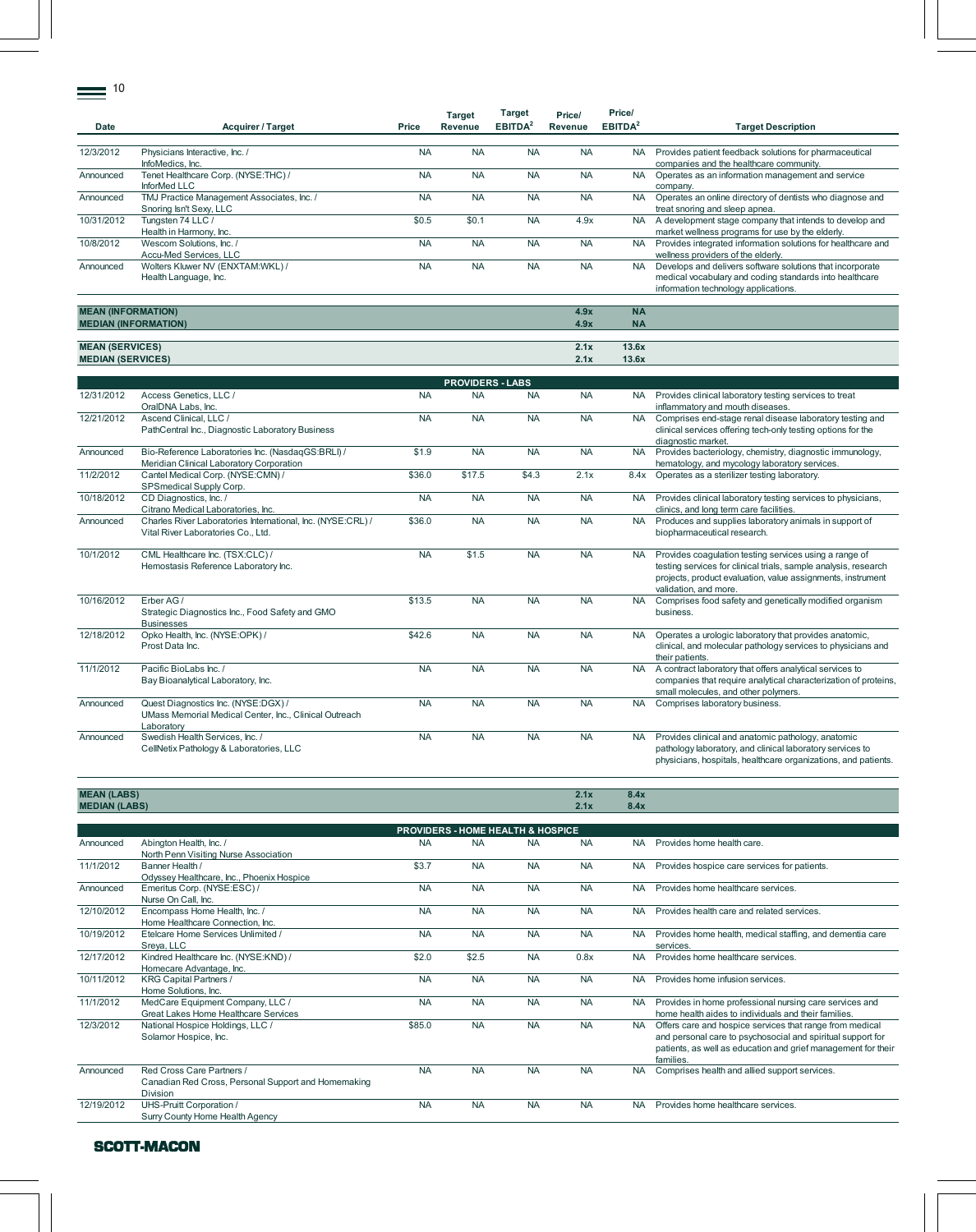$\equiv$  10

|                             |                                            |           | <b>Target</b> | Target                     | Price/    | Price/              |                                                              |
|-----------------------------|--------------------------------------------|-----------|---------------|----------------------------|-----------|---------------------|--------------------------------------------------------------|
| <b>Date</b>                 | <b>Acquirer / Target</b>                   | Price     | Revenue       | <b>EBITDA</b> <sup>2</sup> | Revenue   | EBITDA <sup>2</sup> | <b>Target Description</b>                                    |
|                             |                                            |           |               |                            |           |                     |                                                              |
| 12/3/2012                   | Physicians Interactive, Inc. /             | <b>NA</b> | <b>NA</b>     | <b>NA</b>                  | <b>NA</b> | <b>NA</b>           | Provides patient feedback solutions for pharmaceutical       |
|                             | InfoMedics, Inc.                           |           |               |                            |           |                     | companies and the healthcare community.                      |
| Announced                   | Tenet Healthcare Corp. (NYSE:THC) /        | <b>NA</b> | <b>NA</b>     | <b>NA</b>                  | <b>NA</b> | <b>NA</b>           | Operates as an information management and service            |
|                             | InforMed LLC                               |           |               |                            |           |                     | company.                                                     |
| Announced                   | TMJ Practice Management Associates, Inc. / | <b>NA</b> | <b>NA</b>     | <b>NA</b>                  | <b>NA</b> | <b>NA</b>           | Operates an online directory of dentists who diagnose and    |
|                             | Snoring Isn't Sexy, LLC                    |           |               |                            |           |                     | treat snoring and sleep apnea.                               |
| 10/31/2012                  | Tungsten 74 LLC /                          | \$0.5     | \$0.1         | <b>NA</b>                  | 4.9x      | <b>NA</b>           | A development stage company that intends to develop and      |
|                             | Health in Harmony, Inc.                    |           |               |                            |           |                     | market wellness programs for use by the elderly.             |
| 10/8/2012                   | Wescom Solutions, Inc. /                   | <b>NA</b> | <b>NA</b>     | <b>NA</b>                  | <b>NA</b> | <b>NA</b>           | Provides integrated information solutions for healthcare and |
|                             | Accu-Med Services, LLC                     |           |               |                            |           |                     | wellness providers of the elderly.                           |
| Announced                   | Wolters Kluwer NV (ENXTAM:WKL) /           | <b>NA</b> | <b>NA</b>     | <b>NA</b>                  | <b>NA</b> | <b>NA</b>           | Develops and delivers software solutions that incorporate    |
|                             | Health Language, Inc.                      |           |               |                            |           |                     | medical vocabulary and coding standards into healthcare      |
|                             |                                            |           |               |                            |           |                     | information technology applications.                         |
|                             |                                            |           |               |                            |           |                     |                                                              |
| <b>MEAN (INFORMATION)</b>   |                                            |           |               |                            | 4.9x      | <b>NA</b>           |                                                              |
| <b>MEDIAN (INFORMATION)</b> |                                            |           |               |                            | 4.9x      | <b>NA</b>           |                                                              |
|                             |                                            |           |               |                            |           |                     |                                                              |
| <b>MEAN (SERVICES)</b>      |                                            |           |               |                            | 2.1x      | 13.6x               |                                                              |

| <b>MEAN (INFORMATION)</b>             |            |            |            | 4.9x       | <b>NA</b> |                                                                                                                                                                                                                                   |  |  |  |
|---------------------------------------|------------|------------|------------|------------|-----------|-----------------------------------------------------------------------------------------------------------------------------------------------------------------------------------------------------------------------------------|--|--|--|
| <b>MEDIAN (INFORMATION)</b>           |            |            |            | 4.9x       | <b>NA</b> |                                                                                                                                                                                                                                   |  |  |  |
|                                       |            |            |            |            |           |                                                                                                                                                                                                                                   |  |  |  |
| <b>MEAN (SERVICES)</b>                |            |            |            | 2.1x       | 13.6x     |                                                                                                                                                                                                                                   |  |  |  |
| <b>MEDIAN (SERVICES)</b>              |            |            |            | 2.1x       | 13.6x     |                                                                                                                                                                                                                                   |  |  |  |
|                                       |            |            |            |            |           |                                                                                                                                                                                                                                   |  |  |  |
| <b>PROVIDERS - LABS</b>               |            |            |            |            |           |                                                                                                                                                                                                                                   |  |  |  |
| $A + 1 = 0$ $A + 1 = 0$<br>1010110010 | <b>ALA</b> | <b>AIA</b> | <b>AIA</b> | <b>ALA</b> |           | <b>ATA  Production of the contract of the contract of the contract of the state of the contract of the contract of the contract of the contract of the contract of the contract of the contract of the contract of the contra</b> |  |  |  |

|            |                                                                                                             |           | .         |           |           |           |                                                                                                                                                                                                                   |
|------------|-------------------------------------------------------------------------------------------------------------|-----------|-----------|-----------|-----------|-----------|-------------------------------------------------------------------------------------------------------------------------------------------------------------------------------------------------------------------|
| 12/31/2012 | Access Genetics, LLC /<br>OralDNA Labs, Inc.                                                                | <b>NA</b> | <b>NA</b> | <b>NA</b> | <b>NA</b> | <b>NA</b> | Provides clinical laboratory testing services to treat<br>inflammatory and mouth diseases.                                                                                                                        |
| 12/21/2012 | Ascend Clinical, LLC /<br>PathCentral Inc., Diagnostic Laboratory Business                                  | <b>NA</b> | <b>NA</b> | <b>NA</b> | <b>NA</b> | <b>NA</b> | Comprises end-stage renal disease laboratory testing and<br>clinical services offering tech-only testing options for the<br>diagnostic market.                                                                    |
| Announced  | Bio-Reference Laboratories Inc. (NasdaqGS:BRLI) /<br>Meridian Clinical Laboratory Corporation               | \$1.9     | <b>NA</b> | <b>NA</b> | <b>NA</b> | <b>NA</b> | Provides bacteriology, chemistry, diagnostic immunology,<br>hematology, and mycology laboratory services.                                                                                                         |
| 11/2/2012  | Cantel Medical Corp. (NYSE:CMN) /<br>SPSmedical Supply Corp.                                                | \$36.0    | \$17.5    | \$4.3     | 2.1x      | 8.4x      | Operates as a sterilizer testing laboratory.                                                                                                                                                                      |
| 10/18/2012 | CD Diagnostics, Inc. /<br>Citrano Medical Laboratories, Inc.                                                | <b>NA</b> | <b>NA</b> | <b>NA</b> | <b>NA</b> | <b>NA</b> | Provides clinical laboratory testing services to physicians,<br>clinics, and long term care facilities.                                                                                                           |
| Announced  | Charles River Laboratories International, Inc. (NYSE:CRL) /<br>Vital River Laboratories Co., Ltd.           | \$36.0    | <b>NA</b> | <b>NA</b> | <b>NA</b> | <b>NA</b> | Produces and supplies laboratory animals in support of<br>biopharmaceutical research.                                                                                                                             |
| 10/1/2012  | CML Healthcare Inc. (TSX:CLC) /<br>Hemostasis Reference Laboratory Inc.                                     | <b>NA</b> | \$1.5     | <b>NA</b> | <b>NA</b> | <b>NA</b> | Provides coagulation testing services using a range of<br>testing services for clinical trials, sample analysis, research<br>projects, product evaluation, value assignments, instrument<br>validation, and more. |
| 10/16/2012 | Erber AG /<br>Strategic Diagnostics Inc., Food Safety and GMO<br><b>Businesses</b>                          | \$13.5    | <b>NA</b> | <b>NA</b> | <b>NA</b> | <b>NA</b> | Comprises food safety and genetically modified organism<br>business.                                                                                                                                              |
| 12/18/2012 | Opko Health, Inc. (NYSE:OPK) /<br>Prost Data Inc.                                                           | \$42.6    | <b>NA</b> | <b>NA</b> | <b>NA</b> | <b>NA</b> | Operates a urologic laboratory that provides anatomic,<br>clinical, and molecular pathology services to physicians and<br>their patients.                                                                         |
| 11/1/2012  | Pacific BioLabs Inc. /<br>Bay Bioanalytical Laboratory, Inc.                                                | <b>NA</b> | <b>NA</b> | <b>NA</b> | <b>NA</b> | <b>NA</b> | A contract laboratory that offers analytical services to<br>companies that require analytical characterization of proteins,<br>small molecules, and other polymers.                                               |
| Announced  | Quest Diagnostics Inc. (NYSE:DGX) /<br>UMass Memorial Medical Center, Inc., Clinical Outreach<br>Laboratory | <b>NA</b> | <b>NA</b> | <b>NA</b> | <b>NA</b> | <b>NA</b> | Comprises laboratory business.                                                                                                                                                                                    |
| Announced  | Swedish Health Services, Inc. /<br>CellNetix Pathology & Laboratories, LLC                                  | <b>NA</b> | <b>NA</b> | <b>NA</b> | <b>NA</b> | <b>NA</b> | Provides clinical and anatomic pathology, anatomic<br>pathology laboratory, and clinical laboratory services to<br>physicians, hospitals, healthcare organizations, and patients.                                 |

| N (LABS) | 8.4x<br>2.1x                                                                                                                                                                |
|----------|-----------------------------------------------------------------------------------------------------------------------------------------------------------------------------|
|          | 8.4x<br>2.1X                                                                                                                                                                |
|          |                                                                                                                                                                             |
|          | $\mathcal{L}^{\text{max}}_{\text{max}}$ and $\mathcal{L}^{\text{max}}_{\text{max}}$ and $\mathcal{L}^{\text{max}}_{\text{max}}$ and $\mathcal{L}^{\text{max}}_{\text{max}}$ |

|            | <b>PROVIDERS - HOME HEALTH &amp; HOSPICE</b>                                                 |           |           |           |           |           |                                                                                                                                                                                                       |  |  |  |
|------------|----------------------------------------------------------------------------------------------|-----------|-----------|-----------|-----------|-----------|-------------------------------------------------------------------------------------------------------------------------------------------------------------------------------------------------------|--|--|--|
| Announced  | Abington Health, Inc. /<br>North Penn Visiting Nurse Association                             | <b>NA</b> | <b>NA</b> | <b>NA</b> | <b>NA</b> | <b>NA</b> | Provides home health care.                                                                                                                                                                            |  |  |  |
| 11/1/2012  | Banner Health /<br>Odyssey Healthcare, Inc., Phoenix Hospice                                 | \$3.7     | <b>NA</b> | <b>NA</b> | <b>NA</b> | <b>NA</b> | Provides hospice care services for patients.                                                                                                                                                          |  |  |  |
| Announced  | Emeritus Corp. (NYSE:ESC) /<br>Nurse On Call, Inc.                                           | <b>NA</b> | <b>NA</b> | <b>NA</b> | <b>NA</b> | <b>NA</b> | Provides home healthcare services.                                                                                                                                                                    |  |  |  |
| 12/10/2012 | Encompass Home Health, Inc. /<br>Home Healthcare Connection, Inc.                            | <b>NA</b> | <b>NA</b> | <b>NA</b> | <b>NA</b> | <b>NA</b> | Provides health care and related services.                                                                                                                                                            |  |  |  |
| 10/19/2012 | Etelcare Home Services Unlimited /<br>Sreya, LLC                                             | <b>NA</b> | <b>NA</b> | <b>NA</b> | <b>NA</b> | NA.       | Provides home health, medical staffing, and dementia care<br>services.                                                                                                                                |  |  |  |
| 12/17/2012 | Kindred Healthcare Inc. (NYSE:KND) /<br>Homecare Advantage, Inc.                             | \$2.0     | \$2.5     | <b>NA</b> | 0.8x      | <b>NA</b> | Provides home healthcare services.                                                                                                                                                                    |  |  |  |
| 10/11/2012 | <b>KRG Capital Partners /</b><br>Home Solutions, Inc.                                        | <b>NA</b> | <b>NA</b> | <b>NA</b> | <b>NA</b> | <b>NA</b> | Provides home infusion services.                                                                                                                                                                      |  |  |  |
| 11/1/2012  | MedCare Equipment Company, LLC /<br>Great Lakes Home Healthcare Services                     | <b>NA</b> | <b>NA</b> | <b>NA</b> | <b>NA</b> | NA.       | Provides in home professional nursing care services and<br>home health aides to individuals and their families.                                                                                       |  |  |  |
| 12/3/2012  | National Hospice Holdings, LLC /<br>Solamor Hospice, Inc.                                    | \$85.0    | <b>NA</b> | <b>NA</b> | <b>NA</b> | <b>NA</b> | Offers care and hospice services that range from medical<br>and personal care to psychosocial and spiritual support for<br>patients, as well as education and grief management for their<br>families. |  |  |  |
| Announced  | Red Cross Care Partners /<br>Canadian Red Cross, Personal Support and Homemaking<br>Division | <b>NA</b> | <b>NA</b> | <b>NA</b> | <b>NA</b> | <b>NA</b> | Comprises health and allied support services.                                                                                                                                                         |  |  |  |
| 12/19/2012 | UHS-Pruitt Corporation /<br>Surry County Home Health Agency                                  | <b>NA</b> | <b>NA</b> | <b>NA</b> | <b>NA</b> | <b>NA</b> | Provides home healthcare services.                                                                                                                                                                    |  |  |  |

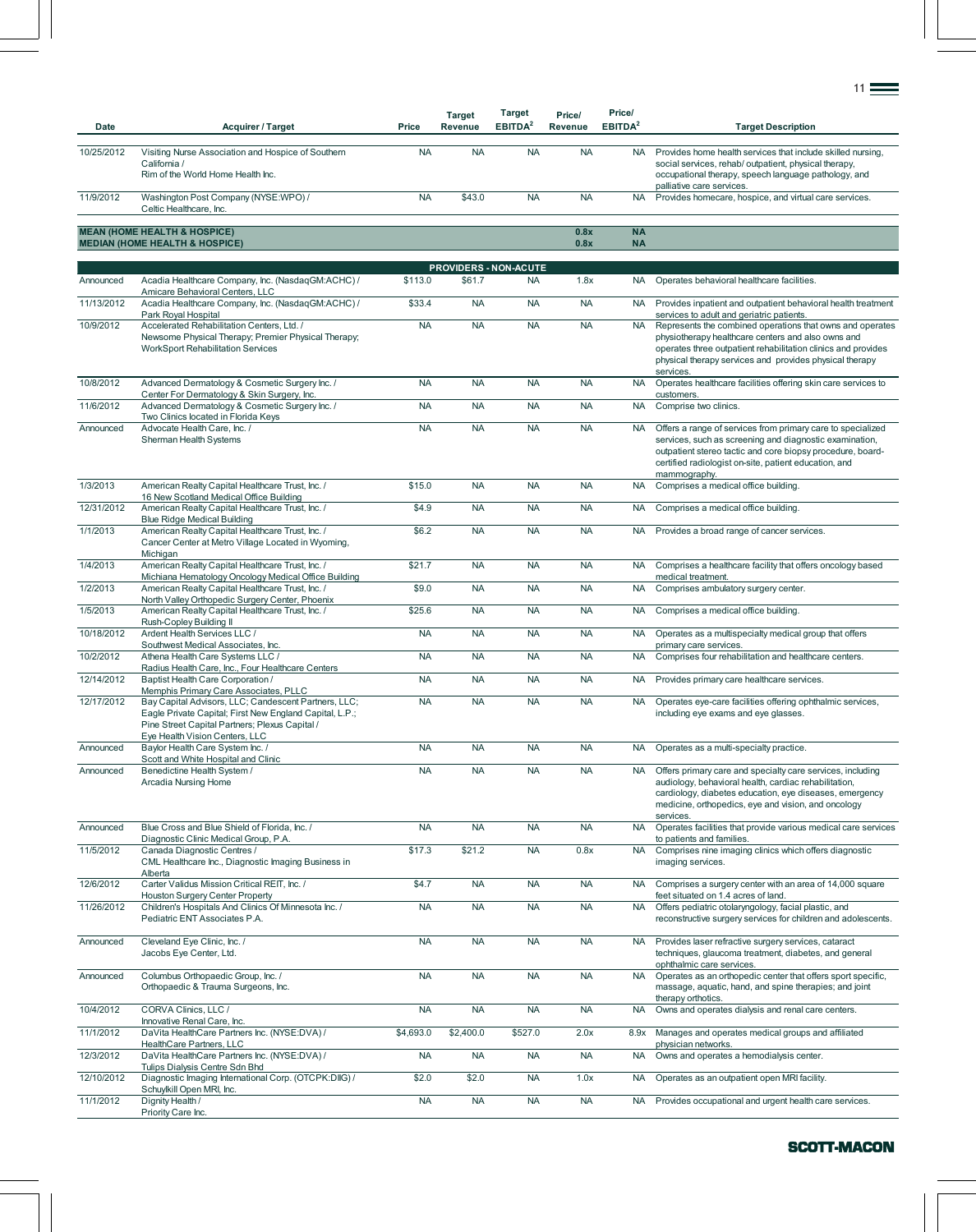| Date       | <b>Acquirer / Target</b>                                                                                                                                                                            | Price     | <b>Target</b><br>Revenue | Target<br>EBITDA <sup>2</sup>             | Price/<br>Revenue | Price/<br>EBITDA <sup>2</sup> | <b>Target Description</b>                                                                                                                                                                                                                                     |
|------------|-----------------------------------------------------------------------------------------------------------------------------------------------------------------------------------------------------|-----------|--------------------------|-------------------------------------------|-------------------|-------------------------------|---------------------------------------------------------------------------------------------------------------------------------------------------------------------------------------------------------------------------------------------------------------|
| 10/25/2012 | Visiting Nurse Association and Hospice of Southern<br>California /<br>Rim of the World Home Health Inc.                                                                                             | <b>NA</b> | <b>NA</b>                | <b>NA</b>                                 | <b>NA</b>         | <b>NA</b>                     | Provides home health services that include skilled nursing,<br>social services, rehab/outpatient, physical therapy,<br>occupational therapy, speech language pathology, and                                                                                   |
| 11/9/2012  | Washington Post Company (NYSE:WPO) /<br>Celtic Healthcare, Inc.                                                                                                                                     | <b>NA</b> | \$43.0                   | <b>NA</b>                                 | <b>NA</b>         | <b>NA</b>                     | palliative care services.<br>Provides homecare, hospice, and virtual care services.                                                                                                                                                                           |
|            | <b>MEAN (HOME HEALTH &amp; HOSPICE)</b><br><b>MEDIAN (HOME HEALTH &amp; HOSPICE)</b>                                                                                                                |           |                          |                                           | 0.8x<br>0.8x      | <b>NA</b><br><b>NA</b>        |                                                                                                                                                                                                                                                               |
|            |                                                                                                                                                                                                     |           |                          |                                           |                   |                               |                                                                                                                                                                                                                                                               |
| Announced  | Acadia Healthcare Company, Inc. (NasdaqGM:ACHC) /                                                                                                                                                   | \$113.0   | \$61.7                   | <b>PROVIDERS - NON-ACUTE</b><br><b>NA</b> | 1.8x              | <b>NA</b>                     | Operates behavioral healthcare facilities.                                                                                                                                                                                                                    |
| 11/13/2012 | Amicare Behavioral Centers, LLC<br>Acadia Healthcare Company, Inc. (NasdaqGM:ACHC) /                                                                                                                | \$33.4    | <b>NA</b>                | <b>NA</b>                                 | <b>NA</b>         | <b>NA</b>                     | Provides inpatient and outpatient behavioral health treatment                                                                                                                                                                                                 |
| 10/9/2012  | Park Royal Hospital<br>Accelerated Rehabilitation Centers, Ltd. /<br>Newsome Physical Therapy; Premier Physical Therapy;                                                                            | <b>NA</b> | <b>NA</b>                | <b>NA</b>                                 | <b>NA</b>         | <b>NA</b>                     | services to adult and geriatric patients.<br>Represents the combined operations that owns and operates<br>physiotherapy healthcare centers and also owns and                                                                                                  |
|            | <b>WorkSport Rehabilitation Services</b>                                                                                                                                                            |           |                          |                                           |                   |                               | operates three outpatient rehabilitation clinics and provides<br>physical therapy services and provides physical therapy<br>services.                                                                                                                         |
| 10/8/2012  | Advanced Dermatology & Cosmetic Surgery Inc. /<br>Center For Dermatology & Skin Surgery, Inc.                                                                                                       | <b>NA</b> | <b>NA</b>                | <b>NA</b>                                 | <b>NA</b>         | <b>NA</b>                     | Operates healthcare facilities offering skin care services to<br>customers.                                                                                                                                                                                   |
| 11/6/2012  | Advanced Dermatology & Cosmetic Surgery Inc. /<br>Two Clinics located in Florida Keys                                                                                                               | <b>NA</b> | <b>NA</b>                | <b>NA</b>                                 | <b>NA</b>         | <b>NA</b>                     | Comprise two clinics.                                                                                                                                                                                                                                         |
| Announced  | Advocate Health Care, Inc. /<br>Sherman Health Systems                                                                                                                                              | <b>NA</b> | <b>NA</b>                | <b>NA</b>                                 | <b>NA</b>         | <b>NA</b>                     | Offers a range of services from primary care to specialized<br>services, such as screening and diagnostic examination,<br>outpatient stereo tactic and core biopsy procedure, board-<br>certified radiologist on-site, patient education, and<br>mammography. |
| 1/3/2013   | American Realty Capital Healthcare Trust, Inc. /<br>16 New Scotland Medical Office Building                                                                                                         | \$15.0    | <b>NA</b>                | <b>NA</b>                                 | <b>NA</b>         | <b>NA</b>                     | Comprises a medical office building.                                                                                                                                                                                                                          |
| 12/31/2012 | American Realty Capital Healthcare Trust, Inc. /<br><b>Blue Ridge Medical Building</b>                                                                                                              | \$4.9     | <b>NA</b>                | <b>NA</b>                                 | <b>NA</b>         | <b>NA</b>                     | Comprises a medical office building.                                                                                                                                                                                                                          |
| 1/1/2013   | American Realty Capital Healthcare Trust, Inc. /<br>Cancer Center at Metro Village Located in Wyoming,<br>Michigan                                                                                  | \$6.2     | <b>NA</b>                | <b>NA</b>                                 | <b>NA</b>         | <b>NA</b>                     | Provides a broad range of cancer services.                                                                                                                                                                                                                    |
| 1/4/2013   | American Realty Capital Healthcare Trust, Inc. /                                                                                                                                                    | \$21.7    | <b>NA</b>                | <b>NA</b>                                 | <b>NA</b>         | <b>NA</b>                     | Comprises a healthcare facility that offers oncology based                                                                                                                                                                                                    |
| 1/2/2013   | Michiana Hematology Oncology Medical Office Building<br>American Realty Capital Healthcare Trust, Inc. /<br>North Valley Orthopedic Surgery Center, Phoenix                                         | \$9.0     | <b>NA</b>                | <b>NA</b>                                 | <b>NA</b>         | <b>NA</b>                     | medical treatment.<br>Comprises ambulatory surgery center.                                                                                                                                                                                                    |
| 1/5/2013   | American Realty Capital Healthcare Trust, Inc. /<br>Rush-Copley Building II                                                                                                                         | \$25.6    | <b>NA</b>                | <b>NA</b>                                 | <b>NA</b>         | <b>NA</b>                     | Comprises a medical office building.                                                                                                                                                                                                                          |
| 10/18/2012 | Ardent Health Services LLC /<br>Southwest Medical Associates, Inc.                                                                                                                                  | <b>NA</b> | <b>NA</b>                | <b>NA</b>                                 | <b>NA</b>         | <b>NA</b>                     | Operates as a multispecialty medical group that offers<br>primary care services.                                                                                                                                                                              |
| 10/2/2012  | Athena Health Care Systems LLC /<br>Radius Health Care, Inc., Four Healthcare Centers                                                                                                               | <b>NA</b> | <b>NA</b>                | <b>NA</b>                                 | <b>NA</b>         | <b>NA</b>                     | Comprises four rehabilitation and healthcare centers.                                                                                                                                                                                                         |
| 12/14/2012 | Baptist Health Care Corporation /<br>Memphis Primary Care Associates, PLLC                                                                                                                          | <b>NA</b> | <b>NA</b>                | <b>NA</b>                                 | <b>NA</b>         | NA.                           | Provides primary care healthcare services.                                                                                                                                                                                                                    |
| 12/17/2012 | Bay Capital Advisors, LLC; Candescent Partners, LLC;<br>Eagle Private Capital; First New England Capital, L.P.;<br>Pine Street Capital Partners; Plexus Capital /<br>Eye Health Vision Centers, LLC | <b>NA</b> | <b>NA</b>                | <b>NA</b>                                 | <b>NA</b>         | <b>NA</b>                     | Operates eye-care facilities offering ophthalmic services,<br>including eye exams and eye glasses.                                                                                                                                                            |
| Announced  | Baylor Health Care System Inc. /<br>Scott and White Hospital and Clinic                                                                                                                             | <b>NA</b> | <b>NA</b>                | <b>NA</b>                                 | <b>NA</b>         | NA                            | Operates as a multi-specialty practice.                                                                                                                                                                                                                       |
| Announced  | Benedictine Health System /<br>Arcadia Nursing Home                                                                                                                                                 | <b>NA</b> | <b>NA</b>                | <b>NA</b>                                 | <b>NA</b>         | <b>NA</b>                     | Offers primary care and specialty care services, including<br>audiology, behavioral health, cardiac rehabilitation,<br>cardiology, diabetes education, eye diseases, emergency<br>medicine, orthopedics, eye and vision, and oncology<br>services.            |
| Announced  | Blue Cross and Blue Shield of Florida, Inc. /<br>Diagnostic Clinic Medical Group, P.A.                                                                                                              | <b>NA</b> | <b>NA</b>                | <b>NA</b>                                 | <b>NA</b>         | <b>NA</b>                     | Operates facilities that provide various medical care services<br>to patients and families.                                                                                                                                                                   |
| 11/5/2012  | Canada Diagnostic Centres /<br>CML Healthcare Inc., Diagnostic Imaging Business in<br>Alberta                                                                                                       | \$17.3    | \$21.2                   | <b>NA</b>                                 | 0.8x              | <b>NA</b>                     | Comprises nine imaging clinics which offers diagnostic<br>imaging services.                                                                                                                                                                                   |
| 12/6/2012  | Carter Validus Mission Critical REIT, Inc. /<br><b>Houston Surgery Center Property</b>                                                                                                              | \$4.7     | <b>NA</b>                | <b>NA</b>                                 | <b>NA</b>         | <b>NA</b>                     | Comprises a surgery center with an area of 14,000 square<br>feet situated on 1.4 acres of land.                                                                                                                                                               |
| 11/26/2012 | Children's Hospitals And Clinics Of Minnesota Inc. /<br>Pediatric ENT Associates P.A.                                                                                                               | <b>NA</b> | <b>NA</b>                | <b>NA</b>                                 | <b>NA</b>         | <b>NA</b>                     | Offers pediatric otolaryngology, facial plastic, and<br>reconstructive surgery services for children and adolescents.                                                                                                                                         |
| Announced  | Cleveland Eye Clinic, Inc. /<br>Jacobs Eye Center, Ltd.                                                                                                                                             | <b>NA</b> | <b>NA</b>                | <b>NA</b>                                 | <b>NA</b>         | <b>NA</b>                     | Provides laser refractive surgery services, cataract<br>techniques, glaucoma treatment, diabetes, and general<br>ophthalmic care services.                                                                                                                    |
| Announced  | Columbus Orthopaedic Group, Inc. /<br>Orthopaedic & Trauma Surgeons, Inc.                                                                                                                           | <b>NA</b> | <b>NA</b>                | <b>NA</b>                                 | <b>NA</b>         | <b>NA</b>                     | Operates as an orthopedic center that offers sport specific,<br>massage, aquatic, hand, and spine therapies; and joint<br>therapy orthotics.                                                                                                                  |
| 10/4/2012  | CORVA Clinics, LLC /<br>Innovative Renal Care, Inc.                                                                                                                                                 | <b>NA</b> | <b>NA</b>                | <b>NA</b>                                 | <b>NA</b>         | <b>NA</b>                     | Owns and operates dialysis and renal care centers.                                                                                                                                                                                                            |
| 11/1/2012  | DaVita HealthCare Partners Inc. (NYSE:DVA) /<br>HealthCare Partners, LLC                                                                                                                            | \$4,693.0 | \$2,400.0                | \$527.0                                   | 2.0x              | 8.9x                          | Manages and operates medical groups and affiliated<br>physician networks.                                                                                                                                                                                     |
| 12/3/2012  | DaVita HealthCare Partners Inc. (NYSE:DVA) /<br>Tulips Dialysis Centre Sdn Bhd                                                                                                                      | <b>NA</b> | <b>NA</b>                | <b>NA</b>                                 | <b>NA</b>         | <b>NA</b>                     | Owns and operates a hemodialysis center.                                                                                                                                                                                                                      |
| 12/10/2012 | Diagnostic Imaging International Corp. (OTCPK:DIIG) /<br>Schuylkill Open MRI, Inc.                                                                                                                  | \$2.0     | \$2.0                    | <b>NA</b>                                 | 1.0x              | NA.                           | Operates as an outpatient open MRI facility.                                                                                                                                                                                                                  |
| 11/1/2012  | Dignity Health /<br>Priority Care Inc.                                                                                                                                                              | <b>NA</b> | <b>NA</b>                | <b>NA</b>                                 | <b>NA</b>         | NA.                           | Provides occupational and urgent health care services.                                                                                                                                                                                                        |

the contract of the contract of the contract of the contract of the contract of the contract of the contract o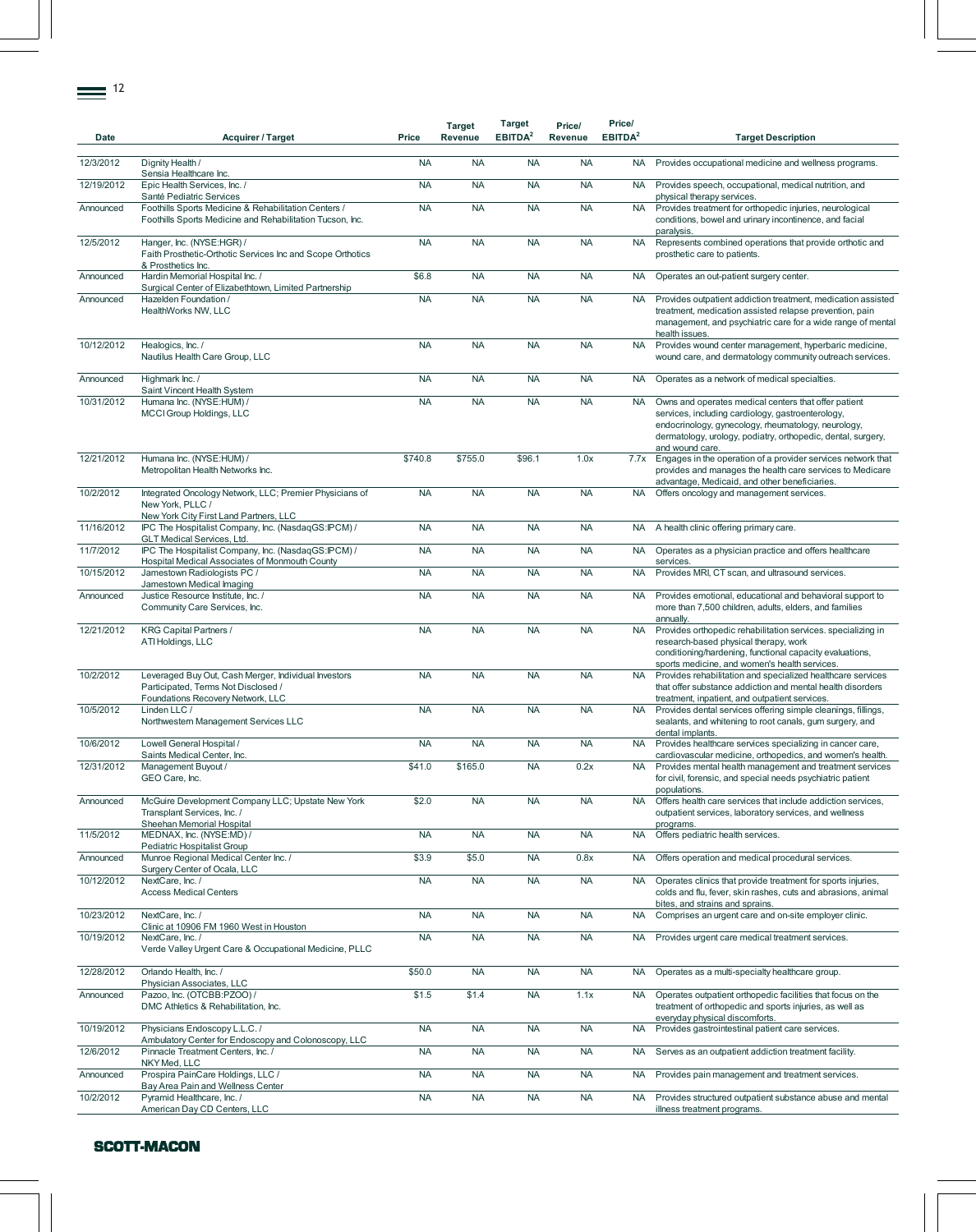| Date       | <b>Acquirer / Target</b>                                                                                                         | Price     | <b>Target</b><br>Revenue | Target<br>EBITDA <sup>2</sup> | Price/<br>Revenue | Price/<br>EBITDA <sup>2</sup> | <b>Target Description</b>                                                                                                                                                                                                                           |
|------------|----------------------------------------------------------------------------------------------------------------------------------|-----------|--------------------------|-------------------------------|-------------------|-------------------------------|-----------------------------------------------------------------------------------------------------------------------------------------------------------------------------------------------------------------------------------------------------|
| 12/3/2012  | Dignity Health /<br>Sensia Healthcare Inc.                                                                                       | <b>NA</b> | <b>NA</b>                | <b>NA</b>                     | <b>NA</b>         | NA.                           | Provides occupational medicine and wellness programs.                                                                                                                                                                                               |
| 12/19/2012 | Epic Health Services, Inc. /<br>Santé Pediatric Services                                                                         | <b>NA</b> | <b>NA</b>                | <b>NA</b>                     | <b>NA</b>         | <b>NA</b>                     | Provides speech, occupational, medical nutrition, and<br>physical therapy services.                                                                                                                                                                 |
| Announced  | Foothills Sports Medicine & Rehabilitation Centers /<br>Foothills Sports Medicine and Rehabilitation Tucson, Inc.                | <b>NA</b> | <b>NA</b>                | <b>NA</b>                     | <b>NA</b>         | <b>NA</b>                     | Provides treatment for orthopedic injuries, neurological<br>conditions, bowel and urinary incontinence, and facial<br>paralysis.                                                                                                                    |
| 12/5/2012  | Hanger, Inc. (NYSE:HGR) /<br>Faith Prosthetic-Orthotic Services Inc and Scope Orthotics<br>& Prosthetics Inc.                    | <b>NA</b> | <b>NA</b>                | <b>NA</b>                     | <b>NA</b>         | <b>NA</b>                     | Represents combined operations that provide orthotic and<br>prosthetic care to patients.                                                                                                                                                            |
| Announced  | Hardin Memorial Hospital Inc. /<br>Surgical Center of Elizabethtown, Limited Partnership                                         | \$6.8     | <b>NA</b>                | <b>NA</b>                     | <b>NA</b>         | <b>NA</b>                     | Operates an out-patient surgery center.                                                                                                                                                                                                             |
| Announced  | Hazelden Foundation /<br>HealthWorks NW, LLC                                                                                     | <b>NA</b> | <b>NA</b>                | <b>NA</b>                     | <b>NA</b>         | <b>NA</b>                     | Provides outpatient addiction treatment, medication assisted<br>treatment, medication assisted relapse prevention, pain<br>management, and psychiatric care for a wide range of mental<br>health issues.                                            |
| 10/12/2012 | Healogics, Inc. /<br>Nautilus Health Care Group, LLC                                                                             | <b>NA</b> | <b>NA</b>                | <b>NA</b>                     | <b>NA</b>         | <b>NA</b>                     | Provides wound center management, hyperbaric medicine,<br>wound care, and dermatology community outreach services.                                                                                                                                  |
| Announced  | Highmark Inc. /<br>Saint Vincent Health System                                                                                   | <b>NA</b> | <b>NA</b>                | <b>NA</b>                     | <b>NA</b>         | <b>NA</b>                     | Operates as a network of medical specialties.                                                                                                                                                                                                       |
| 10/31/2012 | Humana Inc. (NYSE:HUM) /<br>MCCI Group Holdings, LLC                                                                             | <b>NA</b> | <b>NA</b>                | <b>NA</b>                     | <b>NA</b>         | <b>NA</b>                     | Owns and operates medical centers that offer patient<br>services, including cardiology, gastroenterology,<br>endocrinology, gynecology, rheumatology, neurology,<br>dermatology, urology, podiatry, orthopedic, dental, surgery,<br>and wound care. |
| 12/21/2012 | Humana Inc. (NYSE:HUM) /<br>Metropolitan Health Networks Inc.                                                                    | \$740.8   | \$755.0                  | \$96.1                        | 1.0x              | 7.7x                          | Engages in the operation of a provider services network that<br>provides and manages the health care services to Medicare<br>advantage, Medicaid, and other beneficiaries.                                                                          |
| 10/2/2012  | Integrated Oncology Network, LLC; Premier Physicians of<br>New York, PLLC /<br>New York City First Land Partners, LLC            | <b>NA</b> | <b>NA</b>                | <b>NA</b>                     | <b>NA</b>         | <b>NA</b>                     | Offers oncology and management services.                                                                                                                                                                                                            |
| 11/16/2012 | IPC The Hospitalist Company, Inc. (NasdaqGS:IPCM) /<br>GLT Medical Services, Ltd.                                                | <b>NA</b> | <b>NA</b>                | <b>NA</b>                     | <b>NA</b>         | NA                            | A health clinic offering primary care.                                                                                                                                                                                                              |
| 11/7/2012  | IPC The Hospitalist Company, Inc. (NasdaqGS:IPCM) /<br>Hospital Medical Associates of Monmouth County                            | <b>NA</b> | <b>NA</b>                | <b>NA</b>                     | <b>NA</b>         | <b>NA</b>                     | Operates as a physician practice and offers healthcare<br>services.                                                                                                                                                                                 |
| 10/15/2012 | Jamestown Radiologists PC /<br>Jamestown Medical Imaging                                                                         | <b>NA</b> | <b>NA</b>                | <b>NA</b>                     | <b>NA</b>         | <b>NA</b>                     | Provides MRI, CT scan, and ultrasound services.                                                                                                                                                                                                     |
| Announced  | Justice Resource Institute, Inc. /<br>Community Care Services, Inc.                                                              | <b>NA</b> | <b>NA</b>                | <b>NA</b>                     | <b>NA</b>         | <b>NA</b>                     | Provides emotional, educational and behavioral support to<br>more than 7,500 children, adults, elders, and families<br>annually.                                                                                                                    |
| 12/21/2012 | <b>KRG Capital Partners /</b><br>ATI Holdings, LLC                                                                               | <b>NA</b> | <b>NA</b>                | <b>NA</b>                     | <b>NA</b>         | <b>NA</b>                     | Provides orthopedic rehabilitation services. specializing in<br>research-based physical therapy, work<br>conditioning/hardening, functional capacity evaluations,<br>sports medicine, and women's health services.                                  |
| 10/2/2012  | Leveraged Buy Out, Cash Merger, Individual Investors<br>Participated, Terms Not Disclosed /<br>Foundations Recovery Network, LLC | <b>NA</b> | <b>NA</b>                | <b>NA</b>                     | <b>NA</b>         | <b>NA</b>                     | Provides rehabilitation and specialized healthcare services<br>that offer substance addiction and mental health disorders<br>treatment, inpatient, and outpatient services.                                                                         |
| 10/5/2012  | Linden LLC /<br>Northwestern Management Services LLC                                                                             | <b>NA</b> | <b>NA</b>                | <b>NA</b>                     | <b>NA</b>         | <b>NA</b>                     | Provides dental services offering simple cleanings, fillings,<br>sealants, and whitening to root canals, gum surgery, and<br>dental implants.                                                                                                       |
| 10/6/2012  | Lowell General Hospital /<br>Saints Medical Center, Inc.                                                                         | <b>NA</b> | <b>NA</b>                | <b>NA</b>                     | <b>NA</b>         | <b>NA</b>                     | Provides healthcare services specializing in cancer care,<br>cardiovascular medicine, orthopedics, and women's health.                                                                                                                              |
| 12/31/2012 | Management Buyout /<br>GEO Care, Inc.                                                                                            | \$41.0    | \$165.0                  | <b>NA</b>                     | 0.2x              | NA.                           | Provides mental health management and treatment services<br>for civil, forensic, and special needs psychiatric patient<br>populations.                                                                                                              |
| Announced  | McGuire Development Company LLC; Upstate New York<br>Transplant Services, Inc. /<br>Sheehan Memorial Hospital                    | \$2.0     | <b>NA</b>                | <b>NA</b>                     | <b>NA</b>         | <b>NA</b>                     | Offers health care services that include addiction services,<br>outpatient services, laboratory services, and wellness<br>programs.                                                                                                                 |
| 11/5/2012  | MEDNAX, Inc. (NYSE:MD) /<br>Pediatric Hospitalist Group                                                                          | <b>NA</b> | <b>NA</b>                | <b>NA</b>                     | <b>NA</b>         | <b>NA</b>                     | Offers pediatric health services.                                                                                                                                                                                                                   |
| Announced  | Munroe Regional Medical Center Inc. /<br>Surgery Center of Ocala, LLC                                                            | \$3.9     | \$5.0                    | <b>NA</b>                     | 0.8x              | <b>NA</b>                     | Offers operation and medical procedural services.                                                                                                                                                                                                   |
| 10/12/2012 | NextCare, Inc. /<br><b>Access Medical Centers</b>                                                                                | <b>NA</b> | <b>NA</b>                | <b>NA</b>                     | <b>NA</b>         | <b>NA</b>                     | Operates clinics that provide treatment for sports injuries,<br>colds and flu, fever, skin rashes, cuts and abrasions, animal<br>bites, and strains and sprains.                                                                                    |
| 10/23/2012 | NextCare, Inc. /<br>Clinic at 10906 FM 1960 West in Houston                                                                      | <b>NA</b> | <b>NA</b>                | <b>NA</b>                     | <b>NA</b>         | <b>NA</b>                     | Comprises an urgent care and on-site employer clinic.                                                                                                                                                                                               |
| 10/19/2012 | NextCare, Inc. /<br>Verde Valley Urgent Care & Occupational Medicine, PLLC                                                       | <b>NA</b> | <b>NA</b>                | <b>NA</b>                     | <b>NA</b>         | <b>NA</b>                     | Provides urgent care medical treatment services.                                                                                                                                                                                                    |
| 12/28/2012 | Orlando Health, Inc. /<br>Physician Associates, LLC                                                                              | \$50.0    | <b>NA</b>                | <b>NA</b>                     | <b>NA</b>         | <b>NA</b>                     | Operates as a multi-specialty healthcare group.                                                                                                                                                                                                     |
| Announced  | Pazoo, Inc. (OTCBB:PZOO) /<br>DMC Athletics & Rehabilitation, Inc.                                                               | \$1.5     | \$1.4                    | <b>NA</b>                     | 1.1x              | <b>NA</b>                     | Operates outpatient orthopedic facilities that focus on the<br>treatment of orthopedic and sports injuries, as well as<br>everyday physical discomforts.                                                                                            |
| 10/19/2012 | Physicians Endoscopy L.L.C./<br>Ambulatory Center for Endoscopy and Colonoscopy, LLC                                             | <b>NA</b> | <b>NA</b>                | <b>NA</b>                     | <b>NA</b>         | <b>NA</b>                     | Provides gastrointestinal patient care services.                                                                                                                                                                                                    |
| 12/6/2012  | Pinnacle Treatment Centers, Inc. /<br>NKY Med, LLC                                                                               | <b>NA</b> | <b>NA</b>                | <b>NA</b>                     | <b>NA</b>         | <b>NA</b>                     | Serves as an outpatient addiction treatment facility.                                                                                                                                                                                               |
| Announced  | Prospira PainCare Holdings, LLC /<br>Bay Area Pain and Wellness Center                                                           | <b>NA</b> | <b>NA</b>                | <b>NA</b>                     | <b>NA</b>         | <b>NA</b>                     | Provides pain management and treatment services.                                                                                                                                                                                                    |
| 10/2/2012  | Pyramid Healthcare, Inc. /<br>American Day CD Centers, LLC                                                                       | <b>NA</b> | <b>NA</b>                | <b>NA</b>                     | <b>NA</b>         | <b>NA</b>                     | Provides structured outpatient substance abuse and mental<br>illness treatment programs.                                                                                                                                                            |
|            |                                                                                                                                  |           |                          |                               |                   |                               |                                                                                                                                                                                                                                                     |

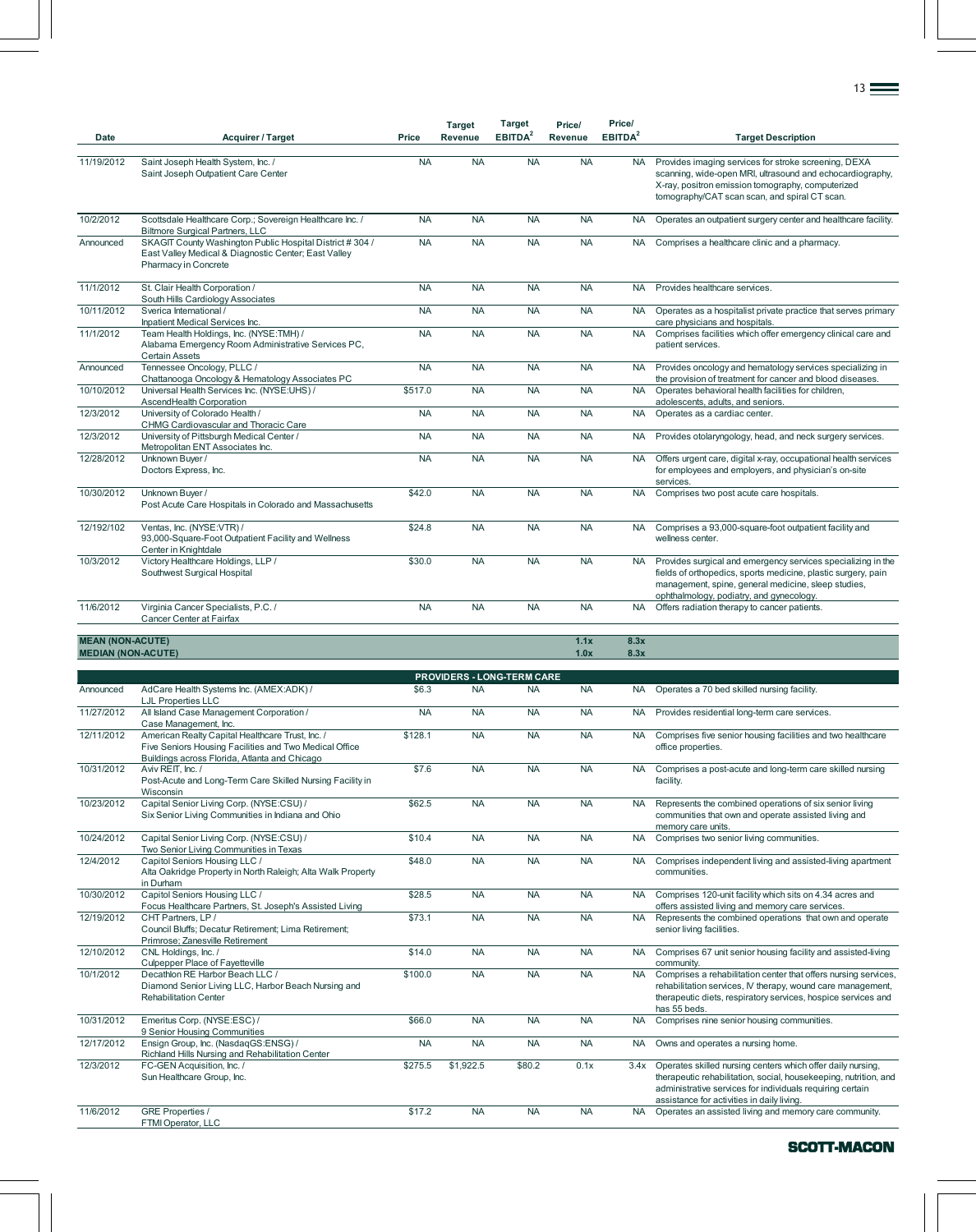| Date                                                 | <b>Acquirer / Target</b>                                                                                                                                                           | Price     | <b>Target</b><br>Revenue | Target<br>EBITDA <sup>2</sup>     | Price/<br>Revenue | Price/<br>EBITDA <sup>2</sup> | <b>Target Description</b>                                                                                                                                                                                                        |
|------------------------------------------------------|------------------------------------------------------------------------------------------------------------------------------------------------------------------------------------|-----------|--------------------------|-----------------------------------|-------------------|-------------------------------|----------------------------------------------------------------------------------------------------------------------------------------------------------------------------------------------------------------------------------|
| 11/19/2012                                           | Saint Joseph Health System, Inc. /<br>Saint Joseph Outpatient Care Center                                                                                                          | <b>NA</b> | <b>NA</b>                | <b>NA</b>                         | <b>NA</b>         | <b>NA</b>                     | Provides imaging services for stroke screening, DEXA<br>scanning, wide-open MRI, ultrasound and echocardiography,<br>X-ray, positron emission tomography, computerized<br>tomography/CAT scan scan, and spiral CT scan.          |
| 10/2/2012                                            | Scottsdale Healthcare Corp.; Sovereign Healthcare Inc. /                                                                                                                           | <b>NA</b> | <b>NA</b>                | <b>NA</b>                         | <b>NA</b>         | <b>NA</b>                     | Operates an outpatient surgery center and healthcare facility.                                                                                                                                                                   |
| Announced                                            | <b>Biltmore Surgical Partners, LLC</b><br>SKAGIT County Washington Public Hospital District #304 /<br>East Valley Medical & Diagnostic Center; East Valley<br>Pharmacy in Concrete | <b>NA</b> | <b>NA</b>                | <b>NA</b>                         | <b>NA</b>         | NA.                           | Comprises a healthcare clinic and a pharmacy.                                                                                                                                                                                    |
| 11/1/2012                                            | St. Clair Health Corporation /<br>South Hills Cardiology Associates                                                                                                                | <b>NA</b> | <b>NA</b>                | <b>NA</b>                         | <b>NA</b>         | <b>NA</b>                     | Provides healthcare services.                                                                                                                                                                                                    |
| 10/11/2012                                           | Sverica International /<br>Inpatient Medical Services Inc.                                                                                                                         | <b>NA</b> | <b>NA</b>                | <b>NA</b>                         | <b>NA</b>         | <b>NA</b>                     | Operates as a hospitalist private practice that serves primary<br>care physicians and hospitals.                                                                                                                                 |
| 11/1/2012                                            | Team Health Holdings, Inc. (NYSE:TMH) /<br>Alabama Emergency Room Administrative Services PC,<br><b>Certain Assets</b>                                                             | <b>NA</b> | <b>NA</b>                | <b>NA</b>                         | <b>NA</b>         |                               | NA Comprises facilities which offer emergency clinical care and<br>patient services.                                                                                                                                             |
| Announced                                            | Tennessee Oncology, PLLC /<br>Chattanooga Oncology & Hematology Associates PC                                                                                                      | <b>NA</b> | <b>NA</b>                | <b>NA</b>                         | <b>NA</b>         | <b>NA</b>                     | Provides oncology and hematology services specializing in<br>the provision of treatment for cancer and blood diseases.                                                                                                           |
| 10/10/2012                                           | Universal Health Services Inc. (NYSE:UHS) /<br>AscendHealth Corporation                                                                                                            | \$517.0   | <b>NA</b>                | <b>NA</b>                         | <b>NA</b>         | <b>NA</b>                     | Operates behavioral health facilities for children,<br>adolescents, adults, and seniors.                                                                                                                                         |
| 12/3/2012                                            | University of Colorado Health /<br>CHMG Cardiovascular and Thoracic Care                                                                                                           | <b>NA</b> | <b>NA</b>                | <b>NA</b>                         | <b>NA</b>         | <b>NA</b>                     | Operates as a cardiac center.                                                                                                                                                                                                    |
| 12/3/2012                                            | University of Pittsburgh Medical Center /<br>Metropolitan ENT Associates Inc.                                                                                                      | <b>NA</b> | <b>NA</b>                | <b>NA</b>                         | <b>NA</b>         | NA.                           | Provides otolaryngology, head, and neck surgery services.                                                                                                                                                                        |
| 12/28/2012                                           | Unknown Buyer /<br>Doctors Express, Inc.                                                                                                                                           | <b>NA</b> | <b>NA</b>                | <b>NA</b>                         | <b>NA</b>         | NA.                           | Offers urgent care, digital x-ray, occupational health services<br>for employees and employers, and physician's on-site<br>services.                                                                                             |
| 10/30/2012                                           | Unknown Buyer /<br>Post Acute Care Hospitals in Colorado and Massachusetts                                                                                                         | \$42.0    | <b>NA</b>                | <b>NA</b>                         | <b>NA</b>         | <b>NA</b>                     | Comprises two post acute care hospitals.                                                                                                                                                                                         |
| 12/192/102                                           | Ventas, Inc. (NYSE:VTR) /<br>93,000-Square-Foot Outpatient Facility and Wellness<br>Center in Knightdale                                                                           | \$24.8    | <b>NA</b>                | <b>NA</b>                         | <b>NA</b>         | NA .                          | Comprises a 93,000-square-foot outpatient facility and<br>wellness center.                                                                                                                                                       |
| 10/3/2012                                            | Victory Healthcare Holdings, LLP /<br>Southwest Surgical Hospital                                                                                                                  | \$30.0    | <b>NA</b>                | <b>NA</b>                         | <b>NA</b>         | <b>NA</b>                     | Provides surgical and emergency services specializing in the<br>fields of orthopedics, sports medicine, plastic surgery, pain<br>management, spine, general medicine, sleep studies,<br>ophthalmology, podiatry, and gynecology. |
| 11/6/2012                                            | Virginia Cancer Specialists, P.C. /<br>Cancer Center at Fairfax                                                                                                                    | <b>NA</b> | <b>NA</b>                | <b>NA</b>                         | <b>NA</b>         | <b>NA</b>                     | Offers radiation therapy to cancer patients.                                                                                                                                                                                     |
| <b>MEAN (NON-ACUTE)</b><br><b>MEDIAN (NON-ACUTE)</b> |                                                                                                                                                                                    |           |                          |                                   | 1.1x<br>1.0x      | 8.3x<br>8.3x                  |                                                                                                                                                                                                                                  |
|                                                      |                                                                                                                                                                                    |           |                          | <b>PROVIDERS - LONG-TERM CARE</b> |                   |                               |                                                                                                                                                                                                                                  |
| Announced                                            | AdCare Health Systems Inc. (AMEX:ADK) /<br><b>LJL Properties LLC</b>                                                                                                               | \$6.3     | <b>NA</b>                | <b>NA</b>                         | <b>NA</b>         | NA.                           | Operates a 70 bed skilled nursing facility.                                                                                                                                                                                      |
| 11/27/2012                                           | All Island Case Management Corporation /<br>Case Management, Inc.                                                                                                                  | <b>NA</b> | <b>NA</b>                | <b>NA</b>                         | <b>NA</b>         | <b>NA</b>                     | Provides residential long-term care services.                                                                                                                                                                                    |
| 12/11/2012                                           | American Realty Capital Healthcare Trust, Inc. /<br>Five Seniors Housing Facilities and Two Medical Office<br>Buildings across Florida, Atlanta and Chicago                        | \$128.1   | <b>NA</b>                | <b>NA</b>                         | <b>NA</b>         | <b>NA</b>                     | Comprises five senior housing facilities and two healthcare<br>office properties.                                                                                                                                                |
| 10/31/2012                                           | Aviv REIT, Inc. /<br>Post-Acute and Long-Term Care Skilled Nursing Facility in<br>Wisconsin                                                                                        | \$7.6     | <b>NA</b>                | <b>NA</b>                         | <b>NA</b>         | NA.                           | Comprises a post-acute and long-term care skilled nursing<br>facility.                                                                                                                                                           |
| 10/23/2012                                           | Capital Senior Living Corp. (NYSE:CSU) /<br>Six Senior Living Communities in Indiana and Ohio                                                                                      | \$62.5    | <b>NA</b>                | <b>NA</b>                         | <b>NA</b>         | <b>NA</b>                     | Represents the combined operations of six senior living<br>communities that own and operate assisted living and<br>memory care units.                                                                                            |
| 10/24/2012                                           | Capital Senior Living Corp. (NYSE:CSU) /<br>Two Senior Living Communities in Texas                                                                                                 | \$10.4    | <b>NA</b>                | <b>NA</b>                         | <b>NA</b>         | <b>NA</b>                     | Comprises two senior living communities.                                                                                                                                                                                         |
| 12/4/2012                                            | Capitol Seniors Housing LLC /<br>Alta Oakridge Property in North Raleigh; Alta Walk Property<br>in Durham                                                                          | \$48.0    | <b>NA</b>                | <b>NA</b>                         | <b>NA</b>         | <b>NA</b>                     | Comprises independent living and assisted-living apartment<br>communities.                                                                                                                                                       |
| 10/30/2012                                           | Capitol Seniors Housing LLC /<br>Focus Healthcare Partners, St. Joseph's Assisted Living                                                                                           | \$28.5    | <b>NA</b>                | <b>NA</b>                         | <b>NA</b>         | <b>NA</b>                     | Comprises 120-unit facility which sits on 4.34 acres and<br>offers assisted living and memory care services.                                                                                                                     |
| 12/19/2012                                           | CHT Partners, LP /<br>Council Bluffs; Decatur Retirement; Lima Retirement;<br>Primrose; Zanesville Retirement                                                                      | \$73.1    | <b>NA</b>                | <b>NA</b>                         | <b>NA</b>         | <b>NA</b>                     | Represents the combined operations that own and operate<br>senior living facilities.                                                                                                                                             |
| 12/10/2012                                           | CNL Holdings, Inc. /<br>Culpepper Place of Fayetteville                                                                                                                            | \$14.0    | <b>NA</b>                | <b>NA</b>                         | <b>NA</b>         | <b>NA</b>                     | Comprises 67 unit senior housing facility and assisted-living<br>community.                                                                                                                                                      |
| 10/1/2012                                            | Decathlon RE Harbor Beach LLC /<br>Diamond Senior Living LLC, Harbor Beach Nursing and<br><b>Rehabilitation Center</b>                                                             | \$100.0   | <b>NA</b>                | <b>NA</b>                         | <b>NA</b>         | <b>NA</b>                     | Comprises a rehabilitation center that offers nursing services,<br>rehabilitation services, IV therapy, wound care management,<br>therapeutic diets, respiratory services, hospice services and<br>has 55 beds.                  |
| 10/31/2012                                           | Emeritus Corp. (NYSE:ESC) /<br>9 Senior Housing Communities                                                                                                                        | \$66.0    | <b>NA</b>                | <b>NA</b>                         | <b>NA</b>         | <b>NA</b>                     | Comprises nine senior housing communities.                                                                                                                                                                                       |
| 12/17/2012                                           | Ensign Group, Inc. (NasdaqGS:ENSG) /<br>Richland Hills Nursing and Rehabilitation Center                                                                                           | <b>NA</b> | <b>NA</b>                | <b>NA</b>                         | <b>NA</b>         | <b>NA</b>                     | Owns and operates a nursing home.                                                                                                                                                                                                |
| 12/3/2012                                            | FC-GEN Acquisition, Inc. /<br>Sun Healthcare Group, Inc.                                                                                                                           | \$275.5   | \$1,922.5                | \$80.2                            | 0.1x              | 3.4x                          | Operates skilled nursing centers which offer daily nursing,<br>therapeutic rehabilitation, social, housekeeping, nutrition, and<br>administrative services for individuals requiring certain                                     |

11/6/2012 GRE Properties / FTMI Operator, LLC

SCOTT-MACON

assistance for activities in daily living.<br>\$17.2 NA NA NA Operates an assisted living and memory care community.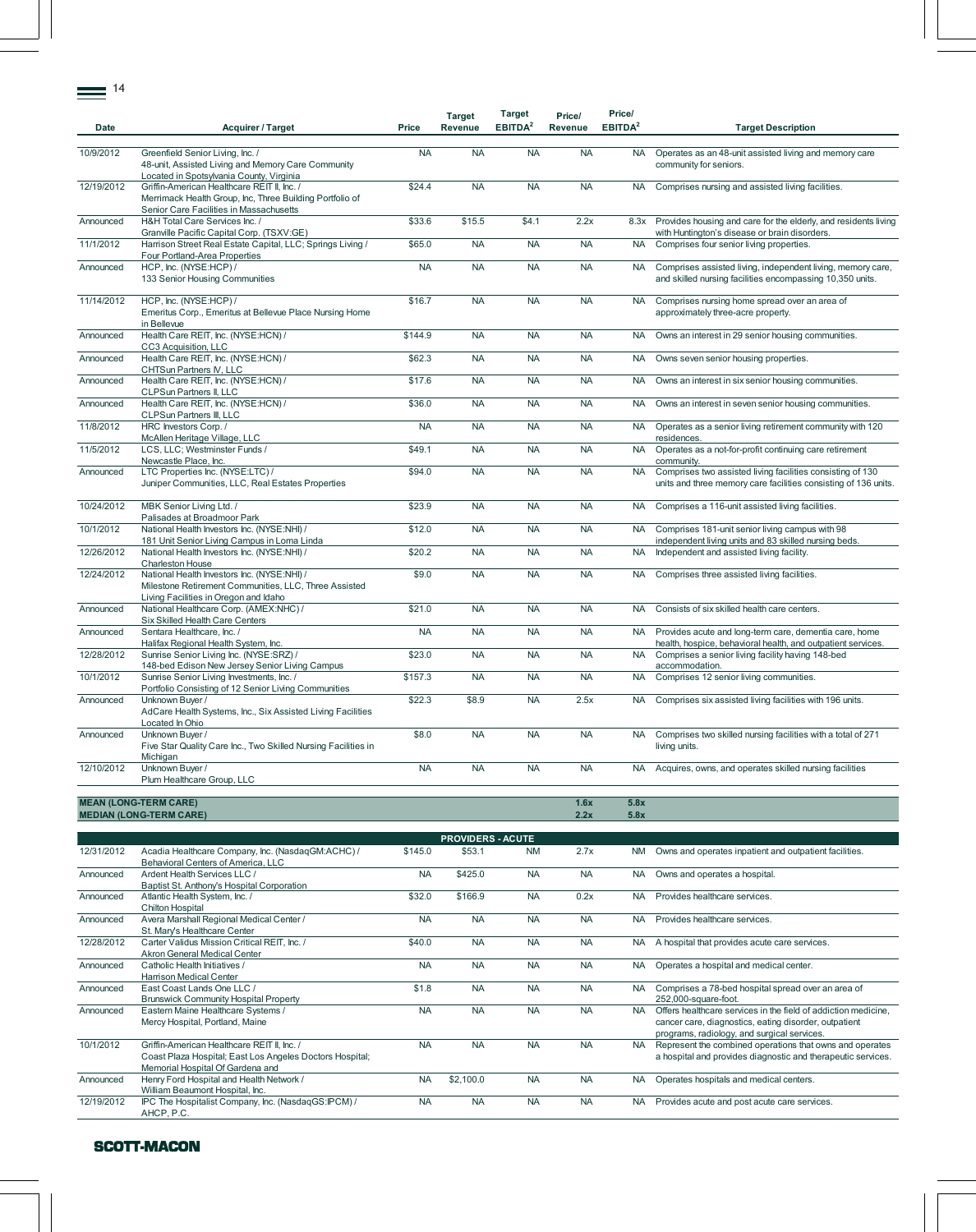| Date       | <b>Acquirer / Target</b>                                                                                                                           | Price     | <b>Target</b><br>Revenue | Target<br>EBITDA <sup>2</sup> | Price/<br>Revenue | Price/<br>EBITDA <sup>2</sup> | <b>Target Description</b>                                                                                                                                              |
|------------|----------------------------------------------------------------------------------------------------------------------------------------------------|-----------|--------------------------|-------------------------------|-------------------|-------------------------------|------------------------------------------------------------------------------------------------------------------------------------------------------------------------|
| 10/9/2012  | Greenfield Senior Living, Inc. /<br>48-unit, Assisted Living and Memory Care Community<br>Located in Spotsylvania County, Virginia                 | <b>NA</b> | <b>NA</b>                | <b>NA</b>                     | <b>NA</b>         | <b>NA</b>                     | Operates as an 48-unit assisted living and memory care<br>community for seniors.                                                                                       |
| 12/19/2012 | Griffin-American Healthcare REIT II, Inc. /<br>Merrimack Health Group, Inc, Three Building Portfolio of<br>Senior Care Facilities in Massachusetts | \$24.4    | <b>NA</b>                | <b>NA</b>                     | <b>NA</b>         | <b>NA</b>                     | Comprises nursing and assisted living facilities.                                                                                                                      |
| Announced  | H&H Total Care Services Inc. /<br>Granville Pacific Capital Corp. (TSXV:GE)                                                                        | \$33.6    | \$15.5                   | \$4.1                         | 2.2x              | 8.3x                          | Provides housing and care for the elderly, and residents living<br>with Huntington's disease or brain disorders.                                                       |
| 11/1/2012  | Harrison Street Real Estate Capital, LLC; Springs Living /<br>Four Portland-Area Properties                                                        | \$65.0    | <b>NA</b>                | <b>NA</b>                     | <b>NA</b>         | <b>NA</b>                     | Comprises four senior living properties.                                                                                                                               |
| Announced  | HCP, Inc. (NYSE:HCP) /<br>133 Senior Housing Communities                                                                                           | <b>NA</b> | <b>NA</b>                | <b>NA</b>                     | <b>NA</b>         | <b>NA</b>                     | Comprises assisted living, independent living, memory care,<br>and skilled nursing facilities encompassing 10,350 units.                                               |
| 11/14/2012 | HCP, Inc. (NYSE:HCP) /<br>Emeritus Corp., Emeritus at Bellevue Place Nursing Home<br>in Bellevue                                                   | \$16.7    | <b>NA</b>                | <b>NA</b>                     | <b>NA</b>         | <b>NA</b>                     | Comprises nursing home spread over an area of<br>approximately three-acre property.                                                                                    |
| Announced  | Health Care REIT, Inc. (NYSE:HCN) /<br>CC3 Acquisition, LLC                                                                                        | \$144.9   | <b>NA</b>                | <b>NA</b>                     | <b>NA</b>         | <b>NA</b>                     | Owns an interest in 29 senior housing communities.                                                                                                                     |
| Announced  | Health Care REIT, Inc. (NYSE:HCN) /<br>CHTSun Partners IV, LLC                                                                                     | \$62.3    | <b>NA</b>                | <b>NA</b>                     | <b>NA</b>         | <b>NA</b>                     | Owns seven senior housing properties.                                                                                                                                  |
| Announced  | Health Care REIT, Inc. (NYSE:HCN) /<br>CLPSun Partners II, LLC                                                                                     | \$17.6    | <b>NA</b>                | <b>NA</b>                     | <b>NA</b>         | <b>NA</b>                     | Owns an interest in six senior housing communities.                                                                                                                    |
| Announced  | Health Care REIT, Inc. (NYSE:HCN) /<br>CLPSun Partners III, LLC                                                                                    | \$36.0    | <b>NA</b>                | <b>NA</b>                     | <b>NA</b>         | <b>NA</b>                     | Owns an interest in seven senior housing communities.                                                                                                                  |
| 11/8/2012  | HRC Investors Corp./<br>McAllen Heritage Village, LLC                                                                                              | <b>NA</b> | <b>NA</b>                | <b>NA</b>                     | <b>NA</b>         | <b>NA</b>                     | Operates as a senior living retirement community with 120<br>residences.                                                                                               |
| 11/5/2012  | LCS, LLC; Westminster Funds /<br>Newcastle Place, Inc.                                                                                             | \$49.1    | <b>NA</b>                | <b>NA</b>                     | <b>NA</b>         | <b>NA</b>                     | Operates as a not-for-profit continuing care retirement<br>community.                                                                                                  |
| Announced  | LTC Properties Inc. (NYSE:LTC) /<br>Juniper Communities, LLC, Real Estates Properties                                                              | \$94.0    | <b>NA</b>                | <b>NA</b>                     | <b>NA</b>         | <b>NA</b>                     | Comprises two assisted living facilities consisting of 130<br>units and three memory care facilities consisting of 136 units.                                          |
| 10/24/2012 | MBK Senior Living Ltd. /<br>Palisades at Broadmoor Park                                                                                            | \$23.9    | <b>NA</b>                | <b>NA</b>                     | <b>NA</b>         | <b>NA</b>                     | Comprises a 116-unit assisted living facilities.                                                                                                                       |
| 10/1/2012  | National Health Investors Inc. (NYSE:NHI) /<br>181 Unit Senior Living Campus in Loma Linda                                                         | \$12.0    | <b>NA</b>                | <b>NA</b>                     | <b>NA</b>         | <b>NA</b>                     | Comprises 181-unit senior living campus with 98<br>independent living units and 83 skilled nursing beds.                                                               |
| 12/26/2012 | National Health Investors Inc. (NYSE:NHI) /<br><b>Charleston House</b>                                                                             | \$20.2    | <b>NA</b>                | <b>NA</b>                     | <b>NA</b>         | <b>NA</b>                     | Independent and assisted living facility.                                                                                                                              |
| 12/24/2012 | National Health Investors Inc. (NYSE:NHI) /<br>Milestone Retirement Communities, LLC, Three Assisted<br>Living Facilities in Oregon and Idaho      | \$9.0     | <b>NA</b>                | <b>NA</b>                     | <b>NA</b>         | <b>NA</b>                     | Comprises three assisted living facilities.                                                                                                                            |
| Announced  | National Healthcare Corp. (AMEX:NHC) /<br>Six Skilled Health Care Centers                                                                          | \$21.0    | <b>NA</b>                | <b>NA</b>                     | <b>NA</b>         | <b>NA</b>                     | Consists of six skilled health care centers.                                                                                                                           |
| Announced  | Sentara Healthcare, Inc. /<br>Halifax Regional Health System, Inc.                                                                                 | <b>NA</b> | <b>NA</b>                | <b>NA</b>                     | <b>NA</b>         | <b>NA</b>                     | Provides acute and long-term care, dementia care, home<br>health, hospice, behavioral health, and outpatient services.                                                 |
| 12/28/2012 | Sunrise Senior Living Inc. (NYSE:SRZ) /<br>148-bed Edison New Jersey Senior Living Campus                                                          | \$23.0    | <b>NA</b>                | <b>NA</b>                     | <b>NA</b>         | <b>NA</b>                     | Comprises a senior living facility having 148-bed<br>accommodation.                                                                                                    |
| 10/1/2012  | Sunrise Senior Living Investments, Inc. /<br>Portfolio Consisting of 12 Senior Living Communities                                                  | \$157.3   | <b>NA</b>                | <b>NA</b>                     | <b>NA</b>         | <b>NA</b>                     | Comprises 12 senior living communities.                                                                                                                                |
| Announced  | Unknown Buyer /<br>AdCare Health Systems, Inc., Six Assisted Living Facilities<br>Located In Ohio                                                  | \$22.3    | \$8.9                    | <b>NA</b>                     | 2.5x              | <b>NA</b>                     | Comprises six assisted living facilities with 196 units.                                                                                                               |
| Announced  | Unknown Buyer /<br>Five Star Quality Care Inc., Two Skilled Nursing Facilities in<br>Michigan                                                      | \$8.0     | <b>NA</b>                | <b>NA</b>                     | <b>NA</b>         | <b>NA</b>                     | Comprises two skilled nursing facilities with a total of 271<br>living units.                                                                                          |
| 12/10/2012 | Unknown Buyer /<br>Plum Healthcare Group, LLC                                                                                                      | <b>NA</b> | <b>NA</b>                | <b>NA</b>                     | <b>NA</b>         |                               | NA Acquires, owns, and operates skilled nursing facilities                                                                                                             |
|            | <b>MEAN (LONG-TERM CARE)</b><br><b>MEDIAN (LONG-TERM CARE)</b>                                                                                     |           |                          |                               | 1.6x<br>2.2x      | 5.8x<br>5.8x                  |                                                                                                                                                                        |
|            |                                                                                                                                                    |           | <b>PROVIDERS - ACUTE</b> |                               |                   |                               |                                                                                                                                                                        |
| 12/31/2012 | Acadia Healthcare Company, Inc. (NasdaqGM:ACHC) /<br>Behavioral Centers of America, LLC                                                            | \$145.0   | \$53.1                   | <b>NM</b>                     | 2.7x              | NM                            | Owns and operates inpatient and outpatient facilities.                                                                                                                 |
| Announced  | Ardent Health Services LLC /<br>Baptist St. Anthony's Hospital Corporation                                                                         | <b>NA</b> | \$425.0                  | <b>NA</b>                     | <b>NA</b>         | <b>NA</b>                     | Owns and operates a hospital.                                                                                                                                          |
| Announced  | Atlantic Health System, Inc. /<br>Chilton Hospital                                                                                                 | \$32.0    | \$166.9                  | <b>NA</b>                     | 0.2x              | <b>NA</b>                     | Provides healthcare services.                                                                                                                                          |
| Announced  | Avera Marshall Regional Medical Center /<br>St. Mary's Healthcare Center                                                                           | <b>NA</b> | <b>NA</b>                | <b>NA</b>                     | <b>NA</b>         | <b>NA</b>                     | Provides healthcare services.                                                                                                                                          |
| 12/28/2012 | Carter Validus Mission Critical REIT, Inc. /<br>Akron General Medical Center                                                                       | \$40.0    | <b>NA</b>                | <b>NA</b>                     | <b>NA</b>         | <b>NA</b>                     | A hospital that provides acute care services.                                                                                                                          |
| Announced  | Catholic Health Initiatives /<br>Harrison Medical Center                                                                                           | <b>NA</b> | <b>NA</b>                | <b>NA</b>                     | <b>NA</b>         | <b>NA</b>                     | Operates a hospital and medical center.                                                                                                                                |
| Announced  | East Coast Lands One LLC /<br><b>Brunswick Community Hospital Property</b>                                                                         | \$1.8     | <b>NA</b>                | <b>NA</b>                     | <b>NA</b>         | <b>NA</b>                     | Comprises a 78-bed hospital spread over an area of<br>252,000-square-foot.                                                                                             |
| Announced  | Eastern Maine Healthcare Systems /<br>Mercy Hospital, Portland, Maine                                                                              | <b>NA</b> | <b>NA</b>                | <b>NA</b>                     | <b>NA</b>         | <b>NA</b>                     | Offers healthcare services in the field of addiction medicine,<br>cancer care, diagnostics, eating disorder, outpatient<br>programs, radiology, and surgical services. |

10/1/2012 Griffin-American Healthcare REIT II, Inc. / Coast Plaza Hospital; East Los Angeles Doctors Hospital; Memorial Hospital Of Gardena and<br>Hospital Of Gardena and<br>Henry Ford Hospital and Health Network / NA NA NA NA NA Represent the combined operations that owns and operates a hospital and provides diagnostic and therapeutic services. Announced Henry Ford Hospital and Health Network / William Beaumont Hospital, Inc. NA \$2,100.0 NA NA NA NA Operates hospitals and medical centers. 12/19/2012 IPC The Hospitalist Company, Inc. (NasdaqGS:IPCM) / AHCP, P.C. NA NA NA NA NA NA Provides acute and post acute care services.

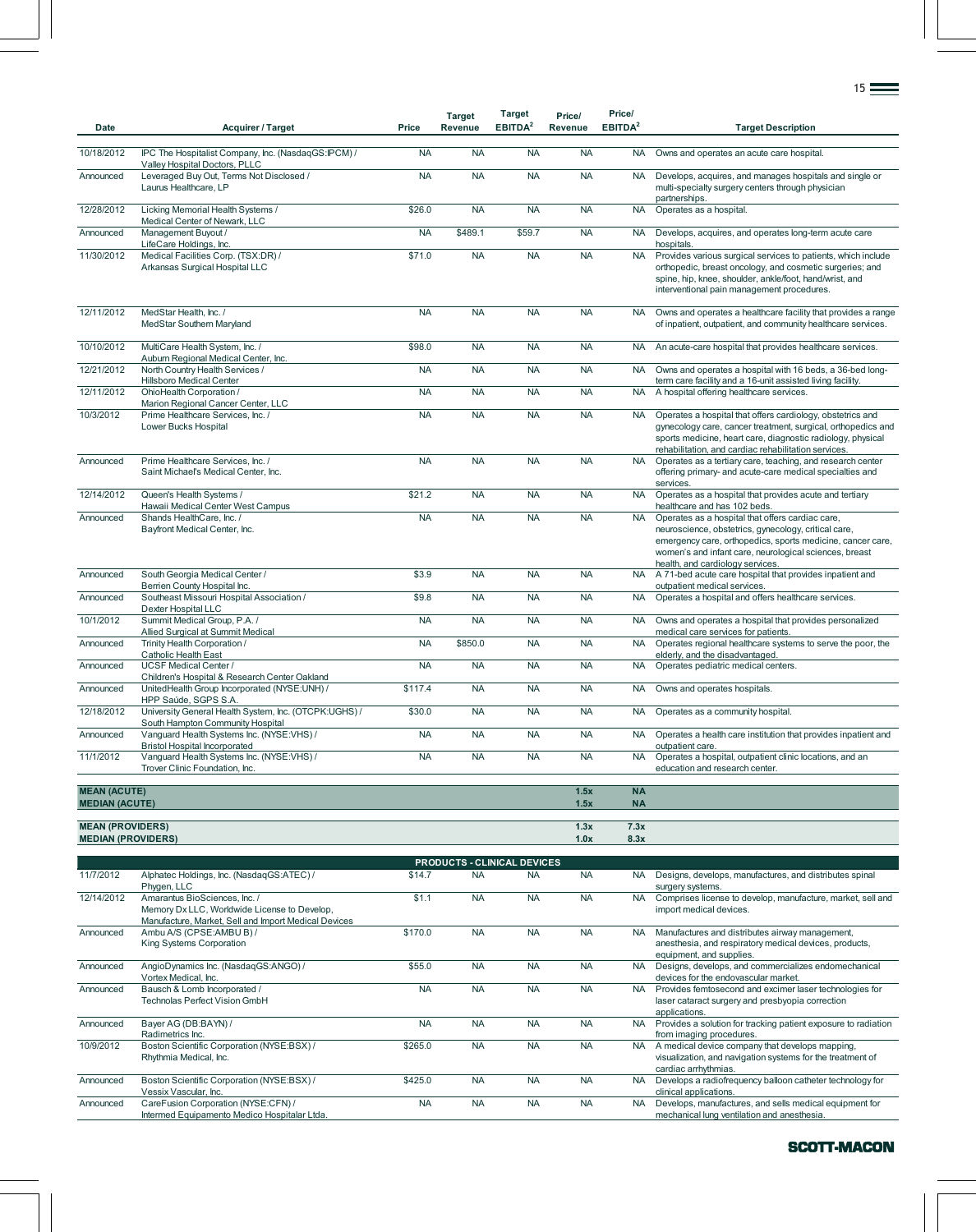| Date                                         | <b>Acquirer / Target</b>                                                                                     | Price                | <b>Target</b><br>Revenue | <b>Target</b><br>EBITDA <sup>2</sup>            | Price/<br>Revenue      | Price/<br>EBITDA <sup>2</sup> | <b>Target Description</b>                                                                                                                                                                                                                                            |
|----------------------------------------------|--------------------------------------------------------------------------------------------------------------|----------------------|--------------------------|-------------------------------------------------|------------------------|-------------------------------|----------------------------------------------------------------------------------------------------------------------------------------------------------------------------------------------------------------------------------------------------------------------|
| 10/18/2012                                   | IPC The Hospitalist Company, Inc. (NasdaqGS:IPCM) /                                                          | <b>NA</b>            | <b>NA</b>                | <b>NA</b>                                       | <b>NA</b>              | <b>NA</b>                     | Owns and operates an acute care hospital.                                                                                                                                                                                                                            |
| Announced                                    | Valley Hospital Doctors, PLLC<br>Leveraged Buy Out, Terms Not Disclosed /<br>Laurus Healthcare, LP           | <b>NA</b>            | <b>NA</b>                | <b>NA</b>                                       | <b>NA</b>              | <b>NA</b>                     | Develops, acquires, and manages hospitals and single or<br>multi-specialty surgery centers through physician<br>partnerships.                                                                                                                                        |
| 12/28/2012                                   | Licking Memorial Health Systems /<br>Medical Center of Newark, LLC                                           | \$26.0               | <b>NA</b>                | <b>NA</b>                                       | <b>NA</b>              | <b>NA</b>                     | Operates as a hospital.                                                                                                                                                                                                                                              |
| Announced                                    | Management Buyout /<br>LifeCare Holdings, Inc.                                                               | <b>NA</b>            | \$489.1                  | \$59.7                                          | <b>NA</b>              | <b>NA</b>                     | Develops, acquires, and operates long-term acute care<br>hospitals.                                                                                                                                                                                                  |
| 11/30/2012                                   | Medical Facilities Corp. (TSX:DR) /<br>Arkansas Surgical Hospital LLC                                        | \$71.0               | <b>NA</b>                | <b>NA</b>                                       | <b>NA</b>              | <b>NA</b>                     | Provides various surgical services to patients, which include<br>orthopedic, breast oncology, and cosmetic surgeries; and<br>spine, hip, knee, shoulder, ankle/foot, hand/wrist, and<br>interventional pain management procedures.                                   |
| 12/11/2012                                   | MedStar Health, Inc. /<br>MedStar Southern Maryland                                                          | <b>NA</b>            | <b>NA</b>                | <b>NA</b>                                       | <b>NA</b>              | <b>NA</b>                     | Owns and operates a healthcare facility that provides a range<br>of inpatient, outpatient, and community healthcare services.                                                                                                                                        |
| 10/10/2012                                   | MultiCare Health System, Inc. /<br>Auburn Regional Medical Center, Inc.                                      | \$98.0               | <b>NA</b>                | <b>NA</b>                                       | <b>NA</b>              | <b>NA</b>                     | An acute-care hospital that provides healthcare services.                                                                                                                                                                                                            |
| 12/21/2012                                   | North Country Health Services /<br>Hillsboro Medical Center                                                  | <b>NA</b>            | <b>NA</b>                | <b>NA</b>                                       | <b>NA</b>              | <b>NA</b>                     | Owns and operates a hospital with 16 beds, a 36-bed long-<br>term care facility and a 16-unit assisted living facility.                                                                                                                                              |
| 12/11/2012                                   | OhioHealth Corporation /<br>Marion Regional Cancer Center, LLC                                               | <b>NA</b>            | <b>NA</b>                | <b>NA</b>                                       | <b>NA</b>              | <b>NA</b>                     | A hospital offering healthcare services.                                                                                                                                                                                                                             |
| 10/3/2012                                    | Prime Healthcare Services, Inc. /<br>Lower Bucks Hospital                                                    | <b>NA</b>            | <b>NA</b>                | <b>NA</b>                                       | <b>NA</b>              | <b>NA</b>                     | Operates a hospital that offers cardiology, obstetrics and<br>gynecology care, cancer treatment, surgical, orthopedics and<br>sports medicine, heart care, diagnostic radiology, physical<br>rehabilitation, and cardiac rehabilitation services.                    |
| Announced                                    | Prime Healthcare Services, Inc. /<br>Saint Michael's Medical Center, Inc.                                    | <b>NA</b>            | <b>NA</b>                | <b>NA</b>                                       | <b>NA</b>              | <b>NA</b>                     | Operates as a tertiary care, teaching, and research center<br>offering primary- and acute-care medical specialties and<br>services.                                                                                                                                  |
| 12/14/2012                                   | Queen's Health Systems /<br>Hawaii Medical Center West Campus                                                | \$21.2               | <b>NA</b>                | <b>NA</b>                                       | <b>NA</b>              | <b>NA</b>                     | Operates as a hospital that provides acute and tertiary<br>healthcare and has 102 beds.                                                                                                                                                                              |
| Announced                                    | Shands HealthCare, Inc. /<br>Bayfront Medical Center, Inc.                                                   | <b>NA</b>            | <b>NA</b>                | <b>NA</b>                                       | <b>NA</b>              | <b>NA</b>                     | Operates as a hospital that offers cardiac care,<br>neuroscience, obstetrics, gynecology, critical care,<br>emergency care, orthopedics, sports medicine, cancer care,<br>women's and infant care, neurological sciences, breast<br>health, and cardiology services. |
| Announced                                    | South Georgia Medical Center /<br>Berrien County Hospital Inc.                                               | \$3.9                | <b>NA</b>                | <b>NA</b>                                       | <b>NA</b>              | <b>NA</b>                     | A 71-bed acute care hospital that provides inpatient and<br>outpatient medical services.                                                                                                                                                                             |
| Announced                                    | Southeast Missouri Hospital Association /<br>Dexter Hospital LLC                                             | \$9.8                | <b>NA</b>                | <b>NA</b>                                       | <b>NA</b>              | <b>NA</b>                     | Operates a hospital and offers healthcare services.                                                                                                                                                                                                                  |
| 10/1/2012                                    | Summit Medical Group, P.A. /<br>Allied Surgical at Summit Medical                                            | <b>NA</b>            | <b>NA</b>                | <b>NA</b>                                       | <b>NA</b>              | <b>NA</b>                     | Owns and operates a hospital that provides personalized<br>medical care services for patients.                                                                                                                                                                       |
| Announced                                    | Trinity Health Corporation /<br><b>Catholic Health East</b>                                                  | <b>NA</b>            | \$850.0                  | <b>NA</b>                                       | <b>NA</b>              | <b>NA</b>                     | Operates regional healthcare systems to serve the poor, the<br>elderly, and the disadvantaged.                                                                                                                                                                       |
| Announced                                    | <b>UCSF Medical Center /</b><br>Children's Hospital & Research Center Oakland                                | <b>NA</b>            | <b>NA</b>                | <b>NA</b>                                       | <b>NA</b>              | <b>NA</b>                     | Operates pediatric medical centers.                                                                                                                                                                                                                                  |
| Announced                                    | UnitedHealth Group Incorporated (NYSE:UNH) /<br>HPP Saúde, SGPS S.A.                                         | \$117.4              | <b>NA</b>                | <b>NA</b>                                       | <b>NA</b>              | <b>NA</b>                     | Owns and operates hospitals.                                                                                                                                                                                                                                         |
| 12/18/2012                                   | University General Health System, Inc. (OTCPK:UGHS) /<br>South Hampton Community Hospital                    | \$30.0               | <b>NA</b>                | <b>NA</b>                                       | <b>NA</b>              | <b>NA</b>                     | Operates as a community hospital.                                                                                                                                                                                                                                    |
| Announced                                    | Vanguard Health Systems Inc. (NYSE:VHS) /<br><b>Bristol Hospital Incorporated</b>                            | <b>NA</b>            | <b>NA</b>                | <b>NA</b>                                       | <b>NA</b>              | <b>NA</b>                     | Operates a health care institution that provides inpatient and<br>outpatient care.                                                                                                                                                                                   |
| 11/1/2012                                    | Vanguard Health Systems Inc. (NYSE:VHS) /<br>Trover Clinic Foundation, Inc.                                  | <b>NA</b>            | <b>NA</b>                | <b>NA</b>                                       | <b>NA</b>              | <b>NA</b>                     | Operates a hospital, outpatient clinic locations, and an<br>education and research center.                                                                                                                                                                           |
| <b>MEAN (ACUTE)</b><br><b>MEDIAN (ACUTE)</b> |                                                                                                              |                      |                          |                                                 | 1.5x<br>1.5x           | <b>NA</b><br><b>NA</b>        |                                                                                                                                                                                                                                                                      |
| <b>MEAN (PROVIDERS)</b>                      |                                                                                                              |                      |                          |                                                 | 1.3x                   | 7.3x                          |                                                                                                                                                                                                                                                                      |
| <b>MEDIAN (PROVIDERS)</b>                    |                                                                                                              |                      |                          |                                                 | 1.0x                   | 8.3x                          |                                                                                                                                                                                                                                                                      |
| 11/7/2012                                    | Alphatec Holdings, Inc. (NasdaqGS:ATEC) /                                                                    | \$14.7               | <b>NA</b>                | <b>PRODUCTS - CLINICAL DEVICES</b><br><b>NA</b> | <b>NA</b>              | NA.                           | Designs, develops, manufactures, and distributes spinal                                                                                                                                                                                                              |
| 12/14/2012                                   | Phygen, LLC<br>Amarantus BioSciences, Inc. /<br>Memory Dx LLC, Worldwide License to Develop,                 | \$1.1                | <b>NA</b>                | <b>NA</b>                                       | <b>NA</b>              | <b>NA</b>                     | surgery systems.<br>Comprises license to develop, manufacture, market, sell and<br>import medical devices.                                                                                                                                                           |
| Announced                                    | Manufacture, Market, Sell and Import Medical Devices<br>Ambu A/S (CPSE:AMBU B) /<br>King Systems Corporation | \$170.0              | <b>NA</b>                | <b>NA</b>                                       | <b>NA</b>              | <b>NA</b>                     | Manufactures and distributes airway management,<br>anesthesia, and respiratory medical devices, products,<br>equipment, and supplies.                                                                                                                                |
| Announced                                    | AngioDynamics Inc. (NasdaqGS:ANGO) /<br>Vortex Medical, Inc.                                                 | \$55.0               | <b>NA</b>                | <b>NA</b>                                       | <b>NA</b>              | <b>NA</b>                     | Designs, develops, and commercializes endomechanical<br>devices for the endovascular market.                                                                                                                                                                         |
| Announced                                    | Bausch & Lomb Incorporated /<br>Technolas Perfect Vision GmbH                                                | <b>NA</b>            | <b>NA</b>                | <b>NA</b>                                       | <b>NA</b>              | <b>NA</b>                     | Provides femtosecond and excimer laser technologies for<br>laser cataract surgery and presbyopia correction<br>applications.                                                                                                                                         |
| Announced                                    | Bayer AG (DB:BAYN) /<br>Radimetrics Inc.                                                                     | <b>NA</b>            | <b>NA</b>                | <b>NA</b>                                       | <b>NA</b>              | <b>NA</b>                     | Provides a solution for tracking patient exposure to radiation<br>from imaging procedures.                                                                                                                                                                           |
| 10/9/2012                                    | Boston Scientific Corporation (NYSE:BSX) /<br>Rhythmia Medical, Inc.                                         | \$265.0              | <b>NA</b>                | <b>NA</b>                                       | <b>NA</b>              | <b>NA</b>                     | A medical device company that develops mapping,<br>visualization, and navigation systems for the treatment of<br>cardiac arrhythmias.                                                                                                                                |
| Announced<br>Announced                       | Boston Scientific Corporation (NYSE:BSX) /<br>Vessix Vascular, Inc.<br>CareFusion Corporation (NYSE:CFN) /   | \$425.0<br><b>NA</b> | <b>NA</b><br><b>NA</b>   | <b>NA</b><br><b>NA</b>                          | <b>NA</b><br><b>NA</b> | <b>NA</b><br><b>NA</b>        | Develops a radiofrequency balloon catheter technology for<br>clinical applications.<br>Develops, manufactures, and sells medical equipment for                                                                                                                       |
|                                              | Intermed Equipamento Medico Hospitalar Ltda.                                                                 |                      |                          |                                                 |                        |                               | mechanical lung ventilation and anesthesia.                                                                                                                                                                                                                          |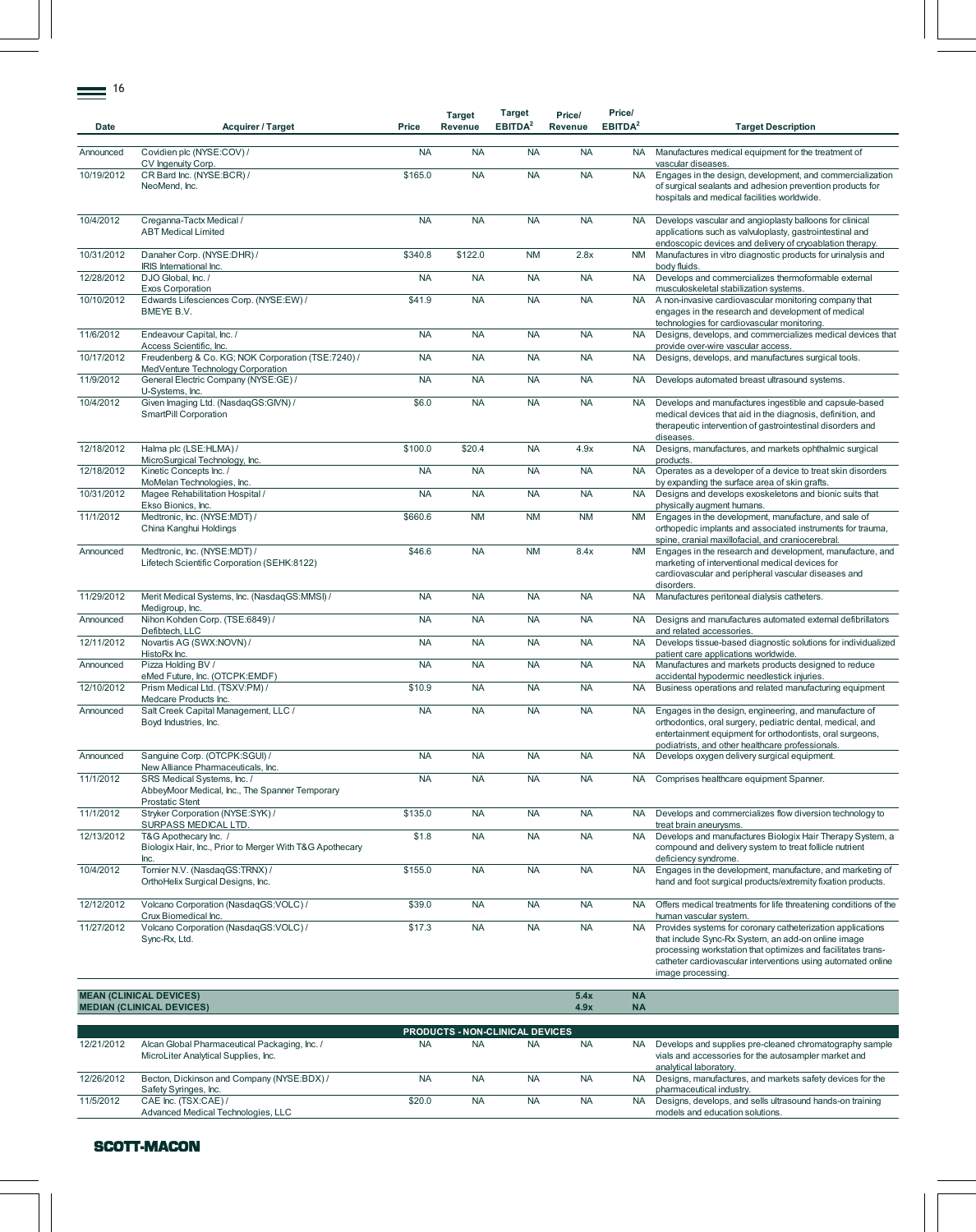| Date       | <b>Acquirer / Target</b>                                                                                | Price               | <b>Target</b><br>Revenue        | Target<br>EBITDA <sup>2</sup> | Price/<br>Revenue | Price/<br>EBITDA <sup>2</sup> | <b>Target Description</b>                                                                                                                                                                                                                                              |
|------------|---------------------------------------------------------------------------------------------------------|---------------------|---------------------------------|-------------------------------|-------------------|-------------------------------|------------------------------------------------------------------------------------------------------------------------------------------------------------------------------------------------------------------------------------------------------------------------|
| Announced  | Covidien plc (NYSE:COV) /<br>CV Ingenuity Corp.                                                         | <b>NA</b>           | <b>NA</b>                       | <b>NA</b>                     | <b>NA</b>         | <b>NA</b>                     | Manufactures medical equipment for the treatment of<br>vascular diseases.                                                                                                                                                                                              |
| 10/19/2012 | CR Bard Inc. (NYSE:BCR) /<br>NeoMend, Inc.                                                              | \$165.0             | <b>NA</b>                       | <b>NA</b>                     | <b>NA</b>         | <b>NA</b>                     | Engages in the design, development, and commercialization<br>of surgical sealants and adhesion prevention products for<br>hospitals and medical facilities worldwide.                                                                                                  |
| 10/4/2012  | Creganna-Tactx Medical /<br><b>ABT</b> Medical Limited                                                  | <b>NA</b>           | <b>NA</b>                       | <b>NA</b>                     | <b>NA</b>         | <b>NA</b>                     | Develops vascular and angioplasty balloons for clinical<br>applications such as valvuloplasty, gastrointestinal and<br>endoscopic devices and delivery of cryoablation therapy.                                                                                        |
| 10/31/2012 | Danaher Corp. (NYSE:DHR) /<br>IRIS International Inc.                                                   | \$340.8             | \$122.0                         | <b>NM</b>                     | 2.8x              | <b>NM</b>                     | Manufactures in vitro diagnostic products for urinalysis and<br>body fluids.                                                                                                                                                                                           |
| 12/28/2012 | DJO Global, Inc. /<br>Exos Corporation                                                                  | <b>NA</b>           | <b>NA</b>                       | <b>NA</b>                     | <b>NA</b>         | <b>NA</b>                     | Develops and commercializes thermoformable external<br>musculoskeletal stabilization systems.                                                                                                                                                                          |
| 10/10/2012 | Edwards Lifesciences Corp. (NYSE:EW) /<br>BMEYE B.V.                                                    | \$41.9              | <b>NA</b>                       | <b>NA</b>                     | <b>NA</b>         | <b>NA</b>                     | A non-invasive cardiovascular monitoring company that<br>engages in the research and development of medical<br>technologies for cardiovascular monitoring.                                                                                                             |
| 11/6/2012  | Endeavour Capital, Inc. /<br>Access Scientific, Inc.                                                    | <b>NA</b>           | <b>NA</b>                       | <b>NA</b>                     | <b>NA</b>         | <b>NA</b>                     | Designs, develops, and commercializes medical devices that<br>provide over-wire vascular access.                                                                                                                                                                       |
| 10/17/2012 | Freudenberg & Co. KG; NOK Corporation (TSE:7240) /<br>MedVenture Technology Corporation                 | <b>NA</b>           | <b>NA</b>                       | <b>NA</b>                     | <b>NA</b>         | <b>NA</b>                     | Designs, develops, and manufactures surgical tools.                                                                                                                                                                                                                    |
| 11/9/2012  | General Electric Company (NYSE:GE) /<br>U-Systems, Inc.                                                 | <b>NA</b>           | <b>NA</b>                       | <b>NA</b>                     | <b>NA</b>         | <b>NA</b>                     | Develops automated breast ultrasound systems.                                                                                                                                                                                                                          |
| 10/4/2012  | Given Imaging Ltd. (NasdaqGS:GIVN) /<br>SmartPill Corporation                                           | \$6.0               | <b>NA</b>                       | <b>NA</b>                     | <b>NA</b>         | <b>NA</b>                     | Develops and manufactures ingestible and capsule-based<br>medical devices that aid in the diagnosis, definition, and<br>therapeutic intervention of gastrointestinal disorders and<br>diseases.                                                                        |
| 12/18/2012 | Halma plc (LSE:HLMA) /<br>MicroSurgical Technology, Inc.                                                | \$100.0             | \$20.4                          | <b>NA</b>                     | 4.9x              | <b>NA</b>                     | Designs, manufactures, and markets ophthalmic surgical<br>products.                                                                                                                                                                                                    |
| 12/18/2012 | Kinetic Concepts Inc. /<br>MoMelan Technologies, Inc.                                                   | <b>NA</b>           | <b>NA</b>                       | <b>NA</b>                     | <b>NA</b>         | <b>NA</b>                     | Operates as a developer of a device to treat skin disorders<br>by expanding the surface area of skin grafts.                                                                                                                                                           |
| 10/31/2012 | Magee Rehabilitation Hospital /<br>Ekso Bionics, Inc.                                                   | <b>NA</b>           | <b>NA</b>                       | <b>NA</b>                     | <b>NA</b>         | <b>NA</b>                     | Designs and develops exoskeletons and bionic suits that<br>physically augment humans.                                                                                                                                                                                  |
| 11/1/2012  | Medtronic, Inc. (NYSE:MDT) /<br>China Kanghui Holdings                                                  | \$660.6             | <b>NM</b>                       | <b>NM</b>                     | <b>NM</b>         | <b>NM</b>                     | Engages in the development, manufacture, and sale of<br>orthopedic implants and associated instruments for trauma,<br>spine, cranial maxillofacial, and craniocerebral.                                                                                                |
| Announced  | Medtronic, Inc. (NYSE:MDT) /<br>Lifetech Scientific Corporation (SEHK:8122)                             | \$46.6              | <b>NA</b>                       | <b>NM</b>                     | 8.4x              | <b>NM</b>                     | Engages in the research and development, manufacture, and<br>marketing of interventional medical devices for<br>cardiovascular and peripheral vascular diseases and<br>disorders.                                                                                      |
| 11/29/2012 | Merit Medical Systems, Inc. (NasdaqGS:MMSI) /<br>Medigroup, Inc.                                        | <b>NA</b>           | <b>NA</b>                       | <b>NA</b>                     | <b>NA</b>         | <b>NA</b>                     | Manufactures peritoneal dialysis catheters.                                                                                                                                                                                                                            |
| Announced  | Nihon Kohden Corp. (TSE:6849) /<br>Defibtech, LLC                                                       | <b>NA</b>           | <b>NA</b>                       | <b>NA</b>                     | <b>NA</b>         | <b>NA</b>                     | Designs and manufactures automated external defibrillators<br>and related accessories.                                                                                                                                                                                 |
| 12/11/2012 | Novartis AG (SWX:NOVN) /<br>HistoRx Inc.                                                                | <b>NA</b>           | <b>NA</b>                       | <b>NA</b>                     | <b>NA</b>         | <b>NA</b>                     | Develops tissue-based diagnostic solutions for individualized<br>patient care applications worldwide.                                                                                                                                                                  |
| Announced  | Pizza Holding BV /<br>eMed Future, Inc. (OTCPK:EMDF)                                                    | <b>NA</b>           | <b>NA</b>                       | <b>NA</b>                     | <b>NA</b>         | <b>NA</b>                     | Manufactures and markets products designed to reduce<br>accidental hypodermic needlestick injuries.                                                                                                                                                                    |
| 12/10/2012 | Prism Medical Ltd. (TSXV:PM) /<br>Medcare Products Inc.                                                 | \$10.9              | <b>NA</b>                       | <b>NA</b>                     | <b>NA</b>         | <b>NA</b>                     | Business operations and related manufacturing equipment                                                                                                                                                                                                                |
| Announced  | Salt Creek Capital Management, LLC /<br>Boyd Industries, Inc.                                           | <b>NA</b>           | <b>NA</b>                       | <b>NA</b>                     | <b>NA</b>         | <b>NA</b>                     | Engages in the design, engineering, and manufacture of<br>orthodontics, oral surgery, pediatric dental, medical, and<br>entertainment equipment for orthodontists, oral surgeons,<br>podiatrists, and other healthcare professionals.                                  |
| Announced  | Sanguine Corp. (OTCPK:SGUI) /<br>New Alliance Pharmaceuticals, Inc.                                     | <b>NA</b>           | <b>NA</b>                       | <b>NA</b>                     | <b>NA</b>         | NA.                           | Develops oxygen delivery surgical equipment.                                                                                                                                                                                                                           |
| 11/1/2012  | SRS Medical Systems, Inc. /<br>AbbeyMoor Medical, Inc., The Spanner Temporary<br><b>Prostatic Stent</b> | <b>NA</b>           | <b>NA</b>                       | <b>NA</b>                     | <b>NA</b>         | <b>NA</b>                     | Comprises healthcare equipment Spanner.                                                                                                                                                                                                                                |
| 11/1/2012  | Stryker Corporation (NYSE:SYK) /<br>SURPASS MEDICAL LTD.                                                | $\overline{$}135.0$ | <b>NA</b>                       | <b>NA</b>                     | <b>NA</b>         | <b>NA</b>                     | Develops and commercializes flow diversion technology to<br>treat brain aneurysms.                                                                                                                                                                                     |
| 12/13/2012 | T&G Apothecary Inc. /<br>Biologix Hair, Inc., Prior to Merger With T&G Apothecary<br>Inc.               | \$1.8               | <b>NA</b>                       | <b>NA</b>                     | <b>NA</b>         | <b>NA</b>                     | Develops and manufactures Biologix Hair Therapy System, a<br>compound and delivery system to treat follicle nutrient<br>deficiency syndrome.                                                                                                                           |
| 10/4/2012  | Tornier N.V. (NasdaqGS:TRNX) /<br>OrthoHelix Surgical Designs, Inc.                                     | \$155.0             | <b>NA</b>                       | <b>NA</b>                     | <b>NA</b>         | <b>NA</b>                     | Engages in the development, manufacture, and marketing of<br>hand and foot surgical products/extremity fixation products.                                                                                                                                              |
| 12/12/2012 | Volcano Corporation (NasdaqGS:VOLC) /<br>Crux Biomedical Inc.                                           | \$39.0              | <b>NA</b>                       | <b>NA</b>                     | <b>NA</b>         | <b>NA</b>                     | Offers medical treatments for life threatening conditions of the<br>human vascular system.                                                                                                                                                                             |
| 11/27/2012 | Volcano Corporation (NasdaqGS:VOLC) /<br>Sync-Rx, Ltd.                                                  | \$17.3              | <b>NA</b>                       | <b>NA</b>                     | <b>NA</b>         | <b>NA</b>                     | Provides systems for coronary catheterization applications<br>that include Sync-Rx System, an add-on online image<br>processing workstation that optimizes and facilitates trans-<br>catheter cardiovascular interventions using automated online<br>image processing. |
|            | <b>MEAN (CLINICAL DEVICES)</b>                                                                          |                     |                                 |                               | 5.4x              | <b>NA</b>                     |                                                                                                                                                                                                                                                                        |
|            | <b>MEDIAN (CLINICAL DEVICES)</b>                                                                        |                     |                                 |                               | 4.9x              | <b>NA</b>                     |                                                                                                                                                                                                                                                                        |
|            |                                                                                                         |                     | PRODUCTS - NON-CLINICAL DEVICES |                               |                   |                               |                                                                                                                                                                                                                                                                        |

| <b>PRODUCTS - NON-CLINICAL DEVICES</b> |                                                                                       |           |           |           |           |     |                                                                                                                                           |  |  |  |  |
|----------------------------------------|---------------------------------------------------------------------------------------|-----------|-----------|-----------|-----------|-----|-------------------------------------------------------------------------------------------------------------------------------------------|--|--|--|--|
| 12/21/2012                             | Alcan Global Pharmaceutical Packaging, Inc. /<br>MicroLiter Analytical Supplies, Inc. | <b>NA</b> | <b>NA</b> | <b>NA</b> | <b>NA</b> | NA. | Develops and supplies pre-cleaned chromatography sample<br>vials and accessories for the autosampler market and<br>analytical laboratory. |  |  |  |  |
| 12/26/2012                             | Becton, Dickinson and Company (NYSE:BDX) /<br>Safety Syringes, Inc.                   | <b>NA</b> | <b>NA</b> | <b>NA</b> | <b>NA</b> | NA. | Designs, manufactures, and markets safety devices for the<br>pharmaceutical industry.                                                     |  |  |  |  |
| 11/5/2012                              | CAE Inc. (TSX:CAE) /<br>Advanced Medical Technologies, LLC                            | \$20.0    | <b>NA</b> | <b>NA</b> | <b>NA</b> | NA. | Designs, develops, and sells ultrasound hands-on training<br>models and education solutions.                                              |  |  |  |  |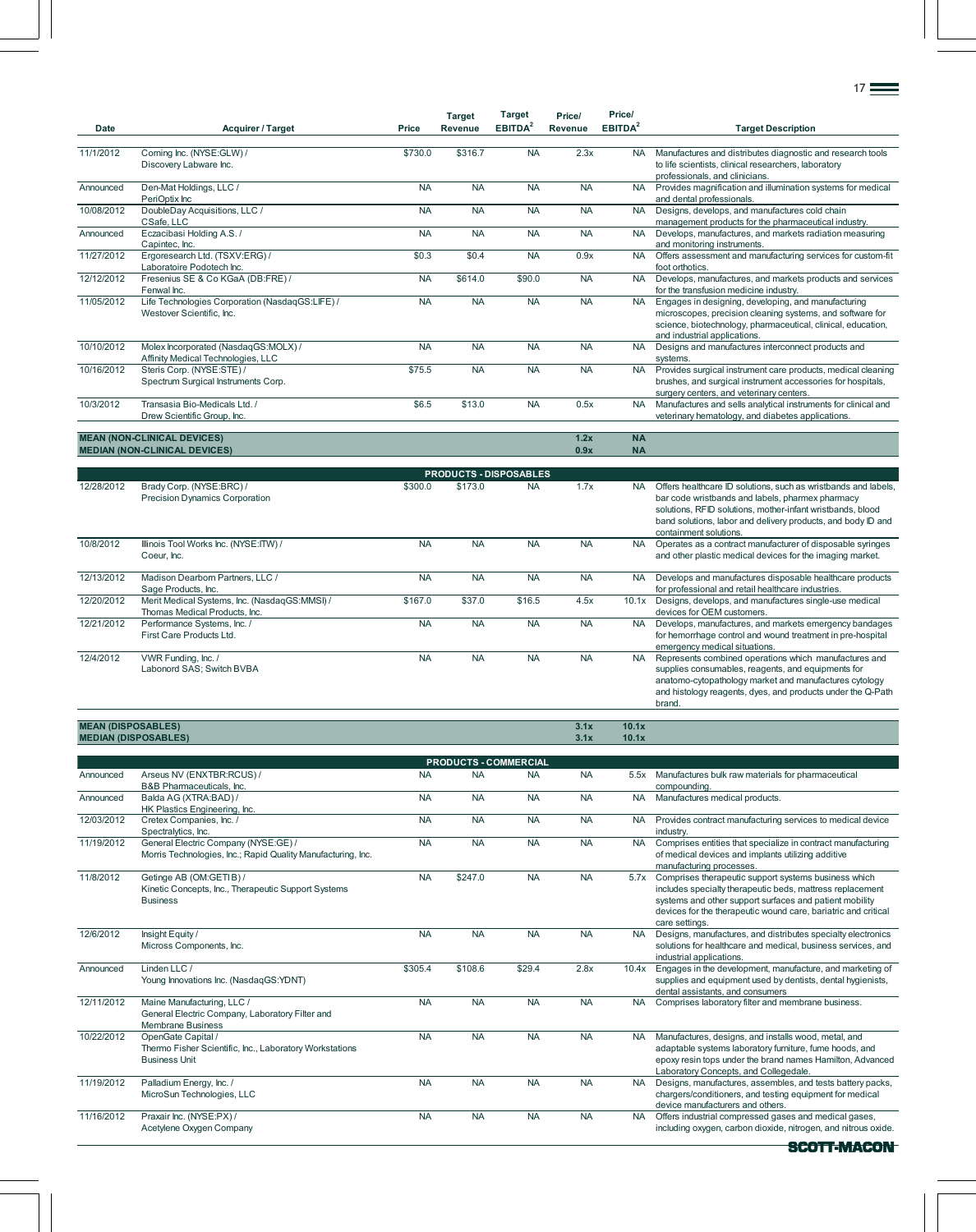| <b>Date</b> | <b>Acquirer / Target</b>                        | <b>Price</b> | <b>Target</b><br>Revenue | <b>Target</b><br>EBITDA <sup>2</sup> | Price/<br>Revenue | Price/<br>EBITDA <sup>2</sup> | <b>Target Description</b>                                                                                  |  |  |  |  |
|-------------|-------------------------------------------------|--------------|--------------------------|--------------------------------------|-------------------|-------------------------------|------------------------------------------------------------------------------------------------------------|--|--|--|--|
|             |                                                 |              |                          |                                      |                   |                               |                                                                                                            |  |  |  |  |
| 11/1/2012   | Corning Inc. (NYSE:GLW) /                       | \$730.0      | \$316.7                  | <b>NA</b>                            | 2.3x              | <b>NA</b>                     | Manufactures and distributes diagnostic and research tools                                                 |  |  |  |  |
|             | Discovery Labware Inc.                          |              |                          |                                      |                   |                               | to life scientists, clinical researchers, laboratory                                                       |  |  |  |  |
|             |                                                 |              |                          |                                      |                   |                               | professionals, and clinicians.                                                                             |  |  |  |  |
| Announced   | Den-Mat Holdings, LLC /                         | <b>NA</b>    | <b>NA</b>                | <b>NA</b>                            | <b>NA</b>         | <b>NA</b>                     | Provides magnification and illumination systems for medical                                                |  |  |  |  |
|             | PeriOptix Inc                                   |              |                          |                                      |                   |                               | and dental professionals.                                                                                  |  |  |  |  |
| 10/08/2012  | DoubleDay Acquisitions, LLC /                   | <b>NA</b>    | <b>NA</b>                | <b>NA</b>                            | <b>NA</b>         | <b>NA</b>                     | Designs, develops, and manufactures cold chain                                                             |  |  |  |  |
|             | CSafe, LLC                                      |              |                          |                                      |                   |                               | management products for the pharmaceutical industry.                                                       |  |  |  |  |
| Announced   | Eczacibasi Holding A.S./                        | <b>NA</b>    | <b>NA</b>                | <b>NA</b>                            | <b>NA</b>         | <b>NA</b>                     | Develops, manufactures, and markets radiation measuring                                                    |  |  |  |  |
|             | Capintec, Inc.                                  |              |                          |                                      |                   |                               | and monitoring instruments.                                                                                |  |  |  |  |
| 11/27/2012  | Ergoresearch Ltd. (TSXV:ERG) /                  | \$0.3        | \$0.4                    | <b>NA</b>                            | 0.9x              | <b>NA</b>                     | Offers assessment and manufacturing services for custom-fit                                                |  |  |  |  |
|             | Laboratoire Podotech Inc.                       |              |                          |                                      |                   |                               | foot orthotics.                                                                                            |  |  |  |  |
| 12/12/2012  | Fresenius SE & Co KGaA (DB:FRE) /               | <b>NA</b>    | \$614.0                  | \$90.0                               | <b>NA</b>         | <b>NA</b>                     | Develops, manufactures, and markets products and services                                                  |  |  |  |  |
|             | Fenwal Inc.                                     |              |                          |                                      |                   |                               | for the transfusion medicine industry.                                                                     |  |  |  |  |
| 11/05/2012  | Life Technologies Corporation (NasdaqGS:LIFE) / | <b>NA</b>    | <b>NA</b>                | <b>NA</b>                            | <b>NA</b>         | <b>NA</b>                     | Engages in designing, developing, and manufacturing                                                        |  |  |  |  |
|             | Westover Scientific. Inc.                       |              |                          |                                      |                   |                               | microscopes, precision cleaning systems, and software for                                                  |  |  |  |  |
|             |                                                 |              |                          |                                      |                   |                               | science, biotechnology, pharmaceutical, clinical, education,                                               |  |  |  |  |
|             |                                                 |              |                          |                                      |                   |                               | and industrial applications.                                                                               |  |  |  |  |
| 10/10/2012  | Molex Incorporated (NasdaqGS:MOLX) /            | <b>NA</b>    | <b>NA</b>                | <b>NA</b>                            | <b>NA</b>         | <b>NA</b>                     | Designs and manufactures interconnect products and                                                         |  |  |  |  |
| 10/16/2012  | Affinity Medical Technologies, LLC              |              |                          |                                      |                   | <b>NA</b>                     | systems.                                                                                                   |  |  |  |  |
|             | Steris Corp. (NYSE:STE) /                       | \$75.5       | <b>NA</b>                | <b>NA</b>                            | <b>NA</b>         |                               | Provides surgical instrument care products, medical cleaning                                               |  |  |  |  |
|             | Spectrum Surgical Instruments Corp.             |              |                          |                                      |                   |                               | brushes, and surgical instrument accessories for hospitals,                                                |  |  |  |  |
| 10/3/2012   | Transasia Bio-Medicals Ltd. /                   | \$6.5        | \$13.0                   | <b>NA</b>                            | 0.5x              | <b>NA</b>                     | surgery centers, and veterinary centers.<br>Manufactures and sells analytical instruments for clinical and |  |  |  |  |
|             |                                                 |              |                          |                                      |                   |                               |                                                                                                            |  |  |  |  |
|             | Drew Scientific Group, Inc.                     |              |                          |                                      |                   |                               | veterinary hematology, and diabetes applications.                                                          |  |  |  |  |
|             | <b>MEAN (NON-CLINICAL DEVICES)</b>              |              |                          |                                      | 1.2x              | <b>NA</b>                     |                                                                                                            |  |  |  |  |
|             | <b>MEDIAN (NON-CLINICAL DEVICES)</b>            |              |                          |                                      | 0.9x              | <b>NA</b>                     |                                                                                                            |  |  |  |  |
|             |                                                 |              |                          |                                      |                   |                               |                                                                                                            |  |  |  |  |
|             | <b>PRODUCTS - DISPOSABLES</b>                   |              |                          |                                      |                   |                               |                                                                                                            |  |  |  |  |

|            | <b>PRODUCTS - DISPOSABLES</b>                                                  |           |           |           |           |           |                                                                                                                                                                                                                                                                            |  |  |  |  |  |
|------------|--------------------------------------------------------------------------------|-----------|-----------|-----------|-----------|-----------|----------------------------------------------------------------------------------------------------------------------------------------------------------------------------------------------------------------------------------------------------------------------------|--|--|--|--|--|
| 12/28/2012 | Brady Corp. (NYSE:BRC) /<br><b>Precision Dynamics Corporation</b>              | \$300.0   | \$173.0   | <b>NA</b> | 1.7x      | NA.       | Offers healthcare ID solutions, such as wristbands and labels,<br>bar code wristbands and labels, pharmex pharmacy<br>solutions, RFID solutions, mother-infant wristbands, blood<br>band solutions, labor and delivery products, and body ID and<br>containment solutions. |  |  |  |  |  |
| 10/8/2012  | Illinois Tool Works Inc. (NYSE:ITW) /<br>Coeur, Inc.                           | <b>NA</b> | <b>NA</b> | <b>NA</b> | <b>NA</b> | NA.       | Operates as a contract manufacturer of disposable syringes<br>and other plastic medical devices for the imaging market.                                                                                                                                                    |  |  |  |  |  |
| 12/13/2012 | Madison Dearborn Partners, LLC /<br>Sage Products, Inc.                        | <b>NA</b> | <b>NA</b> | <b>NA</b> | <b>NA</b> | <b>NA</b> | Develops and manufactures disposable healthcare products<br>for professional and retail healthcare industries.                                                                                                                                                             |  |  |  |  |  |
| 12/20/2012 | Merit Medical Systems, Inc. (NasdagGS:MMSI) /<br>Thomas Medical Products, Inc. | \$167.0   | \$37.0    | \$16.5    | 4.5x      | 10.1x     | Designs, develops, and manufactures single-use medical<br>devices for OEM customers.                                                                                                                                                                                       |  |  |  |  |  |
| 12/21/2012 | Performance Systems, Inc. /<br>First Care Products Ltd.                        | <b>NA</b> | <b>NA</b> | <b>NA</b> | <b>NA</b> | NA.       | Develops, manufactures, and markets emergency bandages<br>for hemorrhage control and wound treatment in pre-hospital<br>emergency medical situations.                                                                                                                      |  |  |  |  |  |
| 12/4/2012  | VWR Funding, Inc. /<br>Labonord SAS; Switch BVBA                               | <b>NA</b> | <b>NA</b> | <b>NA</b> | <b>NA</b> | <b>NA</b> | Represents combined operations which manufactures and<br>supplies consumables, reagents, and equipments for<br>anatomo-cytopathology market and manufactures cytology<br>and histology reagents, dyes, and products under the Q-Path<br>brand.                             |  |  |  |  |  |

#### **MEAN (DISPOSABLES) 3.1x 10.1x MEDIAN (DISPOSABLES) 3.1x 10.1x**

| <b>PRODUCTS - COMMERCIAL</b> |                                                                                                           |           |           |           |           |           |                                                                                                                                                                                                                                                                  |  |  |  |  |
|------------------------------|-----------------------------------------------------------------------------------------------------------|-----------|-----------|-----------|-----------|-----------|------------------------------------------------------------------------------------------------------------------------------------------------------------------------------------------------------------------------------------------------------------------|--|--|--|--|
| Announced                    | Arseus NV (ENXTBR:RCUS) /<br>B&B Pharmaceuticals, Inc.                                                    | <b>NA</b> | <b>NA</b> | <b>NA</b> | <b>NA</b> | 5.5x      | Manufactures bulk raw materials for pharmaceutical<br>compounding.                                                                                                                                                                                               |  |  |  |  |
| Announced                    | Balda AG (XTRA:BAD) /<br>HK Plastics Engineering, Inc.                                                    | <b>NA</b> | <b>NA</b> | <b>NA</b> | <b>NA</b> | <b>NA</b> | Manufactures medical products.                                                                                                                                                                                                                                   |  |  |  |  |
| 12/03/2012                   | Cretex Companies, Inc. /<br>Spectralytics, Inc.                                                           | <b>NA</b> | <b>NA</b> | <b>NA</b> | <b>NA</b> | <b>NA</b> | Provides contract manufacturing services to medical device<br>industry.                                                                                                                                                                                          |  |  |  |  |
| 11/19/2012                   | General Electric Company (NYSE:GE) /<br>Morris Technologies, Inc.; Rapid Quality Manufacturing, Inc.      | <b>NA</b> | <b>NA</b> | <b>NA</b> | <b>NA</b> | <b>NA</b> | Comprises entities that specialize in contract manufacturing<br>of medical devices and implants utilizing additive<br>manufacturing processes.                                                                                                                   |  |  |  |  |
| 11/8/2012                    | Getinge AB (OM:GETIB) /<br>Kinetic Concepts, Inc., Therapeutic Support Systems<br><b>Business</b>         | <b>NA</b> | \$247.0   | <b>NA</b> | <b>NA</b> | 5.7x      | Comprises therapeutic support systems business which<br>includes specialty therapeutic beds, mattress replacement<br>systems and other support surfaces and patient mobility<br>devices for the therapeutic wound care, bariatric and critical<br>care settings. |  |  |  |  |
| 12/6/2012                    | Insight Equity /<br>Micross Components, Inc.                                                              | <b>NA</b> | <b>NA</b> | <b>NA</b> | <b>NA</b> | <b>NA</b> | Designs, manufactures, and distributes specialty electronics<br>solutions for healthcare and medical, business services, and<br>industrial applications.                                                                                                         |  |  |  |  |
| Announced                    | Linden LLC /<br>Young Innovations Inc. (NasdagGS:YDNT)                                                    | \$305.4   | \$108.6   | \$29.4    | 2.8x      | 10.4x     | Engages in the development, manufacture, and marketing of<br>supplies and equipment used by dentists, dental hygienists,<br>dental assistants, and consumers                                                                                                     |  |  |  |  |
| 12/11/2012                   | Maine Manufacturing, LLC /<br>General Electric Company, Laboratory Filter and<br><b>Membrane Business</b> | <b>NA</b> | <b>NA</b> | <b>NA</b> | <b>NA</b> | <b>NA</b> | Comprises laboratory filter and membrane business.                                                                                                                                                                                                               |  |  |  |  |
| 10/22/2012                   | OpenGate Capital /<br>Thermo Fisher Scientific, Inc., Laboratory Workstations<br><b>Business Unit</b>     | <b>NA</b> | <b>NA</b> | <b>NA</b> | <b>NA</b> | <b>NA</b> | Manufactures, designs, and installs wood, metal, and<br>adaptable systems laboratory furniture, fume hoods, and<br>epoxy resin tops under the brand names Hamilton, Advanced<br>Laboratory Concepts, and Collegedale.                                            |  |  |  |  |
| 11/19/2012                   | Palladium Energy, Inc. /<br>MicroSun Technologies, LLC                                                    | <b>NA</b> | <b>NA</b> | <b>NA</b> | <b>NA</b> | <b>NA</b> | Designs, manufactures, assembles, and tests battery packs,<br>chargers/conditioners, and testing equipment for medical<br>device manufacturers and others.                                                                                                       |  |  |  |  |
| 11/16/2012                   | Praxair Inc. (NYSE:PX) /<br>Acetylene Oxygen Company                                                      | <b>NA</b> | <b>NA</b> | <b>NA</b> | <b>NA</b> | <b>NA</b> | Offers industrial compressed gases and medical gases,<br>including oxygen, carbon dioxide, nitrogen, and nitrous oxide.                                                                                                                                          |  |  |  |  |

17 and 17 and 17 and 17 and 17 and 17 and 17 and 17 and 17 and 17 and 17 and 17 and 17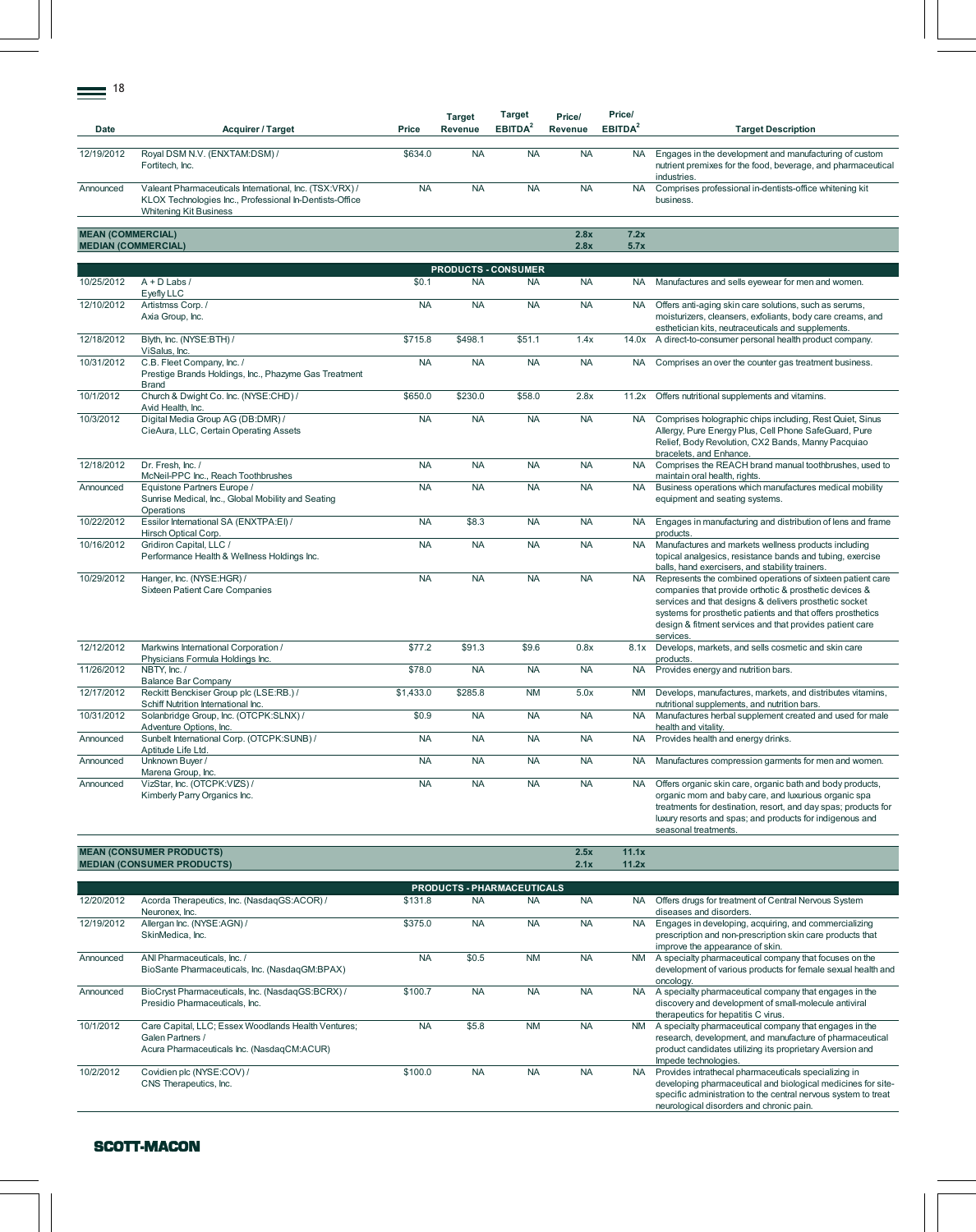| Date                       | <b>Acquirer / Target</b>                                                                                                                            | Price     | <b>Target</b><br>Revenue | Target<br>EBITDA <sup>2</sup> | Price/<br>Revenue | Price/<br>EBITDA <sup>2</sup> | <b>Target Description</b>                                                                                                                                                                                                                                                                                              |
|----------------------------|-----------------------------------------------------------------------------------------------------------------------------------------------------|-----------|--------------------------|-------------------------------|-------------------|-------------------------------|------------------------------------------------------------------------------------------------------------------------------------------------------------------------------------------------------------------------------------------------------------------------------------------------------------------------|
| 12/19/2012                 | Royal DSM N.V. (ENXTAM:DSM) /<br>Fortitech, Inc.                                                                                                    | \$634.0   | <b>NA</b>                | <b>NA</b>                     | <b>NA</b>         | <b>NA</b>                     | Engages in the development and manufacturing of custom<br>nutrient premixes for the food, beverage, and pharmaceutical<br>industries.                                                                                                                                                                                  |
| Announced                  | Valeant Pharmaceuticals International, Inc. (TSX:VRX) /<br>KLOX Technologies Inc., Professional In-Dentists-Office<br><b>Whitening Kit Business</b> | <b>NA</b> | <b>NA</b>                | <b>NA</b>                     | <b>NA</b>         | <b>NA</b>                     | Comprises professional in-dentists-office whitening kit<br>business.                                                                                                                                                                                                                                                   |
| <b>MEAN (COMMERCIAL)</b>   |                                                                                                                                                     |           |                          |                               | 2.8x              | 7.2x                          |                                                                                                                                                                                                                                                                                                                        |
| <b>MEDIAN (COMMERCIAL)</b> |                                                                                                                                                     |           |                          |                               | 2.8x              | 5.7x                          |                                                                                                                                                                                                                                                                                                                        |
|                            |                                                                                                                                                     |           |                          | <b>PRODUCTS - CONSUMER</b>    |                   |                               |                                                                                                                                                                                                                                                                                                                        |
| 10/25/2012                 | $A + D$ Labs /<br>Eyefly LLC                                                                                                                        | \$0.1     | <b>NA</b>                | <b>NA</b>                     | <b>NA</b>         | <b>NA</b>                     | Manufactures and sells eyewear for men and women.                                                                                                                                                                                                                                                                      |
| 12/10/2012                 | Artistmss Corp./<br>Axia Group, Inc.                                                                                                                | <b>NA</b> | <b>NA</b>                | <b>NA</b>                     | <b>NA</b>         | <b>NA</b>                     | Offers anti-aging skin care solutions, such as serums,<br>moisturizers, cleansers, exfoliants, body care creams, and<br>esthetician kits, neutraceuticals and supplements.                                                                                                                                             |
| 12/18/2012                 | Blyth, Inc. (NYSE:BTH) /<br>ViSalus, Inc.                                                                                                           | \$715.8   | \$498.1                  | \$51.1                        | 1.4x              | 14.0x                         | A direct-to-consumer personal health product company.                                                                                                                                                                                                                                                                  |
| 10/31/2012                 | C.B. Fleet Company, Inc. /<br>Prestige Brands Holdings, Inc., Phazyme Gas Treatment<br><b>Brand</b>                                                 | <b>NA</b> | <b>NA</b>                | <b>NA</b>                     | <b>NA</b>         | NA.                           | Comprises an over the counter gas treatment business.                                                                                                                                                                                                                                                                  |
| 10/1/2012                  | Church & Dwight Co. Inc. (NYSE:CHD) /<br>Avid Health, Inc.                                                                                          | \$650.0   | \$230.0                  | \$58.0                        | 2.8x              | 11.2x                         | Offers nutritional supplements and vitamins.                                                                                                                                                                                                                                                                           |
| 10/3/2012                  | Digital Media Group AG (DB:DMR) /<br>CieAura, LLC, Certain Operating Assets                                                                         | <b>NA</b> | <b>NA</b>                | <b>NA</b>                     | <b>NA</b>         | <b>NA</b>                     | Comprises holographic chips including, Rest Quiet, Sinus<br>Allergy, Pure Energy Plus, Cell Phone SafeGuard, Pure<br>Relief, Body Revolution, CX2 Bands, Manny Pacquiao<br>bracelets, and Enhance.                                                                                                                     |
| 12/18/2012                 | Dr. Fresh, Inc. /<br>McNeil-PPC Inc., Reach Toothbrushes                                                                                            | <b>NA</b> | <b>NA</b>                | <b>NA</b>                     | <b>NA</b>         | <b>NA</b>                     | Comprises the REACH brand manual toothbrushes, used to<br>maintain oral health, rights.                                                                                                                                                                                                                                |
| Announced                  | Equistone Partners Europe /<br>Sunrise Medical, Inc., Global Mobility and Seating<br>Operations                                                     | <b>NA</b> | <b>NA</b>                | <b>NA</b>                     | <b>NA</b>         | <b>NA</b>                     | Business operations which manufactures medical mobility<br>equipment and seating systems.                                                                                                                                                                                                                              |
| 10/22/2012                 | Essilor International SA (ENXTPA:EI) /<br>Hirsch Optical Corp.                                                                                      | <b>NA</b> | \$8.3                    | <b>NA</b>                     | <b>NA</b>         | <b>NA</b>                     | Engages in manufacturing and distribution of lens and frame<br>products.                                                                                                                                                                                                                                               |
| 10/16/2012                 | Gridiron Capital, LLC /<br>Performance Health & Wellness Holdings Inc.                                                                              | <b>NA</b> | <b>NA</b>                | <b>NA</b>                     | <b>NA</b>         | <b>NA</b>                     | Manufactures and markets wellness products including<br>topical analgesics, resistance bands and tubing, exercise<br>balls, hand exercisers, and stability trainers.                                                                                                                                                   |
| 10/29/2012                 | Hanger, Inc. (NYSE:HGR) /<br>Sixteen Patient Care Companies                                                                                         | <b>NA</b> | <b>NA</b>                | <b>NA</b>                     | <b>NA</b>         | <b>NA</b>                     | Represents the combined operations of sixteen patient care<br>companies that provide orthotic & prosthetic devices &<br>services and that designs & delivers prosthetic socket<br>systems for prosthetic patients and that offers prosthetics<br>design & fitment services and that provides patient care<br>services. |
| 12/12/2012                 | Markwins International Corporation /<br>Physicians Formula Holdings Inc.                                                                            | \$77.2    | \$91.3                   | \$9.6                         | 0.8x              | 8.1x                          | Develops, markets, and sells cosmetic and skin care<br>products.                                                                                                                                                                                                                                                       |
| 11/26/2012                 | NBTY, Inc. /<br><b>Balance Bar Company</b>                                                                                                          | \$78.0    | <b>NA</b>                | <b>NA</b>                     | <b>NA</b>         | <b>NA</b>                     | Provides energy and nutrition bars.                                                                                                                                                                                                                                                                                    |
| 12/17/2012                 | Reckitt Benckiser Group plc (LSE:RB.) /<br>Schiff Nutrition International Inc.                                                                      | \$1,433.0 | \$285.8                  | <b>NM</b>                     | 5.0x              | <b>NM</b>                     | Develops, manufactures, markets, and distributes vitamins,<br>nutritional supplements, and nutrition bars.                                                                                                                                                                                                             |
| 10/31/2012                 | Solanbridge Group, Inc. (OTCPK:SLNX) /<br>Adventure Options, Inc.                                                                                   | \$0.9     | <b>NA</b>                | <b>NA</b>                     | <b>NA</b>         | <b>NA</b>                     | Manufactures herbal supplement created and used for male<br>health and vitality.                                                                                                                                                                                                                                       |
| Announced                  | Sunbelt International Corp. (OTCPK:SUNB) /<br>Aptitude Life Ltd.                                                                                    | <b>NA</b> | <b>NA</b>                | <b>NA</b>                     | <b>NA</b>         | <b>NA</b>                     | Provides health and energy drinks.                                                                                                                                                                                                                                                                                     |
| Announced                  | Unknown Buyer /<br>Marena Group, Inc.                                                                                                               | <b>NA</b> | <b>NA</b>                | <b>NA</b>                     | <b>NA</b>         | NA.                           | Manufactures compression garments for men and women.                                                                                                                                                                                                                                                                   |
| Announced                  | VizStar, Inc. (OTCPK:VIZS) /<br>Kimberly Parry Organics Inc.                                                                                        | <b>NA</b> | <b>NA</b>                | <b>NA</b>                     | <b>NA</b>         | <b>NA</b>                     | Offers organic skin care, organic bath and body products,<br>organic mom and baby care, and luxurious organic spa<br>treatments for destination, resort, and day spas; products for<br>luxury resorts and spas; and products for indigenous and<br>seasonal treatments.                                                |
|                            | <b>MEAN (CONSUMER PRODUCTS)</b><br><b>MEDIAN (CONSUMER PRODUCTS)</b>                                                                                |           |                          |                               | 2.5x<br>2.1x      | 11.1x<br>11.2x                |                                                                                                                                                                                                                                                                                                                        |

|            |                                                                                                                       |           | <b>PRODUCTS - PHARMACEUTICALS</b> |           |           |           |                                                                                                                                                                                                                                    |
|------------|-----------------------------------------------------------------------------------------------------------------------|-----------|-----------------------------------|-----------|-----------|-----------|------------------------------------------------------------------------------------------------------------------------------------------------------------------------------------------------------------------------------------|
| 12/20/2012 | Acorda Therapeutics, Inc. (NasdaqGS:ACOR) /<br>Neuronex, Inc.                                                         | \$131.8   | <b>NA</b>                         | <b>NA</b> | <b>NA</b> | NA.       | Offers drugs for treatment of Central Nervous System<br>diseases and disorders.                                                                                                                                                    |
| 12/19/2012 | Allergan Inc. (NYSE:AGN) /<br>SkinMedica, Inc.                                                                        | \$375.0   | <b>NA</b>                         | <b>NA</b> | <b>NA</b> | <b>NA</b> | Engages in developing, acquiring, and commercializing<br>prescription and non-prescription skin care products that<br>improve the appearance of skin.                                                                              |
| Announced  | ANI Pharmaceuticals, Inc. /<br>BioSante Pharmaceuticals, Inc. (NasdaqGM:BPAX)                                         | <b>NA</b> | \$0.5                             | <b>NM</b> | <b>NA</b> | <b>NM</b> | A specialty pharmaceutical company that focuses on the<br>development of various products for female sexual health and<br>oncology.                                                                                                |
| Announced  | BioCryst Pharmaceuticals, Inc. (NasdaqGS:BCRX) /<br>Presidio Pharmaceuticals, Inc.                                    | \$100.7   | <b>NA</b>                         | <b>NA</b> | <b>NA</b> | NA.       | A specialty pharmaceutical company that engages in the<br>discovery and development of small-molecule antiviral<br>therapeutics for hepatitis C virus.                                                                             |
| 10/1/2012  | Care Capital, LLC; Essex Woodlands Health Ventures;<br>Galen Partners /<br>Acura Pharmaceuticals Inc. (NasdaqCM:ACUR) | <b>NA</b> | \$5.8                             | <b>NM</b> | <b>NA</b> | <b>NM</b> | A specialty pharmaceutical company that engages in the<br>research, development, and manufacture of pharmaceutical<br>product candidates utilizing its proprietary Aversion and<br>Impede technologies.                            |
| 10/2/2012  | Covidien plc (NYSE:COV) /<br>CNS Therapeutics, Inc.                                                                   | \$100.0   | <b>NA</b>                         | <b>NA</b> | <b>NA</b> | NA.       | Provides intrathecal pharmaceuticals specializing in<br>developing pharmaceutical and biological medicines for site-<br>specific administration to the central nervous system to treat<br>neurological disorders and chronic pain. |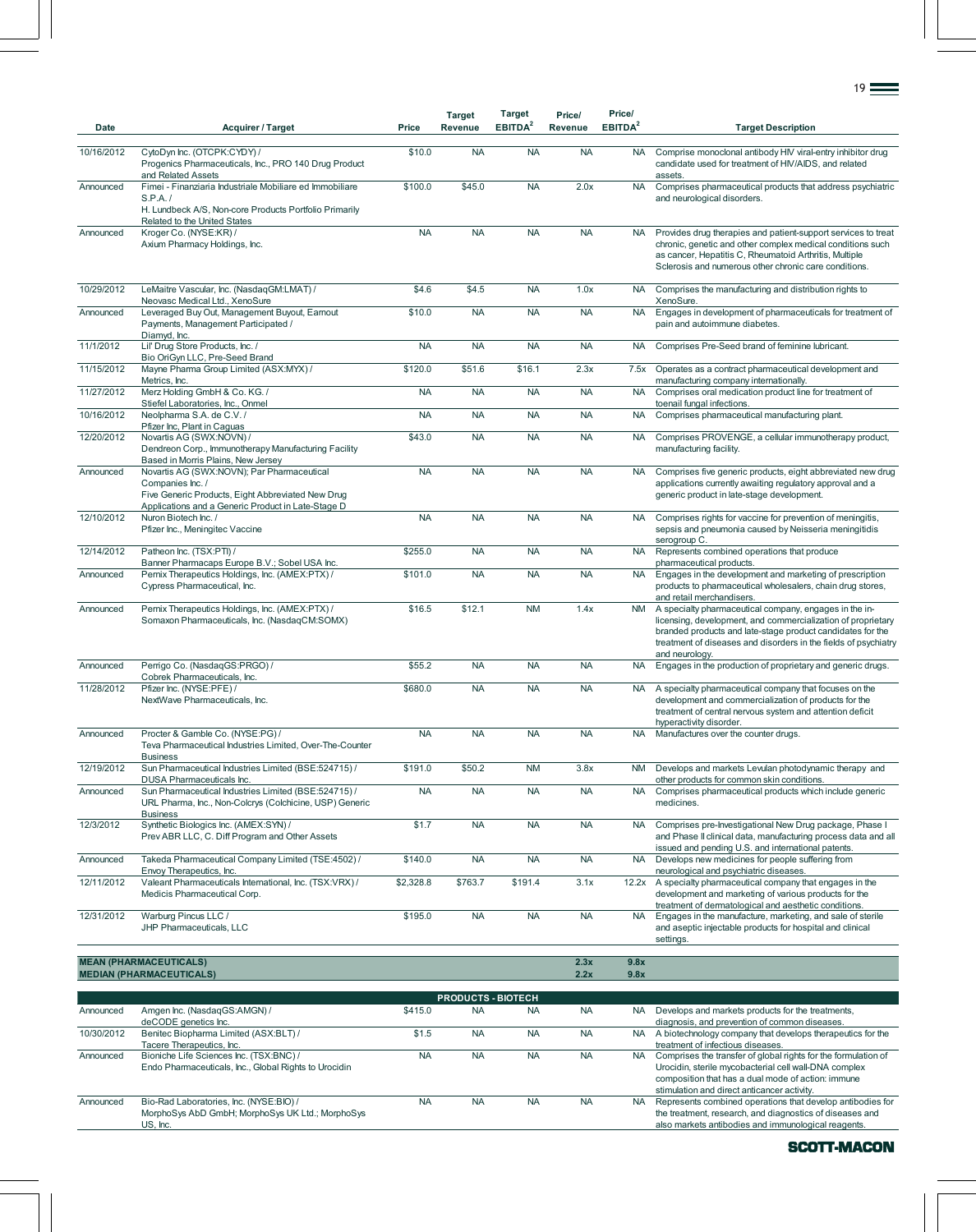| Date       | <b>Acquirer / Target</b>                                                                                                                                                  | Price     | <b>Target</b><br><b>Revenue</b> | <b>Target</b><br>EBITDA <sup>2</sup> | Price/<br>Revenue | Price/<br>EBITDA <sup>2</sup> | <b>Target Description</b>                                                                                                                                                                                                                                                 |
|------------|---------------------------------------------------------------------------------------------------------------------------------------------------------------------------|-----------|---------------------------------|--------------------------------------|-------------------|-------------------------------|---------------------------------------------------------------------------------------------------------------------------------------------------------------------------------------------------------------------------------------------------------------------------|
|            |                                                                                                                                                                           |           |                                 |                                      |                   |                               |                                                                                                                                                                                                                                                                           |
| 10/16/2012 | CytoDyn Inc. (OTCPK:CYDY) /<br>Progenics Pharmaceuticals, Inc., PRO 140 Drug Product<br>and Related Assets                                                                | \$10.0    | <b>NA</b>                       | <b>NA</b>                            | <b>NA</b>         | <b>NA</b>                     | Comprise monoclonal antibody HIV viral-entry inhibitor drug<br>candidate used for treatment of HIV/AIDS, and related<br>assets.                                                                                                                                           |
| Announced  | Fimei - Finanziaria Industriale Mobiliare ed Immobiliare<br>S.P.A. /                                                                                                      | \$100.0   | \$45.0                          | <b>NA</b>                            | 2.0x              | <b>NA</b>                     | Comprises pharmaceutical products that address psychiatric<br>and neurological disorders.                                                                                                                                                                                 |
|            | H. Lundbeck A/S, Non-core Products Portfolio Primarily<br>Related to the United States                                                                                    |           |                                 |                                      |                   |                               |                                                                                                                                                                                                                                                                           |
| Announced  | Kroger Co. (NYSE:KR) /<br>Axium Pharmacy Holdings, Inc.                                                                                                                   | <b>NA</b> | <b>NA</b>                       | <b>NA</b>                            | <b>NA</b>         | <b>NA</b>                     | Provides drug therapies and patient-support services to treat<br>chronic, genetic and other complex medical conditions such<br>as cancer, Hepatitis C, Rheumatoid Arthritis, Multiple<br>Sclerosis and numerous other chronic care conditions.                            |
| 10/29/2012 | LeMaitre Vascular, Inc. (NasdaqGM:LMAT) /<br>Neovasc Medical Ltd., XenoSure                                                                                               | \$4.6     | \$4.5                           | <b>NA</b>                            | 1.0x              | <b>NA</b>                     | Comprises the manufacturing and distribution rights to<br>XenoSure.                                                                                                                                                                                                       |
| Announced  | Leveraged Buy Out, Management Buyout, Earnout<br>Payments, Management Participated /<br>Diamyd, Inc.                                                                      | \$10.0    | <b>NA</b>                       | <b>NA</b>                            | <b>NA</b>         | <b>NA</b>                     | Engages in development of pharmaceuticals for treatment of<br>pain and autoimmune diabetes.                                                                                                                                                                               |
| 11/1/2012  | Lil' Drug Store Products, Inc. /<br>Bio OriGyn LLC, Pre-Seed Brand                                                                                                        | <b>NA</b> | <b>NA</b>                       | <b>NA</b>                            | <b>NA</b>         | <b>NA</b>                     | Comprises Pre-Seed brand of feminine lubricant.                                                                                                                                                                                                                           |
| 11/15/2012 | Mayne Pharma Group Limited (ASX:MYX) /<br>Metrics, Inc.                                                                                                                   | \$120.0   | \$51.6                          | \$16.1                               | 2.3x              | 7.5x                          | Operates as a contract pharmaceutical development and<br>manufacturing company internationally.                                                                                                                                                                           |
| 11/27/2012 | Merz Holding GmbH & Co. KG./<br>Stiefel Laboratories, Inc., Onmel                                                                                                         | <b>NA</b> | <b>NA</b>                       | <b>NA</b>                            | <b>NA</b>         | <b>NA</b>                     | Comprises oral medication product line for treatment of<br>toenail fungal infections.                                                                                                                                                                                     |
| 10/16/2012 | Neolpharma S.A. de C.V./<br>Pfizer Inc, Plant in Caguas                                                                                                                   | <b>NA</b> | <b>NA</b>                       | <b>NA</b>                            | <b>NA</b>         | <b>NA</b>                     | Comprises pharmaceutical manufacturing plant.                                                                                                                                                                                                                             |
| 12/20/2012 | Novartis AG (SWX:NOVN) /<br>Dendreon Corp., Immunotherapy Manufacturing Facility<br>Based in Morris Plains, New Jersey                                                    | \$43.0    | <b>NA</b>                       | <b>NA</b>                            | <b>NA</b>         | <b>NA</b>                     | Comprises PROVENGE, a cellular immunotherapy product,<br>manufacturing facility.                                                                                                                                                                                          |
| Announced  | Novartis AG (SWX:NOVN); Par Pharmaceutical<br>Companies Inc. /<br>Five Generic Products, Eight Abbreviated New Drug<br>Applications and a Generic Product in Late-Stage D | <b>NA</b> | <b>NA</b>                       | <b>NA</b>                            | <b>NA</b>         | <b>NA</b>                     | Comprises five generic products, eight abbreviated new drug<br>applications currently awaiting regulatory approval and a<br>generic product in late-stage development.                                                                                                    |
| 12/10/2012 | Nuron Biotech Inc. /<br>Pfizer Inc., Meningitec Vaccine                                                                                                                   | <b>NA</b> | <b>NA</b>                       | <b>NA</b>                            | <b>NA</b>         | <b>NA</b>                     | Comprises rights for vaccine for prevention of meningitis,<br>sepsis and pneumonia caused by Neisseria meningitidis<br>serogroup C.                                                                                                                                       |
| 12/14/2012 | Patheon Inc. (TSX:PTI) /<br>Banner Pharmacaps Europe B.V.; Sobel USA Inc.                                                                                                 | \$255.0   | <b>NA</b>                       | <b>NA</b>                            | <b>NA</b>         | <b>NA</b>                     | Represents combined operations that produce<br>pharmaceutical products.                                                                                                                                                                                                   |
| Announced  | Pernix Therapeutics Holdings, Inc. (AMEX:PTX) /<br>Cypress Pharmaceutical, Inc.                                                                                           | \$101.0   | <b>NA</b>                       | <b>NA</b>                            | <b>NA</b>         | <b>NA</b>                     | Engages in the development and marketing of prescription<br>products to pharmaceutical wholesalers, chain drug stores,<br>and retail merchandisers.                                                                                                                       |
| Announced  | Pernix Therapeutics Holdings, Inc. (AMEX:PTX) /<br>Somaxon Pharmaceuticals, Inc. (NasdaqCM:SOMX)                                                                          | \$16.5    | \$12.1                          | <b>NM</b>                            | 1.4x              | <b>NM</b>                     | A specialty pharmaceutical company, engages in the in-<br>licensing, development, and commercialization of proprietary<br>branded products and late-stage product candidates for the<br>treatment of diseases and disorders in the fields of psychiatry<br>and neurology. |
| Announced  | Perrigo Co. (NasdaqGS:PRGO) /<br>Cobrek Pharmaceuticals, Inc.                                                                                                             | \$55.2    | <b>NA</b>                       | <b>NA</b>                            | <b>NA</b>         | <b>NA</b>                     | Engages in the production of proprietary and generic drugs.                                                                                                                                                                                                               |
| 11/28/2012 | Pfizer Inc. (NYSE:PFE) /<br>NextWave Pharmaceuticals, Inc.                                                                                                                | \$680.0   | <b>NA</b>                       | <b>NA</b>                            | <b>NA</b>         | <b>NA</b>                     | A specialty pharmaceutical company that focuses on the<br>development and commercialization of products for the<br>treatment of central nervous system and attention deficit<br>hyperactivity disorder.                                                                   |
| Announced  | Procter & Gamble Co. (NYSE:PG) /<br>Teva Pharmaceutical Industries Limited, Over-The-Counter<br><b>Business</b>                                                           | <b>NA</b> | <b>NA</b>                       | <b>NA</b>                            | <b>NA</b>         | <b>NA</b>                     | Manufactures over the counter drugs.                                                                                                                                                                                                                                      |
| 12/19/2012 | Sun Pharmaceutical Industries Limited (BSE:524715) /<br>DUSA Pharmaceuticals Inc.                                                                                         | \$191.0   | \$50.2                          | <b>NM</b>                            | 3.8x              | <b>NM</b>                     | Develops and markets Levulan photodynamic therapy and<br>other products for common skin conditions.                                                                                                                                                                       |
| Announced  | Sun Pharmaceutical Industries Limited (BSE:524715) /<br>URL Pharma, Inc., Non-Colcrys (Colchicine, USP) Generic<br><b>Business</b>                                        | <b>NA</b> | <b>NA</b>                       | <b>NA</b>                            | <b>NA</b>         | <b>NA</b>                     | Comprises pharmaceutical products which include generic<br>medicines.                                                                                                                                                                                                     |
| 12/3/2012  | Synthetic Biologics Inc. (AMEX:SYN) /<br>Prev ABR LLC, C. Diff Program and Other Assets                                                                                   | \$1.7     | <b>NA</b>                       | <b>NA</b>                            | <b>NA</b>         | <b>NA</b>                     | Comprises pre-Investigational New Drug package, Phase I<br>and Phase II clinical data, manufacturing process data and all<br>issued and pending U.S. and international patents.                                                                                           |
| Announced  | Takeda Pharmaceutical Company Limited (TSE:4502) /<br>Envoy Therapeutics, Inc.                                                                                            | \$140.0   | <b>NA</b>                       | <b>NA</b>                            | <b>NA</b>         | <b>NA</b>                     | Develops new medicines for people suffering from<br>neurological and psychiatric diseases.                                                                                                                                                                                |
| 12/11/2012 | Valeant Pharmaceuticals International, Inc. (TSX:VRX) /<br>Medicis Pharmaceutical Corp.                                                                                   | \$2,328.8 | \$763.7                         | \$191.4                              | 3.1x              | 12.2x                         | A specialty pharmaceutical company that engages in the<br>development and marketing of various products for the<br>treatment of dermatological and aesthetic conditions.                                                                                                  |
| 12/31/2012 | Warburg Pincus LLC /<br>JHP Pharmaceuticals, LLC                                                                                                                          | \$195.0   | <b>NA</b>                       | <b>NA</b>                            | <b>NA</b>         | <b>NA</b>                     | Engages in the manufacture, marketing, and sale of sterile<br>and aseptic injectable products for hospital and clinical<br>settings.                                                                                                                                      |
|            | <b>MEAN (PHARMACEUTICALS)</b>                                                                                                                                             |           |                                 |                                      | 2.3x              | 9.8x                          |                                                                                                                                                                                                                                                                           |
|            | <b>MEDIAN (PHARMACEUTICALS)</b>                                                                                                                                           |           |                                 |                                      | 2.2x              | 9.8x                          |                                                                                                                                                                                                                                                                           |

|            | <b>PRODUCTS - BIOTECH</b>                                                                               |           |           |           |           |           |                                                                                                                                                                                                                              |  |  |  |  |  |  |
|------------|---------------------------------------------------------------------------------------------------------|-----------|-----------|-----------|-----------|-----------|------------------------------------------------------------------------------------------------------------------------------------------------------------------------------------------------------------------------------|--|--|--|--|--|--|
| Announced  | Amgen Inc. (NasdaqGS:AMGN) /<br>deCODE genetics Inc.                                                    | \$415.0   | <b>NA</b> | <b>NA</b> | <b>NA</b> | <b>NA</b> | Develops and markets products for the treatments,<br>diagnosis, and prevention of common diseases.                                                                                                                           |  |  |  |  |  |  |
| 10/30/2012 | Benitec Biopharma Limited (ASX:BLT) /<br>Tacere Therapeutics, Inc.                                      | \$1.5     | <b>NA</b> | <b>NA</b> | <b>NA</b> | NA.       | A biotechnology company that develops therapeutics for the<br>treatment of infectious diseases.                                                                                                                              |  |  |  |  |  |  |
| Announced  | Bioniche Life Sciences Inc. (TSX:BNC) /<br>Endo Pharmaceuticals, Inc., Global Rights to Urocidin        | <b>NA</b> | <b>NA</b> | <b>NA</b> | <b>NA</b> | NA.       | Comprises the transfer of global rights for the formulation of<br>Urocidin, sterile mycobacterial cell wall-DNA complex<br>composition that has a dual mode of action: immune<br>stimulation and direct anticancer activity. |  |  |  |  |  |  |
| Announced  | Bio-Rad Laboratories, Inc. (NYSE:BIO) /<br>MorphoSys AbD GmbH; MorphoSys UK Ltd.; MorphoSys<br>US. Inc. | <b>NA</b> | <b>NA</b> | <b>NA</b> | <b>NA</b> | <b>NA</b> | Represents combined operations that develop antibodies for<br>the treatment, research, and diagnostics of diseases and<br>also markets antibodies and immunological reagents.                                                |  |  |  |  |  |  |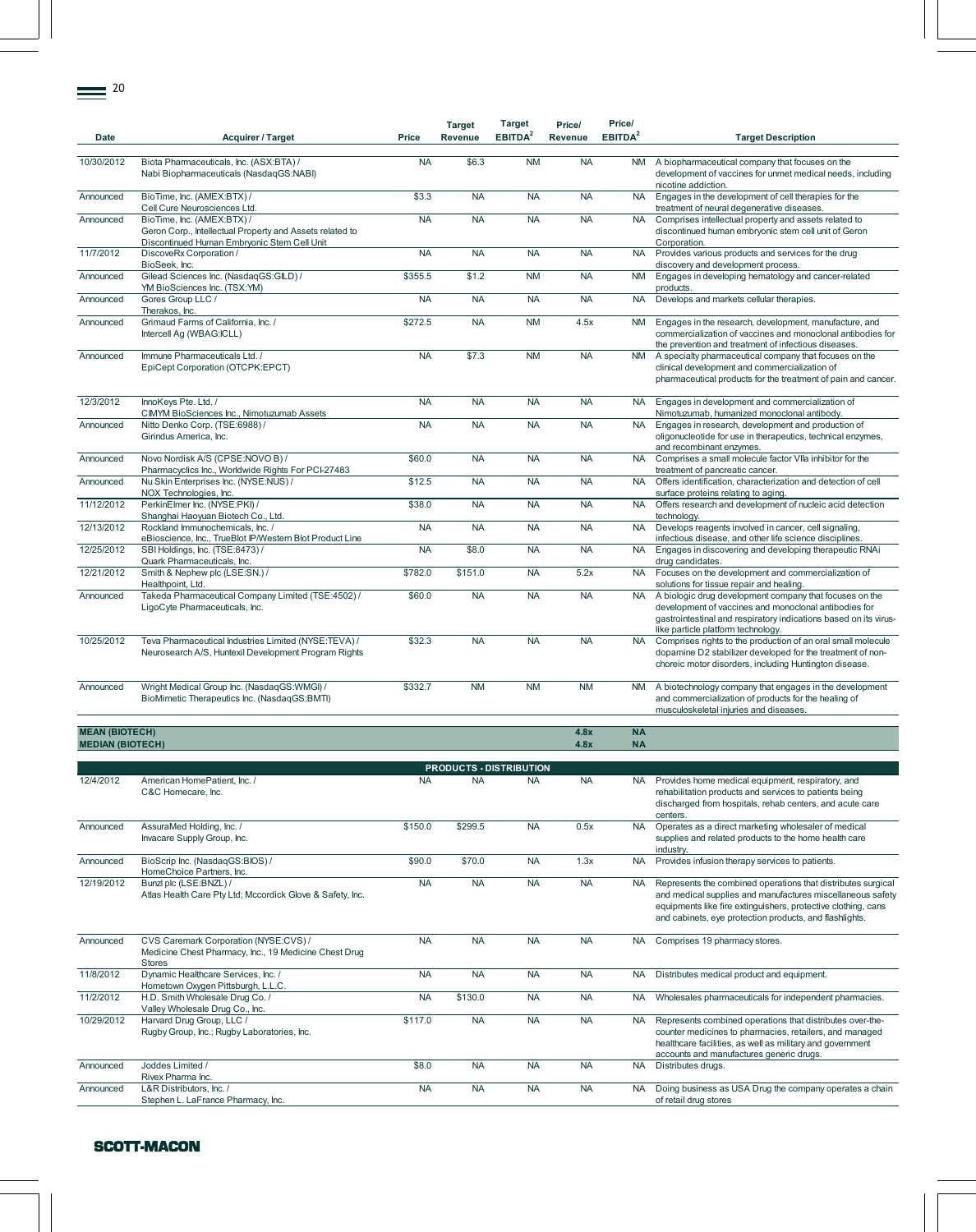| <b>Date</b>             | Acquirer / Target                                                                                                                     | Price     | <b>Target</b><br>Revenue | <b>Target</b><br>EBITDA <sup>2</sup> | Price/<br>Revenue | Price/<br>EBITDA <sup>2</sup> | <b>Target Description</b>                                                                                                                                                                                                  |
|-------------------------|---------------------------------------------------------------------------------------------------------------------------------------|-----------|--------------------------|--------------------------------------|-------------------|-------------------------------|----------------------------------------------------------------------------------------------------------------------------------------------------------------------------------------------------------------------------|
| 10/30/2012              | Biota Pharmaceuticals, Inc. (ASX:BTA) /<br>Nabi Biopharmaceuticals (NasdaqGS:NABI)                                                    | <b>NA</b> | \$6.3                    | <b>NM</b>                            | <b>NA</b>         | <b>NM</b>                     | A biopharmaceutical company that focuses on the<br>development of vaccines for unmet medical needs, including<br>nicotine addiction.                                                                                       |
| Announced               | BioTime, Inc. (AMEX:BTX) /<br>Cell Cure Neurosciences Ltd.                                                                            | \$3.3     | <b>NA</b>                | <b>NA</b>                            | <b>NA</b>         | <b>NA</b>                     | Engages in the development of cell therapies for the<br>treatment of neural degenerative diseases.                                                                                                                         |
| Announced               | BioTime, Inc. (AMEX:BTX) /<br>Geron Corp., Intellectual Property and Assets related to<br>Discontinued Human Embryonic Stem Cell Unit | <b>NA</b> | <b>NA</b>                | <b>NA</b>                            | <b>NA</b>         | <b>NA</b>                     | Comprises intellectual property and assets related to<br>discontinued human embryonic stem cell unit of Geron<br>Corporation.                                                                                              |
| 11/7/2012               | DiscoveRx Corporation /<br>BioSeek, Inc.                                                                                              | <b>NA</b> | <b>NA</b>                | <b>NA</b>                            | <b>NA</b>         | <b>NA</b>                     | Provides various products and services for the drug<br>discovery and development process.                                                                                                                                  |
| Announced               | Gilead Sciences Inc. (NasdaqGS:GILD) /<br>YM BioSciences Inc. (TSX:YM)                                                                | \$355.5   | \$1.2                    | <b>NM</b>                            | <b>NA</b>         | <b>NM</b>                     | Engages in developing hematology and cancer-related<br>products.                                                                                                                                                           |
| Announced               | Gores Group LLC /<br>Therakos, Inc.                                                                                                   | <b>NA</b> | <b>NA</b>                | <b>NA</b>                            | <b>NA</b>         | <b>NA</b>                     | Develops and markets cellular therapies.                                                                                                                                                                                   |
| Announced               | Grimaud Farms of California, Inc. /<br>Intercell Ag (WBAG:ICLL)                                                                       | \$272.5   | <b>NA</b>                | <b>NM</b>                            | 4.5x              | <b>NM</b>                     | Engages in the research, development, manufacture, and<br>commercialization of vaccines and monoclonal antibodies for<br>the prevention and treatment of infectious diseases.                                              |
| Announced               | Immune Pharmaceuticals Ltd./<br>EpiCept Corporation (OTCPK:EPCT)                                                                      | <b>NA</b> | \$7.3                    | <b>NM</b>                            | <b>NA</b>         | <b>NM</b>                     | A specialty pharmaceutical company that focuses on the<br>clinical development and commercialization of<br>pharmaceutical products for the treatment of pain and cancer.                                                   |
| 12/3/2012               | InnoKeys Pte. Ltd./<br>CIMYM BioSciences Inc., Nimotuzumab Assets                                                                     | <b>NA</b> | <b>NA</b>                | <b>NA</b>                            | <b>NA</b>         | <b>NA</b>                     | Engages in development and commercialization of<br>Nimotuzumab, humanized monoclonal antibody.                                                                                                                             |
| Announced               | Nitto Denko Corp. (TSE:6988) /<br>Girindus America, Inc.                                                                              | <b>NA</b> | <b>NA</b>                | <b>NA</b>                            | <b>NA</b>         | <b>NA</b>                     | Engages in research, development and production of<br>oligonucleotide for use in therapeutics, technical enzymes,<br>and recombinant enzymes.                                                                              |
| Announced               | Novo Nordisk A/S (CPSE:NOVO B) /<br>Pharmacyclics Inc., Worldwide Rights For PCI-27483                                                | \$60.0    | <b>NA</b>                | <b>NA</b>                            | <b>NA</b>         | <b>NA</b>                     | Comprises a small molecule factor VIIa inhibitor for the<br>treatment of pancreatic cancer.                                                                                                                                |
| Announced               | Nu Skin Enterprises Inc. (NYSE:NUS) /<br>NOX Technologies, Inc.                                                                       | \$12.5    | <b>NA</b>                | <b>NA</b>                            | <b>NA</b>         | <b>NA</b>                     | Offers identification, characterization and detection of cell<br>surface proteins relating to aging.                                                                                                                       |
| 11/12/2012              | PerkinElmer Inc. (NYSE:PKI) /<br>Shanghai Haoyuan Biotech Co., Ltd.                                                                   | \$38.0    | <b>NA</b>                | <b>NA</b>                            | <b>NA</b>         | <b>NA</b>                     | Offers research and development of nucleic acid detection<br>technology.                                                                                                                                                   |
| 12/13/2012              | Rockland Immunochemicals, Inc. /<br>eBioscience, Inc., TrueBlot IP/Western Blot Product Line                                          | NA        | <b>NA</b>                | <b>NA</b>                            | <b>NA</b>         | <b>NA</b>                     | Develops reagents involved in cancer, cell signaling,<br>infectious disease, and other life science disciplines.                                                                                                           |
| 12/25/2012              | SBI Holdings, Inc. (TSE:8473) /<br>Quark Pharmaceuticals, Inc.                                                                        | <b>NA</b> | \$8.0                    | <b>NA</b>                            | <b>NA</b>         | <b>NA</b>                     | Engages in discovering and developing therapeutic RNAi<br>drug candidates.                                                                                                                                                 |
| 12/21/2012              | Smith & Nephew plc (LSE:SN.) /<br>Healthpoint, Ltd.                                                                                   | \$782.0   | \$151.0                  | <b>NA</b>                            | 5.2x              | <b>NA</b>                     | Focuses on the development and commercialization of<br>solutions for tissue repair and healing.                                                                                                                            |
| Announced               | Takeda Pharmaceutical Company Limited (TSE:4502) /<br>LigoCyte Pharmaceuticals, Inc.                                                  | \$60.0    | <b>NA</b>                | <b>NA</b>                            | <b>NA</b>         | <b>NA</b>                     | A biologic drug development company that focuses on the<br>development of vaccines and monoclonal antibodies for<br>gastrointestinal and respiratory indications based on its virus-<br>like particle platform technology. |
| 10/25/2012              | Teva Pharmaceutical Industries Limited (NYSE:TEVA) /<br>Neurosearch A/S, Huntexil Development Program Rights                          | \$32.3    | <b>NA</b>                | <b>NA</b>                            | <b>NA</b>         | <b>NA</b>                     | Comprises rights to the production of an oral small molecule<br>dopamine D2 stabilizer developed for the treatment of non-<br>choreic motor disorders, including Huntington disease.                                       |
| Announced               | Wright Medical Group Inc. (NasdaqGS:WMGI) /<br>BioMimetic Therapeutics Inc. (NasdaqGS:BMTI)                                           | \$332.7   | <b>NM</b>                | <b>NM</b>                            | <b>NM</b>         | <b>NM</b>                     | A biotechnology company that engages in the development<br>and commercialization of products for the healing of<br>musculoskeletal iniuries and diseases.                                                                  |
| <b>MEAN (BIOTECH)</b>   |                                                                                                                                       |           |                          |                                      | 4.8x              | <b>NA</b>                     |                                                                                                                                                                                                                            |
| <b>MEDIAN (BIOTECH)</b> |                                                                                                                                       |           |                          |                                      | 4.8x              | <b>NA</b>                     |                                                                                                                                                                                                                            |
|                         |                                                                                                                                       |           |                          | <b>PRODUCTS - DISTRIBUTION</b>       |                   |                               |                                                                                                                                                                                                                            |

|            | <b>PRODUCTS - DISTRIBUTION</b>                                                                                  |           |           |           |           |           |                                                                                                                                                                                                                                                        |  |  |  |  |  |  |  |
|------------|-----------------------------------------------------------------------------------------------------------------|-----------|-----------|-----------|-----------|-----------|--------------------------------------------------------------------------------------------------------------------------------------------------------------------------------------------------------------------------------------------------------|--|--|--|--|--|--|--|
| 12/4/2012  | American HomePatient, Inc. /<br>C&C Homecare, Inc.                                                              | <b>NA</b> | <b>NA</b> | <b>NA</b> | <b>NA</b> | <b>NA</b> | Provides home medical equipment, respiratory, and<br>rehabilitation products and services to patients being<br>discharged from hospitals, rehab centers, and acute care<br>centers.                                                                    |  |  |  |  |  |  |  |
| Announced  | AssuraMed Holding, Inc. /<br>Invacare Supply Group, Inc.                                                        | \$150.0   | \$299.5   | <b>NA</b> | 0.5x      | <b>NA</b> | Operates as a direct marketing wholesaler of medical<br>supplies and related products to the home health care<br>industry.                                                                                                                             |  |  |  |  |  |  |  |
| Announced  | BioScrip Inc. (NasdaqGS:BIOS) /<br>HomeChoice Partners, Inc.                                                    | \$90.0    | \$70.0    | <b>NA</b> | 1.3x      | <b>NA</b> | Provides infusion therapy services to patients.                                                                                                                                                                                                        |  |  |  |  |  |  |  |
| 12/19/2012 | Bunzl plc (LSE:BNZL) /<br>Atlas Health Care Pty Ltd; Mccordick Glove & Safety, Inc.                             | <b>NA</b> | <b>NA</b> | <b>NA</b> | <b>NA</b> | <b>NA</b> | Represents the combined operations that distributes surgical<br>and medical supplies and manufactures miscellaneous safety<br>equipments like fire extinguishers, protective clothing, cans<br>and cabinets, eye protection products, and flashlights. |  |  |  |  |  |  |  |
| Announced  | CVS Caremark Corporation (NYSE:CVS) /<br>Medicine Chest Pharmacy, Inc., 19 Medicine Chest Drug<br><b>Stores</b> | <b>NA</b> | <b>NA</b> | <b>NA</b> | <b>NA</b> | NA.       | Comprises 19 pharmacy stores.                                                                                                                                                                                                                          |  |  |  |  |  |  |  |
| 11/8/2012  | Dynamic Healthcare Services, Inc. /<br>Hometown Oxygen Pittsburgh, L.L.C.                                       | <b>NA</b> | <b>NA</b> | <b>NA</b> | <b>NA</b> | <b>NA</b> | Distributes medical product and equipment.                                                                                                                                                                                                             |  |  |  |  |  |  |  |
| 11/2/2012  | H.D. Smith Wholesale Drug Co./<br>Valley Wholesale Drug Co., Inc.                                               | <b>NA</b> | \$130.0   | <b>NA</b> | <b>NA</b> | <b>NA</b> | Wholesales pharmaceuticals for independent pharmacies.                                                                                                                                                                                                 |  |  |  |  |  |  |  |
| 10/29/2012 | Harvard Drug Group, LLC /<br>Rugby Group, Inc.; Rugby Laboratories, Inc.                                        | \$117.0   | <b>NA</b> | <b>NA</b> | <b>NA</b> | <b>NA</b> | Represents combined operations that distributes over-the-<br>counter medicines to pharmacies, retailers, and managed<br>healthcare facilities, as well as military and government<br>accounts and manufactures generic drugs.                          |  |  |  |  |  |  |  |
| Announced  | Joddes Limited /<br>Rivex Pharma Inc.                                                                           | \$8.0     | <b>NA</b> | <b>NA</b> | <b>NA</b> | <b>NA</b> | Distributes drugs.                                                                                                                                                                                                                                     |  |  |  |  |  |  |  |
| Announced  | L&R Distributors, Inc. /<br>Stephen L. LaFrance Pharmacy, Inc.                                                  | <b>NA</b> | <b>NA</b> | <b>NA</b> | <b>NA</b> | <b>NA</b> | Doing business as USA Drug the company operates a chain<br>of retail drug stores                                                                                                                                                                       |  |  |  |  |  |  |  |

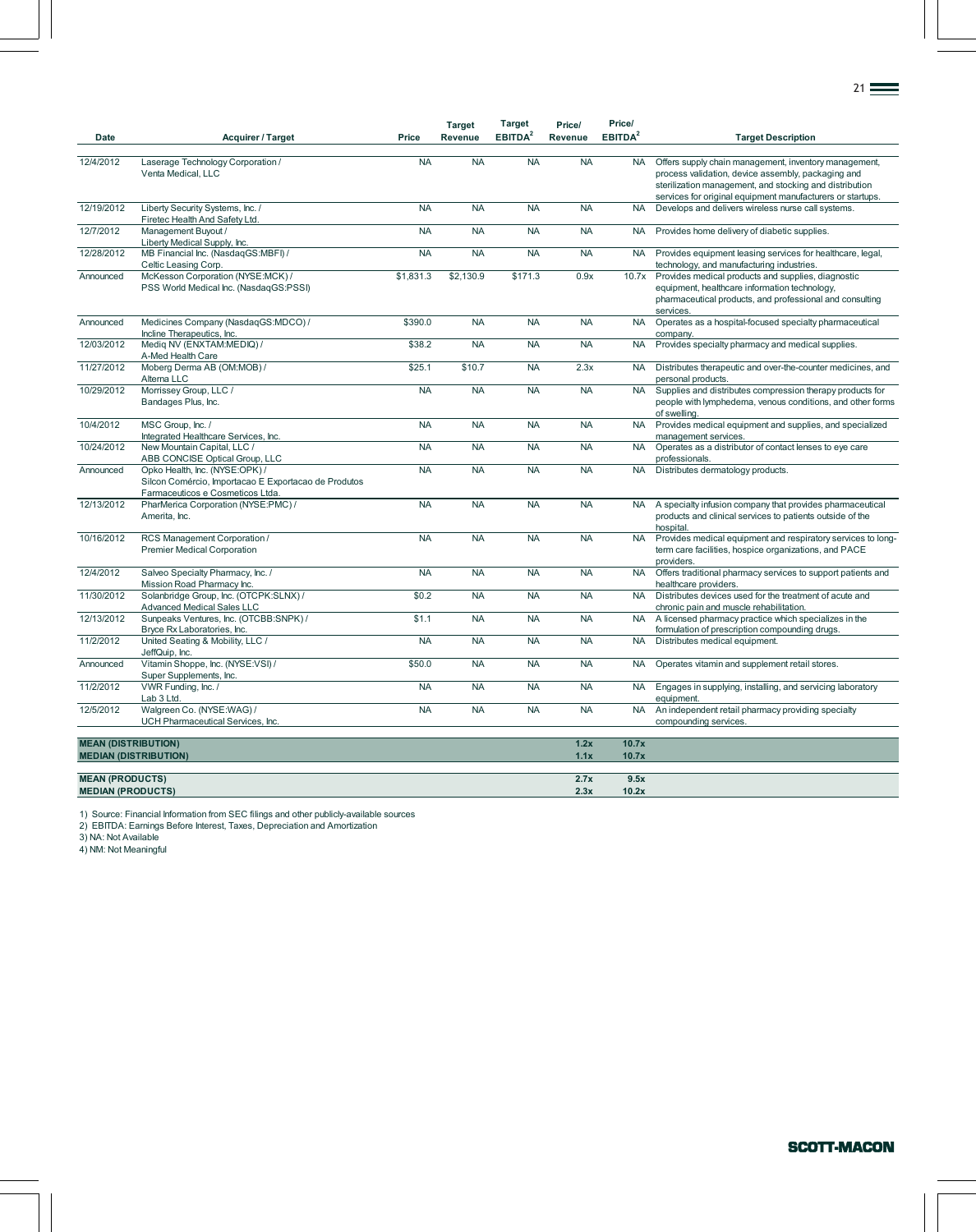| Date                                               | Acquirer / Target                                                                                                          | Price     | <b>Target</b><br>Revenue | <b>Target</b><br>EBITDA <sup>2</sup> | Price/<br>Revenue | Price/<br>EBITDA <sup>2</sup> | <b>Target Description</b>                                                                                                                                                                                                            |
|----------------------------------------------------|----------------------------------------------------------------------------------------------------------------------------|-----------|--------------------------|--------------------------------------|-------------------|-------------------------------|--------------------------------------------------------------------------------------------------------------------------------------------------------------------------------------------------------------------------------------|
| 12/4/2012                                          | Laserage Technology Corporation /<br>Venta Medical, LLC                                                                    | <b>NA</b> | <b>NA</b>                | <b>NA</b>                            | <b>NA</b>         | <b>NA</b>                     | Offers supply chain management, inventory management,<br>process validation, device assembly, packaging and<br>sterilization management, and stocking and distribution<br>services for original equipment manufacturers or startups. |
| 12/19/2012                                         | Liberty Security Systems, Inc. /<br>Firetec Health And Safety Ltd.                                                         | <b>NA</b> | <b>NA</b>                | <b>NA</b>                            | <b>NA</b>         | <b>NA</b>                     | Develops and delivers wireless nurse call systems.                                                                                                                                                                                   |
| 12/7/2012                                          | Management Buyout /<br>Liberty Medical Supply, Inc.                                                                        | <b>NA</b> | <b>NA</b>                | <b>NA</b>                            | <b>NA</b>         | <b>NA</b>                     | Provides home delivery of diabetic supplies.                                                                                                                                                                                         |
| 12/28/2012                                         | MB Financial Inc. (NasdaqGS:MBFI) /<br>Celtic Leasing Corp.                                                                | <b>NA</b> | <b>NA</b>                | <b>NA</b>                            | <b>NA</b>         | <b>NA</b>                     | Provides equipment leasing services for healthcare, legal,<br>technology, and manufacturing industries.                                                                                                                              |
| Announced                                          | McKesson Corporation (NYSE:MCK) /<br>PSS World Medical Inc. (NasdaqGS:PSSI)                                                | \$1,831.3 | \$2,130.9                | \$171.3                              | 0.9x              | 10.7x                         | Provides medical products and supplies, diagnostic<br>equipment, healthcare information technology,<br>pharmaceutical products, and professional and consulting<br>services.                                                         |
| Announced                                          | Medicines Company (NasdaqGS:MDCO) /<br>Incline Therapeutics, Inc.                                                          | \$390.0   | <b>NA</b>                | <b>NA</b>                            | <b>NA</b>         | <b>NA</b>                     | Operates as a hospital-focused specialty pharmaceutical<br>company.                                                                                                                                                                  |
| 12/03/2012                                         | Mediq NV (ENXTAM:MEDIQ) /<br>A-Med Health Care                                                                             | \$38.2    | <b>NA</b>                | <b>NA</b>                            | <b>NA</b>         | <b>NA</b>                     | Provides specialty pharmacy and medical supplies.                                                                                                                                                                                    |
| 11/27/2012                                         | Moberg Derma AB (OM:MOB) /<br>Alterna LLC                                                                                  | \$25.1    | \$10.7                   | <b>NA</b>                            | 2.3x              | <b>NA</b>                     | Distributes therapeutic and over-the-counter medicines, and<br>personal products.                                                                                                                                                    |
| 10/29/2012                                         | Morrissey Group, LLC /<br>Bandages Plus, Inc.                                                                              | <b>NA</b> | <b>NA</b>                | <b>NA</b>                            | <b>NA</b>         | <b>NA</b>                     | Supplies and distributes compression therapy products for<br>people with lymphedema, venous conditions, and other forms<br>of swelling.                                                                                              |
| 10/4/2012                                          | MSC Group, Inc. /<br>Integrated Healthcare Services, Inc.                                                                  | <b>NA</b> | <b>NA</b>                | <b>NA</b>                            | <b>NA</b>         | <b>NA</b>                     | Provides medical equipment and supplies, and specialized<br>management services.                                                                                                                                                     |
| 10/24/2012                                         | New Mountain Capital, LLC /<br>ABB CONCISE Optical Group, LLC                                                              | <b>NA</b> | <b>NA</b>                | <b>NA</b>                            | <b>NA</b>         | <b>NA</b>                     | Operates as a distributor of contact lenses to eye care<br>professionals.                                                                                                                                                            |
| Announced                                          | Opko Health, Inc. (NYSE:OPK) /<br>Silcon Comércio, Importacao E Exportacao de Produtos<br>Farmaceuticos e Cosmeticos Ltda. | <b>NA</b> | <b>NA</b>                | <b>NA</b>                            | <b>NA</b>         | <b>NA</b>                     | Distributes dermatology products.                                                                                                                                                                                                    |
| 12/13/2012                                         | PharMerica Corporation (NYSE:PMC) /<br>Amerita, Inc.                                                                       | <b>NA</b> | <b>NA</b>                | <b>NA</b>                            | <b>NA</b>         | <b>NA</b>                     | A specialty infusion company that provides pharmaceutical<br>products and clinical services to patients outside of the<br>hospital.                                                                                                  |
| 10/16/2012                                         | RCS Management Corporation /<br><b>Premier Medical Corporation</b>                                                         | <b>NA</b> | <b>NA</b>                | <b>NA</b>                            | <b>NA</b>         | <b>NA</b>                     | Provides medical equipment and respiratory services to long-<br>term care facilities, hospice organizations, and PACE<br>providers.                                                                                                  |
| 12/4/2012                                          | Salveo Specialty Pharmacy, Inc. /<br>Mission Road Pharmacy Inc.                                                            | <b>NA</b> | <b>NA</b>                | <b>NA</b>                            | <b>NA</b>         | <b>NA</b>                     | Offers traditional pharmacy services to support patients and<br>healthcare providers.                                                                                                                                                |
| 11/30/2012                                         | Solanbridge Group, Inc. (OTCPK:SLNX) /<br><b>Advanced Medical Sales LLC</b>                                                | \$0.2     | <b>NA</b>                | <b>NA</b>                            | <b>NA</b>         | <b>NA</b>                     | Distributes devices used for the treatment of acute and<br>chronic pain and muscle rehabilitation.                                                                                                                                   |
| 12/13/2012                                         | Sunpeaks Ventures, Inc. (OTCBB:SNPK) /<br>Bryce Rx Laboratories, Inc.                                                      | \$1.1     | <b>NA</b>                | <b>NA</b>                            | <b>NA</b>         | <b>NA</b>                     | A licensed pharmacy practice which specializes in the<br>formulation of prescription compounding drugs.                                                                                                                              |
| 11/2/2012                                          | United Seating & Mobility, LLC /<br>JeffQuip, Inc.                                                                         | <b>NA</b> | <b>NA</b>                | <b>NA</b>                            | <b>NA</b>         | <b>NA</b>                     | Distributes medical equipment.                                                                                                                                                                                                       |
| Announced                                          | Vitamin Shoppe, Inc. (NYSE:VSI) /<br>Super Supplements, Inc.                                                               | \$50.0    | <b>NA</b>                | <b>NA</b>                            | <b>NA</b>         | <b>NA</b>                     | Operates vitamin and supplement retail stores.                                                                                                                                                                                       |
| 11/2/2012                                          | VWR Funding, Inc. /<br>Lab 3 Ltd.                                                                                          | <b>NA</b> | <b>NA</b>                | <b>NA</b>                            | <b>NA</b>         | <b>NA</b>                     | Engages in supplying, installing, and servicing laboratory<br>equipment.                                                                                                                                                             |
| 12/5/2012                                          | Walgreen Co. (NYSE:WAG) /<br>UCH Pharmaceutical Services, Inc.                                                             | <b>NA</b> | NA                       | <b>NA</b>                            | <b>NA</b>         | <b>NA</b>                     | An independent retail pharmacy providing specialty<br>compounding services.                                                                                                                                                          |
| <b>MEAN (DISTRIBUTION)</b>                         |                                                                                                                            |           |                          |                                      | 1.2x              | 10.7x                         |                                                                                                                                                                                                                                      |
|                                                    | <b>MEDIAN (DISTRIBUTION)</b>                                                                                               |           |                          |                                      | 1.1x              | 10.7x                         |                                                                                                                                                                                                                                      |
| <b>MEAN (PRODUCTS)</b><br><b>MEDIAN (PRODUCTS)</b> |                                                                                                                            |           |                          |                                      | 2.7x<br>2.3x      | 9.5x<br>10.2x                 |                                                                                                                                                                                                                                      |

1) Source: Financial Information from SEC filings and other publicly-available sources 2) EBITDA: Earnings Before Interest, Taxes, Depreciation and Amortization

3) NA: Not Available

4) NM: Not Meaningful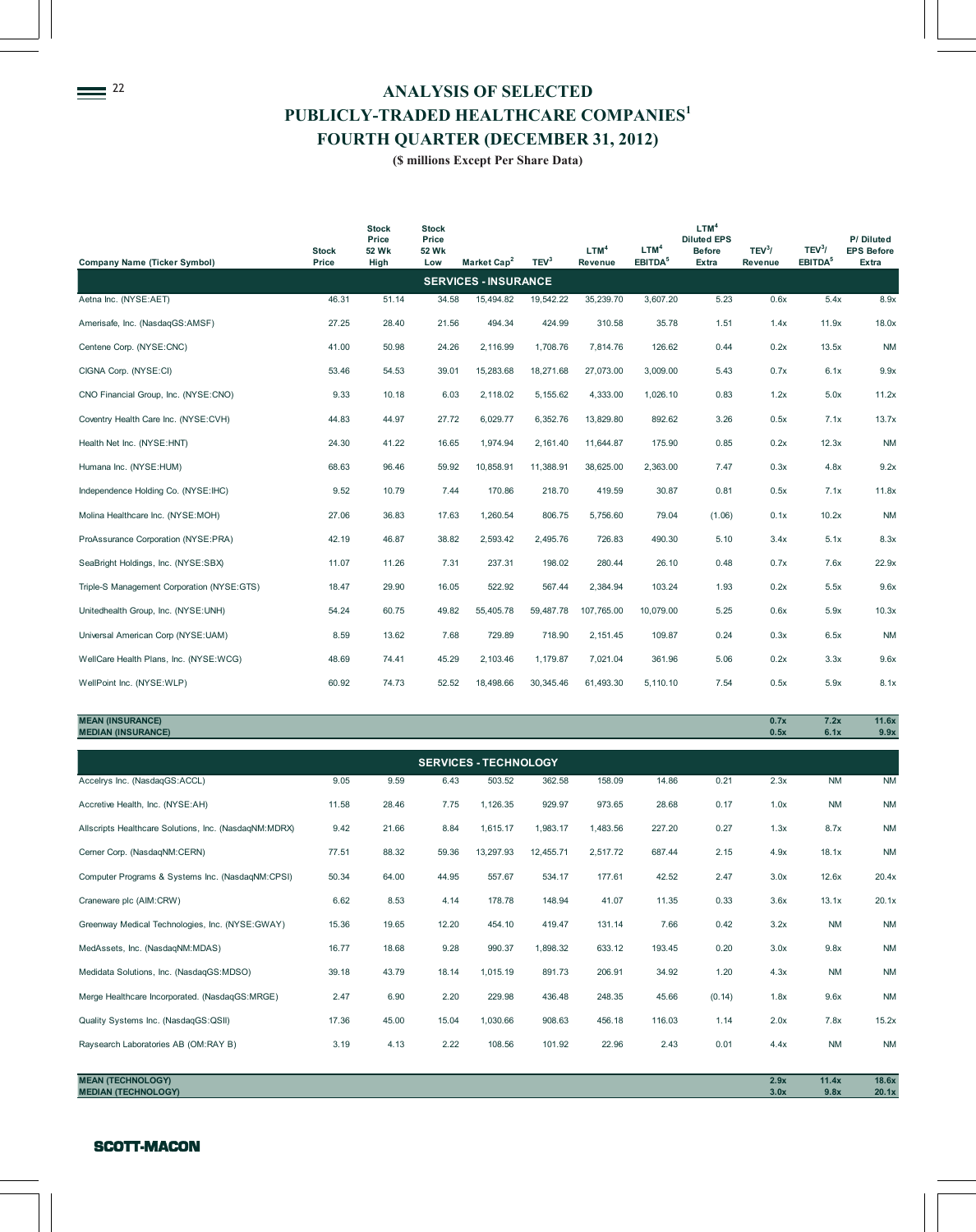<sup>22</sup> ANALYSIS OF SELECTED **PUBLICLY-TRADED HEALTHCARE COMPANIES<sup>1</sup> FOURTH QUARTER (DECEMBER 31, 2012)**

**(\$ millions Except Per Share Data)**

| <b>Stock</b><br>Price | <b>Stock</b><br>Price<br>52 Wk<br>High | <b>Stock</b><br>Price<br>52 Wk<br>Low | Market Cap <sup>2</sup> | TEV <sup>3</sup>                                                                                                                         | LTM <sup>4</sup><br>Revenue | LTM <sup>4</sup><br>EBITDA <sup>5</sup>   | LTM <sup>4</sup><br><b>Diluted EPS</b><br><b>Before</b><br><b>Extra</b> | $TEV^3/$<br>Revenue                                                                                                                                                             | TEV <sup>3</sup> /<br>EBITDA <sup>5</sup> | P/Diluted<br><b>EPS Before</b><br>Extra              |  |  |
|-----------------------|----------------------------------------|---------------------------------------|-------------------------|------------------------------------------------------------------------------------------------------------------------------------------|-----------------------------|-------------------------------------------|-------------------------------------------------------------------------|---------------------------------------------------------------------------------------------------------------------------------------------------------------------------------|-------------------------------------------|------------------------------------------------------|--|--|
|                       |                                        |                                       |                         |                                                                                                                                          |                             |                                           |                                                                         |                                                                                                                                                                                 |                                           |                                                      |  |  |
| 46.31                 | 51.14                                  |                                       | 15,494.82               | 19,542.22                                                                                                                                | 35,239.70                   |                                           | 5.23                                                                    | 0.6x                                                                                                                                                                            | 5.4x                                      | 8.9x                                                 |  |  |
| 27.25                 | 28.40                                  |                                       | 494.34                  | 424.99                                                                                                                                   | 310.58                      |                                           | 1.51                                                                    | 1.4x                                                                                                                                                                            | 11.9x                                     | 18.0x                                                |  |  |
| 41.00                 | 50.98                                  |                                       | 2,116.99                | 1,708.76                                                                                                                                 | 7,814.76                    |                                           | 0.44                                                                    | 0.2x                                                                                                                                                                            | 13.5x                                     | <b>NM</b>                                            |  |  |
| 53.46                 | 54.53                                  | 39.01                                 | 15,283.68               | 18,271.68                                                                                                                                | 27,073.00                   |                                           | 5.43                                                                    | 0.7x                                                                                                                                                                            |                                           | 9.9x                                                 |  |  |
| 9.33                  | 10.18                                  |                                       | 2,118.02                | 5,155.62                                                                                                                                 | 4,333.00                    |                                           | 0.83                                                                    | 1.2x                                                                                                                                                                            | 5.0x                                      | 11.2x                                                |  |  |
| 44.83                 | 44.97                                  |                                       | 6,029.77                | 6,352.76                                                                                                                                 | 13,829.80                   |                                           | 3.26                                                                    | 0.5x                                                                                                                                                                            |                                           | 13.7x                                                |  |  |
| 24.30                 | 41.22                                  |                                       | 1,974.94                | 2,161.40                                                                                                                                 | 11,644.87                   |                                           | 0.85                                                                    | 0.2x                                                                                                                                                                            | 12.3x                                     | <b>NM</b>                                            |  |  |
| 68.63                 | 96.46                                  |                                       | 10,858.91               | 11,388.91                                                                                                                                | 38,625.00                   |                                           | 7.47                                                                    | 0.3x                                                                                                                                                                            | 4.8x                                      | 9.2x                                                 |  |  |
| 9.52                  | 10.79                                  |                                       | 170.86                  | 218.70                                                                                                                                   | 419.59                      |                                           | 0.81                                                                    | 0.5x                                                                                                                                                                            |                                           | 11.8x                                                |  |  |
| 27.06                 | 36.83                                  |                                       | 1,260.54                | 806.75                                                                                                                                   | 5,756.60                    |                                           | (1.06)                                                                  | 0.1x                                                                                                                                                                            | 10.2x                                     | <b>NM</b>                                            |  |  |
| 42.19                 | 46.87                                  |                                       | 2,593.42                | 2,495.76                                                                                                                                 | 726.83                      |                                           | 5.10                                                                    | 3.4x                                                                                                                                                                            |                                           | 8.3x                                                 |  |  |
| 11.07                 | 11.26                                  |                                       | 237.31                  | 198.02                                                                                                                                   | 280.44                      |                                           | 0.48                                                                    | 0.7x                                                                                                                                                                            |                                           | 22.9x                                                |  |  |
| 18.47                 | 29.90                                  |                                       | 522.92                  | 567.44                                                                                                                                   | 2,384.94                    |                                           | 1.93                                                                    | 0.2x                                                                                                                                                                            | 5.5x                                      | 9.6x                                                 |  |  |
| 54.24                 | 60.75                                  |                                       | 55,405.78               | 59,487.78                                                                                                                                | 107,765.00                  |                                           | 5.25                                                                    | 0.6x                                                                                                                                                                            |                                           | 10.3x                                                |  |  |
| 8.59                  | 13.62                                  |                                       | 729.89                  | 718.90                                                                                                                                   | 2,151.45                    |                                           | 0.24                                                                    | 0.3x                                                                                                                                                                            |                                           | <b>NM</b>                                            |  |  |
| 48.69                 | 74.41                                  |                                       | 2,103.46                | 1,179.87                                                                                                                                 | 7,021.04                    |                                           | 5.06                                                                    | 0.2x                                                                                                                                                                            | 3.3x                                      | 9.6x                                                 |  |  |
| 60.92                 | 74.73                                  |                                       | 18,498.66               | 30,345.46                                                                                                                                | 61,493.30                   |                                           | 7.54                                                                    | 0.5x                                                                                                                                                                            | 5.9x                                      | 8.1x                                                 |  |  |
|                       |                                        |                                       |                         | 34.58<br>21.56<br>24.26<br>6.03<br>27.72<br>16.65<br>59.92<br>7.44<br>17.63<br>38.82<br>7.31<br>16.05<br>49.82<br>7.68<br>45.29<br>52.52 | <b>SERVICES - INSURANCE</b> | $\varphi$ minions Except I of Share Bata) |                                                                         | 3,607.20<br>35.78<br>126.62<br>3,009.00<br>1,026.10<br>892.62<br>175.90<br>2,363.00<br>30.87<br>79.04<br>490.30<br>26.10<br>103.24<br>10,079.00<br>109.87<br>361.96<br>5,110.10 |                                           | 6.1x<br>7.1x<br>7.1x<br>5.1x<br>7.6x<br>5.9x<br>6.5x |  |  |

**MEAN (INSURANCE) 0.7x 7.2x 11.6x MEDIAN (INSURANCE) 0.5x 6.1x 9.9x**

| <b>SERVICES - TECHNOLOGY</b>                          |       |       |       |           |           |          |        |        |      |           |           |  |  |
|-------------------------------------------------------|-------|-------|-------|-----------|-----------|----------|--------|--------|------|-----------|-----------|--|--|
| Accelrys Inc. (NasdaqGS:ACCL)                         | 9.05  | 9.59  | 6.43  | 503.52    | 362.58    | 158.09   | 14.86  | 0.21   | 2.3x | <b>NM</b> | <b>NM</b> |  |  |
| Accretive Health, Inc. (NYSE:AH)                      | 11.58 | 28.46 | 7.75  | 1,126.35  | 929.97    | 973.65   | 28.68  | 0.17   | 1.0x | <b>NM</b> | <b>NM</b> |  |  |
| Allscripts Healthcare Solutions, Inc. (NasdaqNM:MDRX) | 9.42  | 21.66 | 8.84  | 1,615.17  | 1,983.17  | 1,483.56 | 227.20 | 0.27   | 1.3x | 8.7x      | <b>NM</b> |  |  |
| Cerner Corp. (NasdaqNM:CERN)                          | 77.51 | 88.32 | 59.36 | 13,297.93 | 12,455.71 | 2,517.72 | 687.44 | 2.15   | 4.9x | 18.1x     | <b>NM</b> |  |  |
| Computer Programs & Systems Inc. (NasdaqNM:CPSI)      | 50.34 | 64.00 | 44.95 | 557.67    | 534.17    | 177.61   | 42.52  | 2.47   | 3.0x | 12.6x     | 20.4x     |  |  |
| Craneware plc (AIM:CRW)                               | 6.62  | 8.53  | 4.14  | 178.78    | 148.94    | 41.07    | 11.35  | 0.33   | 3.6x | 13.1x     | 20.1x     |  |  |
| Greenway Medical Technologies, Inc. (NYSE:GWAY)       | 15.36 | 19.65 | 12.20 | 454.10    | 419.47    | 131.14   | 7.66   | 0.42   | 3.2x | <b>NM</b> | <b>NM</b> |  |  |
| MedAssets, Inc. (NasdagNM:MDAS)                       | 16.77 | 18.68 | 9.28  | 990.37    | 1,898.32  | 633.12   | 193.45 | 0.20   | 3.0x | 9.8x      | <b>NM</b> |  |  |
| Medidata Solutions, Inc. (NasdaqGS:MDSO)              | 39.18 | 43.79 | 18.14 | 1,015.19  | 891.73    | 206.91   | 34.92  | 1.20   | 4.3x | <b>NM</b> | <b>NM</b> |  |  |
| Merge Healthcare Incorporated. (NasdaqGS:MRGE)        | 2.47  | 6.90  | 2.20  | 229.98    | 436.48    | 248.35   | 45.66  | (0.14) | 1.8x | 9.6x      | <b>NM</b> |  |  |
| Quality Systems Inc. (NasdaqGS:QSII)                  | 17.36 | 45.00 | 15.04 | 1,030.66  | 908.63    | 456.18   | 116.03 | 1.14   | 2.0x | 7.8x      | 15.2x     |  |  |
| Raysearch Laboratories AB (OM:RAY B)                  | 3.19  | 4.13  | 2.22  | 108.56    | 101.92    | 22.96    | 2.43   | 0.01   | 4.4x | <b>NM</b> | <b>NM</b> |  |  |
|                                                       |       |       |       |           |           |          |        |        |      |           |           |  |  |

**MEAN (TECHNOLOGY) 2.9x 11.4x 18.6x MEDIAN (TECHNOLOGY) 3.0x 9.8x 2.8x** 

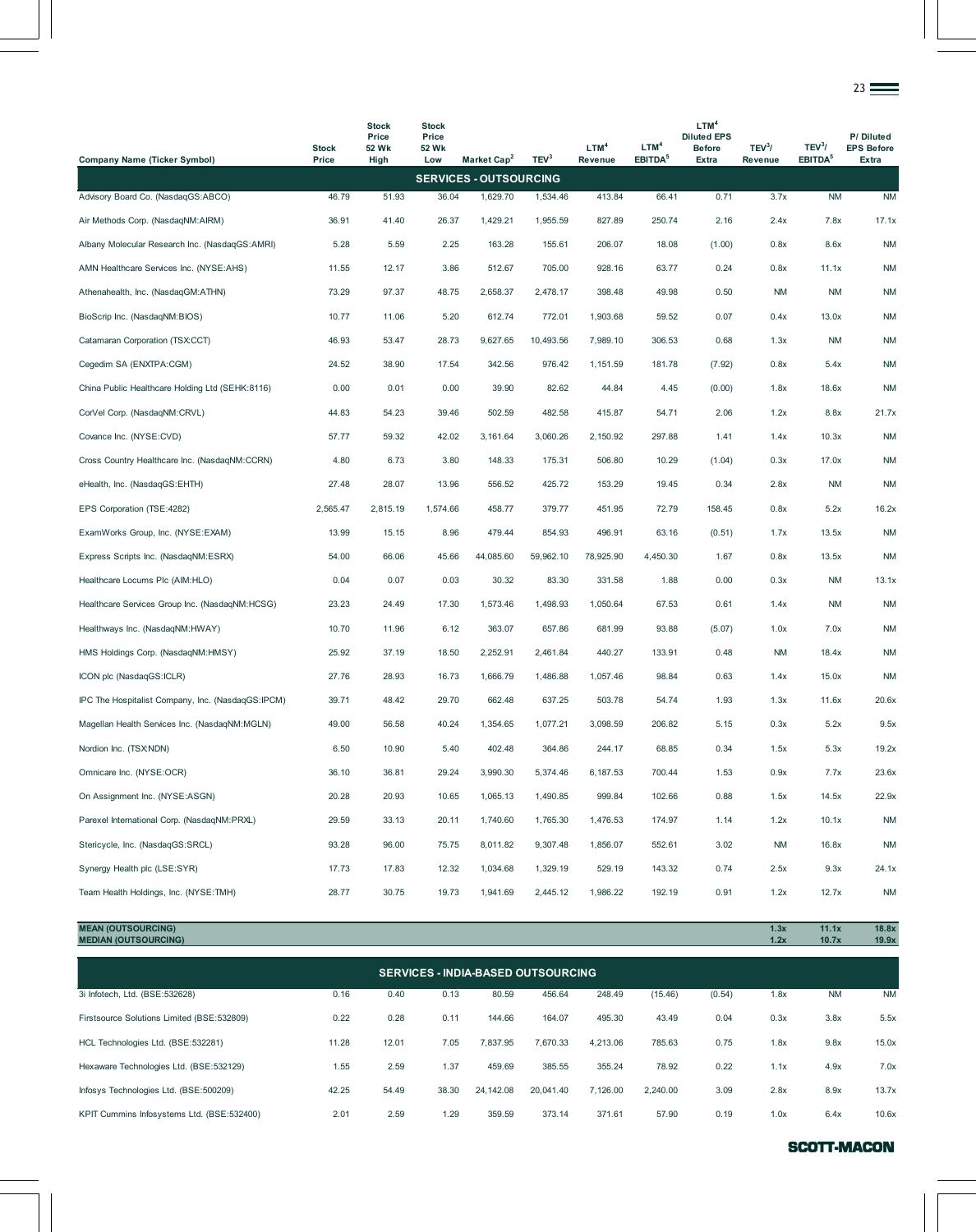|                                                   |                       |                                        |                                       |                               |                  |                             |                                         |                                                                         |                               |                                           | 23 <del>—</del>                         |
|---------------------------------------------------|-----------------------|----------------------------------------|---------------------------------------|-------------------------------|------------------|-----------------------------|-----------------------------------------|-------------------------------------------------------------------------|-------------------------------|-------------------------------------------|-----------------------------------------|
| <b>Company Name (Ticker Symbol)</b>               | <b>Stock</b><br>Price | <b>Stock</b><br>Price<br>52 Wk<br>High | <b>Stock</b><br>Price<br>52 Wk<br>Low | Market Cap <sup>2</sup>       | TEV <sup>3</sup> | LTM <sup>4</sup><br>Revenue | LTM <sup>4</sup><br>EBITDA <sup>5</sup> | LTM <sup>4</sup><br><b>Diluted EPS</b><br><b>Before</b><br><b>Extra</b> | TEV <sup>3</sup> /<br>Revenue | TEV <sup>3</sup> /<br>EBITDA <sup>5</sup> | P/Diluted<br><b>EPS Before</b><br>Extra |
|                                                   |                       |                                        |                                       | <b>SERVICES - OUTSOURCING</b> |                  |                             |                                         |                                                                         |                               |                                           |                                         |
| Advisory Board Co. (NasdaqGS:ABCO)                | 46.79                 | 51.93                                  | 36.04                                 | 1,629.70                      | 1,534.46         | 413.84                      | 66.41                                   | 0.71                                                                    | 3.7x                          | <b>NM</b>                                 | <b>NM</b>                               |
| Air Methods Corp. (NasdaqNM:AIRM)                 | 36.91                 | 41.40                                  | 26.37                                 | 1,429.21                      | 1,955.59         | 827.89                      | 250.74                                  | 2.16                                                                    | 2.4x                          | 7.8x                                      | 17.1x                                   |
| Albany Molecular Research Inc. (NasdaqGS:AMRI)    | 5.28                  | 5.59                                   | 2.25                                  | 163.28                        | 155.61           | 206.07                      | 18.08                                   | (1.00)                                                                  | 0.8x                          | 8.6x                                      | <b>NM</b>                               |
| AMN Healthcare Services Inc. (NYSE:AHS)           | 11.55                 | 12.17                                  | 3.86                                  | 512.67                        | 705.00           | 928.16                      | 63.77                                   | 0.24                                                                    | 0.8x                          | 11.1x                                     | <b>NM</b>                               |
| Athenahealth, Inc. (NasdaqGM:ATHN)                | 73.29                 | 97.37                                  | 48.75                                 | 2,658.37                      | 2,478.17         | 398.48                      | 49.98                                   | 0.50                                                                    | <b>NM</b>                     | <b>NM</b>                                 | <b>NM</b>                               |
| BioScrip Inc. (NasdaqNM:BIOS)                     | 10.77                 | 11.06                                  | 5.20                                  | 612.74                        | 772.01           | 1,903.68                    | 59.52                                   | 0.07                                                                    | 0.4x                          | 13.0x                                     | <b>NM</b>                               |
| Catamaran Corporation (TSX:CCT)                   | 46.93                 | 53.47                                  | 28.73                                 | 9,627.65                      | 10,493.56        | 7,989.10                    | 306.53                                  | 0.68                                                                    | 1.3x                          | <b>NM</b>                                 | <b>NM</b>                               |
| Cegedim SA (ENXTPA:CGM)                           | 24.52                 | 38.90                                  | 17.54                                 | 342.56                        | 976.42           | 1,151.59                    | 181.78                                  | (7.92)                                                                  | 0.8x                          | 5.4x                                      | <b>NM</b>                               |
| China Public Healthcare Holding Ltd (SEHK:8116)   | 0.00                  | 0.01                                   | 0.00                                  | 39.90                         | 82.62            | 44.84                       | 4.45                                    | (0.00)                                                                  | 1.8x                          | 18.6x                                     | <b>NM</b>                               |
| CorVel Corp. (NasdaqNM:CRVL)                      | 44.83                 | 54.23                                  | 39.46                                 | 502.59                        | 482.58           | 415.87                      | 54.71                                   | 2.06                                                                    | 1.2x                          | 8.8x                                      | 21.7x                                   |
| Covance Inc. (NYSE:CVD)                           | 57.77                 | 59.32                                  | 42.02                                 | 3,161.64                      | 3,060.26         | 2,150.92                    | 297.88                                  | 1.41                                                                    | 1.4x                          | 10.3x                                     | <b>NM</b>                               |
| Cross Country Healthcare Inc. (NasdaqNM:CCRN)     | 4.80                  | 6.73                                   | 3.80                                  | 148.33                        | 175.31           | 506.80                      | 10.29                                   | (1.04)                                                                  | 0.3x                          | 17.0x                                     | <b>NM</b>                               |
| eHealth, Inc. (NasdaqGS:EHTH)                     | 27.48                 | 28.07                                  | 13.96                                 | 556.52                        | 425.72           | 153.29                      | 19.45                                   | 0.34                                                                    | 2.8x                          | <b>NM</b>                                 | <b>NM</b>                               |
| EPS Corporation (TSE:4282)                        | 2,565.47              | 2,815.19                               | 1,574.66                              | 458.77                        | 379.77           | 451.95                      | 72.79                                   | 158.45                                                                  | 0.8x                          | 5.2x                                      | 16.2x                                   |
| ExamWorks Group, Inc. (NYSE:EXAM)                 | 13.99                 | 15.15                                  | 8.96                                  | 479.44                        | 854.93           | 496.91                      | 63.16                                   | (0.51)                                                                  | 1.7x                          | 13.5x                                     | <b>NM</b>                               |
| Express Scripts Inc. (NasdaqNM:ESRX)              | 54.00                 | 66.06                                  | 45.66                                 | 44,085.60                     | 59,962.10        | 78,925.90                   | 4,450.30                                | 1.67                                                                    | 0.8x                          | 13.5x                                     | <b>NM</b>                               |
| Healthcare Locums Plc (AIM:HLO)                   | 0.04                  | 0.07                                   | 0.03                                  | 30.32                         | 83.30            | 331.58                      | 1.88                                    | 0.00                                                                    | 0.3x                          | <b>NM</b>                                 | 13.1x                                   |
| Healthcare Services Group Inc. (NasdaqNM:HCSG)    | 23.23                 | 24.49                                  | 17.30                                 | 1,573.46                      | 1,498.93         | 1,050.64                    | 67.53                                   | 0.61                                                                    | 1.4x                          | <b>NM</b>                                 | <b>NM</b>                               |
| Healthways Inc. (NasdaqNM:HWAY)                   | 10.70                 | 11.96                                  | 6.12                                  | 363.07                        | 657.86           | 681.99                      | 93.88                                   | (5.07)                                                                  | 1.0x                          | 7.0x                                      | <b>NM</b>                               |
| HMS Holdings Corp. (NasdaqNM:HMSY)                | 25.92                 | 37.19                                  | 18.50                                 | 2,252.91                      | 2,461.84         | 440.27                      | 133.91                                  | 0.48                                                                    | ΝM                            | 18.4x                                     | <b>NM</b>                               |
| ICON plc (NasdaqGS:ICLR)                          | 27.76                 | 28.93                                  | 16.73                                 | 1,666.79                      | 1,486.88         | 1,057.46                    | 98.84                                   | 0.63                                                                    | 1.4x                          | 15.0x                                     | <b>NM</b>                               |
| IPC The Hospitalist Company, Inc. (NasdaqGS:IPCM) | 39.71                 | 48.42                                  | 29.70                                 | 662.48                        | 637.25           | 503.78                      | 54.74                                   | 1.93                                                                    | 1.3x                          | 11.6x                                     | 20.6x                                   |
| Magellan Health Services Inc. (NasdaqNM:MGLN)     | 49.00                 | 56.58                                  | 40.24                                 | 1,354.65                      | 1,077.21         | 3,098.59                    | 206.82                                  | 5.15                                                                    | 0.3x                          | 5.2x                                      | 9.5x                                    |
| Nordion Inc. (TSX:NDN)                            | 6.50                  | 10.90                                  | 5.40                                  | 402.48                        | 364.86           | 244.17                      | 68.85                                   | 0.34                                                                    | 1.5x                          | 5.3x                                      | 19.2x                                   |
| Omnicare Inc. (NYSE:OCR)                          | 36.10                 | 36.81                                  | 29.24                                 | 3,990.30                      | 5,374.46         | 6,187.53                    | 700.44                                  | 1.53                                                                    | 0.9x                          | 7.7x                                      | 23.6x                                   |
| On Assignment Inc. (NYSE:ASGN)                    | 20.28                 | 20.93                                  | 10.65                                 | 1,065.13                      | 1,490.85         | 999.84                      | 102.66                                  | 0.88                                                                    | 1.5x                          | 14.5x                                     | 22.9x                                   |
| Parexel International Corp. (NasdaqNM:PRXL)       | 29.59                 | 33.13                                  | 20.11                                 | 1,740.60                      | 1,765.30         | 1,476.53                    | 174.97                                  | 1.14                                                                    | 1.2x                          | 10.1x                                     | <b>NM</b>                               |
| Stericycle, Inc. (NasdaqGS:SRCL)                  | 93.28                 | 96.00                                  | 75.75                                 | 8,011.82                      | 9,307.48         | 1,856.07                    | 552.61                                  | 3.02                                                                    | <b>NM</b>                     | 16.8x                                     | <b>NM</b>                               |
| Synergy Health plc (LSE:SYR)                      | 17.73                 | 17.83                                  | 12.32                                 | 1,034.68                      | 1,329.19         | 529.19                      | 143.32                                  | 0.74                                                                    | 2.5x                          | 9.3x                                      | 24.1x                                   |
| Team Health Holdings, Inc. (NYSE:TMH)             | 28.77                 | 30.75                                  | 19.73                                 | 1,941.69                      | 2,445.12         | 1,986.22                    | 192.19                                  | 0.91                                                                    | 1.2x                          | 12.7x                                     | <b>NM</b>                               |

| <b>MEAN (OUTSOURCING)</b><br><b>MEDIAN (OUTSOURCING)</b> |       |       |       |           |                                           |          |          |        | 1.3x<br>1.2x | 11.1x<br>10.7x | 18.8x<br>19.9x |
|----------------------------------------------------------|-------|-------|-------|-----------|-------------------------------------------|----------|----------|--------|--------------|----------------|----------------|
|                                                          |       |       |       |           | <b>SERVICES - INDIA-BASED OUTSOURCING</b> |          |          |        |              |                |                |
| 3i Infotech, Ltd. (BSE:532628)                           | 0.16  | 0.40  | 0.13  | 80.59     | 456.64                                    | 248.49   | (15.46)  | (0.54) | 1.8x         | <b>NM</b>      | <b>NM</b>      |
| Firstsource Solutions Limited (BSE:532809)               | 0.22  | 0.28  | 0.11  | 144.66    | 164.07                                    | 495.30   | 43.49    | 0.04   | 0.3x         | 3.8x           | 5.5x           |
| HCL Technologies Ltd. (BSE:532281)                       | 11.28 | 12.01 | 7.05  | 7.837.95  | 7.670.33                                  | 4.213.06 | 785.63   | 0.75   | 1.8x         | 9.8x           | 15.0x          |
| Hexaware Technologies Ltd. (BSE:532129)                  | 1.55  | 2.59  | 1.37  | 459.69    | 385.55                                    | 355.24   | 78.92    | 0.22   | 1.1x         | 4.9x           | 7.0x           |
| Infosys Technologies Ltd. (BSE:500209)                   | 42.25 | 54.49 | 38.30 | 24.142.08 | 20.041.40                                 | 7.126.00 | 2,240.00 | 3.09   | 2.8x         | 8.9x           | 13.7x          |

KPIT Cummins Infosystems Ltd. (BSE:532400) 2.01 2.59 1.29 359.59 373.14 371.61 57.90 0.19 1.0x 6.4x 10.6x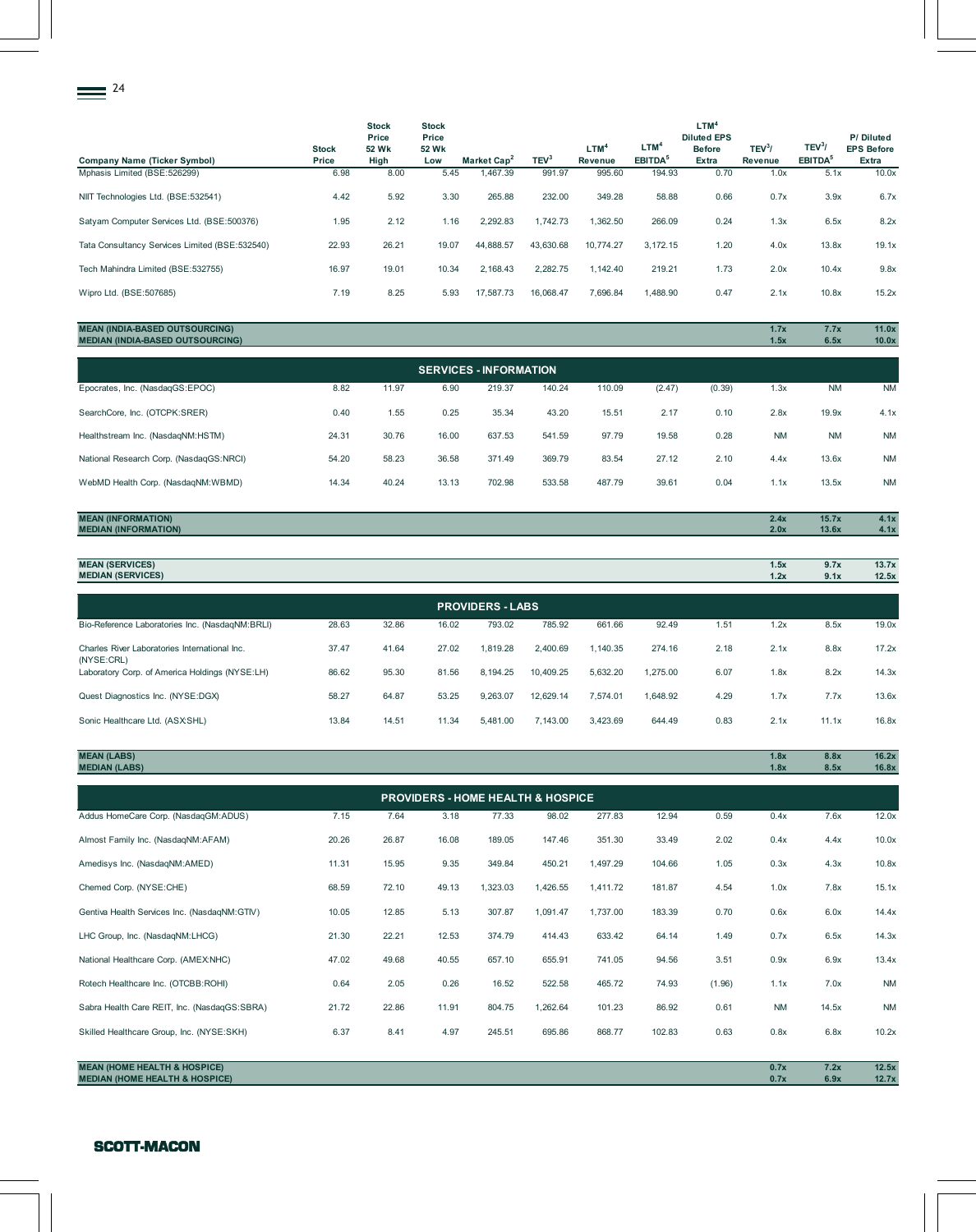| 24                                             |                       |                                        |                                       |                         |                  |                             |                                         |                                                                  |                    |                                           |                                         |
|------------------------------------------------|-----------------------|----------------------------------------|---------------------------------------|-------------------------|------------------|-----------------------------|-----------------------------------------|------------------------------------------------------------------|--------------------|-------------------------------------------|-----------------------------------------|
| <b>Company Name (Ticker Symbol)</b>            | <b>Stock</b><br>Price | <b>Stock</b><br>Price<br>52 Wk<br>High | <b>Stock</b><br>Price<br>52 Wk<br>Low | Market Cap <sup>2</sup> | TEV <sup>3</sup> | LTM <sup>4</sup><br>Revenue | LTM <sup>4</sup><br>EBITDA <sup>5</sup> | LTM <sup>4</sup><br><b>Diluted EPS</b><br><b>Before</b><br>Extra | $TEV^3$<br>Revenue | TEV <sup>3</sup> /<br>EBITDA <sup>5</sup> | P/Diluted<br><b>EPS Before</b><br>Extra |
| Mphasis Limited (BSE:526299)                   | 6.98                  | 8.00                                   | 5.45                                  | 1,467.39                | 991.97           | 995.60                      | 194.93                                  | 0.70                                                             | 1.0x               | 5.1x                                      | 10.0x                                   |
| NIIT Technologies Ltd. (BSE:532541)            | 4.42                  | 5.92                                   | 3.30                                  | 265.88                  | 232.00           | 349.28                      | 58.88                                   | 0.66                                                             | 0.7x               | 3.9x                                      | 6.7x                                    |
| Satyam Computer Services Ltd. (BSE:500376)     | 1.95                  | 2.12                                   | 1.16                                  | 2,292.83                | 1,742.73         | 1,362.50                    | 266.09                                  | 0.24                                                             | 1.3x               | 6.5x                                      | 8.2x                                    |
| Tata Consultancy Services Limited (BSE:532540) | 22.93                 | 26.21                                  | 19.07                                 | 44,888.57               | 43,630.68        | 10,774.27                   | 3,172.15                                | 1.20                                                             | 4.0x               | 13.8x                                     | 19.1x                                   |
| Tech Mahindra Limited (BSE:532755)             | 16.97                 | 19.01                                  | 10.34                                 | 2,168.43                | 2,282.75         | 1,142.40                    | 219.21                                  | 1.73                                                             | 2.0x               | 10.4x                                     | 9.8x                                    |
| Wipro Ltd. (BSE:507685)                        | 7.19                  | 8.25                                   | 5.93                                  | 17,587.73               | 16,068.47        | 7,696.84                    | 1,488.90                                | 0.47                                                             | 2.1x               | 10.8x                                     | 15.2x                                   |

# **MEAN (INDIA-BASED OUTSOURCING) 1.7x 7.7x 11.0x MEDIAN (INDIA-BASED OUTSOURCING) 1.5x 6.5x 10.0x**

| <b>SERVICES - INFORMATION</b>           |       |       |       |        |        |        |        |        |           |           |           |  |
|-----------------------------------------|-------|-------|-------|--------|--------|--------|--------|--------|-----------|-----------|-----------|--|
| Epocrates, Inc. (NasdagGS:EPOC)         | 8.82  | 11.97 | 6.90  | 219.37 | 140.24 | 110.09 | (2.47) | (0.39) | 1.3x      | <b>NM</b> | <b>NM</b> |  |
| SearchCore, Inc. (OTCPK:SRER)           | 0.40  | 1.55  | 0.25  | 35.34  | 43.20  | 15.51  | 2.17   | 0.10   | 2.8x      | 19.9x     | 4.1x      |  |
| Healthstream Inc. (NasdagNM:HSTM)       | 24.31 | 30.76 | 16.00 | 637.53 | 541.59 | 97.79  | 19.58  | 0.28   | <b>NM</b> | <b>NM</b> | <b>NM</b> |  |
| National Research Corp. (NasdagGS:NRCI) | 54.20 | 58.23 | 36.58 | 371.49 | 369.79 | 83.54  | 27.12  | 2.10   | 4.4x      | 13.6x     | <b>NM</b> |  |
| WebMD Health Corp. (NasdaqNM:WBMD)      | 14.34 | 40.24 | 13.13 | 702.98 | 533.58 | 487.79 | 39.61  | 0.04   | 1.1x      | 13.5x     | <b>NM</b> |  |

# **MEAN (INFORMATION) 2.4x 15.7x 4.1x MEDIAN (INFORMATION) 2.0x 13.6x 4.1x**

| <b>MEAN (SERVICES)</b><br><b>MEDIAN (SERVICES)</b>          |       |       |       |                         |           |          |          |      | 1.5x<br>1.2x | 9.7x<br>9.1x | 13.7x<br>12.5x |
|-------------------------------------------------------------|-------|-------|-------|-------------------------|-----------|----------|----------|------|--------------|--------------|----------------|
|                                                             |       |       |       | <b>PROVIDERS - LABS</b> |           |          |          |      |              |              |                |
| Bio-Reference Laboratories Inc. (NasdagNM:BRLI)             | 28.63 | 32.86 | 16.02 | 793.02                  | 785.92    | 661.66   | 92.49    | 1.51 | 1.2x         | 8.5x         | 19.0x          |
| Charles River Laboratories International Inc.<br>(NYSE:CRL) | 37.47 | 41.64 | 27.02 | 1.819.28                | 2,400.69  | 1.140.35 | 274.16   | 2.18 | 2.1x         | 8.8x         | 17.2x          |
| Laboratory Corp. of America Holdings (NYSE:LH)              | 86.62 | 95.30 | 81.56 | 8.194.25                | 10.409.25 | 5.632.20 | 1.275.00 | 6.07 | 1.8x         | 8.2x         | 14.3x          |
| Quest Diagnostics Inc. (NYSE:DGX)                           | 58.27 | 64.87 | 53.25 | 9.263.07                | 12.629.14 | 7.574.01 | 1.648.92 | 4.29 | 1.7x         | 7.7x         | 13.6x          |
| Sonic Healthcare Ltd. (ASX:SHL)                             | 13.84 | 14.51 | 11.34 | 5.481.00                | 7,143.00  | 3,423.69 | 644.49   | 0.83 | 2.1x         | 11.1x        | 16.8x          |

| <b>MEAN (LABS)</b><br><b>MEDIAN (LABS)</b>   |       |       |       |          |                                              |          |        |        | 1.8x<br>1.8x | 8.8x<br>8.5x | 16.2x<br>16.8x |
|----------------------------------------------|-------|-------|-------|----------|----------------------------------------------|----------|--------|--------|--------------|--------------|----------------|
|                                              |       |       |       |          |                                              |          |        |        |              |              |                |
|                                              |       |       |       |          | <b>PROVIDERS - HOME HEALTH &amp; HOSPICE</b> |          |        |        |              |              |                |
| Addus HomeCare Corp. (NasdaqGM:ADUS)         | 7.15  | 7.64  | 3.18  | 77.33    | 98.02                                        | 277.83   | 12.94  | 0.59   | 0.4x         | 7.6x         | 12.0x          |
| Almost Family Inc. (NasdaqNM:AFAM)           | 20.26 | 26.87 | 16.08 | 189.05   | 147.46                                       | 351.30   | 33.49  | 2.02   | 0.4x         | 4.4x         | 10.0x          |
| Amedisys Inc. (NasdagNM:AMED)                | 11.31 | 15.95 | 9.35  | 349.84   | 450.21                                       | 1,497.29 | 104.66 | 1.05   | 0.3x         | 4.3x         | 10.8x          |
| Chemed Corp. (NYSE:CHE)                      | 68.59 | 72.10 | 49.13 | 1,323.03 | 1,426.55                                     | 1,411.72 | 181.87 | 4.54   | 1.0x         | 7.8x         | 15.1x          |
| Gentiva Health Services Inc. (NasdaqNM:GTIV) | 10.05 | 12.85 | 5.13  | 307.87   | 1,091.47                                     | 1,737.00 | 183.39 | 0.70   | 0.6x         | 6.0x         | 14.4x          |
| LHC Group, Inc. (NasdaqNM:LHCG)              | 21.30 | 22.21 | 12.53 | 374.79   | 414.43                                       | 633.42   | 64.14  | 1.49   | 0.7x         | 6.5x         | 14.3x          |
| National Healthcare Corp. (AMEX:NHC)         | 47.02 | 49.68 | 40.55 | 657.10   | 655.91                                       | 741.05   | 94.56  | 3.51   | 0.9x         | 6.9x         | 13.4x          |
| Rotech Healthcare Inc. (OTCBB:ROHI)          | 0.64  | 2.05  | 0.26  | 16.52    | 522.58                                       | 465.72   | 74.93  | (1.96) | 1.1x         | 7.0x         | <b>NM</b>      |
| Sabra Health Care REIT, Inc. (NasdaqGS:SBRA) | 21.72 | 22.86 | 11.91 | 804.75   | 1,262.64                                     | 101.23   | 86.92  | 0.61   | <b>NM</b>    | 14.5x        | <b>NM</b>      |
| Skilled Healthcare Group, Inc. (NYSE:SKH)    | 6.37  | 8.41  | 4.97  | 245.51   | 695.86                                       | 868.77   | 102.83 | 0.63   | 0.8x         | 6.8x         | 10.2x          |
|                                              |       |       |       |          |                                              |          |        |        |              |              |                |

**MEAN (HOME HEALTH & HOSPICE) 0.7x 7.2x 12.5x MEDIAN (HOME HEALTH & HOSPICE) 0.7x 6.9x 12.7x**

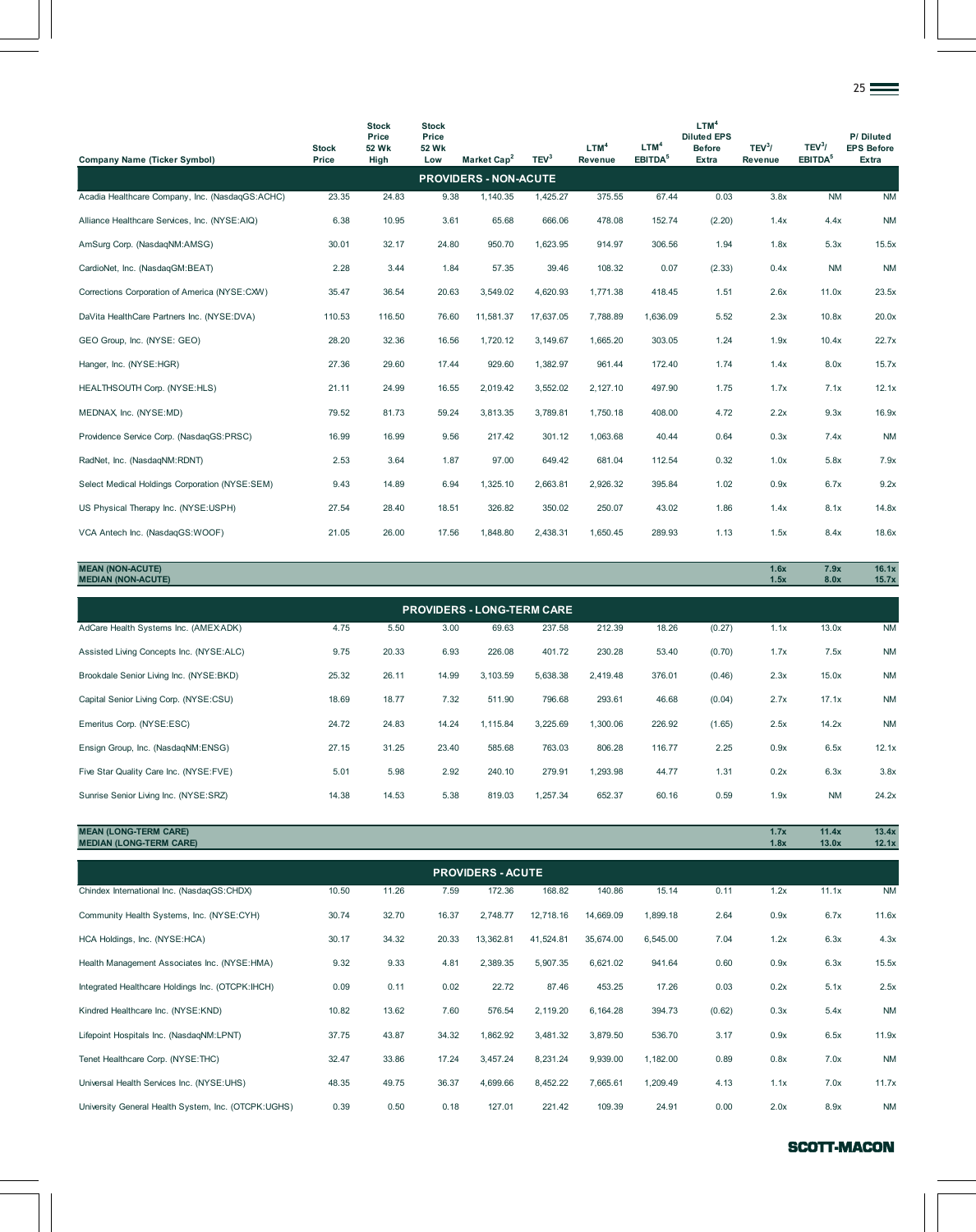| <b>Company Name (Ticker Symbol)</b>             | <b>Stock</b><br>Price | <b>Stock</b><br>Price<br><b>52 Wk</b><br>High | <b>Stock</b><br>Price<br><b>52 Wk</b><br>Low | Market Cap <sup>2</sup>      | TEV <sup>3</sup> | LTM <sup>4</sup><br><b>Revenue</b> | LTM <sup>4</sup><br>EBITDA <sup>5</sup> | LTM <sup>4</sup><br><b>Diluted EPS</b><br><b>Before</b><br>Extra | $TEV^3/$<br>Revenue | TEV <sup>3</sup> /<br>EBITDA <sup>5</sup> | P/Diluted<br><b>EPS Before</b><br>Extra |
|-------------------------------------------------|-----------------------|-----------------------------------------------|----------------------------------------------|------------------------------|------------------|------------------------------------|-----------------------------------------|------------------------------------------------------------------|---------------------|-------------------------------------------|-----------------------------------------|
|                                                 |                       |                                               |                                              | <b>PROVIDERS - NON-ACUTE</b> |                  |                                    |                                         |                                                                  |                     |                                           |                                         |
| Acadia Healthcare Company, Inc. (NasdaqGS:ACHC) | 23.35                 | 24.83                                         | 9.38                                         | 1,140.35                     | 1,425.27         | 375.55                             | 67.44                                   | 0.03                                                             | 3.8x                | $N$ M                                     | <b>NM</b>                               |
| Alliance Healthcare Services, Inc. (NYSE:AIQ)   | 6.38                  | 10.95                                         | 3.61                                         | 65.68                        | 666.06           | 478.08                             | 152.74                                  | (2.20)                                                           | 1.4x                | 4.4x                                      | <b>NM</b>                               |
| AmSurg Corp. (NasdaqNM:AMSG)                    | 30.01                 | 32.17                                         | 24.80                                        | 950.70                       | 1,623.95         | 914.97                             | 306.56                                  | 1.94                                                             | 1.8x                | 5.3x                                      | 15.5x                                   |
| CardioNet, Inc. (NasdaqGM:BEAT)                 | 2.28                  | 3.44                                          | 1.84                                         | 57.35                        | 39.46            | 108.32                             | 0.07                                    | (2.33)                                                           | 0.4x                | <b>NM</b>                                 | <b>NM</b>                               |
| Corrections Corporation of America (NYSE:CXW)   | 35.47                 | 36.54                                         | 20.63                                        | 3,549.02                     | 4,620.93         | 1,771.38                           | 418.45                                  | 1.51                                                             | 2.6x                | 11.0x                                     | 23.5x                                   |
| DaVita HealthCare Partners Inc. (NYSE:DVA)      | 110.53                | 116.50                                        | 76.60                                        | 11,581.37                    | 17,637.05        | 7,788.89                           | 1,636.09                                | 5.52                                                             | 2.3x                | 10.8x                                     | 20.0x                                   |
| GEO Group, Inc. (NYSE: GEO)                     | 28.20                 | 32.36                                         | 16.56                                        | 1,720.12                     | 3,149.67         | 1,665.20                           | 303.05                                  | 1.24                                                             | 1.9x                | 10.4x                                     | 22.7x                                   |
| Hanger, Inc. (NYSE:HGR)                         | 27.36                 | 29.60                                         | 17.44                                        | 929.60                       | 1,382.97         | 961.44                             | 172.40                                  | 1.74                                                             | 1.4x                | 8.0x                                      | 15.7x                                   |
| HEALTHSOUTH Corp. (NYSE:HLS)                    | 21.11                 | 24.99                                         | 16.55                                        | 2,019.42                     | 3,552.02         | 2,127.10                           | 497.90                                  | 1.75                                                             | 1.7x                | 7.1x                                      | 12.1x                                   |
| MEDNAX, Inc. (NYSE:MD)                          | 79.52                 | 81.73                                         | 59.24                                        | 3,813.35                     | 3,789.81         | 1,750.18                           | 408.00                                  | 4.72                                                             | 2.2x                | 9.3x                                      | 16.9x                                   |
| Providence Service Corp. (NasdaqGS:PRSC)        | 16.99                 | 16.99                                         | 9.56                                         | 217.42                       | 301.12           | 1,063.68                           | 40.44                                   | 0.64                                                             | 0.3x                | 7.4x                                      | <b>NM</b>                               |
| RadNet, Inc. (NasdagNM:RDNT)                    | 2.53                  | 3.64                                          | 1.87                                         | 97.00                        | 649.42           | 681.04                             | 112.54                                  | 0.32                                                             | 1.0x                | 5.8x                                      | 7.9x                                    |
| Select Medical Holdings Corporation (NYSE:SEM)  | 9.43                  | 14.89                                         | 6.94                                         | 1,325.10                     | 2,663.81         | 2,926.32                           | 395.84                                  | 1.02                                                             | 0.9x                | 6.7x                                      | 9.2x                                    |
| US Physical Therapy Inc. (NYSE:USPH)            | 27.54                 | 28.40                                         | 18.51                                        | 326.82                       | 350.02           | 250.07                             | 43.02                                   | 1.86                                                             | 1.4x                | 8.1x                                      | 14.8x                                   |
| VCA Antech Inc. (NasdaqGS:WOOF)                 | 21.05                 | 26.00                                         | 17.56                                        | 1,848.80                     | 2,438.31         | 1,650.45                           | 289.93                                  | 1.13                                                             | 1.5x                | 8.4x                                      | 18.6x                                   |

**MEAN (NON-ACUTE) 1.6x 7.9x 16.1x MEDIAN (NON-ACUTE) 1.5x 8.0x 15.7x** AdCare Health Systems Inc. (AMEX:ADK) 4.75 5.50 3.00 69.63 237.58 212.39 18.26 (0.27) 1.1x 13.0x NM Assisted Living Concepts Inc. (NYSE:ALC) 9.75 20.33 6.93 226.08 401.72 230.28 53.40 (0.70) 1.7x 7.5x NM Brookdale Senior Living Inc. (NYSE:BKD) 25.32 26.11 14.99 3,103.59 5,638.38 2,419.48 376.01 (0.46) 2.3x 15.0x NM Capital Senior Living Corp. (NYSE:CSU) 18.69 18.77 7.32 511.90 796.68 293.61 46.68 (0.04) 2.7x 17.1x NM Emeritus Corp. (NYSE:ESC) 24.72 24.83 14.24 1,115.84 3,225.69 1,300.06 226.92 (1.65) 2.5x 14.2x NM Ensign Group, Inc. (NasdaqNM:ENSG) 27.15 31.25 23.40 585.68 763.03 806.28 116.77 2.25 0.9x 6.5x 12.1x Five Star Quality Care Inc. (NYSE:FVE) 5.01 5.98 2.92 240.10 279.91 1,293.98 44.77 1.31 0.2x 6.3x 3.8x Sunrise Senior Living Inc. (NYSE:SRZ) 14.38 14.53 5.38 819.03 1,257.34 652.37 60.16 0.59 1.9x NM 24.2x **PROVIDERS - LONG-TERM CARE**

**MEAN (LONG-TERM CARE) 1.7x 11.4x 13.4x MEDIAN (LONG-TERM CARE) 1.8x 13.0x 12.1x**

| <b>PROVIDERS - ACUTE</b>                            |       |       |       |           |           |           |          |        |      |       |           |  |
|-----------------------------------------------------|-------|-------|-------|-----------|-----------|-----------|----------|--------|------|-------|-----------|--|
| Chindex International Inc. (NasdaqGS:CHDX)          | 10.50 | 11.26 | 7.59  | 172.36    | 168.82    | 140.86    | 15.14    | 0.11   | 1.2x | 11.1x | <b>NM</b> |  |
| Community Health Systems, Inc. (NYSE:CYH)           | 30.74 | 32.70 | 16.37 | 2,748.77  | 12,718.16 | 14,669.09 | 1,899.18 | 2.64   | 0.9x | 6.7x  | 11.6x     |  |
| HCA Holdings, Inc. (NYSE: HCA)                      | 30.17 | 34.32 | 20.33 | 13,362.81 | 41,524.81 | 35,674.00 | 6,545.00 | 7.04   | 1.2x | 6.3x  | 4.3x      |  |
| Health Management Associates Inc. (NYSE:HMA)        | 9.32  | 9.33  | 4.81  | 2,389.35  | 5,907.35  | 6,621.02  | 941.64   | 0.60   | 0.9x | 6.3x  | 15.5x     |  |
| Integrated Healthcare Holdings Inc. (OTCPK: IHCH)   | 0.09  | 0.11  | 0.02  | 22.72     | 87.46     | 453.25    | 17.26    | 0.03   | 0.2x | 5.1x  | 2.5x      |  |
| Kindred Healthcare Inc. (NYSE:KND)                  | 10.82 | 13.62 | 7.60  | 576.54    | 2,119.20  | 6,164.28  | 394.73   | (0.62) | 0.3x | 5.4x  | <b>NM</b> |  |
| Lifepoint Hospitals Inc. (NasdagNM:LPNT)            | 37.75 | 43.87 | 34.32 | 1,862.92  | 3,481.32  | 3,879.50  | 536.70   | 3.17   | 0.9x | 6.5x  | 11.9x     |  |
| Tenet Healthcare Corp. (NYSE:THC)                   | 32.47 | 33.86 | 17.24 | 3,457.24  | 8,231.24  | 9,939.00  | 1,182.00 | 0.89   | 0.8x | 7.0x  | <b>NM</b> |  |
| Universal Health Services Inc. (NYSE:UHS)           | 48.35 | 49.75 | 36.37 | 4,699.66  | 8,452.22  | 7,665.61  | 1,209.49 | 4.13   | 1.1x | 7.0x  | 11.7x     |  |
| University General Health System, Inc. (OTCPK:UGHS) | 0.39  | 0.50  | 0.18  | 127.01    | 221.42    | 109.39    | 24.91    | 0.00   | 2.0x | 8.9x  | <b>NM</b> |  |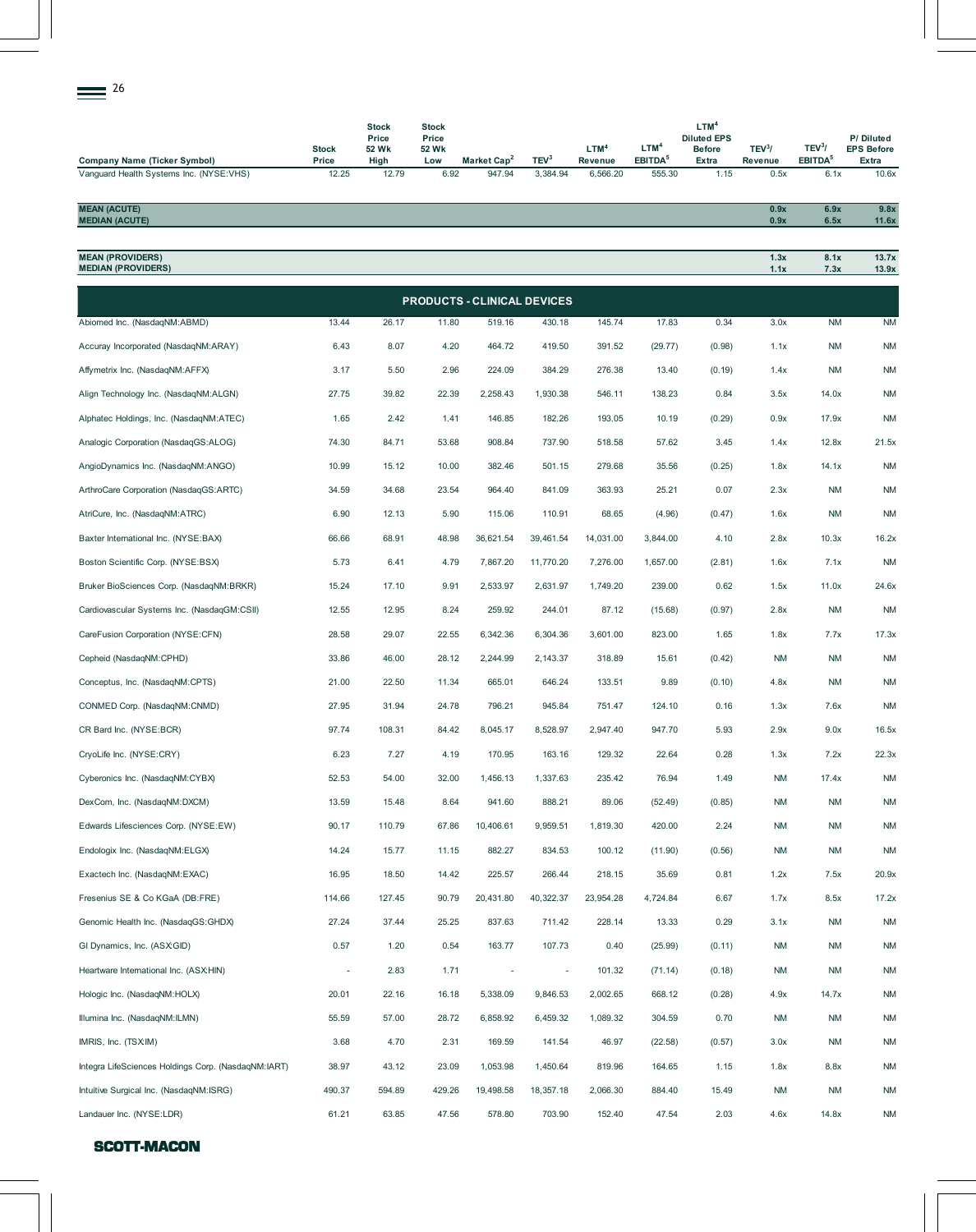| 26<br>$=$                                    |                       |                                        |                                       |                         |                  |                             |                                         |                                                                  |                    |                                           |                                         |
|----------------------------------------------|-----------------------|----------------------------------------|---------------------------------------|-------------------------|------------------|-----------------------------|-----------------------------------------|------------------------------------------------------------------|--------------------|-------------------------------------------|-----------------------------------------|
| <b>Company Name (Ticker Symbol)</b>          | <b>Stock</b><br>Price | <b>Stock</b><br>Price<br>52 Wk<br>High | <b>Stock</b><br>Price<br>52 Wk<br>Low | Market Cap <sup>2</sup> | TEV <sup>3</sup> | LTM <sup>4</sup><br>Revenue | LTM <sup>4</sup><br>EBITDA <sup>5</sup> | LTM <sup>4</sup><br><b>Diluted EPS</b><br><b>Before</b><br>Extra | $TEV^3$<br>Revenue | TEV <sup>3</sup> /<br>EBITDA <sup>5</sup> | P/Diluted<br><b>EPS Before</b><br>Extra |
| Vanguard Health Systems Inc. (NYSE:VHS)      | 12.25                 | 12.79                                  | 6.92                                  | 947.94                  | 3,384.94         | 6,566.20                    | 555.30                                  | 1.15                                                             | 0.5x               | 6.1x                                      | 10.6x                                   |
| <b>MEAN (ACUTE)</b><br><b>MEDIAN (ACUTE)</b> |                       |                                        |                                       |                         |                  |                             |                                         |                                                                  | 0.9x<br>0.9x       | 6.9x<br>6.5x                              | 9.8x<br>11.6x                           |

**MEAN (PROVIDERS) 1.3x 8.1x 13.7x**

| <b>MEDIAN (PROVIDERS)</b>                           |                          |        |                                    |                          |           |           |          |        | 1.1x      | 7.3x      | 13.9x     |
|-----------------------------------------------------|--------------------------|--------|------------------------------------|--------------------------|-----------|-----------|----------|--------|-----------|-----------|-----------|
|                                                     |                          |        | <b>PRODUCTS - CLINICAL DEVICES</b> |                          |           |           |          |        |           |           |           |
| Abiomed Inc. (NasdaqNM:ABMD)                        | 13.44                    | 26.17  | 11.80                              | 519.16                   | 430.18    | 145.74    | 17.83    | 0.34   | 3.0x      | <b>NM</b> | <b>NM</b> |
| Accuray Incorporated (NasdaqNM:ARAY)                | 6.43                     | 8.07   | 4.20                               | 464.72                   | 419.50    | 391.52    | (29.77)  | (0.98) | 1.1x      | <b>NM</b> | <b>NM</b> |
| Affymetrix Inc. (NasdaqNM:AFFX)                     | 3.17                     | 5.50   | 2.96                               | 224.09                   | 384.29    | 276.38    | 13.40    | (0.19) | 1.4x      | <b>NM</b> | <b>NM</b> |
| Align Technology Inc. (NasdaqNM:ALGN)               | 27.75                    | 39.82  | 22.39                              | 2,258.43                 | 1,930.38  | 546.11    | 138.23   | 0.84   | 3.5x      | 14.0x     | <b>NM</b> |
| Alphatec Holdings, Inc. (NasdaqNM:ATEC)             | 1.65                     | 2.42   | 1.41                               | 146.85                   | 182.26    | 193.05    | 10.19    | (0.29) | 0.9x      | 17.9x     | <b>NM</b> |
| Analogic Corporation (NasdaqGS:ALOG)                | 74.30                    | 84.71  | 53.68                              | 908.84                   | 737.90    | 518.58    | 57.62    | 3.45   | 1.4x      | 12.8x     | 21.5x     |
| AngioDynamics Inc. (NasdaqNM:ANGO)                  | 10.99                    | 15.12  | 10.00                              | 382.46                   | 501.15    | 279.68    | 35.56    | (0.25) | 1.8x      | 14.1x     | <b>NM</b> |
| ArthroCare Corporation (NasdaqGS:ARTC)              | 34.59                    | 34.68  | 23.54                              | 964.40                   | 841.09    | 363.93    | 25.21    | 0.07   | 2.3x      | <b>NM</b> | <b>NM</b> |
| AtriCure, Inc. (NasdaqNM:ATRC)                      | 6.90                     | 12.13  | 5.90                               | 115.06                   | 110.91    | 68.65     | (4.96)   | (0.47) | 1.6x      | <b>NM</b> | <b>NM</b> |
| Baxter International Inc. (NYSE:BAX)                | 66.66                    | 68.91  | 48.98                              | 36,621.54                | 39,461.54 | 14,031.00 | 3,844.00 | 4.10   | 2.8x      | 10.3x     | 16.2x     |
| Boston Scientific Corp. (NYSE:BSX)                  | 5.73                     | 6.41   | 4.79                               | 7,867.20                 | 11,770.20 | 7,276.00  | 1,657.00 | (2.81) | 1.6x      | 7.1x      | <b>NM</b> |
| Bruker BioSciences Corp. (NasdaqNM:BRKR)            | 15.24                    | 17.10  | 9.91                               | 2,533.97                 | 2,631.97  | 1,749.20  | 239.00   | 0.62   | 1.5x      | 11.0x     | 24.6x     |
| Cardiovascular Systems Inc. (NasdaqGM:CSII)         | 12.55                    | 12.95  | 8.24                               | 259.92                   | 244.01    | 87.12     | (15.68)  | (0.97) | 2.8x      | <b>NM</b> | <b>NM</b> |
| CareFusion Corporation (NYSE:CFN)                   | 28.58                    | 29.07  | 22.55                              | 6,342.36                 | 6,304.36  | 3,601.00  | 823.00   | 1.65   | 1.8x      | 7.7x      | 17.3x     |
| Cepheid (NasdaqNM:CPHD)                             | 33.86                    | 46.00  | 28.12                              | 2,244.99                 | 2,143.37  | 318.89    | 15.61    | (0.42) | <b>NM</b> | <b>NM</b> | <b>NM</b> |
| Conceptus, Inc. (NasdaqNM:CPTS)                     | 21.00                    | 22.50  | 11.34                              | 665.01                   | 646.24    | 133.51    | 9.89     | (0.10) | 4.8x      | <b>NM</b> | <b>NM</b> |
| CONMED Corp. (NasdaqNM:CNMD)                        | 27.95                    | 31.94  | 24.78                              | 796.21                   | 945.84    | 751.47    | 124.10   | 0.16   | 1.3x      | 7.6x      | <b>NM</b> |
| CR Bard Inc. (NYSE:BCR)                             | 97.74                    | 108.31 | 84.42                              | 8,045.17                 | 8,528.97  | 2,947.40  | 947.70   | 5.93   | 2.9x      | 9.0x      | 16.5x     |
| CryoLife Inc. (NYSE:CRY)                            | 6.23                     | 7.27   | 4.19                               | 170.95                   | 163.16    | 129.32    | 22.64    | 0.28   | 1.3x      | 7.2x      | 22.3x     |
| Cyberonics Inc. (NasdaqNM:CYBX)                     | 52.53                    | 54.00  | 32.00                              | 1,456.13                 | 1,337.63  | 235.42    | 76.94    | 1.49   | <b>NM</b> | 17.4x     | <b>NM</b> |
| DexCom, Inc. (NasdaqNM:DXCM)                        | 13.59                    | 15.48  | 8.64                               | 941.60                   | 888.21    | 89.06     | (52.49)  | (0.85) | <b>NM</b> | <b>NM</b> | <b>NM</b> |
| Edwards Lifesciences Corp. (NYSE:EW)                | 90.17                    | 110.79 | 67.86                              | 10,406.61                | 9,959.51  | 1,819.30  | 420.00   | 2.24   | <b>NM</b> | <b>NM</b> | <b>NM</b> |
| Endologix Inc. (NasdaqNM:ELGX)                      | 14.24                    | 15.77  | 11.15                              | 882.27                   | 834.53    | 100.12    | (11.90)  | (0.56) | ΝM        | <b>NM</b> | <b>NM</b> |
| Exactech Inc. (NasdaqNM:EXAC)                       | 16.95                    | 18.50  | 14.42                              | 225.57                   | 266.44    | 218.15    | 35.69    | 0.81   | 1.2x      | 7.5x      | 20.9x     |
| Fresenius SE & Co KGaA (DB:FRE)                     | 114.66                   | 127.45 | 90.79                              | 20,431.80                | 40,322.37 | 23,954.28 | 4,724.84 | 6.67   | 1.7x      | 8.5x      | 17.2x     |
| Genomic Health Inc. (NasdaqGS:GHDX)                 | 27.24                    | 37.44  | 25.25                              | 837.63                   | 711.42    | 228.14    | 13.33    | 0.29   | 3.1x      | <b>NM</b> | <b>NM</b> |
| GI Dynamics, Inc. (ASX:GID)                         | 0.57                     | 1.20   | 0.54                               | 163.77                   | 107.73    | 0.40      | (25.99)  | (0.11) | <b>NM</b> | <b>NM</b> | <b>NM</b> |
| Heartware International Inc. (ASX:HIN)              | $\overline{\phantom{a}}$ | 2.83   | 1.71                               | $\overline{\phantom{a}}$ | $\sim$    | 101.32    | (71.14)  | (0.18) | ΝM        | <b>NM</b> | <b>NM</b> |
| Hologic Inc. (NasdaqNM:HOLX)                        | 20.01                    | 22.16  | 16.18                              | 5,338.09                 | 9,846.53  | 2,002.65  | 668.12   | (0.28) | 4.9x      | 14.7x     | <b>NM</b> |
| Illumina Inc. (NasdaqNM:ILMN)                       | 55.59                    | 57.00  | 28.72                              | 6,858.92                 | 6,459.32  | 1,089.32  | 304.59   | 0.70   | <b>NM</b> | <b>NM</b> | <b>NM</b> |
| IMRIS, Inc. (TSX:IM)                                | 3.68                     | 4.70   | 2.31                               | 169.59                   | 141.54    | 46.97     | (22.58)  | (0.57) | 3.0x      | <b>NM</b> | <b>NM</b> |
| Integra LifeSciences Holdings Corp. (NasdaqNM:IART) | 38.97                    | 43.12  | 23.09                              | 1,053.98                 | 1,450.64  | 819.96    | 164.65   | 1.15   | 1.8x      | 8.8x      | <b>NM</b> |
| Intuitive Surgical Inc. (NasdaqNM:ISRG)             | 490.37                   | 594.89 | 429.26                             | 19,498.58                | 18,357.18 | 2,066.30  | 884.40   | 15.49  | <b>NM</b> | <b>NM</b> | <b>NM</b> |
| Landauer Inc. (NYSE:LDR)                            | 61.21                    | 63.85  | 47.56                              | 578.80                   | 703.90    | 152.40    | 47.54    | 2.03   | 4.6x      | 14.8x     | <b>NM</b> |

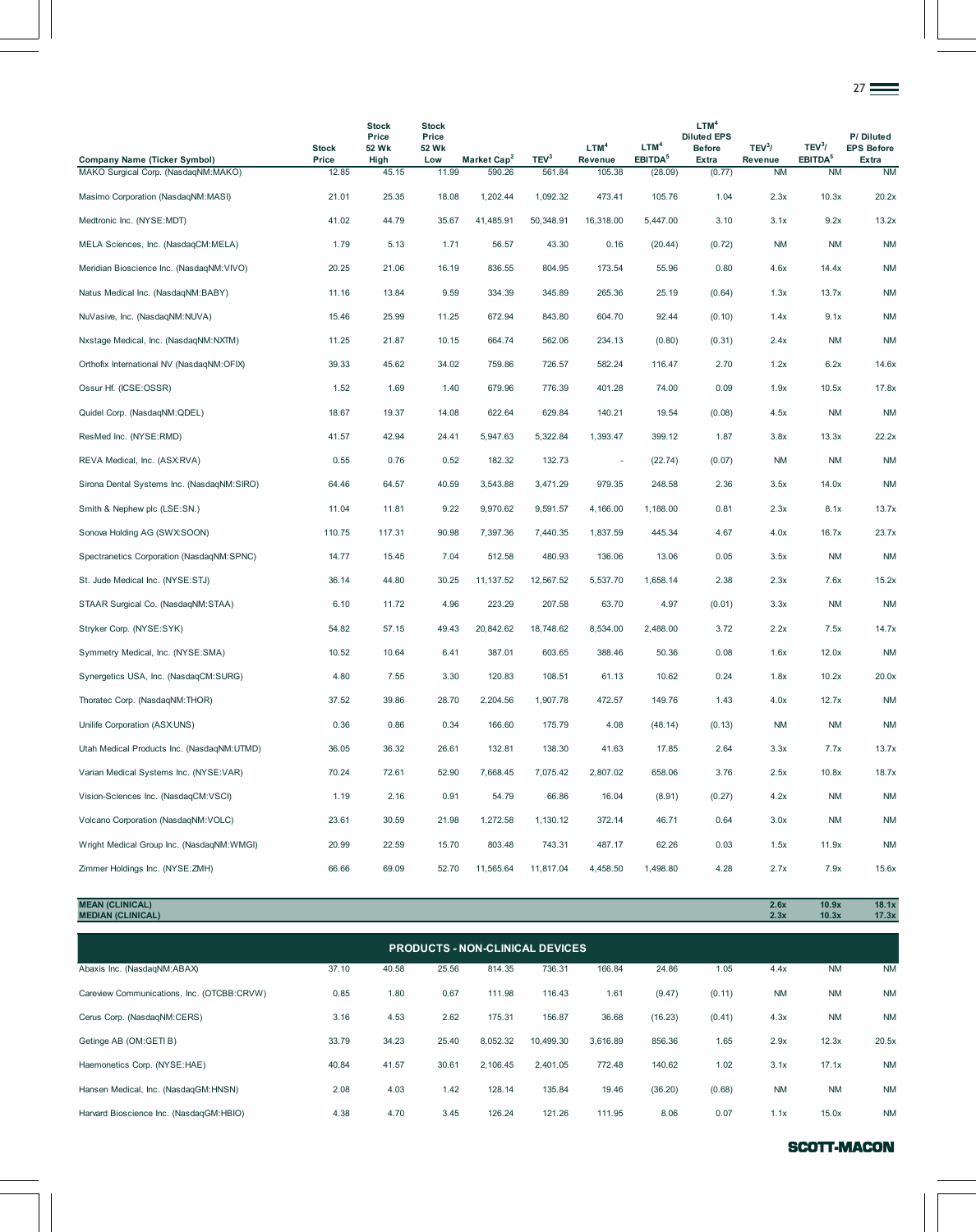|                                            |                       |                                        |                                       |                         |                  |                             |                                         |                                                                         |                               |                                           | 27                                      |
|--------------------------------------------|-----------------------|----------------------------------------|---------------------------------------|-------------------------|------------------|-----------------------------|-----------------------------------------|-------------------------------------------------------------------------|-------------------------------|-------------------------------------------|-----------------------------------------|
| <b>Company Name (Ticker Symbol)</b>        | <b>Stock</b><br>Price | <b>Stock</b><br>Price<br>52 Wk<br>High | <b>Stock</b><br>Price<br>52 Wk<br>Low | Market Cap <sup>2</sup> | TEV <sup>3</sup> | LTM <sup>4</sup><br>Revenue | LTM <sup>4</sup><br>EBITDA <sup>5</sup> | LTM <sup>4</sup><br><b>Diluted EPS</b><br><b>Before</b><br><b>Extra</b> | TEV <sup>3</sup> /<br>Revenue | TEV <sup>3</sup> /<br>EBITDA <sup>5</sup> | P/Diluted<br><b>EPS Before</b><br>Extra |
| MAKO Surgical Corp. (NasdaqNM:MAKO)        | 12.85                 | 45.15                                  | 11.99                                 | 590.26                  | 561.84           | 105.38                      | (28.09)                                 | (0.77)                                                                  | <b>NM</b>                     | <b>NM</b>                                 | <b>NM</b>                               |
| Masimo Corporation (NasdaqNM:MASI)         | 21.01                 | 25.35                                  | 18.08                                 | 1,202.44                | 1,092.32         | 473.41                      | 105.76                                  | 1.04                                                                    | 2.3x                          | 10.3x                                     | 20.2x                                   |
| Medtronic Inc. (NYSE:MDT)                  | 41.02                 | 44.79                                  | 35.67                                 | 41,485.91               | 50,348.91        | 16,318.00                   | 5,447.00                                | 3.10                                                                    | 3.1x                          | 9.2x                                      | 13.2x                                   |
| MELA Sciences, Inc. (NasdaqCM:MELA)        | 1.79                  | 5.13                                   | 1.71                                  | 56.57                   | 43.30            | 0.16                        | (20.44)                                 | (0.72)                                                                  | <b>NM</b>                     | <b>NM</b>                                 | <b>NM</b>                               |
| Meridian Bioscience Inc. (NasdaqNM:VIVO)   | 20.25                 | 21.06                                  | 16.19                                 | 836.55                  | 804.95           | 173.54                      | 55.96                                   | 0.80                                                                    | 4.6x                          | 14.4x                                     | <b>NM</b>                               |
| Natus Medical Inc. (NasdaqNM:BABY)         | 11.16                 | 13.84                                  | 9.59                                  | 334.39                  | 345.89           | 265.36                      | 25.19                                   | (0.64)                                                                  | 1.3x                          | 13.7x                                     | <b>NM</b>                               |
| NuVasive, Inc. (NasdaqNM:NUVA)             | 15.46                 | 25.99                                  | 11.25                                 | 672.94                  | 843.80           | 604.70                      | 92.44                                   | (0.10)                                                                  | 1.4x                          | 9.1x                                      | <b>NM</b>                               |
| Nxstage Medical, Inc. (NasdaqNM:NXTM)      | 11.25                 | 21.87                                  | 10.15                                 | 664.74                  | 562.06           | 234.13                      | (0.80)                                  | (0.31)                                                                  | 2.4x                          | <b>NM</b>                                 | <b>NM</b>                               |
| Orthofix International NV (NasdaqNM:OFIX)  | 39.33                 | 45.62                                  | 34.02                                 | 759.86                  | 726.57           | 582.24                      | 116.47                                  | 2.70                                                                    | 1.2x                          | 6.2x                                      | 14.6x                                   |
| Ossur Hf. (ICSE:OSSR)                      | 1.52                  | 1.69                                   | 1.40                                  | 679.96                  | 776.39           | 401.28                      | 74.00                                   | 0.09                                                                    | 1.9x                          | 10.5x                                     | 17.8x                                   |
| Quidel Corp. (NasdaqNM:QDEL)               | 18.67                 | 19.37                                  | 14.08                                 | 622.64                  | 629.84           | 140.21                      | 19.54                                   | (0.08)                                                                  | 4.5x                          | <b>NM</b>                                 | <b>NM</b>                               |
| ResMed Inc. (NYSE:RMD)                     | 41.57                 | 42.94                                  | 24.41                                 | 5,947.63                | 5,322.84         | 1,393.47                    | 399.12                                  | 1.87                                                                    | 3.8x                          | 13.3x                                     | 22.2x                                   |
| REVA Medical, Inc. (ASX:RVA)               | 0.55                  | 0.76                                   | 0.52                                  | 182.32                  | 132.73           | $\overline{\phantom{a}}$    | (22.74)                                 | (0.07)                                                                  | <b>NM</b>                     | <b>NM</b>                                 | <b>NM</b>                               |
| Sirona Dental Systems Inc. (NasdaqNM:SIRO) | 64.46                 | 64.57                                  | 40.59                                 | 3,543.88                | 3,471.29         | 979.35                      | 248.58                                  | 2.36                                                                    | 3.5x                          | 14.0x                                     | <b>NM</b>                               |
| Smith & Nephew plc (LSE:SN.)               | 11.04                 | 11.81                                  | 9.22                                  | 9,970.62                | 9,591.57         | 4,166.00                    | 1,188.00                                | 0.81                                                                    | 2.3x                          | 8.1x                                      | 13.7x                                   |
| Sonova Holding AG (SWX:SOON)               | 110.75                | 117.31                                 | 90.98                                 | 7,397.36                | 7,440.35         | 1,837.59                    | 445.34                                  | 4.67                                                                    | 4.0x                          | 16.7x                                     | 23.7x                                   |
| Spectranetics Corporation (NasdaqNM:SPNC)  | 14.77                 | 15.45                                  | 7.04                                  | 512.58                  | 480.93           | 136.06                      | 13.06                                   | 0.05                                                                    | 3.5x                          | <b>NM</b>                                 | <b>NM</b>                               |
| St. Jude Medical Inc. (NYSE:STJ)           | 36.14                 | 44.80                                  | 30.25                                 | 11, 137.52              | 12,567.52        | 5,537.70                    | 1,658.14                                | 2.38                                                                    | 2.3x                          | 7.6x                                      | 15.2x                                   |
| STAAR Surgical Co. (NasdaqNM:STAA)         | 6.10                  | 11.72                                  | 4.96                                  | 223.29                  | 207.58           | 63.70                       | 4.97                                    | (0.01)                                                                  | 3.3x                          | <b>NM</b>                                 | <b>NM</b>                               |
| Stryker Corp. (NYSE:SYK)                   | 54.82                 | 57.15                                  | 49.43                                 | 20,842.62               | 18,748.62        | 8,534.00                    | 2,488.00                                | 3.72                                                                    | 2.2x                          | 7.5x                                      | 14.7x                                   |
| Symmetry Medical, Inc. (NYSE:SMA)          | 10.52                 | 10.64                                  | 6.41                                  | 387.01                  | 603.65           | 388.46                      | 50.36                                   | 0.08                                                                    | 1.6x                          | 12.0x                                     | <b>NM</b>                               |
| Synergetics USA, Inc. (NasdaqCM:SURG)      | 4.80                  | 7.55                                   | 3.30                                  | 120.83                  | 108.51           | 61.13                       | 10.62                                   | 0.24                                                                    | 1.8x                          | 10.2x                                     | 20.0x                                   |
| Thoratec Corp. (NasdaqNM:THOR)             | 37.52                 | 39.86                                  | 28.70                                 | 2,204.56                | 1,907.78         | 472.57                      | 149.76                                  | 1.43                                                                    | 4.0x                          | 12.7x                                     | <b>NM</b>                               |
| Unilife Corporation (ASX:UNS)              | 0.36                  | 0.86                                   | 0.34                                  | 166.60                  | 175.79           | 4.08                        | (48.14)                                 | (0.13)                                                                  | <b>NM</b>                     | <b>NM</b>                                 | <b>NM</b>                               |
| Utah Medical Products Inc. (NasdagNM:UTMD) | 36.05                 | 36.32                                  | 26.61                                 | 132.81                  | 138.30           | 41.63                       | 17.85                                   | 2.64                                                                    | 3.3x                          | 7.7x                                      | 13.7x                                   |
| Varian Medical Systems Inc. (NYSE:VAR)     | 70.24                 | 72.61                                  | 52.90                                 | 7,668.45                | 7,075.42         | 2,807.02                    | 658.06                                  | 3.76                                                                    | 2.5x                          | 10.8x                                     | 18.7x                                   |
| Vision-Sciences Inc. (NasdaqCM:VSCI)       | 1.19                  | 2.16                                   | 0.91                                  | 54.79                   | 66.86            | 16.04                       | (8.91)                                  | (0.27)                                                                  | 4.2x                          | <b>NM</b>                                 | <b>NM</b>                               |
| Volcano Corporation (NasdaqNM:VOLC)        | 23.61                 | 30.59                                  | 21.98                                 | 1,272.58                | 1,130.12         | 372.14                      | 46.71                                   | 0.64                                                                    | 3.0x                          | <b>NM</b>                                 | <b>NM</b>                               |
| Wright Medical Group Inc. (NasdagNM:WMGI)  | 20.99                 | 22.59                                  | 15.70                                 | 803.48                  | 743.31           | 487.17                      | 62.26                                   | 0.03                                                                    | 1.5x                          | 11.9x                                     | <b>NM</b>                               |
| Zimmer Holdings Inc. (NYSE:ZMH)            | 66.66                 | 69.09                                  | 52.70                                 | 11,565.64               | 11,817.04        | 4,458.50                    | 1,498.80                                | 4.28                                                                    | 2.7x                          | 7.9x                                      | 15.6x                                   |

**MEAN (CLINICAL) 2.6x 10.9x 18.1x MEDIAN (CLINICAL) 2.3x 10.3x 17.3x**

| <b>PRODUCTS - NON-CLINICAL DEVICES</b>     |       |       |       |          |           |          |         |        |           |           |           |  |  |
|--------------------------------------------|-------|-------|-------|----------|-----------|----------|---------|--------|-----------|-----------|-----------|--|--|
| Abaxis Inc. (NasdaqNM:ABAX)                | 37.10 | 40.58 | 25.56 | 814.35   | 736.31    | 166.84   | 24.86   | 1.05   | 4.4x      | <b>NM</b> | <b>NM</b> |  |  |
| Careview Communications, Inc. (OTCBB:CRVW) | 0.85  | 1.80  | 0.67  | 111.98   | 116.43    | 1.61     | (9.47)  | (0.11) | <b>NM</b> | <b>NM</b> | <b>NM</b> |  |  |
| Cerus Corp. (NasdaqNM:CERS)                | 3.16  | 4.53  | 2.62  | 175.31   | 156.87    | 36.68    | (16.23) | (0.41) | 4.3x      | <b>NM</b> | <b>NM</b> |  |  |
| Getinge AB (OM:GETI B)                     | 33.79 | 34.23 | 25.40 | 8,052.32 | 10,499.30 | 3.616.89 | 856.36  | 1.65   | 2.9x      | 12.3x     | 20.5x     |  |  |
| Haemonetics Corp. (NYSE:HAE)               | 40.84 | 41.57 | 30.61 | 2.106.45 | 2,401.05  | 772.48   | 140.62  | 1.02   | 3.1x      | 17.1x     | <b>NM</b> |  |  |
| Hansen Medical, Inc. (NasdaqGM:HNSN)       | 2.08  | 4.03  | 1.42  | 128.14   | 135.84    | 19.46    | (36.20) | (0.68) | <b>NM</b> | <b>NM</b> | <b>NM</b> |  |  |
| Harvard Bioscience Inc. (NasdagGM:HBIO)    | 4.38  | 4.70  | 3.45  | 126.24   | 121.26    | 111.95   | 8.06    | 0.07   | 1.1x      | 15.0x     | <b>NM</b> |  |  |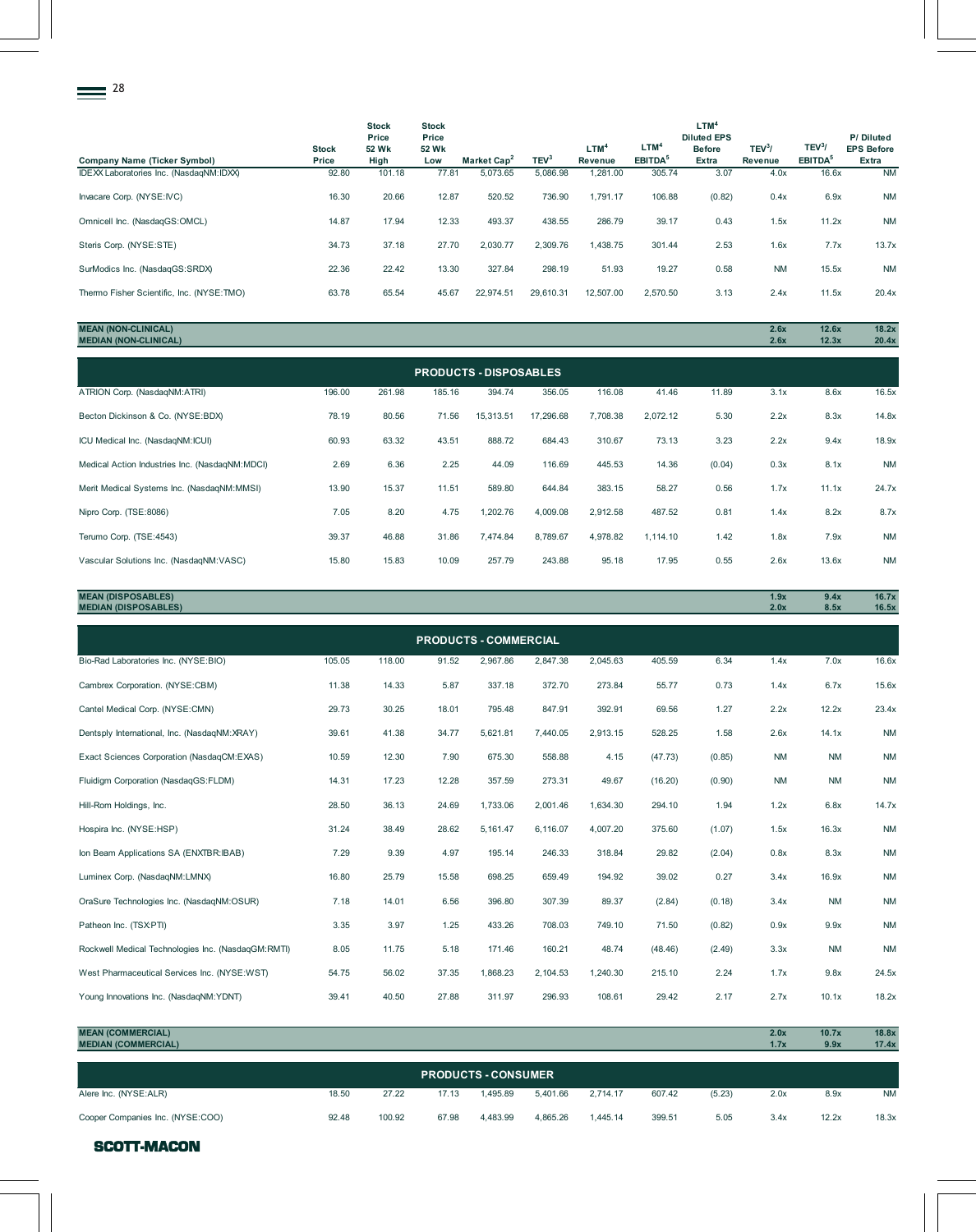| 28                                        |                       |                                        |                                       |                         |                  |                    |                                         |                                                                         |                               |                                           |                                         |
|-------------------------------------------|-----------------------|----------------------------------------|---------------------------------------|-------------------------|------------------|--------------------|-----------------------------------------|-------------------------------------------------------------------------|-------------------------------|-------------------------------------------|-----------------------------------------|
| <b>Company Name (Ticker Symbol)</b>       | <b>Stock</b><br>Price | <b>Stock</b><br>Price<br>52 Wk<br>High | <b>Stock</b><br>Price<br>52 Wk<br>Low | Market Cap <sup>2</sup> | TEV <sup>3</sup> | $LTM^4$<br>Revenue | LTM <sup>4</sup><br>EBITDA <sup>5</sup> | LTM <sup>4</sup><br><b>Diluted EPS</b><br><b>Before</b><br><b>Extra</b> | TEV <sup>3</sup> /<br>Revenue | TEV <sup>3</sup> /<br>EBITDA <sup>5</sup> | P/Diluted<br><b>EPS Before</b><br>Extra |
| IDEXX Laboratories Inc. (NasdaqNM:IDXX)   | 92.80                 | 101.18                                 | 77.81                                 | 5,073.65                | 5,086.98         | 1,281.00           | 305.74                                  | 3.07                                                                    | 4.0x                          | 16.6x                                     | <b>NM</b>                               |
| Invacare Corp. (NYSE:IVC)                 | 16.30                 | 20.66                                  | 12.87                                 | 520.52                  | 736.90           | 1,791.17           | 106.88                                  | (0.82)                                                                  | 0.4x                          | 6.9x                                      | <b>NM</b>                               |
| Omnicell Inc. (NasdaqGS:OMCL)             | 14.87                 | 17.94                                  | 12.33                                 | 493.37                  | 438.55           | 286.79             | 39.17                                   | 0.43                                                                    | 1.5x                          | 11.2x                                     | <b>NM</b>                               |
| Steris Corp. (NYSE:STE)                   | 34.73                 | 37.18                                  | 27.70                                 | 2,030.77                | 2,309.76         | 1,438.75           | 301.44                                  | 2.53                                                                    | 1.6x                          | 7.7x                                      | 13.7x                                   |
| SurModics Inc. (NasdaqGS:SRDX)            | 22.36                 | 22.42                                  | 13.30                                 | 327.84                  | 298.19           | 51.93              | 19.27                                   | 0.58                                                                    | <b>NM</b>                     | 15.5x                                     | <b>NM</b>                               |
| Thermo Fisher Scientific, Inc. (NYSE:TMO) | 63.78                 | 65.54                                  | 45.67                                 | 22,974.51               | 29,610.31        | 12,507.00          | 2,570.50                                | 3.13                                                                    | 2.4x                          | 11.5x                                     | 20.4x                                   |

# **MEAN (NON-CLINICAL) 2.6x 12.6x 18.2x MEDIAN (NON-CLINICAL) 2.6x 12.3x 20.4x**

| <b>PRODUCTS - DISPOSABLES</b>                  |        |        |        |           |           |          |          |        |      |       |           |  |  |
|------------------------------------------------|--------|--------|--------|-----------|-----------|----------|----------|--------|------|-------|-----------|--|--|
| ATRION Corp. (NasdaqNM:ATRI)                   | 196.00 | 261.98 | 185.16 | 394.74    | 356.05    | 116.08   | 41.46    | 11.89  | 3.1x | 8.6x  | 16.5x     |  |  |
| Becton Dickinson & Co. (NYSE:BDX)              | 78.19  | 80.56  | 71.56  | 15,313.51 | 17,296.68 | 7,708.38 | 2,072.12 | 5.30   | 2.2x | 8.3x  | 14.8x     |  |  |
| ICU Medical Inc. (NasdagNM:ICUI)               | 60.93  | 63.32  | 43.51  | 888.72    | 684.43    | 310.67   | 73.13    | 3.23   | 2.2x | 9.4x  | 18.9x     |  |  |
| Medical Action Industries Inc. (NasdagNM:MDCI) | 2.69   | 6.36   | 2.25   | 44.09     | 116.69    | 445.53   | 14.36    | (0.04) | 0.3x | 8.1x  | <b>NM</b> |  |  |
| Merit Medical Systems Inc. (NasdagNM:MMSI)     | 13.90  | 15.37  | 11.51  | 589.80    | 644.84    | 383.15   | 58.27    | 0.56   | 1.7x | 11.1x | 24.7x     |  |  |
| Nipro Corp. (TSE:8086)                         | 7.05   | 8.20   | 4.75   | 1,202.76  | 4,009.08  | 2.912.58 | 487.52   | 0.81   | 1.4x | 8.2x  | 8.7x      |  |  |
| Terumo Corp. (TSE:4543)                        | 39.37  | 46.88  | 31.86  | 7.474.84  | 8,789.67  | 4.978.82 | 1,114.10 | 1.42   | 1.8x | 7.9x  | <b>NM</b> |  |  |
| Vascular Solutions Inc. (NasdaqNM:VASC)        | 15.80  | 15.83  | 10.09  | 257.79    | 243.88    | 95.18    | 17.95    | 0.55   | 2.6x | 13.6x | <b>NM</b> |  |  |

| <b>MEAN (DISPOSABLES)</b><br><b>MEDIAN (DISPOSABLES)</b> | <b>Over</b><br>$\blacksquare$<br>2.0x | 9.4x<br>8.5x | 16.7v<br>10.7 <sub>X</sub><br>16.5x |
|----------------------------------------------------------|---------------------------------------|--------------|-------------------------------------|
|                                                          |                                       |              |                                     |

| <b>PRODUCTS - COMMERCIAL</b>                       |        |        |       |          |          |          |         |        |           |           |           |  |  |
|----------------------------------------------------|--------|--------|-------|----------|----------|----------|---------|--------|-----------|-----------|-----------|--|--|
| Bio-Rad Laboratories Inc. (NYSE:BIO)               | 105.05 | 118.00 | 91.52 | 2,967.86 | 2,847.38 | 2,045.63 | 405.59  | 6.34   | 1.4x      | 7.0x      | 16.6x     |  |  |
| Cambrex Corporation. (NYSE:CBM)                    | 11.38  | 14.33  | 5.87  | 337.18   | 372.70   | 273.84   | 55.77   | 0.73   | 1.4x      | 6.7x      | 15.6x     |  |  |
| Cantel Medical Corp. (NYSE:CMN)                    | 29.73  | 30.25  | 18.01 | 795.48   | 847.91   | 392.91   | 69.56   | 1.27   | 2.2x      | 12.2x     | 23.4x     |  |  |
| Dentsply International, Inc. (NasdagNM:XRAY)       | 39.61  | 41.38  | 34.77 | 5,621.81 | 7,440.05 | 2,913.15 | 528.25  | 1.58   | 2.6x      | 14.1x     | <b>NM</b> |  |  |
| Exact Sciences Corporation (NasdaqCM:EXAS)         | 10.59  | 12.30  | 7.90  | 675.30   | 558.88   | 4.15     | (47.73) | (0.85) | <b>NM</b> | <b>NM</b> | <b>NM</b> |  |  |
| Fluidigm Corporation (NasdagGS:FLDM)               | 14.31  | 17.23  | 12.28 | 357.59   | 273.31   | 49.67    | (16.20) | (0.90) | <b>NM</b> | <b>NM</b> | <b>NM</b> |  |  |
| Hill-Rom Holdings, Inc.                            | 28.50  | 36.13  | 24.69 | 1,733.06 | 2,001.46 | 1,634.30 | 294.10  | 1.94   | 1.2x      | 6.8x      | 14.7x     |  |  |
| Hospira Inc. (NYSE:HSP)                            | 31.24  | 38.49  | 28.62 | 5,161.47 | 6.116.07 | 4,007.20 | 375.60  | (1.07) | 1.5x      | 16.3x     | <b>NM</b> |  |  |
| Ion Beam Applications SA (ENXTBR: IBAB)            | 7.29   | 9.39   | 4.97  | 195.14   | 246.33   | 318.84   | 29.82   | (2.04) | 0.8x      | 8.3x      | <b>NM</b> |  |  |
| Luminex Corp. (NasdagNM:LMNX)                      | 16.80  | 25.79  | 15.58 | 698.25   | 659.49   | 194.92   | 39.02   | 0.27   | 3.4x      | 16.9x     | <b>NM</b> |  |  |
| OraSure Technologies Inc. (NasdagNM:OSUR)          | 7.18   | 14.01  | 6.56  | 396.80   | 307.39   | 89.37    | (2.84)  | (0.18) | 3.4x      | <b>NM</b> | <b>NM</b> |  |  |
| Patheon Inc. (TSX:PTI)                             | 3.35   | 3.97   | 1.25  | 433.26   | 708.03   | 749.10   | 71.50   | (0.82) | 0.9x      | 9.9x      | <b>NM</b> |  |  |
| Rockwell Medical Technologies Inc. (NasdaqGM:RMTI) | 8.05   | 11.75  | 5.18  | 171.46   | 160.21   | 48.74    | (48.46) | (2.49) | 3.3x      | <b>NM</b> | <b>NM</b> |  |  |
| West Pharmaceutical Services Inc. (NYSE:WST)       | 54.75  | 56.02  | 37.35 | 1,868.23 | 2,104.53 | 1,240.30 | 215.10  | 2.24   | 1.7x      | 9.8x      | 24.5x     |  |  |
| Young Innovations Inc. (NasdagNM:YDNT)             | 39.41  | 40.50  | 27.88 | 311.97   | 296.93   | 108.61   | 29.42   | 2.17   | 2.7x      | 10.1x     | 18.2x     |  |  |

| <b>MEAN (COMMERCIAL)</b>         |       |        |       |                            |          |          |        |        | 2.0x | 10.7x | 18.8x     |
|----------------------------------|-------|--------|-------|----------------------------|----------|----------|--------|--------|------|-------|-----------|
| <b>MEDIAN (COMMERCIAL)</b>       |       |        |       |                            |          |          |        |        | 1.7x | 9.9x  | 17.4x     |
|                                  |       |        |       |                            |          |          |        |        |      |       |           |
|                                  |       |        |       | <b>PRODUCTS - CONSUMER</b> |          |          |        |        |      |       |           |
|                                  |       |        |       |                            |          |          |        |        |      |       |           |
| Alere Inc. (NYSE:ALR)            | 18.50 | 27.22  | 17.13 | 1.495.89                   | 5,401.66 | 2.714.17 | 607.42 | (5.23) | 2.0x | 8.9x  | <b>NM</b> |
|                                  |       |        |       |                            |          |          |        |        |      |       |           |
| Cooper Companies Inc. (NYSE:COO) | 92.48 | 100.92 | 67.98 | 4.483.99                   | 4.865.26 | 1.445.14 | 399.51 | 5.05   | 3.4x | 12.2x | 18.3x     |

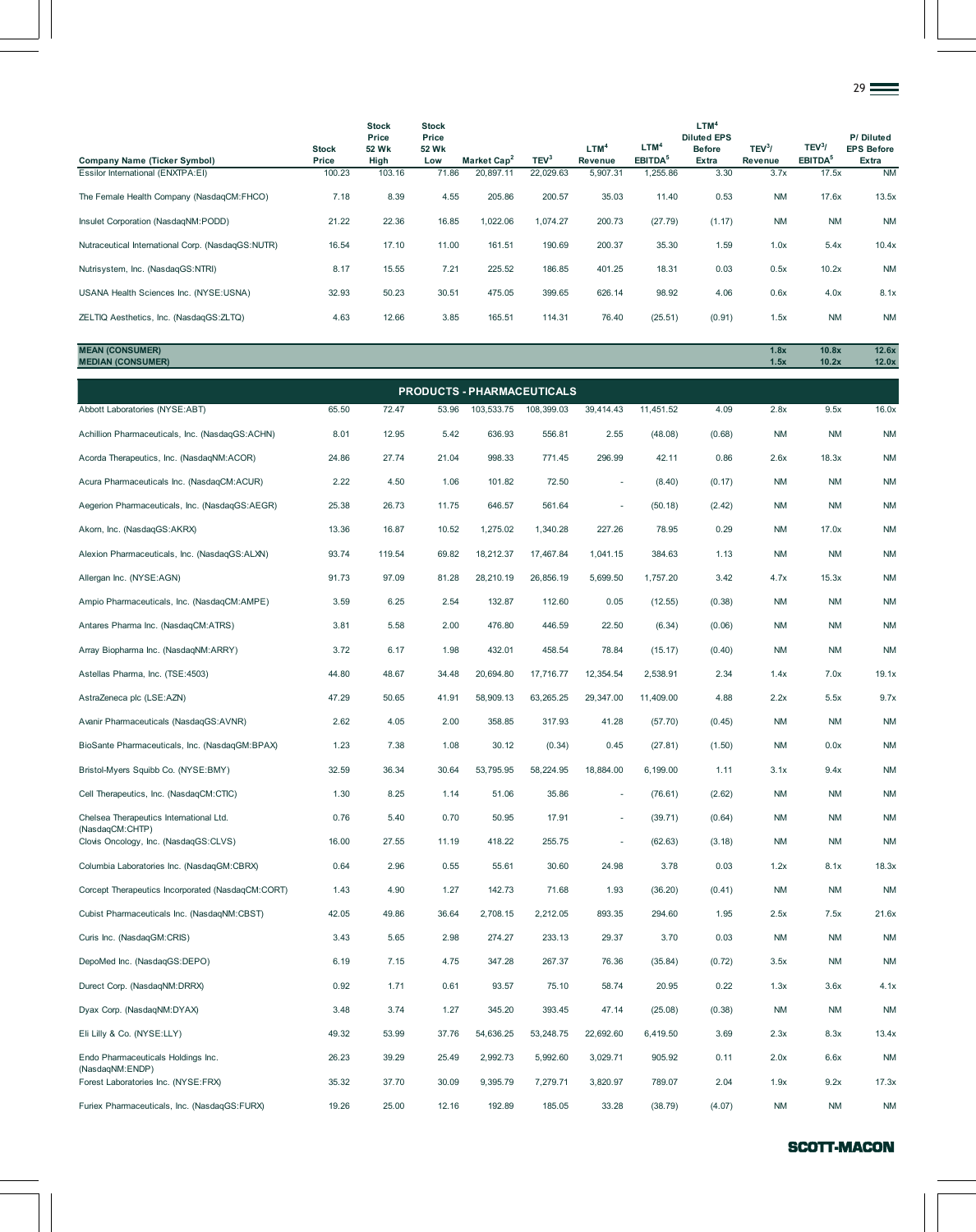|                                                   |                       |                                        |                                       |                         |                  |                             |                                         |                                                                  |                    |                                           | $29 \equiv$                             |
|---------------------------------------------------|-----------------------|----------------------------------------|---------------------------------------|-------------------------|------------------|-----------------------------|-----------------------------------------|------------------------------------------------------------------|--------------------|-------------------------------------------|-----------------------------------------|
| <b>Company Name (Ticker Symbol)</b>               | <b>Stock</b><br>Price | <b>Stock</b><br>Price<br>52 Wk<br>High | <b>Stock</b><br>Price<br>52 Wk<br>Low | Market Cap <sup>2</sup> | TEV <sup>3</sup> | LTM <sup>4</sup><br>Revenue | LTM <sup>4</sup><br>EBITDA <sup>5</sup> | LTM <sup>4</sup><br><b>Diluted EPS</b><br><b>Before</b><br>Extra | $TEV^3$<br>Revenue | TEV <sup>3</sup> /<br>EBITDA <sup>5</sup> | P/Diluted<br><b>EPS Before</b><br>Extra |
| Essilor International (ENXTPA:EI)                 | 100.23                | 103.16                                 | 71.86                                 | 20,897.11               | 22,029.63        | 5,907.31                    | 1,255.86                                | 3.30                                                             | 3.7x               | 17.5x                                     | <b>NM</b>                               |
| The Female Health Company (NasdaqCM:FHCO)         | 7.18                  | 8.39                                   | 4.55                                  | 205.86                  | 200.57           | 35.03                       | 11.40                                   | 0.53                                                             | <b>NM</b>          | 17.6x                                     | 13.5x                                   |
| Insulet Corporation (NasdaqNM:PODD)               | 21.22                 | 22.36                                  | 16.85                                 | 1,022.06                | 1,074.27         | 200.73                      | (27.79)                                 | (1.17)                                                           | <b>NM</b>          | <b>NM</b>                                 | <b>NM</b>                               |
| Nutraceutical International Corp. (NasdaqGS:NUTR) | 16.54                 | 17.10                                  | 11.00                                 | 161.51                  | 190.69           | 200.37                      | 35.30                                   | 1.59                                                             | 1.0x               | 5.4x                                      | 10.4x                                   |
| Nutrisystem, Inc. (NasdaqGS:NTRI)                 | 8.17                  | 15.55                                  | 7.21                                  | 225.52                  | 186.85           | 401.25                      | 18.31                                   | 0.03                                                             | 0.5x               | 10.2x                                     | <b>NM</b>                               |
| USANA Health Sciences Inc. (NYSE:USNA)            | 32.93                 | 50.23                                  | 30.51                                 | 475.05                  | 399.65           | 626.14                      | 98.92                                   | 4.06                                                             | 0.6x               | 4.0x                                      | 8.1x                                    |
| ZELTIQ Aesthetics, Inc. (NasdaqGS:ZLTQ)           | 4.63                  | 12.66                                  | 3.85                                  | 165.51                  | 114.31           | 76.40                       | (25.51)                                 | (0.91)                                                           | 1.5x               | <b>NM</b>                                 | <b>NM</b>                               |

**MEAN (CONSUMER) 1.8x 10.8x 12.6x MEDIAN (CONSUMER) 1.5x 10.2x 12.0x**

|                                                          |       |        |       | PRODUCTS - PHARMACEUTICALS |            |           |           |        |           |           |           |
|----------------------------------------------------------|-------|--------|-------|----------------------------|------------|-----------|-----------|--------|-----------|-----------|-----------|
| Abbott Laboratories (NYSE:ABT)                           | 65.50 | 72.47  | 53.96 | 103,533.75                 | 108,399.03 | 39,414.43 | 11,451.52 | 4.09   | 2.8x      | 9.5x      | 16.0x     |
| Achillion Pharmaceuticals, Inc. (NasdagGS:ACHN)          | 8.01  | 12.95  | 5.42  | 636.93                     | 556.81     | 2.55      | (48.08)   | (0.68) | ΝM        | <b>NM</b> | <b>NM</b> |
| Acorda Therapeutics, Inc. (NasdaqNM:ACOR)                | 24.86 | 27.74  | 21.04 | 998.33                     | 771.45     | 296.99    | 42.11     | 0.86   | 2.6x      | 18.3x     | <b>NM</b> |
| Acura Pharmaceuticals Inc. (NasdaqCM:ACUR)               | 2.22  | 4.50   | 1.06  | 101.82                     | 72.50      | ÷.        | (8.40)    | (0.17) | <b>NM</b> | <b>NM</b> | <b>NM</b> |
| Aegerion Pharmaceuticals, Inc. (NasdaqGS:AEGR)           | 25.38 | 26.73  | 11.75 | 646.57                     | 561.64     |           | (50.18)   | (2.42) | <b>NM</b> | <b>NM</b> | <b>NM</b> |
| Akorn, Inc. (NasdagGS:AKRX)                              | 13.36 | 16.87  | 10.52 | 1,275.02                   | 1,340.28   | 227.26    | 78.95     | 0.29   | <b>NM</b> | 17.0x     | <b>NM</b> |
| Alexion Pharmaceuticals, Inc. (NasdaqGS:ALXN)            | 93.74 | 119.54 | 69.82 | 18,212.37                  | 17,467.84  | 1,041.15  | 384.63    | 1.13   | <b>NM</b> | <b>NM</b> | <b>NM</b> |
| Allergan Inc. (NYSE:AGN)                                 | 91.73 | 97.09  | 81.28 | 28,210.19                  | 26,856.19  | 5,699.50  | 1,757.20  | 3.42   | 4.7x      | 15.3x     | <b>NM</b> |
| Ampio Pharmaceuticals, Inc. (NasdaqCM:AMPE)              | 3.59  | 6.25   | 2.54  | 132.87                     | 112.60     | 0.05      | (12.55)   | (0.38) | <b>NM</b> | <b>NM</b> | <b>NM</b> |
| Antares Pharma Inc. (NasdaqCM:ATRS)                      | 3.81  | 5.58   | 2.00  | 476.80                     | 446.59     | 22.50     | (6.34)    | (0.06) | <b>NM</b> | <b>NM</b> | <b>NM</b> |
| Array Biopharma Inc. (NasdaqNM:ARRY)                     | 3.72  | 6.17   | 1.98  | 432.01                     | 458.54     | 78.84     | (15.17)   | (0.40) | <b>NM</b> | <b>NM</b> | <b>NM</b> |
| Astellas Pharma, Inc. (TSE:4503)                         | 44.80 | 48.67  | 34.48 | 20,694.80                  | 17,716.77  | 12,354.54 | 2,538.91  | 2.34   | 1.4x      | 7.0x      | 19.1x     |
| AstraZeneca plc (LSE:AZN)                                | 47.29 | 50.65  | 41.91 | 58,909.13                  | 63,265.25  | 29,347.00 | 11,409.00 | 4.88   | 2.2x      | 5.5x      | 9.7x      |
| Avanir Pharmaceuticals (NasdaqGS:AVNR)                   | 2.62  | 4.05   | 2.00  | 358.85                     | 317.93     | 41.28     | (57.70)   | (0.45) | <b>NM</b> | <b>NM</b> | <b>NM</b> |
| BioSante Pharmaceuticals, Inc. (NasdaqGM:BPAX)           | 1.23  | 7.38   | 1.08  | 30.12                      | (0.34)     | 0.45      | (27.81)   | (1.50) | <b>NM</b> | 0.0x      | <b>NM</b> |
| Bristol-Myers Squibb Co. (NYSE:BMY)                      | 32.59 | 36.34  | 30.64 | 53,795.95                  | 58,224.95  | 18,884.00 | 6,199.00  | 1.11   | 3.1x      | 9.4x      | <b>NM</b> |
| Cell Therapeutics, Inc. (NasdaqCM:CTIC)                  | 1.30  | 8.25   | 1.14  | 51.06                      | 35.86      | ÷.        | (76.61)   | (2.62) | <b>NM</b> | <b>NM</b> | <b>NM</b> |
| Chelsea Therapeutics International Ltd.                  | 0.76  | 5.40   | 0.70  | 50.95                      | 17.91      |           | (39.71)   | (0.64) | <b>NM</b> | <b>NM</b> | <b>NM</b> |
| (NasdaqCM:CHTP)<br>Clovis Oncology, Inc. (NasdaqGS:CLVS) | 16.00 | 27.55  | 11.19 | 418.22                     | 255.75     | J.        | (62.63)   | (3.18) | <b>NM</b> | <b>NM</b> | <b>NM</b> |
| Columbia Laboratories Inc. (NasdaqGM:CBRX)               | 0.64  | 2.96   | 0.55  | 55.61                      | 30.60      | 24.98     | 3.78      | 0.03   | 1.2x      | 8.1x      | 18.3x     |
| Corcept Therapeutics Incorporated (NasdaqCM:CORT)        | 1.43  | 4.90   | 1.27  | 142.73                     | 71.68      | 1.93      | (36.20)   | (0.41) | <b>NM</b> | <b>NM</b> | <b>NM</b> |
| Cubist Pharmaceuticals Inc. (NasdaqNM:CBST)              | 42.05 | 49.86  | 36.64 | 2,708.15                   | 2,212.05   | 893.35    | 294.60    | 1.95   | 2.5x      | 7.5x      | 21.6x     |
| Curis Inc. (NasdaqGM:CRIS)                               | 3.43  | 5.65   | 2.98  | 274.27                     | 233.13     | 29.37     | 3.70      | 0.03   | <b>NM</b> | <b>NM</b> | <b>NM</b> |
| DepoMed Inc. (NasdaqGS:DEPO)                             | 6.19  | 7.15   | 4.75  | 347.28                     | 267.37     | 76.36     | (35.84)   | (0.72) | 3.5x      | <b>NM</b> | <b>NM</b> |
| Durect Corp. (NasdaqNM:DRRX)                             | 0.92  | 1.71   | 0.61  | 93.57                      | 75.10      | 58.74     | 20.95     | 0.22   | 1.3x      | 3.6x      | 4.1x      |
| Dyax Corp. (NasdaqNM:DYAX)                               | 3.48  | 3.74   | 1.27  | 345.20                     | 393.45     | 47.14     | (25.08)   | (0.38) | <b>NM</b> | <b>NM</b> | <b>NM</b> |
| Eli Lilly & Co. (NYSE:LLY)                               | 49.32 | 53.99  | 37.76 | 54,636.25                  | 53,248.75  | 22,692.60 | 6,419.50  | 3.69   | 2.3x      | 8.3x      | 13.4x     |
| Endo Pharmaceuticals Holdings Inc.                       | 26.23 | 39.29  | 25.49 | 2,992.73                   | 5,992.60   | 3,029.71  | 905.92    | 0.11   | 2.0x      | 6.6x      | <b>NM</b> |
| (NasdagNM:ENDP)<br>Forest Laboratories Inc. (NYSE:FRX)   | 35.32 | 37.70  | 30.09 | 9,395.79                   | 7,279.71   | 3,820.97  | 789.07    | 2.04   | 1.9x      | 9.2x      | 17.3x     |
| Furiex Pharmaceuticals, Inc. (NasdaqGS:FURX)             | 19.26 | 25.00  | 12.16 | 192.89                     | 185.05     | 33.28     | (38.79)   | (4.07) | <b>NM</b> | <b>NM</b> | <b>NM</b> |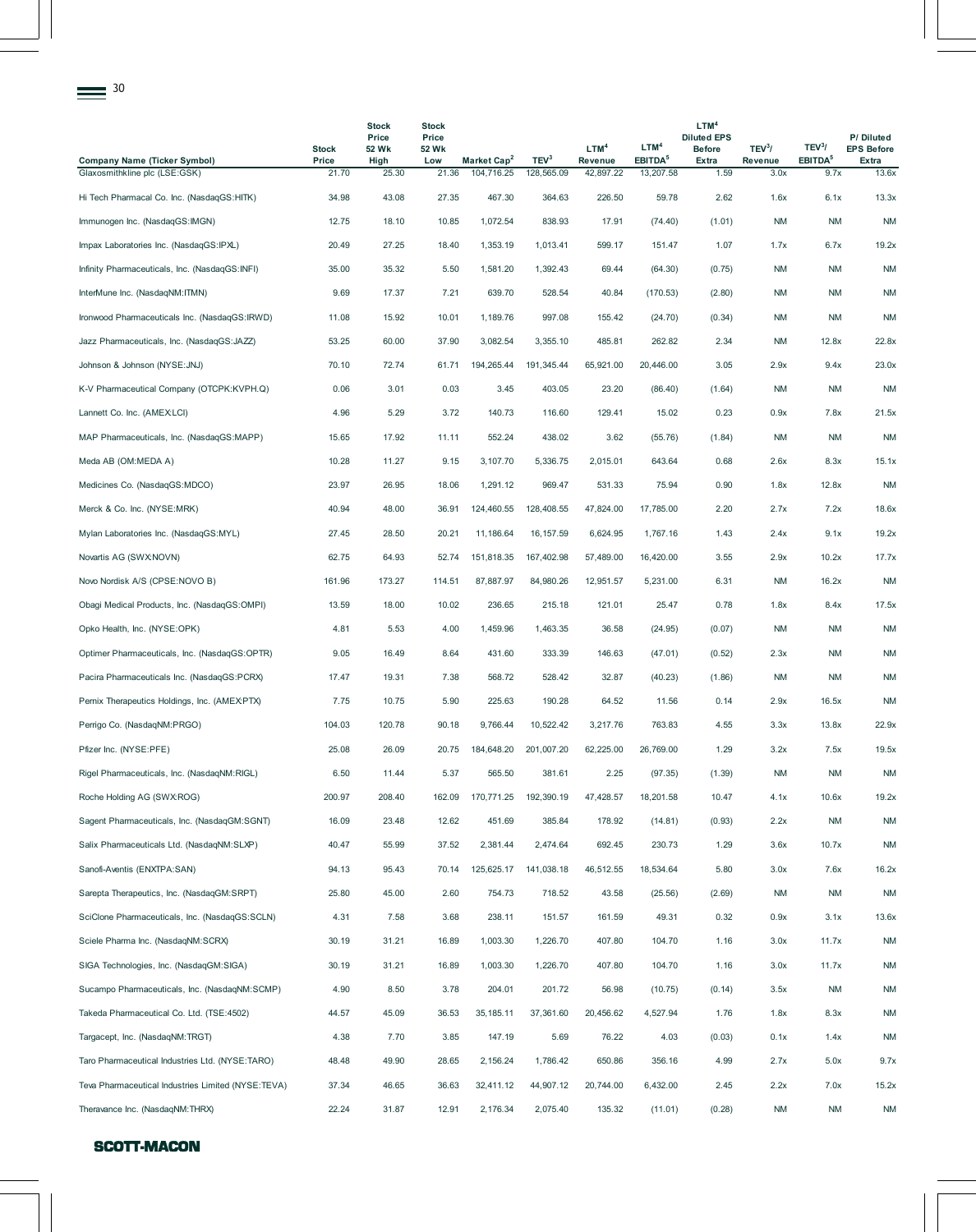| 30                                                                   |                |                                |                                |                                       |                                |                      |                                  |                                                         |                        |                             |                                |
|----------------------------------------------------------------------|----------------|--------------------------------|--------------------------------|---------------------------------------|--------------------------------|----------------------|----------------------------------|---------------------------------------------------------|------------------------|-----------------------------|--------------------------------|
|                                                                      | <b>Stock</b>   | <b>Stock</b><br>Price<br>52 Wk | <b>Stock</b><br>Price<br>52 Wk |                                       |                                | LTM <sup>4</sup>     | LTM <sup>4</sup>                 | LTM <sup>4</sup><br><b>Diluted EPS</b><br><b>Before</b> | TEV <sup>3</sup> /     | TEV <sup>3</sup> /          | P/Diluted<br><b>EPS Before</b> |
| <b>Company Name (Ticker Symbol)</b><br>Glaxosmithkline plc (LSE:GSK) | Price<br>21.70 | High<br>25.30                  | Low<br>21.36                   | Market Cap <sup>2</sup><br>104,716.25 | TEV <sup>3</sup><br>128,565.09 | Revenue<br>42,897.22 | EBITDA <sup>5</sup><br>13,207.58 | <b>Extra</b><br>1.59                                    | <b>Revenue</b><br>3.0x | EBITDA <sup>5</sup><br>9.7x | Extra<br>13.6x                 |
| Hi Tech Pharmacal Co. Inc. (NasdaqGS:HITK)                           | 34.98          | 43.08                          | 27.35                          | 467.30                                | 364.63                         | 226.50               | 59.78                            | 2.62                                                    | 1.6x                   | 6.1x                        | 13.3x                          |
| Immunogen Inc. (NasdaqGS:IMGN)                                       | 12.75          | 18.10                          | 10.85                          | 1,072.54                              | 838.93                         | 17.91                | (74.40)                          | (1.01)                                                  | <b>NM</b>              | <b>NM</b>                   | <b>NM</b>                      |
| Impax Laboratories Inc. (NasdaqGS:IPXL)                              | 20.49          | 27.25                          | 18.40                          | 1,353.19                              | 1,013.41                       | 599.17               | 151.47                           | 1.07                                                    | 1.7x                   | 6.7x                        | 19.2x                          |
| Infinity Pharmaceuticals, Inc. (NasdaqGS:INFI)                       | 35.00          | 35.32                          | 5.50                           | 1,581.20                              | 1,392.43                       | 69.44                | (64.30)                          | (0.75)                                                  | ΝM                     | <b>NM</b>                   | <b>NM</b>                      |
| InterMune Inc. (NasdaqNM:ITMN)                                       | 9.69           | 17.37                          | 7.21                           | 639.70                                | 528.54                         | 40.84                | (170.53)                         | (2.80)                                                  | ΝM                     | <b>NM</b>                   | <b>NM</b>                      |
| Ironwood Pharmaceuticals Inc. (NasdaqGS:IRWD)                        | 11.08          | 15.92                          | 10.01                          | 1,189.76                              | 997.08                         | 155.42               | (24.70)                          | (0.34)                                                  | ΝM                     | <b>NM</b>                   | <b>NM</b>                      |
| Jazz Pharmaceuticals, Inc. (NasdaqGS:JAZZ)                           | 53.25          | 60.00                          | 37.90                          | 3,082.54                              | 3,355.10                       | 485.81               | 262.82                           | 2.34                                                    | ΝM                     | 12.8x                       | 22.8x                          |
| Johnson & Johnson (NYSE: JNJ)                                        | 70.10          | 72.74                          | 61.71                          | 194,265.44                            | 191,345.44                     | 65,921.00            | 20,446.00                        | 3.05                                                    | 2.9x                   | 9.4x                        | 23.0x                          |
| K-V Pharmaceutical Company (OTCPK:KVPH.Q)                            | 0.06           | 3.01                           | 0.03                           | 3.45                                  | 403.05                         | 23.20                | (86.40)                          | (1.64)                                                  | ΝM                     | <b>NM</b>                   | <b>NM</b>                      |
| Lannett Co. Inc. (AMEX:LCI)                                          | 4.96           | 5.29                           | 3.72                           | 140.73                                | 116.60                         | 129.41               | 15.02                            | 0.23                                                    | 0.9x                   | 7.8x                        | 21.5x                          |
| MAP Pharmaceuticals, Inc. (NasdaqGS:MAPP)                            | 15.65          | 17.92                          | 11.11                          | 552.24                                | 438.02                         | 3.62                 | (55.76)                          | (1.84)                                                  | ΝM                     | <b>NM</b>                   | <b>NM</b>                      |
| Meda AB (OM:MEDA A)                                                  | 10.28          | 11.27                          | 9.15                           | 3,107.70                              | 5,336.75                       | 2,015.01             | 643.64                           | 0.68                                                    | 2.6x                   | 8.3x                        | 15.1x                          |
| Medicines Co. (NasdaqGS:MDCO)                                        | 23.97          | 26.95                          | 18.06                          | 1,291.12                              | 969.47                         | 531.33               | 75.94                            | 0.90                                                    | 1.8x                   | 12.8x                       | <b>NM</b>                      |
| Merck & Co. Inc. (NYSE:MRK)                                          | 40.94          | 48.00                          | 36.91                          | 124,460.55                            | 128,408.55                     | 47,824.00            | 17,785.00                        | 2.20                                                    | 2.7x                   | 7.2x                        | 18.6x                          |
| Mylan Laboratories Inc. (NasdaqGS:MYL)                               | 27.45          | 28.50                          | 20.21                          | 11,186.64                             | 16, 157.59                     | 6,624.95             | 1,767.16                         | 1.43                                                    | 2.4x                   | 9.1x                        | 19.2x                          |
| Novartis AG (SWX:NOVN)                                               | 62.75          | 64.93                          | 52.74                          | 151,818.35                            | 167,402.98                     | 57,489.00            | 16,420.00                        | 3.55                                                    | 2.9x                   | 10.2x                       | 17.7x                          |
| Novo Nordisk A/S (CPSE:NOVO B)                                       | 161.96         | 173.27                         | 114.51                         | 87,887.97                             | 84,980.26                      | 12,951.57            | 5,231.00                         | 6.31                                                    | ΝM                     | 16.2x                       | <b>NM</b>                      |
| Obagi Medical Products, Inc. (NasdaqGS:OMPI)                         | 13.59          | 18.00                          | 10.02                          | 236.65                                | 215.18                         | 121.01               | 25.47                            | 0.78                                                    | 1.8x                   | 8.4x                        | 17.5x                          |
| Opko Health, Inc. (NYSE:OPK)                                         | 4.81           | 5.53                           | 4.00                           | 1,459.96                              | 1,463.35                       | 36.58                | (24.95)                          | (0.07)                                                  | ΝM                     | <b>NM</b>                   | <b>NM</b>                      |
| Optimer Pharmaceuticals, Inc. (NasdaqGS:OPTR)                        | 9.05           | 16.49                          | 8.64                           | 431.60                                | 333.39                         | 146.63               | (47.01)                          | (0.52)                                                  | 2.3x                   | <b>NM</b>                   | <b>NM</b>                      |
| Pacira Pharmaceuticals Inc. (NasdaqGS:PCRX)                          | 17.47          | 19.31                          | 7.38                           | 568.72                                | 528.42                         | 32.87                | (40.23)                          | (1.86)                                                  | ΝM                     | <b>NM</b>                   | <b>NM</b>                      |
| Pernix Therapeutics Holdings, Inc. (AMEXPTX)                         | 7.75           | 10.75                          | 5.90                           | 225.63                                | 190.28                         | 64.52                | 11.56                            | 0.14                                                    | 2.9x                   | 16.5x                       | <b>NM</b>                      |
| Perrigo Co. (NasdaqNM:PRGO)                                          | 104.03         | 120.78                         | 90.18                          | 9,766.44                              | 10,522.42                      | 3,217.76             | 763.83                           | 4.55                                                    | 3.3x                   | 13.8x                       | 22.9x                          |
| Pfizer Inc. (NYSE:PFE)                                               | 25.08          | 26.09                          | 20.75                          | 184,648.20                            | 201,007.20                     | 62,225.00            | 26,769.00                        | 1.29                                                    | 3.2x                   | 7.5x                        | 19.5x                          |
| Rigel Pharmaceuticals, Inc. (NasdaqNM:RIGL)                          | 6.50           | 11.44                          | 5.37                           | 565.50                                | 381.61                         | 2.25                 | (97.35)                          | (1.39)                                                  | ΝM                     | <b>NM</b>                   | <b>NM</b>                      |
| Roche Holding AG (SWX:ROG)                                           | 200.97         | 208.40                         | 162.09                         | 170,771.25                            | 192,390.19                     | 47,428.57            | 18,201.58                        | 10.47                                                   | 4.1x                   | 10.6x                       | 19.2x                          |
| Sagent Pharmaceuticals, Inc. (NasdaqGM:SGNT)                         | 16.09          | 23.48                          | 12.62                          | 451.69                                | 385.84                         | 178.92               | (14.81)                          | (0.93)                                                  | 2.2x                   | <b>NM</b>                   | <b>NM</b>                      |
| Salix Pharmaceuticals Ltd. (NasdaqNM:SLXP)                           | 40.47          | 55.99                          | 37.52                          | 2,381.44                              | 2,474.64                       | 692.45               | 230.73                           | 1.29                                                    | 3.6x                   | 10.7x                       | <b>NM</b>                      |
| Sanofi-Aventis (ENXTPA:SAN)                                          | 94.13          | 95.43                          | 70.14                          | 125,625.17                            | 141,038.18                     | 46,512.55            | 18,534.64                        | 5.80                                                    | 3.0x                   | 7.6x                        | 16.2x                          |
| Sarepta Therapeutics, Inc. (NasdaqGM:SRPT)                           | 25.80          | 45.00                          | 2.60                           | 754.73                                | 718.52                         | 43.58                | (25.56)                          | (2.69)                                                  | ΝM                     | <b>NM</b>                   | <b>NM</b>                      |
| SciClone Pharmaceuticals, Inc. (NasdaqGS:SCLN)                       | 4.31           | 7.58                           | 3.68                           | 238.11                                | 151.57                         | 161.59               | 49.31                            | 0.32                                                    | 0.9x                   | 3.1x                        | 13.6x                          |
| Sciele Pharma Inc. (NasdaqNM:SCRX)                                   | 30.19          | 31.21                          | 16.89                          | 1,003.30                              | 1,226.70                       | 407.80               | 104.70                           | 1.16                                                    | 3.0x                   | 11.7x                       | <b>NM</b>                      |
| SIGA Technologies, Inc. (NasdaqGM:SIGA)                              | 30.19          | 31.21                          | 16.89                          | 1,003.30                              | 1,226.70                       | 407.80               | 104.70                           | 1.16                                                    | 3.0x                   | 11.7x                       | <b>NM</b>                      |
| Sucampo Pharmaceuticals, Inc. (NasdaqNM:SCMP)                        | 4.90           | 8.50                           | 3.78                           | 204.01                                | 201.72                         | 56.98                | (10.75)                          | (0.14)                                                  | 3.5x                   | <b>NM</b>                   | <b>NM</b>                      |
| Takeda Pharmaceutical Co. Ltd. (TSE:4502)                            | 44.57          | 45.09                          | 36.53                          | 35, 185. 11                           | 37,361.60                      | 20,456.62            | 4,527.94                         | 1.76                                                    | 1.8x                   | 8.3x                        | <b>NM</b>                      |
| Targacept, Inc. (NasdaqNM:TRGT)                                      | 4.38           | 7.70                           | 3.85                           | 147.19                                | 5.69                           | 76.22                | 4.03                             | (0.03)                                                  | 0.1x                   | 1.4x                        | <b>NM</b>                      |
| Taro Pharmaceutical Industries Ltd. (NYSE:TARO)                      | 48.48          | 49.90                          | 28.65                          | 2,156.24                              | 1,786.42                       | 650.86               | 356.16                           | 4.99                                                    | 2.7x                   | 5.0x                        | 9.7x                           |
| Teva Pharmaceutical Industries Limited (NYSE:TEVA)                   | 37.34          | 46.65                          | 36.63                          | 32,411.12                             | 44,907.12                      | 20,744.00            | 6,432.00                         | 2.45                                                    | 2.2x                   | 7.0x                        | 15.2x                          |
| Theravance Inc. (NasdaqNM:THRX)                                      | 22.24          | 31.87                          | 12.91                          | 2,176.34                              | 2,075.40                       | 135.32               | (11.01)                          | (0.28)                                                  | NM                     | NM                          | <b>NM</b>                      |

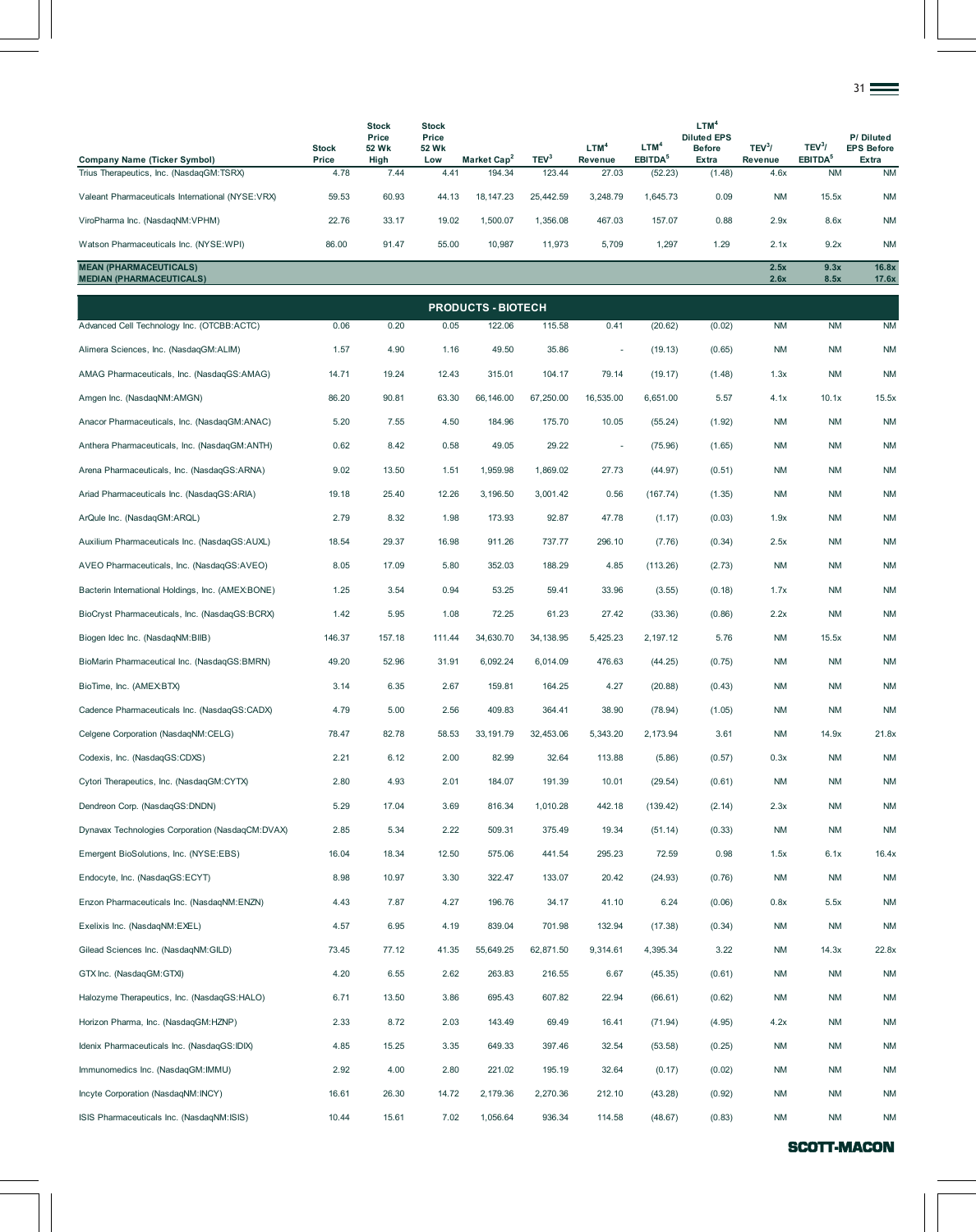|                                                                                 |               |                                |                                |                                   |                            |                  |                                |                                                         |                    |                                  | 31 <del>__</del>               |
|---------------------------------------------------------------------------------|---------------|--------------------------------|--------------------------------|-----------------------------------|----------------------------|------------------|--------------------------------|---------------------------------------------------------|--------------------|----------------------------------|--------------------------------|
|                                                                                 | <b>Stock</b>  | <b>Stock</b><br>Price<br>52 Wk | <b>Stock</b><br>Price<br>52 Wk |                                   |                            | LTM <sup>4</sup> | LTM <sup>4</sup>               | LTM <sup>4</sup><br><b>Diluted EPS</b><br><b>Before</b> | TEV <sup>3</sup> / | TEV <sup>3</sup> /               | P/Diluted<br><b>EPS Before</b> |
| <b>Company Name (Ticker Symbol)</b><br>Trius Therapeutics, Inc. (NasdaqGM:TSRX) | Price<br>4.78 | High<br>7.44                   | Low<br>4.41                    | Market Cap <sup>2</sup><br>194.34 | TEV <sup>3</sup><br>123.44 | Revenue<br>27.03 | EBITDA <sup>5</sup><br>(52.23) | Extra<br>(1.48)                                         | Revenue<br>4.6x    | EBITDA <sup>5</sup><br><b>NM</b> | Extra<br><b>NM</b>             |
| Valeant Pharmaceuticals International (NYSE:VRX)                                | 59.53         | 60.93                          | 44.13                          | 18, 147. 23                       | 25,442.59                  | 3,248.79         | 1,645.73                       | 0.09                                                    | ΝM                 | 15.5x                            | <b>NM</b>                      |
| ViroPharma Inc. (NasdaqNM:VPHM)                                                 | 22.76         | 33.17                          | 19.02                          | 1,500.07                          | 1,356.08                   | 467.03           | 157.07                         | 0.88                                                    | 2.9x               | 8.6x                             | <b>NM</b>                      |
| Watson Pharmaceuticals Inc. (NYSE:WPI)                                          | 86.00         | 91.47                          | 55.00                          | 10,987                            | 11,973                     | 5,709            | 1,297                          | 1.29                                                    | 2.1x               | 9.2x                             | <b>NM</b>                      |
| <b>MEAN (PHARMACEUTICALS)</b><br><b>MEDIAN (PHARMACEUTICALS)</b>                |               |                                |                                |                                   |                            |                  |                                |                                                         | 2.5x<br>2.6x       | 9.3x<br>8.5x                     | 16.8x<br>17.6x                 |
|                                                                                 |               |                                |                                | <b>PRODUCTS - BIOTECH</b>         |                            |                  |                                |                                                         |                    |                                  |                                |
| Advanced Cell Technology Inc. (OTCBB:ACTC)                                      | 0.06          | 0.20                           | 0.05                           | 122.06                            | 115.58                     | 0.41             | (20.62)                        | (0.02)                                                  | <b>NM</b>          | <b>NM</b>                        | <b>NM</b>                      |
| Alimera Sciences, Inc. (NasdaqGM:ALIM)                                          | 1.57          | 4.90                           | 1.16                           | 49.50                             | 35.86                      | ÷,               | (19.13)                        | (0.65)                                                  | ΝM                 | <b>NM</b>                        | <b>NM</b>                      |
| AMAG Pharmaceuticals, Inc. (NasdagGS:AMAG)                                      | 14.71         | 19.24                          | 12.43                          | 315.01                            | 104.17                     | 79.14            | (19.17)                        | (1.48)                                                  | 1.3x               | <b>NM</b>                        | <b>NM</b>                      |
| Amgen Inc. (NasdaqNM:AMGN)                                                      | 86.20         | 90.81                          | 63.30                          | 66,146.00                         | 67,250.00                  | 16,535.00        | 6.651.00                       | 5.57                                                    | 4.1x               | 10.1x                            | 15.5x                          |
| Anacor Pharmaceuticals, Inc. (NasdaqGM:ANAC)                                    | 5.20          | 7.55                           | 4.50                           | 184.96                            | 175.70                     | 10.05            | (55.24)                        | (1.92)                                                  | <b>NM</b>          | <b>NM</b>                        | <b>NM</b>                      |
| Anthera Pharmaceuticals, Inc. (NasdaqGM:ANTH)                                   | 0.62          | 8.42                           | 0.58                           | 49.05                             | 29.22                      | ٠                | (75.96)                        | (1.65)                                                  | ΝM                 | <b>NM</b>                        | <b>NM</b>                      |
| Arena Pharmaceuticals, Inc. (NasdagGS:ARNA)                                     | 9.02          | 13.50                          | 1.51                           | 1,959.98                          | 1,869.02                   | 27.73            | (44.97)                        | (0.51)                                                  | ΝM                 | <b>NM</b>                        | <b>NM</b>                      |
| Ariad Pharmaceuticals Inc. (NasdaqGS:ARIA)                                      | 19.18         | 25.40                          | 12.26                          | 3,196.50                          | 3,001.42                   | 0.56             | (167.74)                       | (1.35)                                                  | ΝM                 | <b>NM</b>                        | <b>NM</b>                      |
| ArQule Inc. (NasdaqGM:ARQL)                                                     | 2.79          | 8.32                           | 1.98                           | 173.93                            | 92.87                      | 47.78            | (1.17)                         | (0.03)                                                  | 1.9x               | <b>NM</b>                        | <b>NM</b>                      |
| Auxilium Pharmaceuticals Inc. (NasdaqGS:AUXL)                                   | 18.54         | 29.37                          | 16.98                          | 911.26                            | 737.77                     | 296.10           | (7.76)                         | (0.34)                                                  | 2.5x               | <b>NM</b>                        | <b>NM</b>                      |
| AVEO Pharmaceuticals, Inc. (NasdaqGS:AVEO)                                      | 8.05          | 17.09                          | 5.80                           | 352.03                            | 188.29                     | 4.85             | (113.26)                       | (2.73)                                                  | <b>NM</b>          | NM                               | <b>NM</b>                      |
| Bacterin International Holdings, Inc. (AMEX:BONE)                               | 1.25          | 3.54                           | 0.94                           | 53.25                             | 59.41                      | 33.96            | (3.55)                         | (0.18)                                                  | 1.7x               | <b>NM</b>                        | <b>NM</b>                      |
| BioCryst Pharmaceuticals, Inc. (NasdaqGS:BCRX)                                  | 1.42          | 5.95                           | 1.08                           | 72.25                             | 61.23                      | 27.42            | (33.36)                        | (0.86)                                                  | 2.2x               | <b>NM</b>                        | <b>NM</b>                      |
| Biogen Idec Inc. (NasdaqNM:BIIB)                                                | 146.37        | 157.18                         | 111.44                         | 34,630.70                         | 34, 138.95                 | 5,425.23         | 2,197.12                       | 5.76                                                    | ΝM                 | 15.5x                            | <b>NM</b>                      |
| BioMarin Pharmaceutical Inc. (NasdaqGS:BMRN)                                    | 49.20         | 52.96                          | 31.91                          | 6,092.24                          | 6,014.09                   | 476.63           | (44.25)                        | (0.75)                                                  | <b>NM</b>          | <b>NM</b>                        | <b>NM</b>                      |
| BioTime, Inc. (AMEX:BTX)                                                        | 3.14          | 6.35                           | 2.67                           | 159.81                            | 164.25                     | 4.27             | (20.88)                        | (0.43)                                                  | <b>NM</b>          | <b>NM</b>                        | <b>NM</b>                      |
| Cadence Pharmaceuticals Inc. (NasdaqGS:CADX)                                    | 4.79          | 5.00                           | 2.56                           | 409.83                            | 364.41                     | 38.90            | (78.94)                        | (1.05)                                                  | <b>NM</b>          | <b>NM</b>                        | <b>NM</b>                      |
| Celgene Corporation (NasdaqNM:CELG)                                             | 78.47         | 82.78                          | 58.53                          | 33, 191.79                        | 32,453.06                  | 5,343.20         | 2,173.94                       | 3.61                                                    | <b>NM</b>          | 14.9x                            | 21.8x                          |
| Codexis, Inc. (NasdaqGS:CDXS)                                                   | 2.21          | 6.12                           | 2.00                           | 82.99                             | 32.64                      | 113.88           | (5.86)                         | (0.57)                                                  | 0.3x               | <b>NM</b>                        | <b>NM</b>                      |
| Cytori Therapeutics, Inc. (NasdaqGM:CYTX)                                       | 2.80          | 4.93                           | 2.01                           | 184.07                            | 191.39                     | 10.01            | (29.54)                        | (0.61)                                                  | <b>NM</b>          | <b>NM</b>                        | <b>NM</b>                      |
| Dendreon Corp. (NasdaqGS:DNDN)                                                  | 5.29          | 17.04                          | 3.69                           | 816.34                            | 1,010.28                   | 442.18           | (139.42)                       | (2.14)                                                  | 2.3x               | <b>NM</b>                        | <b>NM</b>                      |
| Dynavax Technologies Corporation (NasdaqCM:DVAX)                                | 2.85          | 5.34                           | 2.22                           | 509.31                            | 375.49                     | 19.34            | (51.14)                        | (0.33)                                                  | <b>NM</b>          | <b>NM</b>                        | <b>NM</b>                      |
| Emergent BioSolutions, Inc. (NYSE:EBS)                                          | 16.04         | 18.34                          | 12.50                          | 575.06                            | 441.54                     | 295.23           | 72.59                          | 0.98                                                    | 1.5x               | 6.1x                             | 16.4x                          |
| Endocyte, Inc. (NasdaqGS:ECYT)                                                  | 8.98          | 10.97                          | 3.30                           | 322.47                            | 133.07                     | 20.42            | (24.93)                        | (0.76)                                                  | <b>NM</b>          | <b>NM</b>                        | <b>NM</b>                      |
| Enzon Pharmaceuticals Inc. (NasdaqNM:ENZN)                                      | 4.43          | 7.87                           | 4.27                           | 196.76                            | 34.17                      | 41.10            | 6.24                           | (0.06)                                                  | 0.8x               | 5.5x                             | <b>NM</b>                      |
| Exelixis Inc. (NasdaqNM:EXEL)                                                   | 4.57          | 6.95                           | 4.19                           | 839.04                            | 701.98                     | 132.94           | (17.38)                        | (0.34)                                                  | <b>NM</b>          | <b>NM</b>                        | <b>NM</b>                      |
| Gilead Sciences Inc. (NasdaqNM:GILD)                                            | 73.45         | 77.12                          | 41.35                          | 55,649.25                         | 62,871.50                  | 9,314.61         | 4,395.34                       | 3.22                                                    | ΝM                 | 14.3x                            | 22.8x                          |
| GTX Inc. (NasdaqGM:GTXI)                                                        | 4.20          | 6.55                           | 2.62                           | 263.83                            | 216.55                     | 6.67             | (45.35)                        | (0.61)                                                  | <b>NM</b>          | <b>NM</b>                        | <b>NM</b>                      |
| Halozyme Therapeutics, Inc. (NasdaqGS:HALO)                                     | 6.71          | 13.50                          | 3.86                           | 695.43                            | 607.82                     | 22.94            | (66.61)                        | (0.62)                                                  | <b>NM</b>          | <b>NM</b>                        | <b>NM</b>                      |
| Horizon Pharma, Inc. (NasdaqGM:HZNP)                                            | 2.33          | 8.72                           | 2.03                           | 143.49                            | 69.49                      | 16.41            | (71.94)                        | (4.95)                                                  | 4.2x               | <b>NM</b>                        | <b>NM</b>                      |
| Idenix Pharmaceuticals Inc. (NasdaqGS:IDIX)                                     | 4.85          | 15.25                          | 3.35                           | 649.33                            | 397.46                     | 32.54            | (53.58)                        | (0.25)                                                  | <b>NM</b>          | <b>NM</b>                        | <b>NM</b>                      |
| Immunomedics Inc. (NasdaqGM:IMMU)                                               | 2.92          | 4.00                           | 2.80                           | 221.02                            | 195.19                     | 32.64            | (0.17)                         | (0.02)                                                  | ΝM                 | NM                               | <b>NM</b>                      |
| Incyte Corporation (NasdaqNM:INCY)                                              | 16.61         | 26.30                          | 14.72                          | 2,179.36                          | 2,270.36                   | 212.10           | (43.28)                        | (0.92)                                                  | <b>NM</b>          | <b>NM</b>                        | <b>NM</b>                      |
| ISIS Pharmaceuticals Inc. (NasdaqNM:ISIS)                                       | 10.44         | 15.61                          | 7.02                           | 1,056.64                          | 936.34                     | 114.58           | (48.67)                        | (0.83)                                                  | NM                 | <b>NM</b>                        | <b>NM</b>                      |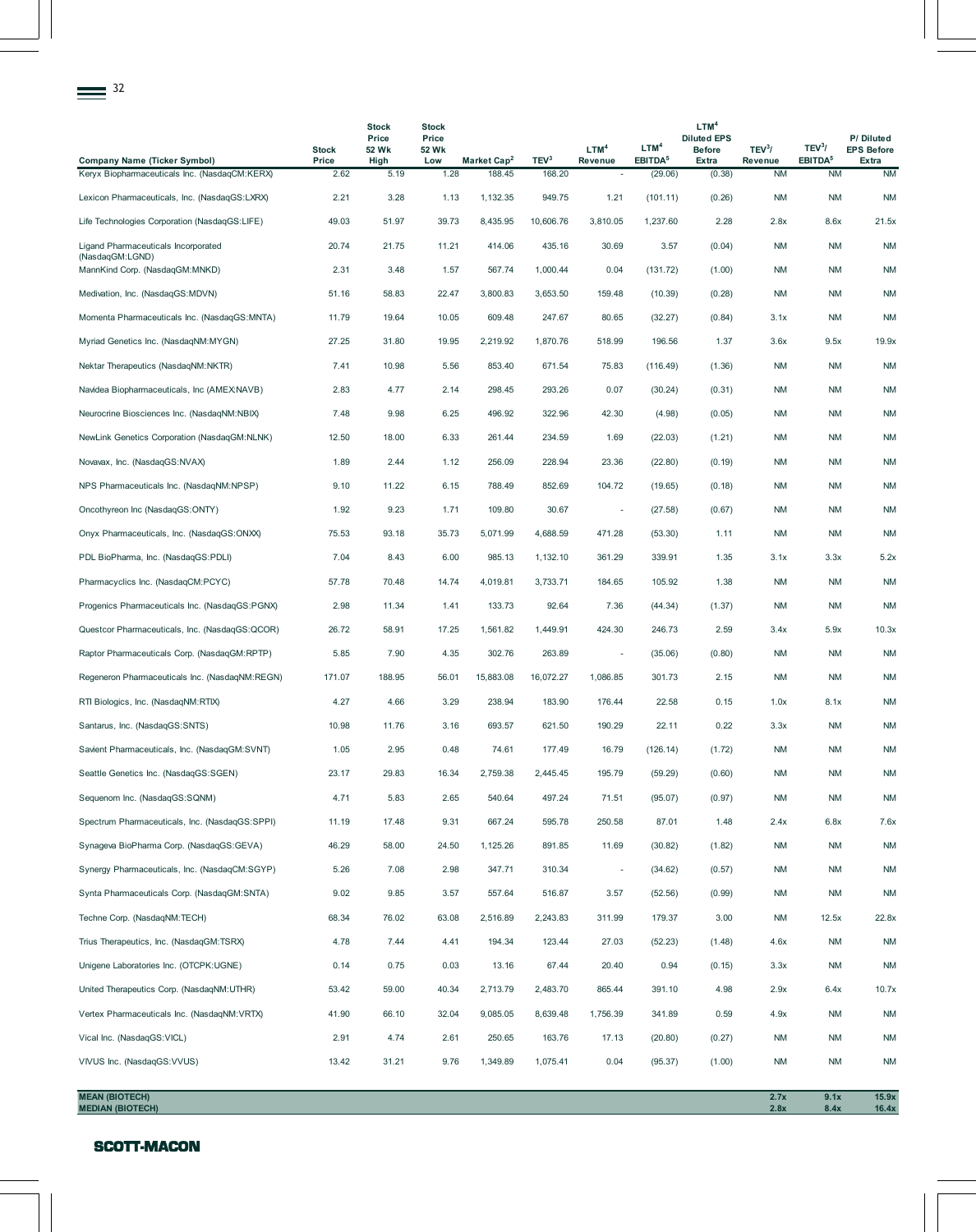|                                                        |                       | <b>Stock</b><br>Price | <b>Stock</b><br>Price |                         |                  |                             |                                         | LTM <sup>4</sup><br><b>Diluted EPS</b> |                               |                                           | P/Diluted                  |
|--------------------------------------------------------|-----------------------|-----------------------|-----------------------|-------------------------|------------------|-----------------------------|-----------------------------------------|----------------------------------------|-------------------------------|-------------------------------------------|----------------------------|
| <b>Company Name (Ticker Symbol)</b>                    | <b>Stock</b><br>Price | 52 Wk<br>High         | 52 Wk<br>Low          | Market Cap <sup>2</sup> | TEV <sup>3</sup> | LTM <sup>4</sup><br>Revenue | LTM <sup>4</sup><br>EBITDA <sup>5</sup> | <b>Before</b><br><b>Extra</b>          | TEV <sup>3</sup> /<br>Revenue | TEV <sup>3</sup> /<br>EBITDA <sup>5</sup> | <b>EPS Before</b><br>Extra |
| Keryx Biopharmaceuticals Inc. (NasdaqCM:KERX)          | 2.62                  | 5.19                  | 1.28                  | 188.45                  | 168.20           |                             | (29.06)                                 | (0.38)                                 | <b>NM</b>                     | <b>NM</b>                                 | <b>NM</b>                  |
| Lexicon Pharmaceuticals, Inc. (NasdaqGS:LXRX)          | 2.21                  | 3.28                  | 1.13                  | 1,132.35                | 949.75           | 1.21                        | (101.11)                                | (0.26)                                 | <b>NM</b>                     | <b>NM</b>                                 | <b>NM</b>                  |
| Life Technologies Corporation (NasdaqGS:LIFE)          | 49.03                 | 51.97                 | 39.73                 | 8,435.95                | 10,606.76        | 3.810.05                    | 1.237.60                                | 2.28                                   | 2.8x                          | 8.6x                                      | 21.5x                      |
| Ligand Pharmaceuticals Incorporated<br>(NasdaqGM:LGND) | 20.74                 | 21.75                 | 11.21                 | 414.06                  | 435.16           | 30.69                       | 3.57                                    | (0.04)                                 | <b>NM</b>                     | <b>NM</b>                                 | <b>NM</b>                  |
| MannKind Corp. (NasdaqGM:MNKD)                         | 2.31                  | 3.48                  | 1.57                  | 567.74                  | 1,000.44         | 0.04                        | (131.72)                                | (1.00)                                 | <b>NM</b>                     | <b>NM</b>                                 | <b>NM</b>                  |
| Medivation, Inc. (NasdaqGS:MDVN)                       | 51.16                 | 58.83                 | 22.47                 | 3,800.83                | 3,653.50         | 159.48                      | (10.39)                                 | (0.28)                                 | <b>NM</b>                     | <b>NM</b>                                 | <b>NM</b>                  |
| Momenta Pharmaceuticals Inc. (NasdaqGS:MNTA)           | 11.79                 | 19.64                 | 10.05                 | 609.48                  | 247.67           | 80.65                       | (32.27)                                 | (0.84)                                 | 3.1x                          | <b>NM</b>                                 | <b>NM</b>                  |
| Myriad Genetics Inc. (NasdaqNM:MYGN)                   | 27.25                 | 31.80                 | 19.95                 | 2.219.92                | 1,870.76         | 518.99                      | 196.56                                  | 1.37                                   | 3.6x                          | 9.5x                                      | 19.9x                      |
| Nektar Therapeutics (NasdaqNM:NKTR)                    | 7.41                  | 10.98                 | 5.56                  | 853.40                  | 671.54           | 75.83                       | (116.49)                                | (1.36)                                 | <b>NM</b>                     | <b>NM</b>                                 | <b>NM</b>                  |
| Navidea Biopharmaceuticals, Inc (AMEX:NAVB)            | 2.83                  | 4.77                  | 2.14                  | 298.45                  | 293.26           | 0.07                        | (30.24)                                 | (0.31)                                 | <b>NM</b>                     | <b>NM</b>                                 | <b>NM</b>                  |
| Neurocrine Biosciences Inc. (NasdaqNM:NBIX)            | 7.48                  | 9.98                  | 6.25                  | 496.92                  | 322.96           | 42.30                       | (4.98)                                  | (0.05)                                 | <b>NM</b>                     | <b>NM</b>                                 | <b>NM</b>                  |
| NewLink Genetics Corporation (NasdaqGM:NLNK)           | 12.50                 | 18.00                 | 6.33                  | 261.44                  | 234.59           | 1.69                        | (22.03)                                 | (1.21)                                 | <b>NM</b>                     | <b>NM</b>                                 | <b>NM</b>                  |
| Novavax, Inc. (NasdaqGS:NVAX)                          | 1.89                  | 2.44                  | 1.12                  | 256.09                  | 228.94           | 23.36                       | (22.80)                                 | (0.19)                                 | <b>NM</b>                     | <b>NM</b>                                 | <b>NM</b>                  |
| NPS Pharmaceuticals Inc. (NasdaqNM:NPSP)               | 9.10                  | 11.22                 | 6.15                  | 788.49                  | 852.69           | 104.72                      | (19.65)                                 | (0.18)                                 | <b>NM</b>                     | <b>NM</b>                                 | <b>NM</b>                  |
| Oncothyreon Inc (NasdaqGS:ONTY)                        | 1.92                  | 9.23                  | 1.71                  | 109.80                  | 30.67            | ÷,                          | (27.58)                                 | (0.67)                                 | <b>NM</b>                     | <b>NM</b>                                 | <b>NM</b>                  |
| Onyx Pharmaceuticals, Inc. (NasdaqGS:ONXX)             | 75.53                 | 93.18                 | 35.73                 | 5,071.99                | 4,688.59         | 471.28                      | (53.30)                                 | 1.11                                   | <b>NM</b>                     | <b>NM</b>                                 | <b>NM</b>                  |
| PDL BioPharma, Inc. (NasdaqGS:PDLI)                    | 7.04                  | 8.43                  | 6.00                  | 985.13                  | 1,132.10         | 361.29                      | 339.91                                  | 1.35                                   | 3.1x                          | 3.3x                                      | 5.2x                       |
| Pharmacyclics Inc. (NasdaqCM:PCYC)                     | 57.78                 | 70.48                 | 14.74                 | 4,019.81                | 3,733.71         | 184.65                      | 105.92                                  | 1.38                                   | <b>NM</b>                     | <b>NM</b>                                 | <b>NM</b>                  |
| Progenics Pharmaceuticals Inc. (NasdaqGS:PGNX)         | 2.98                  | 11.34                 | 1.41                  | 133.73                  | 92.64            | 7.36                        | (44.34)                                 | (1.37)                                 | <b>NM</b>                     | <b>NM</b>                                 | <b>NM</b>                  |
| Questcor Pharmaceuticals, Inc. (NasdaqGS:QCOR)         | 26.72                 | 58.91                 | 17.25                 | 1,561.82                | 1,449.91         | 424.30                      | 246.73                                  | 2.59                                   | 3.4x                          | 5.9x                                      | 10.3x                      |
| Raptor Pharmaceuticals Corp. (NasdaqGM:RPTP)           | 5.85                  | 7.90                  | 4.35                  | 302.76                  | 263.89           |                             | (35.06)                                 | (0.80)                                 | <b>NM</b>                     | <b>NM</b>                                 | <b>NM</b>                  |
| Regeneron Pharmaceuticals Inc. (NasdaqNM:REGN)         | 171.07                | 188.95                | 56.01                 | 15,883.08               | 16,072.27        | 1,086.85                    | 301.73                                  | 2.15                                   | ΝM                            | <b>NM</b>                                 | <b>NM</b>                  |
| RTI Biologics, Inc. (NasdaqNM:RTIX)                    | 4.27                  | 4.66                  | 3.29                  | 238.94                  | 183.90           | 176.44                      | 22.58                                   | 0.15                                   | 1.0x                          | 8.1x                                      | <b>NM</b>                  |
| Santarus, Inc. (NasdaqGS:SNTS)                         | 10.98                 | 11.76                 | 3.16                  | 693.57                  | 621.50           | 190.29                      | 22.11                                   | 0.22                                   | 3.3x                          | <b>NM</b>                                 | <b>NM</b>                  |
| Savient Pharmaceuticals, Inc. (NasdaqGM:SVNT)          | 1.05                  | 2.95                  | 0.48                  | 74.61                   | 177.49           | 16.79                       | (126.14)                                | (1.72)                                 | <b>NM</b>                     | <b>NM</b>                                 | <b>NM</b>                  |
| Seattle Genetics Inc. (NasdaqGS:SGEN)                  | 23.17                 | 29.83                 | 16.34                 | 2,759.38                | 2,445.45         | 195.79                      | (59.29)                                 | (0.60)                                 | NM                            | <b>NM</b>                                 | <b>NM</b>                  |
| Sequenom Inc. (NasdaqGS:SQNM)                          | 4.71                  | 5.83                  | 2.65                  | 540.64                  | 497.24           | 71.51                       | (95.07)                                 | (0.97)                                 | <b>NM</b>                     | <b>NM</b>                                 | <b>NM</b>                  |
| Spectrum Pharmaceuticals, Inc. (NasdaqGS:SPPI)         | 11.19                 | 17.48                 | 9.31                  | 667.24                  | 595.78           | 250.58                      | 87.01                                   | 1.48                                   | 2.4x                          | 6.8x                                      | 7.6x                       |
| Synageva BioPharma Corp. (NasdaqGS:GEVA)               | 46.29                 | 58.00                 | 24.50                 | 1,125.26                | 891.85           | 11.69                       | (30.82)                                 | (1.82)                                 | <b>NM</b>                     | <b>NM</b>                                 | <b>NM</b>                  |
| Synergy Pharmaceuticals, Inc. (NasdaqCM:SGYP)          | 5.26                  | 7.08                  | 2.98                  | 347.71                  | 310.34           |                             | (34.62)                                 | (0.57)                                 | <b>NM</b>                     | <b>NM</b>                                 | <b>NM</b>                  |
| Synta Pharmaceuticals Corp. (NasdaqGM:SNTA)            | 9.02                  | 9.85                  | 3.57                  | 557.64                  | 516.87           | 3.57                        | (52.56)                                 | (0.99)                                 | <b>NM</b>                     | <b>NM</b>                                 | <b>NM</b>                  |
| Techne Corp. (NasdaqNM:TECH)                           | 68.34                 | 76.02                 | 63.08                 | 2,516.89                | 2,243.83         | 311.99                      | 179.37                                  | 3.00                                   | NM                            | 12.5x                                     | 22.8x                      |
| Trius Therapeutics, Inc. (NasdaqGM:TSRX)               | 4.78                  | 7.44                  | 4.41                  | 194.34                  | 123.44           | 27.03                       | (52.23)                                 | (1.48)                                 | 4.6x                          | <b>NM</b>                                 | <b>NM</b>                  |
| Unigene Laboratories Inc. (OTCPK:UGNE)                 | 0.14                  | 0.75                  | 0.03                  | 13.16                   | 67.44            | 20.40                       | 0.94                                    | (0.15)                                 | 3.3x                          | <b>NM</b>                                 | <b>NM</b>                  |
| United Therapeutics Corp. (NasdaqNM:UTHR)              | 53.42                 | 59.00                 | 40.34                 | 2,713.79                | 2,483.70         | 865.44                      | 391.10                                  | 4.98                                   | 2.9x                          | 6.4x                                      | 10.7x                      |
| Vertex Pharmaceuticals Inc. (NasdaqNM:VRTX)            | 41.90                 | 66.10                 | 32.04                 | 9,085.05                | 8,639.48         | 1,756.39                    | 341.89                                  | 0.59                                   | 4.9x                          | <b>NM</b>                                 | <b>NM</b>                  |
| Vical Inc. (NasdaqGS:VICL)                             | 2.91                  | 4.74                  | 2.61                  | 250.65                  | 163.76           | 17.13                       | (20.80)                                 | (0.27)                                 | <b>NM</b>                     | <b>NM</b>                                 | <b>NM</b>                  |
| VIVUS Inc. (NasdaqGS:VVUS)                             | 13.42                 | 31.21                 | 9.76                  | 1,349.89                | 1,075.41         | 0.04                        | (95.37)                                 | (1.00)                                 | <b>NM</b>                     | <b>NM</b>                                 | <b>NM</b>                  |
| <b>MEAN (BIOTECH)</b><br><b>MEDIAN (BIOTECH)</b>       |                       |                       |                       |                         |                  |                             |                                         |                                        | 2.7x<br>2.8x                  | 9.1x                                      | 15.9x<br>8.4x<br>16.4x     |

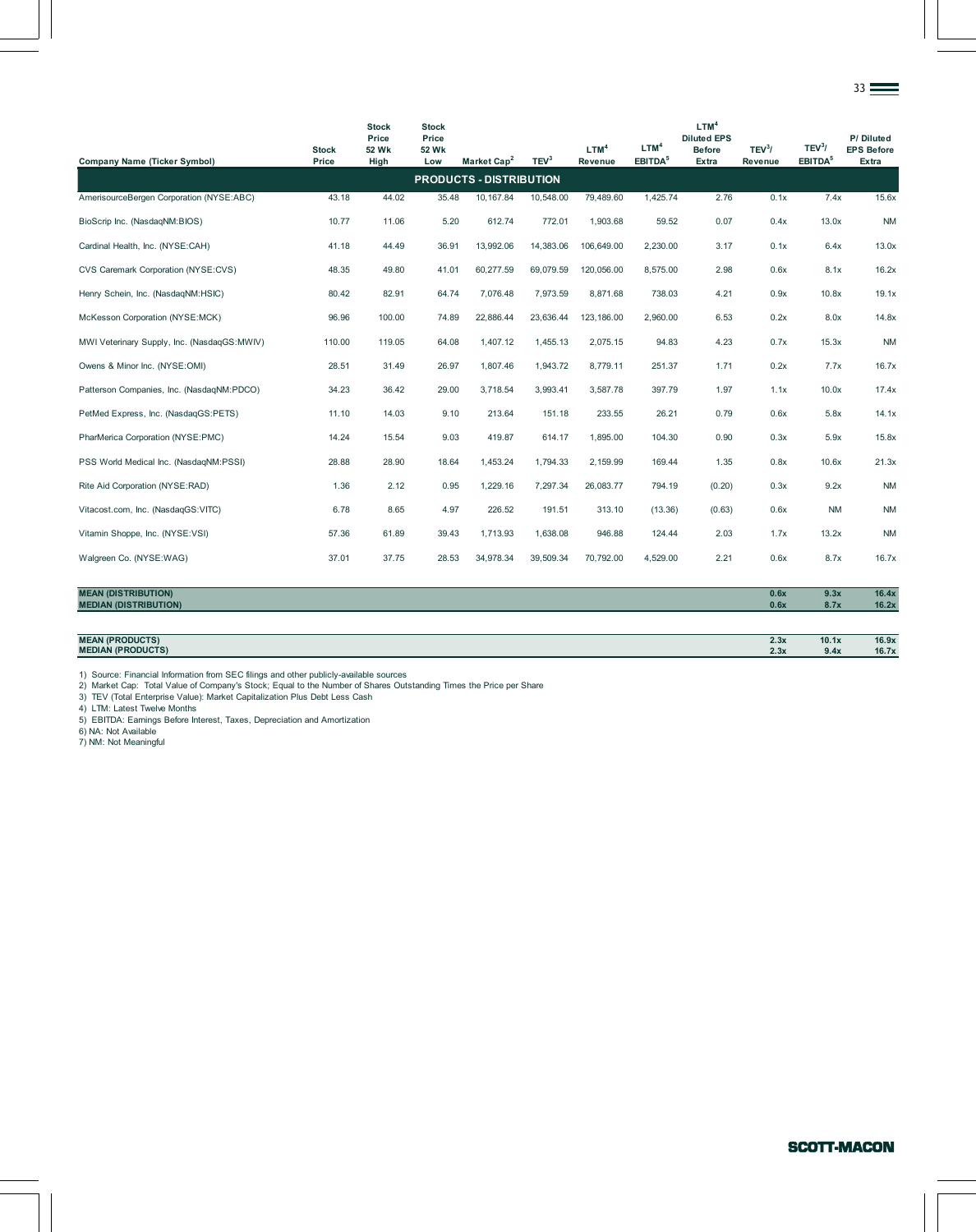|                                             |                       |                                        |                                       |                         |                  |                             |                                         |                                                                         |                               |                                           | $_{33} =$                               |
|---------------------------------------------|-----------------------|----------------------------------------|---------------------------------------|-------------------------|------------------|-----------------------------|-----------------------------------------|-------------------------------------------------------------------------|-------------------------------|-------------------------------------------|-----------------------------------------|
| <b>Company Name (Ticker Symbol)</b>         | <b>Stock</b><br>Price | <b>Stock</b><br>Price<br>52 Wk<br>High | <b>Stock</b><br>Price<br>52 Wk<br>Low | Market Cap <sup>2</sup> | TEV <sup>3</sup> | LTM <sup>4</sup><br>Revenue | LTM <sup>4</sup><br>EBITDA <sup>5</sup> | LTM <sup>4</sup><br><b>Diluted EPS</b><br><b>Before</b><br><b>Extra</b> | TEV <sup>3</sup> /<br>Revenue | TEV <sup>3</sup> /<br>EBITDA <sup>5</sup> | P/Diluted<br><b>EPS Before</b><br>Extra |
| <b>PRODUCTS - DISTRIBUTION</b>              |                       |                                        |                                       |                         |                  |                             |                                         |                                                                         |                               |                                           |                                         |
| AmerisourceBergen Corporation (NYSE:ABC)    | 43.18                 | 44.02                                  | 35.48                                 | 10,167.84               | 10,548.00        | 79,489.60                   | 1,425.74                                | 2.76                                                                    | 0.1x                          | 7.4x                                      | 15.6x                                   |
| BioScrip Inc. (NasdaqNM:BIOS)               | 10.77                 | 11.06                                  | 5.20                                  | 612.74                  | 772.01           | 1,903.68                    | 59.52                                   | 0.07                                                                    | 0.4x                          | 13.0x                                     | <b>NM</b>                               |
| Cardinal Health, Inc. (NYSE:CAH)            | 41.18                 | 44.49                                  | 36.91                                 | 13,992.06               | 14,383.06        | 106,649.00                  | 2,230.00                                | 3.17                                                                    | 0.1x                          | 6.4x                                      | 13.0x                                   |
| CVS Caremark Corporation (NYSE:CVS)         | 48.35                 | 49.80                                  | 41.01                                 | 60,277.59               | 69,079.59        | 120,056.00                  | 8,575.00                                | 2.98                                                                    | 0.6x                          | 8.1x                                      | 16.2x                                   |
| Henry Schein, Inc. (NasdaqNM:HSIC)          | 80.42                 | 82.91                                  | 64.74                                 | 7,076.48                | 7,973.59         | 8,871.68                    | 738.03                                  | 4.21                                                                    | 0.9x                          | 10.8x                                     | 19.1x                                   |
| McKesson Corporation (NYSE:MCK)             | 96.96                 | 100.00                                 | 74.89                                 | 22,886.44               | 23,636.44        | 123, 186.00                 | 2,960.00                                | 6.53                                                                    | 0.2x                          | 8.0x                                      | 14.8x                                   |
| MWI Veterinary Supply, Inc. (NasdaqGS:MWIV) | 110.00                | 119.05                                 | 64.08                                 | 1,407.12                | 1,455.13         | 2,075.15                    | 94.83                                   | 4.23                                                                    | 0.7x                          | 15.3x                                     | <b>NM</b>                               |
| Owens & Minor Inc. (NYSE:OMI)               | 28.51                 | 31.49                                  | 26.97                                 | 1,807.46                | 1,943.72         | 8,779.11                    | 251.37                                  | 1.71                                                                    | 0.2x                          | 7.7x                                      | 16.7x                                   |
| Patterson Companies, Inc. (NasdaqNM:PDCO)   | 34.23                 | 36.42                                  | 29.00                                 | 3,718.54                | 3,993.41         | 3,587.78                    | 397.79                                  | 1.97                                                                    | 1.1x                          | 10.0x                                     | 17.4x                                   |
| PetMed Express, Inc. (NasdaqGS:PETS)        | 11.10                 | 14.03                                  | 9.10                                  | 213.64                  | 151.18           | 233.55                      | 26.21                                   | 0.79                                                                    | 0.6x                          | 5.8x                                      | 14.1x                                   |
| PharMerica Corporation (NYSE:PMC)           | 14.24                 | 15.54                                  | 9.03                                  | 419.87                  | 614.17           | 1,895.00                    | 104.30                                  | 0.90                                                                    | 0.3x                          | 5.9x                                      | 15.8x                                   |
| PSS World Medical Inc. (NasdaqNM:PSSI)      | 28.88                 | 28.90                                  | 18.64                                 | 1,453.24                | 1,794.33         | 2,159.99                    | 169.44                                  | 1.35                                                                    | 0.8x                          | 10.6x                                     | 21.3x                                   |
| Rite Aid Corporation (NYSE:RAD)             | 1.36                  | 2.12                                   | 0.95                                  | 1,229.16                | 7,297.34         | 26,083.77                   | 794.19                                  | (0.20)                                                                  | 0.3x                          | 9.2x                                      | <b>NM</b>                               |
| Vitacost.com, Inc. (NasdaqGS:VITC)          | 6.78                  | 8.65                                   | 4.97                                  | 226.52                  | 191.51           | 313.10                      | (13.36)                                 | (0.63)                                                                  | 0.6x                          | <b>NM</b>                                 | <b>NM</b>                               |
| Vitamin Shoppe, Inc. (NYSE:VSI)             | 57.36                 | 61.89                                  | 39.43                                 | 1,713.93                | 1,638.08         | 946.88                      | 124.44                                  | 2.03                                                                    | 1.7x                          | 13.2x                                     | <b>NM</b>                               |
| Walgreen Co. (NYSE:WAG)                     | 37.01                 | 37.75                                  | 28.53                                 | 34,978.34               | 39,509.34        | 70,792.00                   | 4,529.00                                | 2.21                                                                    | 0.6x                          | 8.7x                                      | 16.7x                                   |

| <b>MEAN (DISTRIBUTION)</b>   | 0.6x | 9.3x  | 16.4x |
|------------------------------|------|-------|-------|
| <b>MEDIAN (DISTRIBUTION)</b> | 0.6x | 8.7x  | 16.2x |
|                              |      |       |       |
| <b>MEAN (PRODUCTS)</b>       | 2.3x | 10.1x | 16.9x |
| <b>MEDIAN (PRODUCTS)</b>     | 2.3x | 9.4x  | 16.7x |

1) Source: Financial Information from SEC filings and other publicly-available sources<br>2) Market Cap: Total Value of Company's Stock; Equal to the Number of Shares Outstanding Times the Price per Share<br>3) TEV (Total Enterp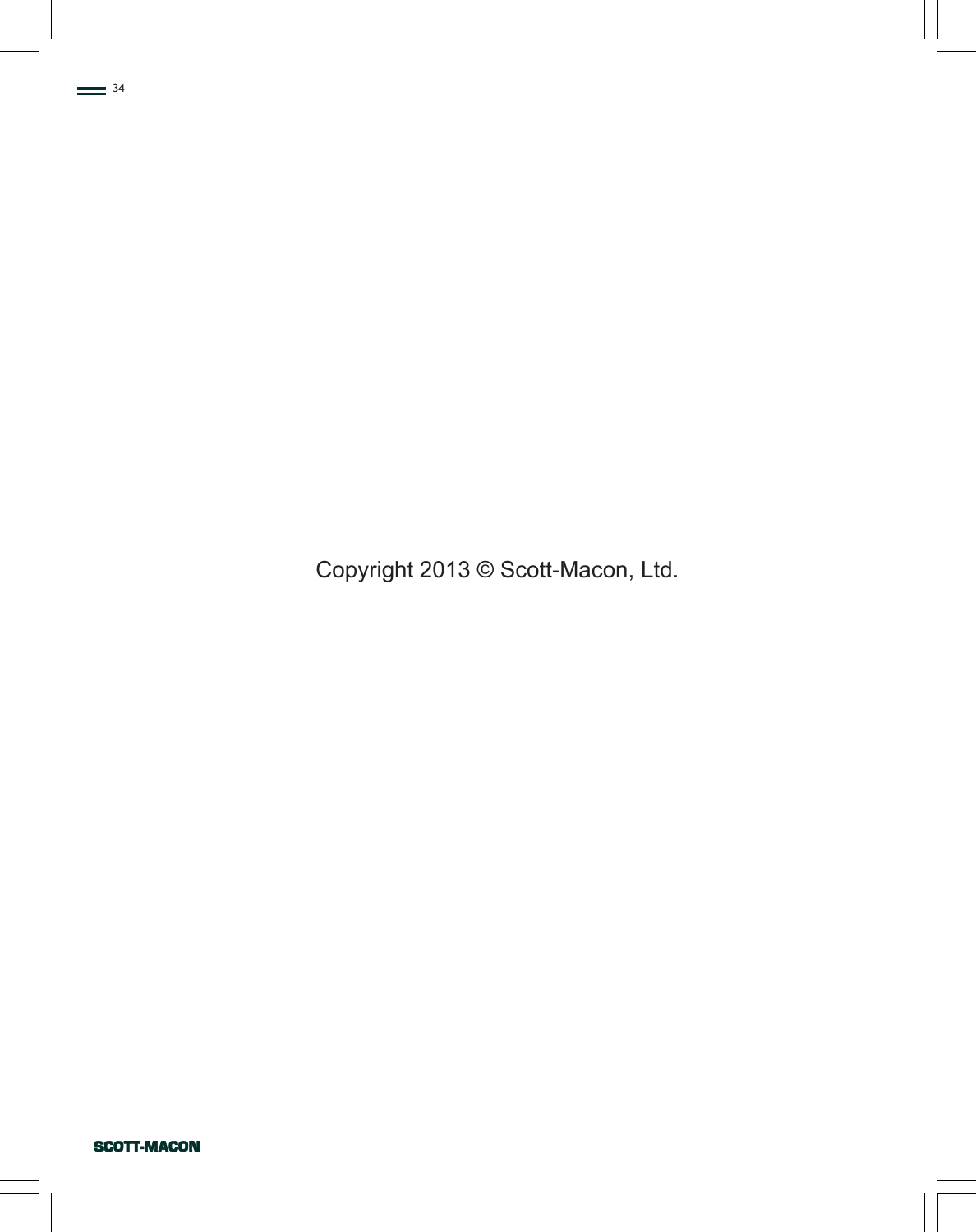Copyright 2013 © Scott-Macon, Ltd.

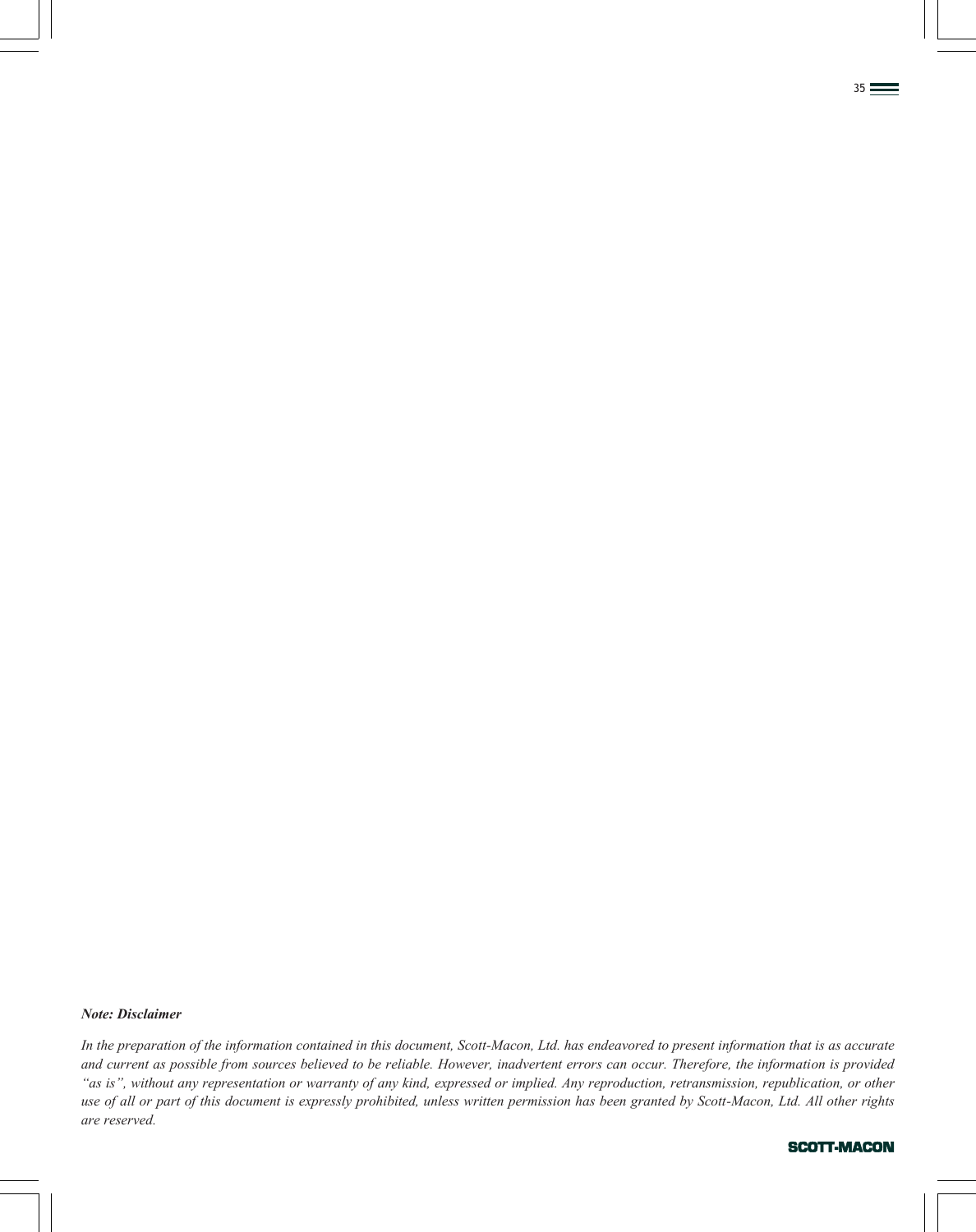*In the preparation of the information contained in this document, Scott-Macon, Ltd. has endeavored to present information that is as accurate and current as possible from sources believed to be reliable. However, inadvertent errors can occur. Therefore, the information is provided "as is", without any representation or warranty of any kind, expressed or implied. Any reproduction, retransmission, republication, or other use of all or part of this document is expressly prohibited, unless written permission has been granted by Scott-Macon, Ltd. All other rights are reserved.*